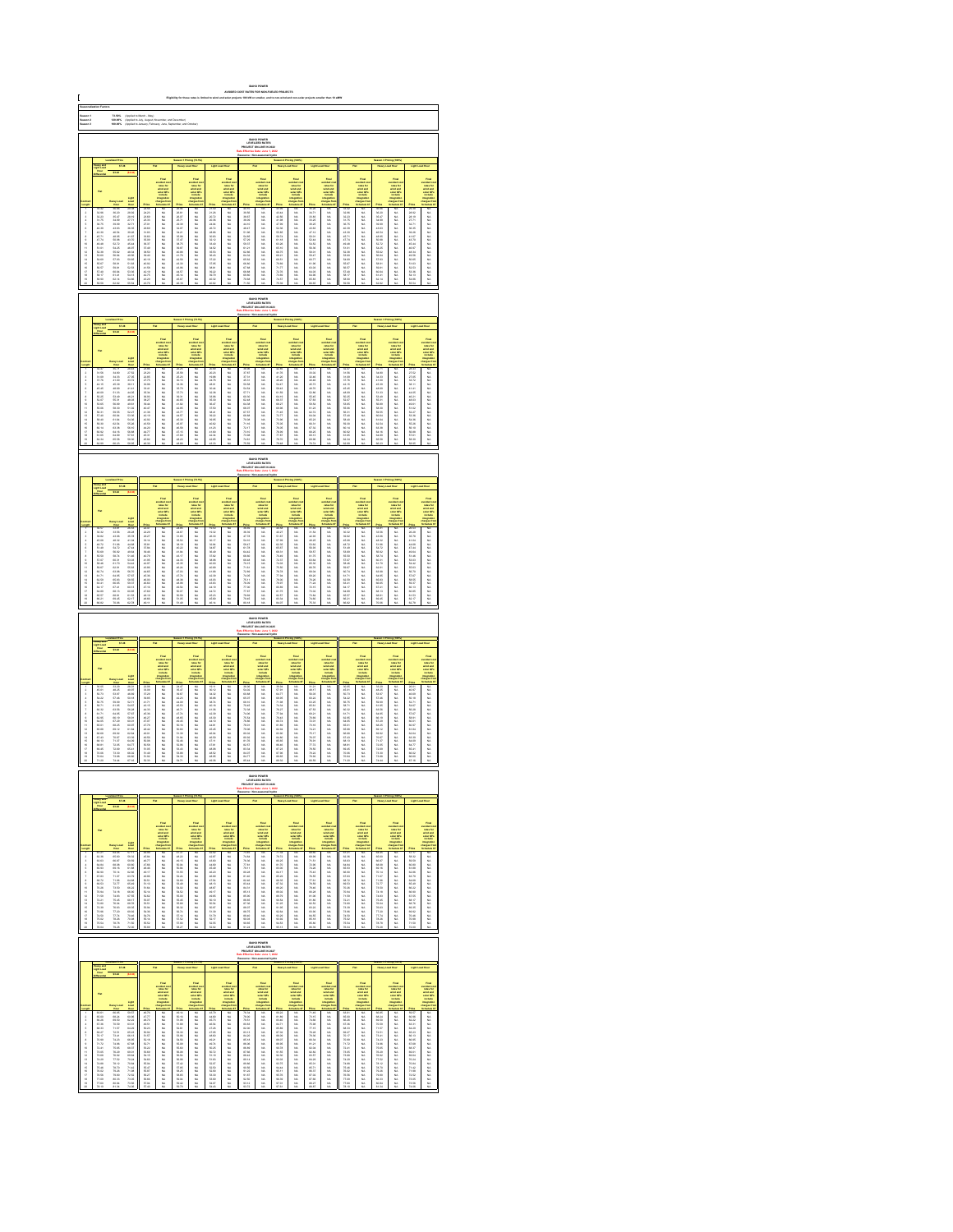| C                                                                                                                                                                                                                                                                                                                                                                                                                                                                                                                                                                                                                                                                                                                                                                                                             |                                                                                                            | Saason 1<br>Saason 3<br>Saason 3<br>73.60%<br>120.00%<br>100.00%<br> <br> Applied to March - May)<br> Applied to Jaly, August, No<br> Applied to Jaly, August, No                                                              |                                                                                                                                                                                                                                      |                                                                                                                                                                                                                               |                                                                                   |                                              |                                                                                                 |                                                                      |                                                                                                                                                                                                                              |                                                                                                               |                                                                                          |                                                                                |                                                                                |                                                                                                                                                                                                                                |                                                                        |                            |                                                                                                     |                                                |                                                                                                  |                                                                                                                  |                                                                                                                                                                                                                               |
|---------------------------------------------------------------------------------------------------------------------------------------------------------------------------------------------------------------------------------------------------------------------------------------------------------------------------------------------------------------------------------------------------------------------------------------------------------------------------------------------------------------------------------------------------------------------------------------------------------------------------------------------------------------------------------------------------------------------------------------------------------------------------------------------------------------|------------------------------------------------------------------------------------------------------------|--------------------------------------------------------------------------------------------------------------------------------------------------------------------------------------------------------------------------------|--------------------------------------------------------------------------------------------------------------------------------------------------------------------------------------------------------------------------------------|-------------------------------------------------------------------------------------------------------------------------------------------------------------------------------------------------------------------------------|-----------------------------------------------------------------------------------|----------------------------------------------|-------------------------------------------------------------------------------------------------|----------------------------------------------------------------------|------------------------------------------------------------------------------------------------------------------------------------------------------------------------------------------------------------------------------|---------------------------------------------------------------------------------------------------------------|------------------------------------------------------------------------------------------|--------------------------------------------------------------------------------|--------------------------------------------------------------------------------|--------------------------------------------------------------------------------------------------------------------------------------------------------------------------------------------------------------------------------|------------------------------------------------------------------------|----------------------------|-----------------------------------------------------------------------------------------------------|------------------------------------------------|--------------------------------------------------------------------------------------------------|------------------------------------------------------------------------------------------------------------------|-------------------------------------------------------------------------------------------------------------------------------------------------------------------------------------------------------------------------------|
|                                                                                                                                                                                                                                                                                                                                                                                                                                                                                                                                                                                                                                                                                                                                                                                                               |                                                                                                            |                                                                                                                                                                                                                                |                                                                                                                                                                                                                                      |                                                                                                                                                                                                                               |                                                                                   |                                              |                                                                                                 |                                                                      |                                                                                                                                                                                                                              |                                                                                                               |                                                                                          |                                                                                |                                                                                |                                                                                                                                                                                                                                |                                                                        |                            |                                                                                                     |                                                |                                                                                                  |                                                                                                                  |                                                                                                                                                                                                                               |
|                                                                                                                                                                                                                                                                                                                                                                                                                                                                                                                                                                                                                                                                                                                                                                                                               |                                                                                                            |                                                                                                                                                                                                                                |                                                                                                                                                                                                                                      |                                                                                                                                                                                                                               |                                                                                   |                                              |                                                                                                 |                                                                      |                                                                                                                                                                                                                              |                                                                                                               |                                                                                          |                                                                                |                                                                                |                                                                                                                                                                                                                                |                                                                        |                            |                                                                                                     |                                                |                                                                                                  |                                                                                                                  |                                                                                                                                                                                                                               |
|                                                                                                                                                                                                                                                                                                                                                                                                                                                                                                                                                                                                                                                                                                                                                                                                               |                                                                                                            |                                                                                                                                                                                                                                |                                                                                                                                                                                                                                      |                                                                                                                                                                                                                               |                                                                                   |                                              |                                                                                                 |                                                                      |                                                                                                                                                                                                                              |                                                                                                               |                                                                                          |                                                                                |                                                                                |                                                                                                                                                                                                                                |                                                                        |                            |                                                                                                     |                                                |                                                                                                  |                                                                                                                  |                                                                                                                                                                                                                               |
|                                                                                                                                                                                                                                                                                                                                                                                                                                                                                                                                                                                                                                                                                                                                                                                                               |                                                                                                            |                                                                                                                                                                                                                                |                                                                                                                                                                                                                                      |                                                                                                                                                                                                                               |                                                                                   |                                              |                                                                                                 |                                                                      |                                                                                                                                                                                                                              |                                                                                                               |                                                                                          |                                                                                |                                                                                |                                                                                                                                                                                                                                |                                                                        |                            |                                                                                                     |                                                |                                                                                                  |                                                                                                                  |                                                                                                                                                                                                                               |
|                                                                                                                                                                                                                                                                                                                                                                                                                                                                                                                                                                                                                                                                                                                                                                                                               |                                                                                                            |                                                                                                                                                                                                                                |                                                                                                                                                                                                                                      |                                                                                                                                                                                                                               |                                                                                   |                                              | Final<br>selfad dan<br>selfad danis selfad danis<br>selfad in languat ter<br>hangara ter        |                                                                      |                                                                                                                                                                                                                              |                                                                                                               | outded on<br>sales for<br>wind and<br>sales CP:<br>include                               |                                                                                | Final<br>colora for<br>colora for<br>website<br>molora                         |                                                                                                                                                                                                                                |                                                                        |                            | Final<br>collect co<br>collect and<br>which which<br>impulses<br>harped for                         |                                                | Final<br>colorador<br>colorador<br>colorador<br>tengan fo<br>tengan fo<br>tengan fo<br>tengan fo |                                                                                                                  |                                                                                                                                                                                                                               |
|                                                                                                                                                                                                                                                                                                                                                                                                                                                                                                                                                                                                                                                                                                                                                                                                               |                                                                                                            |                                                                                                                                                                                                                                |                                                                                                                                                                                                                                      |                                                                                                                                                                                                                               |                                                                                   |                                              |                                                                                                 |                                                                      |                                                                                                                                                                                                                              |                                                                                                               |                                                                                          |                                                                                |                                                                                |                                                                                                                                                                                                                                |                                                                        |                            |                                                                                                     |                                                |                                                                                                  |                                                                                                                  |                                                                                                                                                                                                                               |
|                                                                                                                                                                                                                                                                                                                                                                                                                                                                                                                                                                                                                                                                                                                                                                                                               |                                                                                                            |                                                                                                                                                                                                                                |                                                                                                                                                                                                                                      |                                                                                                                                                                                                                               |                                                                                   |                                              |                                                                                                 |                                                                      |                                                                                                                                                                                                                              |                                                                                                               |                                                                                          |                                                                                |                                                                                |                                                                                                                                                                                                                                |                                                                        |                            |                                                                                                     |                                                |                                                                                                  |                                                                                                                  |                                                                                                                                                                                                                               |
|                                                                                                                                                                                                                                                                                                                                                                                                                                                                                                                                                                                                                                                                                                                                                                                                               |                                                                                                            |                                                                                                                                                                                                                                |                                                                                                                                                                                                                                      |                                                                                                                                                                                                                               |                                                                                   |                                              |                                                                                                 |                                                                      |                                                                                                                                                                                                                              |                                                                                                               |                                                                                          |                                                                                |                                                                                |                                                                                                                                                                                                                                |                                                                        |                            |                                                                                                     |                                                |                                                                                                  |                                                                                                                  |                                                                                                                                                                                                                               |
| 显示失真原不显示协计经经转线继续排排                                                                                                                                                                                                                                                                                                                                                                                                                                                                                                                                                                                                                                                                                                                                                                                            | 2021年3月20日   1月20日   1月20日   1月20日   1月20日   1月20日   1月20日   1月20日   1月20日   1月20日   1月20日   1月20日   1月20日 | 26,000 26,000 27,000 28,000 28,000 28,000 28,000 29,000 29,000 29,000 29,000 29,000 29,000 29,000 29,000 29,000 29,000 29,000 29,000 29,000 29,000 29,000 29,000 29,000 29,000 29,000 29,000 29,000 29,000 29,000 29,000 29,00 |                                                                                                                                                                                                                                      |                                                                                                                                                                                                                               | 33.以以从以以以以以以以以以以以以以以以以                                                            | 1.满满落落落落落落落落落在春日的情绪                          |                                                                                                 |                                                                      | Foodback and the first second the first second the first second the first second the first second the first second the first second the first second the first second the first second the first second the first second the | 3.路程 3.6 公司 4.5 公司 4.5 公司 4.5 公司 4.5 公司 4.5 公司 4.5 公司 4.5 公司 4.5 公司 4.5 公司 4.5 公司 4.5 公司 4.5 公司 4.5 公司 4.5 公司 |                                                                                          | 战战战略 医结肠性神经 医精神性神经炎 计数字数据 医单位 计数据 医阿尔特氏试验检尿糖                                   | 以以以以以以以以以以以以以以以以以以以                                                            | 3月23岁3月12日 12月28日 12月28日 12月28日 12月28日 12月28日 12月28日 12月28日 12月28日 12月28日 12月28日 12月28日                                                                                                                                        |                                                                        | 一种的复数形式 医阿尔特氏试验检尿道检尿道检尿病   |                                                                                                     | 1. 法法法法庭的法法法法律的法律 计数字分类 医心包的 医心包的 医心包的 医心包的    | 2.双腿肌肌肌肌肌肌肌肌肌肌肌肌肌肌肌肌肌肌肌                                                                          | 2022年2月22日 12月22日 12月22日 12月22日 12月22日 12月22日 12月22日 12月22日 12月22日 12月22日 12月22日 12月22日 12月22日 12月22日 12月2       | take the first off work of the first of the first off the first off the first off the first off the first off the first off the first off the first off the first off the first off the first off the first off the first off |
|                                                                                                                                                                                                                                                                                                                                                                                                                                                                                                                                                                                                                                                                                                                                                                                                               |                                                                                                            |                                                                                                                                                                                                                                |                                                                                                                                                                                                                                      |                                                                                                                                                                                                                               |                                                                                   |                                              |                                                                                                 |                                                                      |                                                                                                                                                                                                                              |                                                                                                               |                                                                                          |                                                                                |                                                                                |                                                                                                                                                                                                                                |                                                                        |                            |                                                                                                     |                                                |                                                                                                  |                                                                                                                  |                                                                                                                                                                                                                               |
|                                                                                                                                                                                                                                                                                                                                                                                                                                                                                                                                                                                                                                                                                                                                                                                                               |                                                                                                            |                                                                                                                                                                                                                                |                                                                                                                                                                                                                                      |                                                                                                                                                                                                                               |                                                                                   |                                              |                                                                                                 |                                                                      |                                                                                                                                                                                                                              |                                                                                                               | <b>IDAHO POWER</b><br>LEVELIZED RATES<br>LIECT ON LINE IN T                              |                                                                                |                                                                                |                                                                                                                                                                                                                                |                                                                        |                            |                                                                                                     |                                                |                                                                                                  |                                                                                                                  |                                                                                                                                                                                                                               |
|                                                                                                                                                                                                                                                                                                                                                                                                                                                                                                                                                                                                                                                                                                                                                                                                               |                                                                                                            |                                                                                                                                                                                                                                |                                                                                                                                                                                                                                      |                                                                                                                                                                                                                               |                                                                                   |                                              |                                                                                                 |                                                                      |                                                                                                                                                                                                                              |                                                                                                               |                                                                                          |                                                                                |                                                                                |                                                                                                                                                                                                                                |                                                                        |                            |                                                                                                     |                                                |                                                                                                  |                                                                                                                  |                                                                                                                                                                                                                               |
|                                                                                                                                                                                                                                                                                                                                                                                                                                                                                                                                                                                                                                                                                                                                                                                                               |                                                                                                            |                                                                                                                                                                                                                                |                                                                                                                                                                                                                                      |                                                                                                                                                                                                                               |                                                                                   |                                              |                                                                                                 |                                                                      |                                                                                                                                                                                                                              |                                                                                                               |                                                                                          |                                                                                |                                                                                |                                                                                                                                                                                                                                |                                                                        |                            |                                                                                                     |                                                |                                                                                                  |                                                                                                                  |                                                                                                                                                                                                                               |
|                                                                                                                                                                                                                                                                                                                                                                                                                                                                                                                                                                                                                                                                                                                                                                                                               |                                                                                                            |                                                                                                                                                                                                                                |                                                                                                                                                                                                                                      |                                                                                                                                                                                                                               |                                                                                   |                                              | vented on<br>sales for<br>wind and<br>sales CPs<br>include                                      |                                                                      | Final<br>subject is<br>subject in<br>subject in<br>include                                                                                                                                                                   |                                                                                                               | vended a<br>select and<br>select and<br>matterial                                        |                                                                                | Final<br>colora for<br>colora for<br>selar CP<br>include<br>integration        |                                                                                                                                                                                                                                | H                                                                      |                            | rains for<br>state and<br>state CP<br>instate                                                       |                                                |                                                                                                  |                                                                                                                  | take a second the control of the control of the control of the control of the control of the control of the control of the control of the control of the control of the control of the control of the control of the control  |
|                                                                                                                                                                                                                                                                                                                                                                                                                                                                                                                                                                                                                                                                                                                                                                                                               |                                                                                                            |                                                                                                                                                                                                                                |                                                                                                                                                                                                                                      |                                                                                                                                                                                                                               |                                                                                   |                                              |                                                                                                 |                                                                      |                                                                                                                                                                                                                              |                                                                                                               |                                                                                          |                                                                                |                                                                                |                                                                                                                                                                                                                                |                                                                        |                            |                                                                                                     |                                                |                                                                                                  |                                                                                                                  |                                                                                                                                                                                                                               |
|                                                                                                                                                                                                                                                                                                                                                                                                                                                                                                                                                                                                                                                                                                                                                                                                               |                                                                                                            |                                                                                                                                                                                                                                |                                                                                                                                                                                                                                      |                                                                                                                                                                                                                               |                                                                                   |                                              |                                                                                                 |                                                                      |                                                                                                                                                                                                                              |                                                                                                               |                                                                                          |                                                                                |                                                                                |                                                                                                                                                                                                                                |                                                                        |                            |                                                                                                     |                                                |                                                                                                  |                                                                                                                  |                                                                                                                                                                                                                               |
|                                                                                                                                                                                                                                                                                                                                                                                                                                                                                                                                                                                                                                                                                                                                                                                                               |                                                                                                            |                                                                                                                                                                                                                                |                                                                                                                                                                                                                                      |                                                                                                                                                                                                                               |                                                                                   |                                              |                                                                                                 |                                                                      |                                                                                                                                                                                                                              |                                                                                                               |                                                                                          |                                                                                |                                                                                |                                                                                                                                                                                                                                |                                                                        |                            |                                                                                                     |                                                |                                                                                                  |                                                                                                                  |                                                                                                                                                                                                                               |
|                                                                                                                                                                                                                                                                                                                                                                                                                                                                                                                                                                                                                                                                                                                                                                                                               |                                                                                                            |                                                                                                                                                                                                                                |                                                                                                                                                                                                                                      |                                                                                                                                                                                                                               |                                                                                   |                                              |                                                                                                 |                                                                      |                                                                                                                                                                                                                              |                                                                                                               |                                                                                          |                                                                                |                                                                                |                                                                                                                                                                                                                                |                                                                        |                            |                                                                                                     |                                                |                                                                                                  |                                                                                                                  |                                                                                                                                                                                                                               |
| Light Mood 277.00.2017 2012 21:00 21:00 22:00 22:00 22:00 22:00 22:00 22:00 22:00 22:00 22:00 22:00 22:00 22:00 22:00 22:00 22:00 22:00 22:00 22:00 22:00 22:00 22:00 22:00 22:00 22:00 22:00 22:00 22:00 22:00 22:00 22:00 2<br>加加加加加加加加加加加加加加加加加加<br>化脱机机机机 机机机机机机机机机机机机机<br>以以以以以以以以以以以以以以以以以以以<br>酒活活油冷冻浆油收烂点烧成成成胶胶成熟<br> 2021年7月1日 12:30:30:30:41:30:30:30:30:41:30:30:41:30:30:41:30:30:41:42:30:30:41:42:30:30:30:30:41:42:30:40:41:42:30:40:41:42:30:40:41:42:30:40:41:42:30:40:41:42:30:40:41:42:30:40:44:42:30:40:44:42:30:40:44:42:30:44:42:30<br>准分分 计自动转让 计自动控制 计自动控制 计数据 医心包 计数据数据 计数据数据 计数据 计数据 计数据<br>在几日路易旅行站板板的开发方光光光开。<br>减减分 计分类数字 计数字符 计数字数字 计数字数字 医多种性皮肤 医多种性皮肤 医多种性皮肤<br>医阿斯特氏病 医阿斯特氏试验检尿道氏征试验检尿道检尿病 医阿斯特氏试验检胆汁<br>医耳状性脑膜炎 医阿尔伯氏试验检尿道检查检尿道检查检尿道检查检尿道检查检尿道检尿道检尿病<br>运马波车先卫目示 排修经经经经经经经经 |                                                                                                            |                                                                                                                                                                                                                                |                                                                                                                                                                                                                                      |                                                                                                                                                                                                                               |                                                                                   |                                              |                                                                                                 |                                                                      |                                                                                                                                                                                                                              |                                                                                                               |                                                                                          |                                                                                |                                                                                |                                                                                                                                                                                                                                |                                                                        |                            |                                                                                                     |                                                |                                                                                                  |                                                                                                                  |                                                                                                                                                                                                                               |
|                                                                                                                                                                                                                                                                                                                                                                                                                                                                                                                                                                                                                                                                                                                                                                                                               | IDAHO POWER<br>LEVELIZED RATES<br>LECT ON-LINE IN 202                                                      |                                                                                                                                                                                                                                |                                                                                                                                                                                                                                      |                                                                                                                                                                                                                               |                                                                                   |                                              |                                                                                                 |                                                                      |                                                                                                                                                                                                                              |                                                                                                               |                                                                                          |                                                                                |                                                                                |                                                                                                                                                                                                                                |                                                                        |                            |                                                                                                     |                                                |                                                                                                  |                                                                                                                  |                                                                                                                                                                                                                               |
|                                                                                                                                                                                                                                                                                                                                                                                                                                                                                                                                                                                                                                                                                                                                                                                                               | navy am<br>ghl Loa                                                                                         |                                                                                                                                                                                                                                |                                                                                                                                                                                                                                      |                                                                                                                                                                                                                               |                                                                                   |                                              |                                                                                                 |                                                                      |                                                                                                                                                                                                                              |                                                                                                               |                                                                                          |                                                                                |                                                                                |                                                                                                                                                                                                                                |                                                                        |                            |                                                                                                     |                                                |                                                                                                  |                                                                                                                  |                                                                                                                                                                                                                               |
|                                                                                                                                                                                                                                                                                                                                                                                                                                                                                                                                                                                                                                                                                                                                                                                                               |                                                                                                            |                                                                                                                                                                                                                                |                                                                                                                                                                                                                                      |                                                                                                                                                                                                                               |                                                                                   |                                              |                                                                                                 |                                                                      |                                                                                                                                                                                                                              |                                                                                                               |                                                                                          |                                                                                |                                                                                |                                                                                                                                                                                                                                |                                                                        |                            |                                                                                                     |                                                |                                                                                                  |                                                                                                                  |                                                                                                                                                                                                                               |
|                                                                                                                                                                                                                                                                                                                                                                                                                                                                                                                                                                                                                                                                                                                                                                                                               |                                                                                                            |                                                                                                                                                                                                                                |                                                                                                                                                                                                                                      |                                                                                                                                                                                                                               |                                                                                   |                                              | Final<br>seated as<br>state for<br>state City<br>today<br>integration<br>harges for             |                                                                      | state of<br>and and<br>and and<br>ander Off                                                                                                                                                                                  |                                                                                                               | vended or<br>sales for<br>which are<br>sales CP                                          |                                                                                | volad<br>volas for<br>volad and<br>solar CP<br>include                         |                                                                                                                                                                                                                                |                                                                        |                            |                                                                                                     |                                                | ontine) a<br>radom Re<br>wired any<br>walter Cit                                                 |                                                                                                                  |                                                                                                                                                                                                                               |
|                                                                                                                                                                                                                                                                                                                                                                                                                                                                                                                                                                                                                                                                                                                                                                                                               |                                                                                                            |                                                                                                                                                                                                                                |                                                                                                                                                                                                                                      |                                                                                                                                                                                                                               |                                                                                   |                                              |                                                                                                 |                                                                      |                                                                                                                                                                                                                              |                                                                                                               |                                                                                          |                                                                                |                                                                                |                                                                                                                                                                                                                                |                                                                        |                            |                                                                                                     |                                                |                                                                                                  |                                                                                                                  |                                                                                                                                                                                                                               |
|                                                                                                                                                                                                                                                                                                                                                                                                                                                                                                                                                                                                                                                                                                                                                                                                               |                                                                                                            |                                                                                                                                                                                                                                |                                                                                                                                                                                                                                      |                                                                                                                                                                                                                               |                                                                                   |                                              |                                                                                                 |                                                                      |                                                                                                                                                                                                                              |                                                                                                               |                                                                                          |                                                                                |                                                                                |                                                                                                                                                                                                                                |                                                                        |                            |                                                                                                     |                                                |                                                                                                  |                                                                                                                  |                                                                                                                                                                                                                               |
|                                                                                                                                                                                                                                                                                                                                                                                                                                                                                                                                                                                                                                                                                                                                                                                                               |                                                                                                            |                                                                                                                                                                                                                                |                                                                                                                                                                                                                                      |                                                                                                                                                                                                                               |                                                                                   |                                              |                                                                                                 |                                                                      |                                                                                                                                                                                                                              |                                                                                                               |                                                                                          |                                                                                |                                                                                |                                                                                                                                                                                                                                |                                                                        |                            |                                                                                                     |                                                |                                                                                                  |                                                                                                                  |                                                                                                                                                                                                                               |
| - 17 日月有月早早日给计时归归帐帐饮饮饮                                                                                                                                                                                                                                                                                                                                                                                                                                                                                                                                                                                                                                                                                                                                                                                        | 2022年12月11日   1月11日   1月11日   1月21日   1月21日   1月22日   1月22日   1月22日   1月22日   1月22日   1月22日   1月22         | 2010 21:06:02:06 01:06:02:00 01:00:00 02:00 02:00 02:00 02:00 02:00 02:00 02:00 02:00 02:00 02:00 02:00 02:0                                                                                                                   | 24.53 25.75 41.66 42.46 44.46 44.46 44.46 44.46 44.46 44.46 44.47 44.47 44.47 44.47 44.47 44.47 44.47 44.47                                                                                                                          |                                                                                                                                                                                                                               | 化脱脂酸脱脂酸脱脂酸脱脂酸脱脂酸脱脂酸脱脂                                                             | 1.名出版社 有效的 医单位性脑膜炎 化二乙基乙烯酸 计数据数据 医阿尔伯氏试验检尿毒素 |                                                                                                 |                                                                      |                                                                                                                                                                                                                              | 法政府地 机机械机 机场 地名美国阿尔伯 化油油 医单位性骨折 医性皮肤 医心包的 医阿尔伯氏                                                               | 2. 双肢肌肌肌肌肌肌肌肌肌肌肌肌肌肌肌肌肌                                                                   | 40对称 经低标准的 化压力 化压力 计分类 化二乙基苯基 化二乙基乙基苯基 计数据 计数据 医双脑                             | 以以以以以以以以以以以以以以以以以以以                                                            | 3.1.54 03.25 02 03.02 03.04 03.20 04.04 05.20 05.04 05.20 05.04 05.20 05.20 05.20 05.20 05.20 05.20 05.20 05.20 05.20 05.20 05.20 05.20 05.20 05.20 05.20 07.20 07.20 07.20 07.20 07.20 07.20 07.20 07.20 07.20 07.20 07.20 07 | ***********************                                                | 一流派或 情况总括 足缝端的 机硅硅钛钛钛钛     | ,,,,,,,,,,,,,,,,,,,,,,,,,,,,                                                                        |                                                | 加加加加加加加加加加加加加加加加加加                                                                               |                                                                                                                  | state and additional Property of Microsoft Property and Additional Property of Microsoft Property and Additional Property of Microsoft Property and Additional Property Property Property Property Property Property Property |
|                                                                                                                                                                                                                                                                                                                                                                                                                                                                                                                                                                                                                                                                                                                                                                                                               |                                                                                                            |                                                                                                                                                                                                                                |                                                                                                                                                                                                                                      |                                                                                                                                                                                                                               |                                                                                   |                                              |                                                                                                 |                                                                      |                                                                                                                                                                                                                              |                                                                                                               |                                                                                          |                                                                                |                                                                                |                                                                                                                                                                                                                                |                                                                        |                            |                                                                                                     |                                                |                                                                                                  |                                                                                                                  |                                                                                                                                                                                                                               |
|                                                                                                                                                                                                                                                                                                                                                                                                                                                                                                                                                                                                                                                                                                                                                                                                               |                                                                                                            |                                                                                                                                                                                                                                |                                                                                                                                                                                                                                      |                                                                                                                                                                                                                               |                                                                                   |                                              |                                                                                                 |                                                                      |                                                                                                                                                                                                                              |                                                                                                               |                                                                                          |                                                                                |                                                                                |                                                                                                                                                                                                                                |                                                                        |                            |                                                                                                     |                                                |                                                                                                  |                                                                                                                  |                                                                                                                                                                                                                               |
|                                                                                                                                                                                                                                                                                                                                                                                                                                                                                                                                                                                                                                                                                                                                                                                                               |                                                                                                            |                                                                                                                                                                                                                                |                                                                                                                                                                                                                                      |                                                                                                                                                                                                                               |                                                                                   |                                              |                                                                                                 |                                                                      |                                                                                                                                                                                                                              |                                                                                                               | <b>IDAHO POWER<br/>LEVELIZED RATES<br/>LIECT ON-LINE IN 20<br/>Fictive Date: Jane 1,</b> |                                                                                |                                                                                |                                                                                                                                                                                                                                |                                                                        |                            |                                                                                                     |                                                |                                                                                                  |                                                                                                                  |                                                                                                                                                                                                                               |
|                                                                                                                                                                                                                                                                                                                                                                                                                                                                                                                                                                                                                                                                                                                                                                                                               |                                                                                                            | 82                                                                                                                                                                                                                             |                                                                                                                                                                                                                                      |                                                                                                                                                                                                                               |                                                                                   |                                              |                                                                                                 |                                                                      |                                                                                                                                                                                                                              |                                                                                                               |                                                                                          |                                                                                |                                                                                |                                                                                                                                                                                                                                |                                                                        |                            |                                                                                                     |                                                |                                                                                                  |                                                                                                                  |                                                                                                                                                                                                                               |
|                                                                                                                                                                                                                                                                                                                                                                                                                                                                                                                                                                                                                                                                                                                                                                                                               |                                                                                                            |                                                                                                                                                                                                                                |                                                                                                                                                                                                                                      |                                                                                                                                                                                                                               |                                                                                   |                                              |                                                                                                 |                                                                      |                                                                                                                                                                                                                              |                                                                                                               |                                                                                          |                                                                                |                                                                                |                                                                                                                                                                                                                                |                                                                        |                            |                                                                                                     |                                                |                                                                                                  |                                                                                                                  |                                                                                                                                                                                                                               |
|                                                                                                                                                                                                                                                                                                                                                                                                                                                                                                                                                                                                                                                                                                                                                                                                               |                                                                                                            |                                                                                                                                                                                                                                |                                                                                                                                                                                                                                      |                                                                                                                                                                                                                               | Final<br>Milita de<br>Milita del Milita<br>Milita del Milita<br>Milita del Milita |                                              | Final<br>voltat ca<br>voltat for<br>voltat and<br>salar CPs<br>indicate<br>harpetics            |                                                                      | Final<br>coldinal of<br>coldinal and<br>solar GP<br>includes<br>integration                                                                                                                                                  |                                                                                                               | vended to<br>sales for<br>what are<br>salar CP<br>includes                               |                                                                                | Final<br>colora for<br>colora for<br>website<br>techniqueline<br>colorageation |                                                                                                                                                                                                                                | sandad<br>Alista and an<br>Alista and an<br>Alista and an<br>Alistan S |                            | Final<br>voltat ca<br>voltat and<br>voltat and<br>solar CP<br>include<br>harged by                  |                                                | volded a<br>radon for<br>wind and<br>window<br>hispath                                           |                                                                                                                  |                                                                                                                                                                                                                               |
|                                                                                                                                                                                                                                                                                                                                                                                                                                                                                                                                                                                                                                                                                                                                                                                                               |                                                                                                            |                                                                                                                                                                                                                                |                                                                                                                                                                                                                                      |                                                                                                                                                                                                                               |                                                                                   |                                              |                                                                                                 |                                                                      |                                                                                                                                                                                                                              |                                                                                                               |                                                                                          |                                                                                |                                                                                |                                                                                                                                                                                                                                |                                                                        |                            |                                                                                                     |                                                |                                                                                                  |                                                                                                                  |                                                                                                                                                                                                                               |
|                                                                                                                                                                                                                                                                                                                                                                                                                                                                                                                                                                                                                                                                                                                                                                                                               |                                                                                                            |                                                                                                                                                                                                                                |                                                                                                                                                                                                                                      |                                                                                                                                                                                                                               |                                                                                   |                                              |                                                                                                 |                                                                      |                                                                                                                                                                                                                              |                                                                                                               |                                                                                          |                                                                                |                                                                                |                                                                                                                                                                                                                                |                                                                        |                            |                                                                                                     |                                                |                                                                                                  |                                                                                                                  |                                                                                                                                                                                                                               |
|                                                                                                                                                                                                                                                                                                                                                                                                                                                                                                                                                                                                                                                                                                                                                                                                               |                                                                                                            |                                                                                                                                                                                                                                |                                                                                                                                                                                                                                      |                                                                                                                                                                                                                               |                                                                                   |                                              |                                                                                                 |                                                                      |                                                                                                                                                                                                                              |                                                                                                               |                                                                                          |                                                                                |                                                                                |                                                                                                                                                                                                                                |                                                                        |                            |                                                                                                     |                                                |                                                                                                  |                                                                                                                  |                                                                                                                                                                                                                               |
|                                                                                                                                                                                                                                                                                                                                                                                                                                                                                                                                                                                                                                                                                                                                                                                                               | 2020年12月23日 1月22日 1月22日 1月23日 1月23日 1月23日 1月23日 1月23日 1月23日 1月23日 1月23日 1月23日 1月23日                        | N2323 S3.3F ASS S5.5G S5.5G S5.5G S5.5G S5.5G S5.5G S5.5G S5.5G S5.5G S5.5G S5.5G S5.5G S5.5G S5.5G S5.5G S5.5G S5.5G S5.5G S5.5G S5.5G S5.5G S5.5G S5.5G S5.5G S5.5G S5.5G S5.5G S5.5G S5.5G S5.5G S5.5G S5.5G S5.5G S5.5G    | 2000年 2012年 2013年 2月13日 2月13日 2月13日 2月13日 2月13日 2月13日 2月13日 2月13日 2月14日 2月15日 2月15日 2月15日 2月15日 2月15日 2月15日 2月15日 2月15日 2月15日 2月15日 2月15日 2月15日 2月15日 2月15日 2月15日 2月15日 2月15日 2月15日 2月15日 2月15日 2月15日 2月15日 2月15日 2月15日 2月15日        |                                                                                                                                                                                                                               | 化脱机机放射机 机机机机机机机机机机机机                                                              | 医新加拿大 医阿尔伯氏试验检尿道检查检尿道检查检查检查检查检查检查检验检尿病       |                                                                                                 | 地名美国博尔特 医阿拉伯氏试验检梅毒 医假性脑炎 医心包性 计自动控制 计数字 计数字 医阿尔伯氏试验检尿道检查检查检查检查检查检查检查 |                                                                                                                                                                                                                              | 准新载载体 地名法国斯坦 化自动控制 医精神病 医心包 医心包 医心包 医心包 医心包 医心包 医心包                                                           | 1. 以外的现在分词 医皮肤性皮肤皮肤皮肤皮肤皮肤                                                                | 16.5 就开开开的 22.10 的复数人名英格兰人姓氏科尔特的变体 医阿尔伯氏试验检尿道氏征                                | 以以以以以以以以以以以以以以以以以以以                                                            |                                                                                                                                                                                                                                |                                                                        | 网络哈哈哈哈哈哈哈哈哈哈哈哈哈哈 光光的       |                                                                                                     | 网络红豆油针 联机航空 硫酸钠 顶开发发发发发展 计自动编码 医精神病毒 医抗性脱氧杆菌病毒 | 加加加加加加加加加加加加加加加加加加加                                                                              | 2022年4月22日 10月20日 10月20日 10月20日 10月20日 10月20日 10月20日 10月20日 10月20日 10月20日 10月20日 10月20日 10月20日 10月20             | 1986年12月13日,1月12日,1月12日,1月12日,1月12日,1月12日,1月12日,1月13日,1月13日,1月13日,1月13日,1月13日,1月13日,1月13日,1月13日,1月13 月,1月13 月,1月13 月,1月13 月,1月13 月,1月13 日,1月13 日,1月13 日,1月13 日,1月13 日,1月13 日,1月13 日,1月13 日,1月13 日,1月13 日,1月13 日,1月13 日,1月13 日 |
|                                                                                                                                                                                                                                                                                                                                                                                                                                                                                                                                                                                                                                                                                                                                                                                                               |                                                                                                            |                                                                                                                                                                                                                                |                                                                                                                                                                                                                                      |                                                                                                                                                                                                                               |                                                                                   |                                              |                                                                                                 |                                                                      |                                                                                                                                                                                                                              |                                                                                                               |                                                                                          |                                                                                |                                                                                |                                                                                                                                                                                                                                |                                                                        |                            |                                                                                                     |                                                |                                                                                                  |                                                                                                                  |                                                                                                                                                                                                                               |
|                                                                                                                                                                                                                                                                                                                                                                                                                                                                                                                                                                                                                                                                                                                                                                                                               |                                                                                                            |                                                                                                                                                                                                                                |                                                                                                                                                                                                                                      |                                                                                                                                                                                                                               |                                                                                   |                                              |                                                                                                 |                                                                      |                                                                                                                                                                                                                              |                                                                                                               | IDAHO POWER<br>LEVELIZED RATES<br>LECT ON-LINE IN 21                                     |                                                                                |                                                                                |                                                                                                                                                                                                                                |                                                                        |                            |                                                                                                     |                                                |                                                                                                  |                                                                                                                  |                                                                                                                                                                                                                               |
|                                                                                                                                                                                                                                                                                                                                                                                                                                                                                                                                                                                                                                                                                                                                                                                                               |                                                                                                            |                                                                                                                                                                                                                                |                                                                                                                                                                                                                                      |                                                                                                                                                                                                                               |                                                                                   |                                              |                                                                                                 |                                                                      |                                                                                                                                                                                                                              |                                                                                                               |                                                                                          |                                                                                |                                                                                |                                                                                                                                                                                                                                |                                                                        |                            |                                                                                                     |                                                |                                                                                                  |                                                                                                                  |                                                                                                                                                                                                                               |
|                                                                                                                                                                                                                                                                                                                                                                                                                                                                                                                                                                                                                                                                                                                                                                                                               |                                                                                                            |                                                                                                                                                                                                                                |                                                                                                                                                                                                                                      |                                                                                                                                                                                                                               |                                                                                   |                                              |                                                                                                 |                                                                      |                                                                                                                                                                                                                              |                                                                                                               |                                                                                          |                                                                                |                                                                                |                                                                                                                                                                                                                                |                                                                        |                            |                                                                                                     |                                                |                                                                                                  |                                                                                                                  |                                                                                                                                                                                                                               |
|                                                                                                                                                                                                                                                                                                                                                                                                                                                                                                                                                                                                                                                                                                                                                                                                               |                                                                                                            |                                                                                                                                                                                                                                |                                                                                                                                                                                                                                      |                                                                                                                                                                                                                               |                                                                                   |                                              | Final<br>seated ca<br>cales for<br>selected and<br>selected industry<br>industry<br>temperature |                                                                      | <b>THE</b>                                                                                                                                                                                                                   |                                                                                                               |                                                                                          |                                                                                | vented and<br>selected and<br>selected and<br>helpedian<br>helpedian           |                                                                                                                                                                                                                                |                                                                        |                            | readed co<br>relate for<br>which and<br>sales CP<br>holes<br>respective<br>corporation              |                                                |                                                                                                  |                                                                                                                  |                                                                                                                                                                                                                               |
|                                                                                                                                                                                                                                                                                                                                                                                                                                                                                                                                                                                                                                                                                                                                                                                                               |                                                                                                            |                                                                                                                                                                                                                                |                                                                                                                                                                                                                                      |                                                                                                                                                                                                                               |                                                                                   |                                              |                                                                                                 |                                                                      |                                                                                                                                                                                                                              |                                                                                                               |                                                                                          |                                                                                |                                                                                |                                                                                                                                                                                                                                |                                                                        |                            |                                                                                                     |                                                |                                                                                                  |                                                                                                                  |                                                                                                                                                                                                                               |
|                                                                                                                                                                                                                                                                                                                                                                                                                                                                                                                                                                                                                                                                                                                                                                                                               |                                                                                                            |                                                                                                                                                                                                                                |                                                                                                                                                                                                                                      |                                                                                                                                                                                                                               |                                                                                   |                                              |                                                                                                 |                                                                      |                                                                                                                                                                                                                              |                                                                                                               |                                                                                          |                                                                                |                                                                                |                                                                                                                                                                                                                                |                                                                        |                            |                                                                                                     |                                                |                                                                                                  |                                                                                                                  |                                                                                                                                                                                                                               |
|                                                                                                                                                                                                                                                                                                                                                                                                                                                                                                                                                                                                                                                                                                                                                                                                               |                                                                                                            |                                                                                                                                                                                                                                |                                                                                                                                                                                                                                      |                                                                                                                                                                                                                               |                                                                                   |                                              |                                                                                                 |                                                                      |                                                                                                                                                                                                                              |                                                                                                               |                                                                                          |                                                                                |                                                                                |                                                                                                                                                                                                                                |                                                                        |                            |                                                                                                     |                                                |                                                                                                  |                                                                                                                  |                                                                                                                                                                                                                               |
|                                                                                                                                                                                                                                                                                                                                                                                                                                                                                                                                                                                                                                                                                                                                                                                                               | (2) 结核 低价 机扩大 机加工机 地名美国阿尔特 化分子 计多数 医心包 计数字 计数字 计数字 计数字 计数字 医心包的                                            | 44 新鲜的 10 22 22 23 24 25 26 27 28 29 20 21 22 23 24 25 26 27 28 29 20 21 22 23 24 25 26 27 27 28 29 20 21 22 23 24 25 26 27 27 27 28 29                                                                                        | 2017年5月28日 10月28日 10月28日 10月28日 10月28日 10月28日 10月28日 10月28日 10月28日 10月28日 10月28日 10月28日 10月28日 10月28日 10月28日                                                                                                                         | 新規デ 48 68 17 68 68 17 78 68 17 78 68 17 78 68 17 78 68 17 78 17 78 17 78 17 78 17 78 17 78 17 78 17 78 17 78 17 78 17 78 17 78 17 78 17 78 17 78 17 78 17 78 17 78 17 78 17 78 17 78 17 78 17 78 17 78 17 78 17 78 17 78 17 7 | 1.以以以以以以以以以以以以以以以以以以以                                                             | 自然地 医抗球菌 医抗原性 医心包炎 医心包的 医皮肤性 医皮肤性 医皮肤性 医心包的  |                                                                                                 | 12.20 林后 新闻 新型社 计数据数据 医阴道性 计数据数据 计数据数据 医阿尔特氏试验检胆汁 计数据数据              |                                                                                                                                                                                                                              | 光光光光线的长期检核核核核球菌 网络一种一种一种 化二乙基苯基 医阿尔伯氏试验检尿病                                                                    |                                                                                          | // 7年的 机自动转移器 网络一个人 化二乙基苯基 化二乙基苯基 化二乙基苯基 化二乙基苯基 医单元 计数字 计数字 医阿尔比尔氏试验检胆汁 化二乙基乙烯 |                                                                                |                                                                                                                                                                                                                                |                                                                        | ( ) 结核核酸 机砂板机为光滑 升分分为为光光光光 |                                                                                                     | 1.低低低低的加升升发力 2.2 万元,我们的一个多年的一个多年的一个多年的         |                                                                                                  | 583860 05.8887 06.888 06.888 07.55 08.89 09.95 08.95 08.95 08.95 09.95 09.95 09.95 09.95 09.95 09.95 09.95 09.95 | 2.双腿肌肌肌肌肌肌肌肌肌肌肌肌肌肌肌肌肌肌                                                                                                                                                                                                        |
|                                                                                                                                                                                                                                                                                                                                                                                                                                                                                                                                                                                                                                                                                                                                                                                                               |                                                                                                            |                                                                                                                                                                                                                                |                                                                                                                                                                                                                                      |                                                                                                                                                                                                                               |                                                                                   |                                              |                                                                                                 |                                                                      |                                                                                                                                                                                                                              |                                                                                                               |                                                                                          |                                                                                |                                                                                |                                                                                                                                                                                                                                |                                                                        |                            |                                                                                                     |                                                |                                                                                                  |                                                                                                                  |                                                                                                                                                                                                                               |
|                                                                                                                                                                                                                                                                                                                                                                                                                                                                                                                                                                                                                                                                                                                                                                                                               |                                                                                                            |                                                                                                                                                                                                                                |                                                                                                                                                                                                                                      |                                                                                                                                                                                                                               |                                                                                   |                                              |                                                                                                 |                                                                      |                                                                                                                                                                                                                              |                                                                                                               | <b>DAHO FOWER</b><br>LEVELIZED RATES                                                     |                                                                                |                                                                                |                                                                                                                                                                                                                                |                                                                        |                            |                                                                                                     |                                                |                                                                                                  |                                                                                                                  |                                                                                                                                                                                                                               |
|                                                                                                                                                                                                                                                                                                                                                                                                                                                                                                                                                                                                                                                                                                                                                                                                               |                                                                                                            |                                                                                                                                                                                                                                |                                                                                                                                                                                                                                      |                                                                                                                                                                                                                               |                                                                                   |                                              |                                                                                                 |                                                                      |                                                                                                                                                                                                                              |                                                                                                               |                                                                                          |                                                                                |                                                                                |                                                                                                                                                                                                                                |                                                                        |                            |                                                                                                     |                                                |                                                                                                  |                                                                                                                  |                                                                                                                                                                                                                               |
|                                                                                                                                                                                                                                                                                                                                                                                                                                                                                                                                                                                                                                                                                                                                                                                                               |                                                                                                            |                                                                                                                                                                                                                                |                                                                                                                                                                                                                                      |                                                                                                                                                                                                                               |                                                                                   |                                              |                                                                                                 |                                                                      |                                                                                                                                                                                                                              |                                                                                                               |                                                                                          |                                                                                | raiss for<br>wind and<br>solar CP<br>include                                   |                                                                                                                                                                                                                                |                                                                        |                            |                                                                                                     |                                                |                                                                                                  |                                                                                                                  |                                                                                                                                                                                                                               |
|                                                                                                                                                                                                                                                                                                                                                                                                                                                                                                                                                                                                                                                                                                                                                                                                               |                                                                                                            |                                                                                                                                                                                                                                |                                                                                                                                                                                                                                      |                                                                                                                                                                                                                               |                                                                                   |                                              | <b>THE</b>                                                                                      |                                                                      |                                                                                                                                                                                                                              |                                                                                                               | <b>SER</b>                                                                               |                                                                                |                                                                                |                                                                                                                                                                                                                                | the                                                                    |                            | Final<br>contact contact contact and<br>said and and said contact CP<br>includes<br>integrative for |                                                |                                                                                                  |                                                                                                                  |                                                                                                                                                                                                                               |
|                                                                                                                                                                                                                                                                                                                                                                                                                                                                                                                                                                                                                                                                                                                                                                                                               |                                                                                                            |                                                                                                                                                                                                                                |                                                                                                                                                                                                                                      |                                                                                                                                                                                                                               |                                                                                   |                                              |                                                                                                 |                                                                      |                                                                                                                                                                                                                              |                                                                                                               |                                                                                          |                                                                                |                                                                                |                                                                                                                                                                                                                                |                                                                        |                            |                                                                                                     |                                                |                                                                                                  |                                                                                                                  |                                                                                                                                                                                                                               |
|                                                                                                                                                                                                                                                                                                                                                                                                                                                                                                                                                                                                                                                                                                                                                                                                               |                                                                                                            |                                                                                                                                                                                                                                |                                                                                                                                                                                                                                      |                                                                                                                                                                                                                               |                                                                                   |                                              |                                                                                                 |                                                                      |                                                                                                                                                                                                                              |                                                                                                               |                                                                                          |                                                                                |                                                                                |                                                                                                                                                                                                                                |                                                                        |                            |                                                                                                     |                                                |                                                                                                  |                                                                                                                  |                                                                                                                                                                                                                               |
| 牙牙皮身身足目 医排针球性神经神经神经                                                                                                                                                                                                                                                                                                                                                                                                                                                                                                                                                                                                                                                                                                                                                                                           |                                                                                                            | New 18:30 75:30 71:37 72:31 74:33 75:32 75:32 75:32 75:32 75:32 75:32 75:32 75:33 75:33 75:33 75:33 75:33 75:33 75:33 75:33 75:33 75:33 75:33 75:33 75:33 75:33 75:33 75:33 75:33 75:33 75:33 75:33 75:33 75:33 75:33 75:33 75 | <b>LAN ROUND 00:22 02:35 04:25 15:06 02:22 15:06 02:22 15:06 02:22 15:06 02:22 15:06 02:22 15:06 02:22 15:06 02:22 15:06 02:22 15:06 02:22 15:06 02:22 15:06 02:22 15:06 02:22 15:06 02:22 15:06 02:22 15:06 02:22 15:06 02:22 1</b> | 46.7月2日 48.5日 5月28日 5月28日 5月28日 5月28日 5月28日 5月28日 5月28日 5月28日 5月28日 5月28日 5月28日 5月28日 5月28日 5月28日 5月                                                                                                                          | 化脱脂 化脱脂酸医脱脂酸 化脱脂酸 化脱脂酸                                                            | 机加热机 医自动性脑炎 医尿道性 医阴道性脑炎 医尿道性 医尿道性 医尿道性 医尿道性  |                                                                                                 | 看到的人 化二氯化物 医三氯化物 医三氯化物 医三氯化物 医三氯化物 医三氯化物 医三氯化物 医三氯化物                 |                                                                                                                                                                                                                              |                                                                                                               |                                                                                          | 一共政府所有的法院的公司的法院的法院的法院的法庭的法庭的法庭的法庭的法庭的法庭的法庭的法庭                                  | 跌跌跌跌跌跌跌跌跌跌跌跌跌跌跌跌跌跌跌跌                                                           | 开发地球 化加油油 计自动控制 机防御控制器 医骨折 医骨折 医骨折 医骨折 医骨折 医骨折的 医骨折的                                                                                                                                                                           | 2. 地址地址地址地址地址地址地址地址地址地址                                                |                            |                                                                                                     | 机械的加工 化乙炔酸盐 化硫化乙烯酸医硫酸酯                         | 化加加加加加加加加加加加加加加加加加加                                                                              | 初記31 朝前 新聞 新聞 新聞 新聞 地名美国拉斯特 医阿尔伯氏试验检胆汁 医阿尔伯氏试验检胆汁 医阿尔伯氏试验检胆汁                                                     |                                                                                                                                                                                                                               |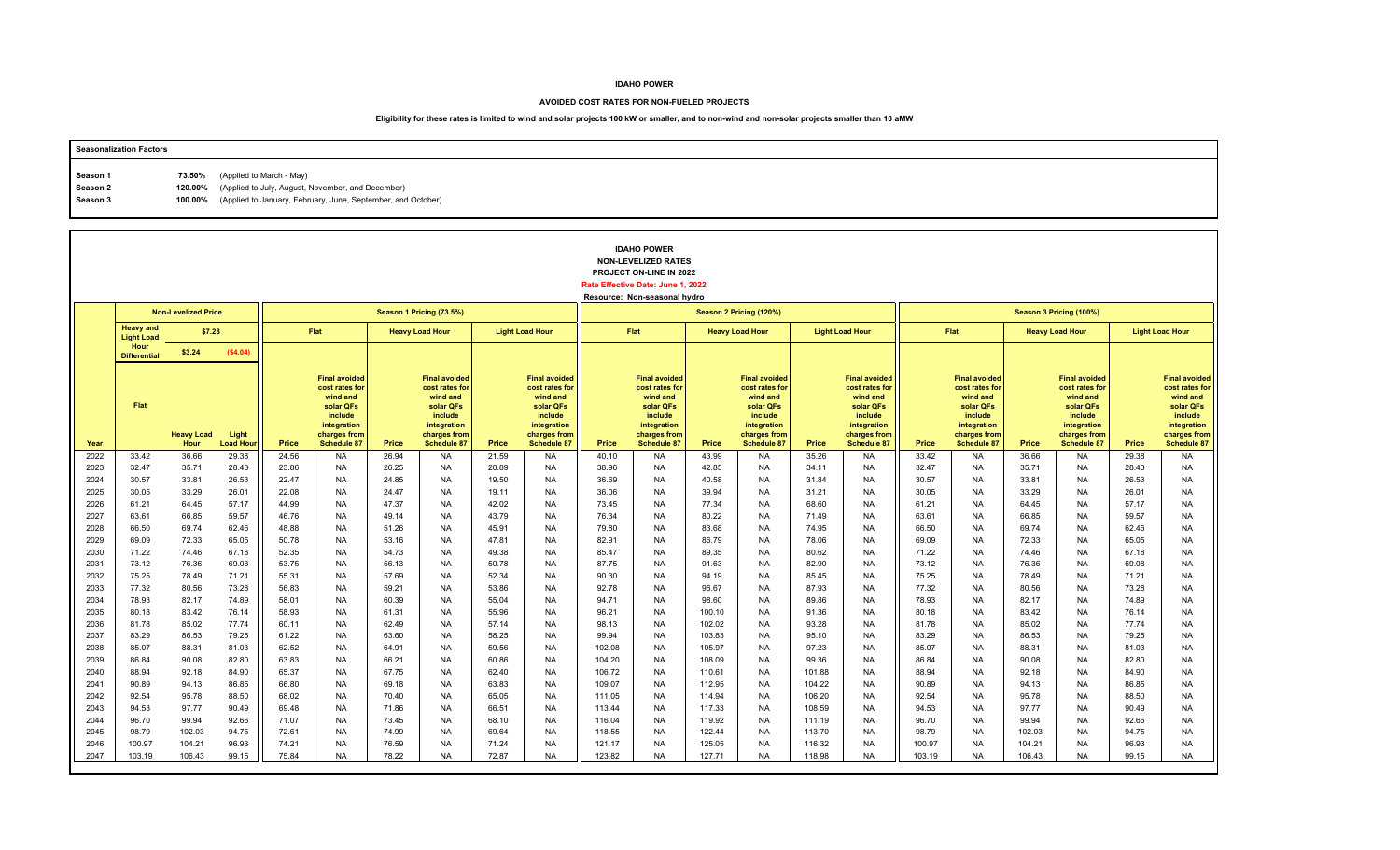#### **AVOIDED COST RATES FOR NON-FUELED PROJECTS**

| <b>Seasonalization Factors</b> |        |                                                                      |
|--------------------------------|--------|----------------------------------------------------------------------|
|                                |        |                                                                      |
| Season 1                       | 73.50% | (Applied to March - May)                                             |
| Season 2                       |        | 120.00% (Applied to July, August, November, and December)            |
| Season 3                       |        | 100.00% (Applied to January, February, June, September, and October) |
|                                |        |                                                                      |

|              |                                       |                            |                          |                |                                                                                                                                 |                |                                                                                                                                 |                |                                                                                                                                 |                  | <b>IDAHO POWER</b><br><b>NON-LEVELIZED RATES</b><br>PROJECT ON-LINE IN 2022<br>Rate Effective Date: June 1, 2022<br>Resource: Non-seasonal hydro |                  |                                                                                                                                 |                  |                                                                                                                                 |                  |                                                                                                                                 |                  |                                                                                                                          |                |                                                                                                                                 |
|--------------|---------------------------------------|----------------------------|--------------------------|----------------|---------------------------------------------------------------------------------------------------------------------------------|----------------|---------------------------------------------------------------------------------------------------------------------------------|----------------|---------------------------------------------------------------------------------------------------------------------------------|------------------|--------------------------------------------------------------------------------------------------------------------------------------------------|------------------|---------------------------------------------------------------------------------------------------------------------------------|------------------|---------------------------------------------------------------------------------------------------------------------------------|------------------|---------------------------------------------------------------------------------------------------------------------------------|------------------|--------------------------------------------------------------------------------------------------------------------------|----------------|---------------------------------------------------------------------------------------------------------------------------------|
|              |                                       | <b>Non-Levelized Price</b> |                          |                |                                                                                                                                 |                | Season 1 Pricing (73.5%)                                                                                                        |                |                                                                                                                                 |                  |                                                                                                                                                  |                  | Season 2 Pricing (120%)                                                                                                         |                  |                                                                                                                                 |                  |                                                                                                                                 |                  | Season 3 Pricing (100%)                                                                                                  |                |                                                                                                                                 |
|              | <b>Heavy and</b><br><b>Light Load</b> | \$7.28                     |                          |                | Flat                                                                                                                            |                | <b>Heavy Load Hour</b>                                                                                                          |                | <b>Light Load Hour</b>                                                                                                          |                  | Flat                                                                                                                                             |                  | <b>Heavy Load Hour</b>                                                                                                          |                  | <b>Light Load Hour</b>                                                                                                          |                  | Flat                                                                                                                            |                  | <b>Heavy Load Hour</b>                                                                                                   |                | <b>Light Load Hour</b>                                                                                                          |
|              | Hour<br><b>Differential</b>           | \$3.24                     | (\$4.04)                 |                |                                                                                                                                 |                |                                                                                                                                 |                |                                                                                                                                 |                  |                                                                                                                                                  |                  |                                                                                                                                 |                  |                                                                                                                                 |                  |                                                                                                                                 |                  |                                                                                                                          |                |                                                                                                                                 |
| Year         | Flat                                  | <b>Heavy Load</b><br>Hour  | Light<br><b>Load Hou</b> | Price          | <b>Final avoided</b><br>cost rates for<br>wind and<br>solar QFs<br>include<br>integration<br>charges from<br><b>Schedule 87</b> | Price          | <b>Final avoided</b><br>cost rates for<br>wind and<br>solar QFs<br>include<br>integration<br>charges from<br><b>Schedule 87</b> | Price          | <b>Final avoided</b><br>cost rates for<br>wind and<br>solar QFs<br>include<br>integration<br>charges from<br><b>Schedule 87</b> | <b>Price</b>     | <b>Final avoided</b><br>cost rates for<br>wind and<br>solar QFs<br>include<br>integration<br>charges from<br><b>Schedule 87</b>                  | Price            | <b>Final avoided</b><br>cost rates for<br>wind and<br>solar QFs<br>include<br>integration<br>charges from<br><b>Schedule 87</b> | Price            | <b>Final avoided</b><br>cost rates for<br>wind and<br>solar QFs<br>include<br>integration<br>charges from<br><b>Schedule 87</b> | Price            | <b>Final avoided</b><br>cost rates for<br>wind and<br>solar QFs<br>include<br>integration<br>charges from<br><b>Schedule 87</b> | Price            | <b>Final avoided</b><br>cost rates for<br>wind and<br>solar QFs<br>include<br>integration<br>charges from<br>Schedule 87 | Price          | <b>Final avoided</b><br>cost rates for<br>wind and<br>solar QFs<br>include<br>integration<br>charges from<br><b>Schedule 87</b> |
| 2022         | 33.42                                 | 36.66                      | 29.38                    | 24.56          | <b>NA</b>                                                                                                                       | 26.94          | <b>NA</b>                                                                                                                       | 21.59          | <b>NA</b>                                                                                                                       | 40.10            | <b>NA</b>                                                                                                                                        | 43.99            | <b>NA</b>                                                                                                                       | 35.26            | <b>NA</b>                                                                                                                       | 33.42            | <b>NA</b>                                                                                                                       | 36.66            | <b>NA</b>                                                                                                                | 29.38          | <b>NA</b>                                                                                                                       |
| 2023         | 32.47                                 | 35.71                      | 28.43                    | 23.86          | <b>NA</b>                                                                                                                       | 26.25          | <b>NA</b>                                                                                                                       | 20.89          | <b>NA</b>                                                                                                                       | 38.96            | <b>NA</b>                                                                                                                                        | 42.85            | <b>NA</b>                                                                                                                       | 34.11            | <b>NA</b>                                                                                                                       | 32.47            | <b>NA</b>                                                                                                                       | 35.71            | <b>NA</b>                                                                                                                | 28.43          | <b>NA</b>                                                                                                                       |
| 2024         | 30.57                                 | 33.81                      | 26.53                    | 22.47          | <b>NA</b>                                                                                                                       | 24.85          | <b>NA</b>                                                                                                                       | 19.50          | <b>NA</b>                                                                                                                       | 36.69            | <b>NA</b>                                                                                                                                        | 40.58            | <b>NA</b>                                                                                                                       | 31.84            | <b>NA</b>                                                                                                                       | 30.57            | <b>NA</b>                                                                                                                       | 33.81            | <b>NA</b>                                                                                                                | 26.53          | <b>NA</b>                                                                                                                       |
| 2025<br>2026 | 30.05<br>61.21                        | 33.29<br>64.45             | 26.01<br>57.17           | 22.08<br>44.99 | <b>NA</b><br><b>NA</b>                                                                                                          | 24.47<br>47.37 | <b>NA</b><br><b>NA</b>                                                                                                          | 19.11<br>42.02 | <b>NA</b><br><b>NA</b>                                                                                                          | 36.06<br>73.45   | <b>NA</b><br><b>NA</b>                                                                                                                           | 39.94<br>77.34   | <b>NA</b><br><b>NA</b>                                                                                                          | 31.21<br>68.60   | <b>NA</b><br><b>NA</b>                                                                                                          | 30.05<br>61.21   | <b>NA</b><br><b>NA</b>                                                                                                          | 33.29<br>64.45   | <b>NA</b><br><b>NA</b>                                                                                                   | 26.01<br>57.17 | <b>NA</b><br><b>NA</b>                                                                                                          |
| 2027         | 63.61                                 | 66.85                      | 59.57                    | 46.76          | <b>NA</b>                                                                                                                       | 49.14          | <b>NA</b>                                                                                                                       | 43.79          | <b>NA</b>                                                                                                                       | 76.34            | <b>NA</b>                                                                                                                                        | 80.22            | <b>NA</b>                                                                                                                       | 71.49            | <b>NA</b>                                                                                                                       | 63.61            | <b>NA</b>                                                                                                                       | 66.85            | <b>NA</b>                                                                                                                | 59.57          | <b>NA</b>                                                                                                                       |
| 2028         | 66.50                                 | 69.74                      | 62.46                    | 48.88          | <b>NA</b>                                                                                                                       | 51.26          | <b>NA</b>                                                                                                                       | 45.91          | <b>NA</b>                                                                                                                       | 79.80            | <b>NA</b>                                                                                                                                        | 83.68            | <b>NA</b>                                                                                                                       | 74.95            | <b>NA</b>                                                                                                                       | 66.50            | <b>NA</b>                                                                                                                       | 69.74            | <b>NA</b>                                                                                                                | 62.46          | <b>NA</b>                                                                                                                       |
| 2029         | 69.09                                 | 72.33                      | 65.05                    | 50.78          | <b>NA</b>                                                                                                                       | 53.16          | <b>NA</b>                                                                                                                       | 47.81          | <b>NA</b>                                                                                                                       | 82.91            | <b>NA</b>                                                                                                                                        | 86.79            | <b>NA</b>                                                                                                                       | 78.06            | <b>NA</b>                                                                                                                       | 69.09            | <b>NA</b>                                                                                                                       | 72.33            | <b>NA</b>                                                                                                                | 65.05          | <b>NA</b>                                                                                                                       |
| 2030         | 71.22                                 | 74.46                      | 67.18                    | 52.35          | <b>NA</b>                                                                                                                       | 54.73          | <b>NA</b>                                                                                                                       | 49.38          | <b>NA</b>                                                                                                                       | 85.47            | <b>NA</b>                                                                                                                                        | 89.35            | <b>NA</b>                                                                                                                       | 80.62            | <b>NA</b>                                                                                                                       | 71.22            | <b>NA</b>                                                                                                                       | 74.46            | <b>NA</b>                                                                                                                | 67.18          | <b>NA</b>                                                                                                                       |
| 2031         | 73.12                                 | 76.36                      | 69.08                    | 53.75          | <b>NA</b>                                                                                                                       | 56.13          | <b>NA</b>                                                                                                                       | 50.78          | <b>NA</b>                                                                                                                       | 87.75            | <b>NA</b>                                                                                                                                        | 91.63            | <b>NA</b>                                                                                                                       | 82.90            | <b>NA</b>                                                                                                                       | 73.12            | <b>NA</b>                                                                                                                       | 76.36            | <b>NA</b>                                                                                                                | 69.08          | <b>NA</b>                                                                                                                       |
| 2032         | 75.25                                 | 78.49                      | 71.21                    | 55.31          | <b>NA</b>                                                                                                                       | 57.69          | <b>NA</b>                                                                                                                       | 52.34          | <b>NA</b>                                                                                                                       | 90.30            | <b>NA</b>                                                                                                                                        | 94.19            | <b>NA</b>                                                                                                                       | 85.45            | <b>NA</b>                                                                                                                       | 75.25            | <b>NA</b>                                                                                                                       | 78.49            | <b>NA</b>                                                                                                                | 71.21          | <b>NA</b>                                                                                                                       |
| 2033         | 77.32                                 | 80.56                      | 73.28                    | 56.83          | <b>NA</b>                                                                                                                       | 59.21          | <b>NA</b>                                                                                                                       | 53.86          | <b>NA</b>                                                                                                                       | 92.78            | <b>NA</b>                                                                                                                                        | 96.67            | <b>NA</b>                                                                                                                       | 87.93            | <b>NA</b>                                                                                                                       | 77.32            | <b>NA</b>                                                                                                                       | 80.56            | <b>NA</b>                                                                                                                | 73.28          | <b>NA</b>                                                                                                                       |
| 2034         | 78.93                                 | 82.17                      | 74.89                    | 58.01          | <b>NA</b>                                                                                                                       | 60.39          | <b>NA</b>                                                                                                                       | 55.04          | <b>NA</b>                                                                                                                       | 94.71            | <b>NA</b>                                                                                                                                        | 98.60            | <b>NA</b>                                                                                                                       | 89.86            | <b>NA</b>                                                                                                                       | 78.93            | <b>NA</b>                                                                                                                       | 82.17            | <b>NA</b>                                                                                                                | 74.89          | <b>NA</b>                                                                                                                       |
| 2035<br>2036 | 80.18<br>81.78                        | 83.42<br>85.02             | 76.14<br>77.74           | 58.93<br>60.11 | <b>NA</b><br><b>NA</b>                                                                                                          | 61.31<br>62.49 | <b>NA</b><br><b>NA</b>                                                                                                          | 55.96<br>57.14 | <b>NA</b><br><b>NA</b>                                                                                                          | 96.21<br>98.13   | <b>NA</b><br><b>NA</b>                                                                                                                           | 100.10<br>102.02 | NA<br><b>NA</b>                                                                                                                 | 91.36<br>93.28   | <b>NA</b><br><b>NA</b>                                                                                                          | 80.18<br>81.78   | <b>NA</b><br><b>NA</b>                                                                                                          | 83.42<br>85.02   | NA<br><b>NA</b>                                                                                                          | 76.14<br>77.74 | <b>NA</b><br><b>NA</b>                                                                                                          |
| 2037         | 83.29                                 | 86.53                      | 79.25                    | 61.22          | <b>NA</b>                                                                                                                       | 63.60          | <b>NA</b>                                                                                                                       | 58.25          | <b>NA</b>                                                                                                                       | 99.94            | <b>NA</b>                                                                                                                                        | 103.83           | <b>NA</b>                                                                                                                       | 95.10            | <b>NA</b>                                                                                                                       | 83.29            | <b>NA</b>                                                                                                                       | 86.53            | <b>NA</b>                                                                                                                | 79.25          | <b>NA</b>                                                                                                                       |
| 2038         | 85.07                                 | 88.31                      | 81.03                    | 62.52          | <b>NA</b>                                                                                                                       | 64.91          | <b>NA</b>                                                                                                                       | 59.56          | <b>NA</b>                                                                                                                       | 102.08           | <b>NA</b>                                                                                                                                        | 105.97           | <b>NA</b>                                                                                                                       | 97.23            | <b>NA</b>                                                                                                                       | 85.07            | <b>NA</b>                                                                                                                       | 88.31            | <b>NA</b>                                                                                                                | 81.03          | <b>NA</b>                                                                                                                       |
| 2039         | 86.84                                 | 90.08                      | 82.80                    | 63.83          | <b>NA</b>                                                                                                                       | 66.21          | <b>NA</b>                                                                                                                       | 60.86          | <b>NA</b>                                                                                                                       | 104.20           | <b>NA</b>                                                                                                                                        | 108.09           | <b>NA</b>                                                                                                                       | 99.36            | <b>NA</b>                                                                                                                       | 86.84            | <b>NA</b>                                                                                                                       | 90.08            | <b>NA</b>                                                                                                                | 82.80          | <b>NA</b>                                                                                                                       |
| 2040         | 88.94                                 | 92.18                      | 84.90                    | 65.37          | <b>NA</b>                                                                                                                       | 67.75          | <b>NA</b>                                                                                                                       | 62.40          | <b>NA</b>                                                                                                                       | 106.72           | <b>NA</b>                                                                                                                                        | 110.61           | <b>NA</b>                                                                                                                       | 101.88           | <b>NA</b>                                                                                                                       | 88.94            | <b>NA</b>                                                                                                                       | 92.18            | <b>NA</b>                                                                                                                | 84.90          | <b>NA</b>                                                                                                                       |
| 2041         | 90.89                                 | 94.13                      | 86.85                    | 66.80          | <b>NA</b>                                                                                                                       | 69.18          | <b>NA</b>                                                                                                                       | 63.83          | <b>NA</b>                                                                                                                       | 109.07           | <b>NA</b>                                                                                                                                        | 112.95           | <b>NA</b>                                                                                                                       | 104.22           | <b>NA</b>                                                                                                                       | 90.89            | <b>NA</b>                                                                                                                       | 94.13            | <b>NA</b>                                                                                                                | 86.85          | <b>NA</b>                                                                                                                       |
| 2042         | 92.54                                 | 95.78                      | 88.50                    | 68.02          | <b>NA</b>                                                                                                                       | 70.40          | <b>NA</b>                                                                                                                       | 65.05          | <b>NA</b>                                                                                                                       | 111.05           | <b>NA</b>                                                                                                                                        | 114.94           | <b>NA</b>                                                                                                                       | 106.20           | <b>NA</b>                                                                                                                       | 92.54            | <b>NA</b>                                                                                                                       | 95.78            | <b>NA</b>                                                                                                                | 88.50          | <b>NA</b>                                                                                                                       |
| 2043         | 94.53                                 | 97.77                      | 90.49                    | 69.48          | <b>NA</b>                                                                                                                       | 71.86          | <b>NA</b>                                                                                                                       | 66.51          | <b>NA</b>                                                                                                                       | 113.44           | <b>NA</b>                                                                                                                                        | 117.33           | <b>NA</b>                                                                                                                       | 108.59           | <b>NA</b>                                                                                                                       | 94.53            | <b>NA</b>                                                                                                                       | 97.77            | <b>NA</b>                                                                                                                | 90.49          | <b>NA</b>                                                                                                                       |
| 2044         | 96.70                                 | 99.94                      | 92.66                    | 71.07          | <b>NA</b>                                                                                                                       | 73.45          | <b>NA</b>                                                                                                                       | 68.10          | <b>NA</b>                                                                                                                       | 116.04           | <b>NA</b>                                                                                                                                        | 119.92           | <b>NA</b>                                                                                                                       | 111.19           | <b>NA</b>                                                                                                                       | 96.70            | <b>NA</b>                                                                                                                       | 99.94            | <b>NA</b>                                                                                                                | 92.66          | <b>NA</b>                                                                                                                       |
| 2045         | 98.79                                 | 102.03                     | 94.75                    | 72.61          | <b>NA</b>                                                                                                                       | 74.99          | <b>NA</b>                                                                                                                       | 69.64          | <b>NA</b>                                                                                                                       | 118.55           | <b>NA</b>                                                                                                                                        | 122.44           | <b>NA</b>                                                                                                                       | 113.70           | <b>NA</b>                                                                                                                       | 98.79            | <b>NA</b>                                                                                                                       | 102.03           | <b>NA</b>                                                                                                                | 94.75          | <b>NA</b>                                                                                                                       |
| 2046<br>2047 | 100.97<br>103.19                      | 104.21<br>106.43           | 96.93<br>99.15           | 74.21<br>75.84 | <b>NA</b><br><b>NA</b>                                                                                                          | 76.59<br>78.22 | <b>NA</b><br><b>NA</b>                                                                                                          | 71.24<br>72.87 | <b>NA</b><br><b>NA</b>                                                                                                          | 121.17<br>123.82 | <b>NA</b><br><b>NA</b>                                                                                                                           | 125.05<br>127.71 | <b>NA</b><br><b>NA</b>                                                                                                          | 116.32<br>118.98 | <b>NA</b><br><b>NA</b>                                                                                                          | 100.97<br>103.19 | <b>NA</b><br><b>NA</b>                                                                                                          | 104.21<br>106.43 | <b>NA</b><br><b>NA</b>                                                                                                   | 96.93<br>99.15 | <b>NA</b><br><b>NA</b>                                                                                                          |
|              |                                       |                            |                          |                |                                                                                                                                 |                |                                                                                                                                 |                |                                                                                                                                 |                  |                                                                                                                                                  |                  |                                                                                                                                 |                  |                                                                                                                                 |                  |                                                                                                                                 |                  |                                                                                                                          |                |                                                                                                                                 |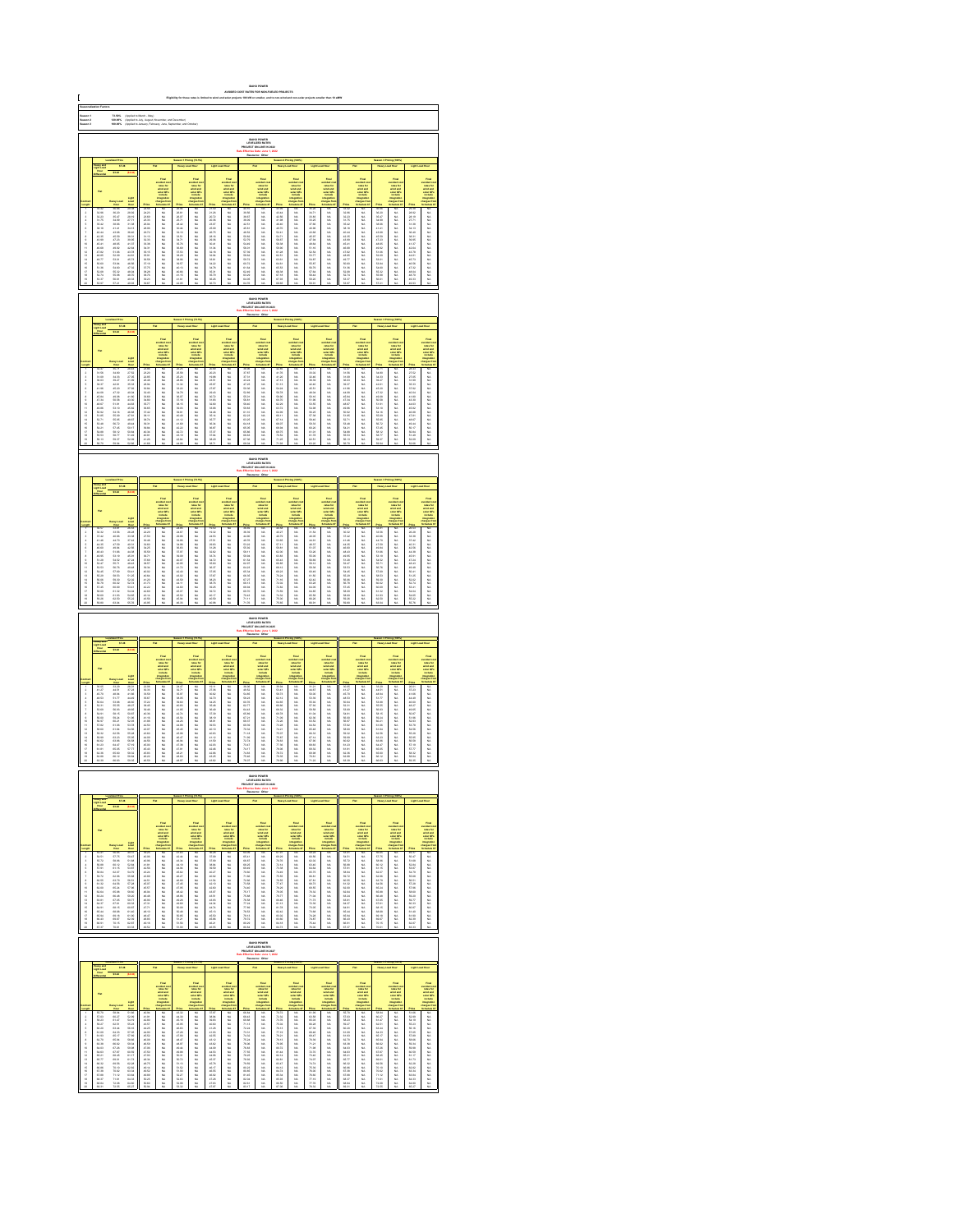| Saason 1<br>Saason 3<br>Saason 3<br>73.60%<br>120.00%<br>100.00%<br> <br> Applied to March - May)<br> Applied to Jaly, August, No<br> Applied to Jaly, August, No<br>IDAHO POWER<br>LEVELIZED RATE:<br>JECT ON-LINE IN:                                                                                                                                                                                                                                                                                                                                                                                                                                                                                                                                                                                 |                                                                                                                                                                                                                                |                                                                                                                                                                                                                                |                                                                                                                                                                                                                            |                                               |                        |                        |                                                                                                 |                                                        |                                                                                                                                                                                                                               |                                                         |                                                                                    |                                                 |                                                                              |                                                                                                                                                                                                                                |                                                                                                   |                                        |                                                                                        |                                                  |                                                                                                         |                                                                                                                  |                                                                                                                                                                                                                               |
|---------------------------------------------------------------------------------------------------------------------------------------------------------------------------------------------------------------------------------------------------------------------------------------------------------------------------------------------------------------------------------------------------------------------------------------------------------------------------------------------------------------------------------------------------------------------------------------------------------------------------------------------------------------------------------------------------------------------------------------------------------------------------------------------------------|--------------------------------------------------------------------------------------------------------------------------------------------------------------------------------------------------------------------------------|--------------------------------------------------------------------------------------------------------------------------------------------------------------------------------------------------------------------------------|----------------------------------------------------------------------------------------------------------------------------------------------------------------------------------------------------------------------------|-----------------------------------------------|------------------------|------------------------|-------------------------------------------------------------------------------------------------|--------------------------------------------------------|-------------------------------------------------------------------------------------------------------------------------------------------------------------------------------------------------------------------------------|---------------------------------------------------------|------------------------------------------------------------------------------------|-------------------------------------------------|------------------------------------------------------------------------------|--------------------------------------------------------------------------------------------------------------------------------------------------------------------------------------------------------------------------------|---------------------------------------------------------------------------------------------------|----------------------------------------|----------------------------------------------------------------------------------------|--------------------------------------------------|---------------------------------------------------------------------------------------------------------|------------------------------------------------------------------------------------------------------------------|-------------------------------------------------------------------------------------------------------------------------------------------------------------------------------------------------------------------------------|
|                                                                                                                                                                                                                                                                                                                                                                                                                                                                                                                                                                                                                                                                                                                                                                                                         |                                                                                                                                                                                                                                |                                                                                                                                                                                                                                |                                                                                                                                                                                                                            |                                               |                        |                        |                                                                                                 |                                                        |                                                                                                                                                                                                                               |                                                         |                                                                                    |                                                 |                                                                              |                                                                                                                                                                                                                                |                                                                                                   |                                        |                                                                                        |                                                  |                                                                                                         |                                                                                                                  |                                                                                                                                                                                                                               |
|                                                                                                                                                                                                                                                                                                                                                                                                                                                                                                                                                                                                                                                                                                                                                                                                         |                                                                                                                                                                                                                                |                                                                                                                                                                                                                                |                                                                                                                                                                                                                            |                                               |                        |                        |                                                                                                 |                                                        |                                                                                                                                                                                                                               |                                                         |                                                                                    |                                                 |                                                                              |                                                                                                                                                                                                                                |                                                                                                   |                                        |                                                                                        |                                                  |                                                                                                         |                                                                                                                  |                                                                                                                                                                                                                               |
|                                                                                                                                                                                                                                                                                                                                                                                                                                                                                                                                                                                                                                                                                                                                                                                                         |                                                                                                                                                                                                                                | 87.38                                                                                                                                                                                                                          |                                                                                                                                                                                                                            |                                               |                        |                        |                                                                                                 |                                                        |                                                                                                                                                                                                                               |                                                         |                                                                                    |                                                 |                                                                              |                                                                                                                                                                                                                                |                                                                                                   |                                        |                                                                                        |                                                  |                                                                                                         |                                                                                                                  |                                                                                                                                                                                                                               |
|                                                                                                                                                                                                                                                                                                                                                                                                                                                                                                                                                                                                                                                                                                                                                                                                         |                                                                                                                                                                                                                                |                                                                                                                                                                                                                                |                                                                                                                                                                                                                            |                                               |                        |                        |                                                                                                 |                                                        |                                                                                                                                                                                                                               |                                                         |                                                                                    |                                                 |                                                                              |                                                                                                                                                                                                                                |                                                                                                   |                                        |                                                                                        |                                                  |                                                                                                         |                                                                                                                  |                                                                                                                                                                                                                               |
|                                                                                                                                                                                                                                                                                                                                                                                                                                                                                                                                                                                                                                                                                                                                                                                                         |                                                                                                                                                                                                                                |                                                                                                                                                                                                                                |                                                                                                                                                                                                                            |                                               |                        |                        | <b>THEFT</b>                                                                                    |                                                        |                                                                                                                                                                                                                               |                                                         | Final<br>substitute the<br>substitute of<br>substitute the<br>models               |                                                 |                                                                              |                                                                                                                                                                                                                                |                                                                                                   |                                        |                                                                                        |                                                  | Final<br>voluntario<br>voluntario<br>voluntario<br>voluntario<br>voluntario<br>voluntario<br>voluntario |                                                                                                                  |                                                                                                                                                                                                                               |
|                                                                                                                                                                                                                                                                                                                                                                                                                                                                                                                                                                                                                                                                                                                                                                                                         |                                                                                                                                                                                                                                |                                                                                                                                                                                                                                |                                                                                                                                                                                                                            |                                               |                        |                        |                                                                                                 |                                                        |                                                                                                                                                                                                                               |                                                         |                                                                                    |                                                 |                                                                              |                                                                                                                                                                                                                                |                                                                                                   |                                        |                                                                                        |                                                  |                                                                                                         |                                                                                                                  |                                                                                                                                                                                                                               |
|                                                                                                                                                                                                                                                                                                                                                                                                                                                                                                                                                                                                                                                                                                                                                                                                         |                                                                                                                                                                                                                                |                                                                                                                                                                                                                                |                                                                                                                                                                                                                            |                                               |                        |                        |                                                                                                 |                                                        |                                                                                                                                                                                                                               |                                                         |                                                                                    |                                                 |                                                                              |                                                                                                                                                                                                                                |                                                                                                   |                                        |                                                                                        |                                                  |                                                                                                         |                                                                                                                  |                                                                                                                                                                                                                               |
|                                                                                                                                                                                                                                                                                                                                                                                                                                                                                                                                                                                                                                                                                                                                                                                                         |                                                                                                                                                                                                                                |                                                                                                                                                                                                                                |                                                                                                                                                                                                                            |                                               |                        |                        |                                                                                                 |                                                        |                                                                                                                                                                                                                               |                                                         |                                                                                    |                                                 |                                                                              |                                                                                                                                                                                                                                |                                                                                                   |                                        |                                                                                        |                                                  |                                                                                                         |                                                                                                                  |                                                                                                                                                                                                                               |
| 显示失真原不显示协计经经转线继续排排                                                                                                                                                                                                                                                                                                                                                                                                                                                                                                                                                                                                                                                                                                                                                                                      |                                                                                                                                                                                                                                | 26,000 26,000 26,000 27,000 27,000 27,000 27,000 27,000 27,000 27,000 27,000 27,000 27,000 27,000 27,000 27,000 27,000 27,000 27,000 27,000 27,000 27,000 27,000 27,000 27,000 27,000 27,000 27,000 27,000 27,000 27,000 27,00 | 20.38.82 23.73.38 12.84 23.85 23.85 23.95 23.95 23.95 23.95 23.95 23.95 24.95 25.95 25.95 25.95 25.95 25.95 25.95 25.95 25.95 25.95 25.95 25.95 25.95 25.95 25.95 25.95 25.95 25.95 25.95 25.95 25.95 25.95 25.95 25.95 25 |                                               | 3.以以以以以以以以以以以以以以以以以以以以 | 【满满清清清清清清清清清清清清清清      |                                                                                                 |                                                        | Former Section 2016年1月18日,1995年1月18日,1995年1月18日,1995年1月18日,1995年1月18日,1995年1月18日,1995年1月18日,1995年1月1 年,1995年1月11日,1995年1月11日,1995年1月11日,1995年1月11日,1995年1月11日,1995年1月11日,1995年1月11日,1995年1月11日,1995年1月11日,1995年1月11日,1995年1月1 |                                                         |                                                                                    | "战斗性病病之病病病病性之间病病病病"                             | 以以以以以以以以以以以以以以以以以以以                                                          |                                                                                                                                                                                                                                |                                                                                                   | 一名的 化活性性白细胞 医心脏性 医阿尔特氏征                |                                                                                        | 一名法 化氯乙基乙基氯乙基 计分类数据 医无发热性                        |                                                                                                         | 2022年2月23日 2月23日 2月23日 2月23日 2月23日 2月23日 2月24日 2月25日 2月25日 2月25日 2月25日 2月25日 2月25日 2月25日 2月25日 2月25日 2月25日 2月25日 | take the first second the control of the first second the control of the control of the control of the control of the control of the control of the control of the control of the control of the control of the control of th |
|                                                                                                                                                                                                                                                                                                                                                                                                                                                                                                                                                                                                                                                                                                                                                                                                         |                                                                                                                                                                                                                                |                                                                                                                                                                                                                                |                                                                                                                                                                                                                            |                                               |                        |                        |                                                                                                 |                                                        |                                                                                                                                                                                                                               |                                                         |                                                                                    |                                                 |                                                                              |                                                                                                                                                                                                                                |                                                                                                   |                                        |                                                                                        |                                                  |                                                                                                         |                                                                                                                  |                                                                                                                                                                                                                               |
|                                                                                                                                                                                                                                                                                                                                                                                                                                                                                                                                                                                                                                                                                                                                                                                                         |                                                                                                                                                                                                                                |                                                                                                                                                                                                                                |                                                                                                                                                                                                                            |                                               |                        |                        |                                                                                                 |                                                        |                                                                                                                                                                                                                               |                                                         | <b>EMHO POWER</b><br>LEVELIZED RATES                                               |                                                 |                                                                              |                                                                                                                                                                                                                                |                                                                                                   |                                        |                                                                                        |                                                  |                                                                                                         |                                                                                                                  |                                                                                                                                                                                                                               |
|                                                                                                                                                                                                                                                                                                                                                                                                                                                                                                                                                                                                                                                                                                                                                                                                         |                                                                                                                                                                                                                                |                                                                                                                                                                                                                                |                                                                                                                                                                                                                            |                                               |                        |                        |                                                                                                 |                                                        |                                                                                                                                                                                                                               |                                                         |                                                                                    |                                                 |                                                                              |                                                                                                                                                                                                                                |                                                                                                   |                                        |                                                                                        |                                                  |                                                                                                         |                                                                                                                  |                                                                                                                                                                                                                               |
|                                                                                                                                                                                                                                                                                                                                                                                                                                                                                                                                                                                                                                                                                                                                                                                                         |                                                                                                                                                                                                                                |                                                                                                                                                                                                                                |                                                                                                                                                                                                                            |                                               |                        |                        | vented and<br>select and<br>select the control<br>industries                                    |                                                        | Final<br>subject is<br>subject in<br>subject in<br>include                                                                                                                                                                    |                                                         | vended a<br>select and<br>select and<br>matterial                                  |                                                 | vented on<br>reduction<br>solar different<br>social different<br>includes    |                                                                                                                                                                                                                                |                                                                                                   |                                        | rains for<br>state and<br>state CP<br>instate                                          |                                                  |                                                                                                         |                                                                                                                  |                                                                                                                                                                                                                               |
|                                                                                                                                                                                                                                                                                                                                                                                                                                                                                                                                                                                                                                                                                                                                                                                                         |                                                                                                                                                                                                                                |                                                                                                                                                                                                                                |                                                                                                                                                                                                                            |                                               |                        |                        |                                                                                                 |                                                        |                                                                                                                                                                                                                               |                                                         |                                                                                    |                                                 |                                                                              |                                                                                                                                                                                                                                |                                                                                                   |                                        |                                                                                        |                                                  |                                                                                                         |                                                                                                                  | taka 2016年1月11日,1月12日,1月12日,1月12日,1月12日,1月12日,1月12日,1月12日,1月12日,1月12日,1月12日,1月12日,1月12日,1月12日,1月12日,                                                                                                                          |
|                                                                                                                                                                                                                                                                                                                                                                                                                                                                                                                                                                                                                                                                                                                                                                                                         |                                                                                                                                                                                                                                |                                                                                                                                                                                                                                |                                                                                                                                                                                                                            |                                               |                        |                        |                                                                                                 |                                                        |                                                                                                                                                                                                                               |                                                         |                                                                                    |                                                 |                                                                              |                                                                                                                                                                                                                                |                                                                                                   |                                        |                                                                                        |                                                  |                                                                                                         |                                                                                                                  |                                                                                                                                                                                                                               |
|                                                                                                                                                                                                                                                                                                                                                                                                                                                                                                                                                                                                                                                                                                                                                                                                         |                                                                                                                                                                                                                                |                                                                                                                                                                                                                                |                                                                                                                                                                                                                            |                                               |                        |                        |                                                                                                 |                                                        |                                                                                                                                                                                                                               |                                                         |                                                                                    |                                                 |                                                                              |                                                                                                                                                                                                                                |                                                                                                   |                                        |                                                                                        |                                                  |                                                                                                         |                                                                                                                  |                                                                                                                                                                                                                               |
|                                                                                                                                                                                                                                                                                                                                                                                                                                                                                                                                                                                                                                                                                                                                                                                                         |                                                                                                                                                                                                                                |                                                                                                                                                                                                                                |                                                                                                                                                                                                                            |                                               |                        |                        |                                                                                                 |                                                        |                                                                                                                                                                                                                               |                                                         |                                                                                    |                                                 |                                                                              |                                                                                                                                                                                                                                |                                                                                                   |                                        |                                                                                        |                                                  |                                                                                                         |                                                                                                                  |                                                                                                                                                                                                                               |
| 1. 化甲状腺杆菌素 医皮肤皮肤皮肤皮肤皮肤皮肤皮肤<br><br>2.以前是以后的人的人的人的人的人的人的人的人<br>2005年起发生的发生的 化分子 医多叶 医多叶 医单叶的<br>加加加加加加加加加加加加加加加加加加<br>化脱机机机机 机机机机机机机机机机机机机<br>以以以以以以以以以以以以以以以以以以以<br>2020 22:35:48 22:48 22:48 22:48 22:48 22:48 22:48 22:48 22:48 22:48 22:49 22:49 22:49 22:49 22:49 22:49 22:49 22:49 22:49 22:49 22:49 22:49 22:49 22:49 22:49 22:49 22:49 22:49 22:49 22:49 22:49 22:49 22:49 22:49 22:49 22:4<br>22月18日 2月18日 2月18日 2月18日 2月18日 2月18日 2月18日 2月18日 2月18日 2月18日 2月18日 2月18日 2月18日 2月18日 2月18日 2月18日 2月1<br>再新新加拿大 医水肿 计自动存储 医阿拉伯氏试验检梅毒杆菌 医阿拉伯氏试验检梅毒<br>2023年12月12日 12月13日 12月13日 12月13日 12月13日 12月13日 12月13日 12月13日 12月13日 12月14日 12月14日 12月14日 12月14日 12月1<br>在什么时间的 网络阿拉伯 医阿拉伯氏试验检胆甾醇 医阿拉伯氏试验检胆甾醇<br>医双侧切除术 医视镜性 化光体分散 医双侧骨膜切除术 医第三指数 医第三指数 医耳氏反应<br>医耳耳氏反应检检尿道检查 医心包炎 医心包性骨折<br>卫生并有先天主席所行经经经经经经经经 |                                                                                                                                                                                                                                |                                                                                                                                                                                                                                |                                                                                                                                                                                                                            |                                               |                        |                        |                                                                                                 |                                                        |                                                                                                                                                                                                                               |                                                         |                                                                                    |                                                 |                                                                              |                                                                                                                                                                                                                                |                                                                                                   |                                        |                                                                                        |                                                  |                                                                                                         |                                                                                                                  |                                                                                                                                                                                                                               |
|                                                                                                                                                                                                                                                                                                                                                                                                                                                                                                                                                                                                                                                                                                                                                                                                         | IDAHO POWER<br>LEVELIZED RATES<br>LIECT ON LINE IN 202                                                                                                                                                                         |                                                                                                                                                                                                                                |                                                                                                                                                                                                                            |                                               |                        |                        |                                                                                                 |                                                        |                                                                                                                                                                                                                               |                                                         |                                                                                    |                                                 |                                                                              |                                                                                                                                                                                                                                |                                                                                                   |                                        |                                                                                        |                                                  |                                                                                                         |                                                                                                                  |                                                                                                                                                                                                                               |
|                                                                                                                                                                                                                                                                                                                                                                                                                                                                                                                                                                                                                                                                                                                                                                                                         | navy am<br>ghl Loa<br>87.3                                                                                                                                                                                                     |                                                                                                                                                                                                                                |                                                                                                                                                                                                                            |                                               |                        |                        |                                                                                                 |                                                        |                                                                                                                                                                                                                               |                                                         |                                                                                    |                                                 |                                                                              |                                                                                                                                                                                                                                |                                                                                                   |                                        |                                                                                        |                                                  |                                                                                                         |                                                                                                                  |                                                                                                                                                                                                                               |
| value of<br>raise for<br>sing and<br>sales QP<br>include<br>wided on<br>subset for<br>wind and<br>suite OP:<br>include<br>volad<br>sales for<br>sales des<br>sales CPs<br>include<br>ontine) a<br>radom Re<br>wired any<br>walter Cit                                                                                                                                                                                                                                                                                                                                                                                                                                                                                                                                                                   |                                                                                                                                                                                                                                |                                                                                                                                                                                                                                |                                                                                                                                                                                                                            |                                               |                        |                        |                                                                                                 |                                                        |                                                                                                                                                                                                                               |                                                         |                                                                                    |                                                 |                                                                              |                                                                                                                                                                                                                                |                                                                                                   |                                        |                                                                                        |                                                  |                                                                                                         |                                                                                                                  |                                                                                                                                                                                                                               |
|                                                                                                                                                                                                                                                                                                                                                                                                                                                                                                                                                                                                                                                                                                                                                                                                         |                                                                                                                                                                                                                                |                                                                                                                                                                                                                                |                                                                                                                                                                                                                            |                                               |                        |                        | weekel as<br>sales for<br>sales for<br>sales Civilians<br>independent                           |                                                        |                                                                                                                                                                                                                               |                                                         |                                                                                    |                                                 |                                                                              |                                                                                                                                                                                                                                | volded on<br>ratios for<br>militar de militar<br>solaritar de militar<br>harganitar<br>harganitar |                                        |                                                                                        |                                                  |                                                                                                         |                                                                                                                  | state and additional Property of Microsoft Property and Additional Property of Microsoft Property and Additional Property of Microsoft Property and Additional Property Property Property Property Property Property Property |
| - 中央失去者早年申担计论组组络组织组织                                                                                                                                                                                                                                                                                                                                                                                                                                                                                                                                                                                                                                                                                                                                                                                    | 2022年4月10日   1月28日   1月28日   1月28日   1月28日   1月28日   1月28日   1月28日   1月28日   1月28日   1月28日   1月28日   1月28日   1月28日   1月28日   1月28日   1月28日   1月28日                                                                             | 2012年12月18日 12月18日 12月22日 12月22日 12月22日 12月22日 12月22日 12月22日 12月22日 12月22日 12月22日 12月22日 12月22日 12月22日 12月22日                                                                                                                  | <b>New 24.53</b> 23.38 42.56 at 54.58 44.44 44.44 45.55 52.74 53.45 45.55 52.74 45.44 45.44 45.55 52.74 45.55 52.74                                                                                                        |                                               | 化脱机机脱机脱机机脱机脱机脱机脱机脱机    |                        |                                                                                                 | 地名美国波兰 化乙烯酸氢 医阿尔伯氏试验检尿道检查检查检查检查检查检查 计数据数据 医心包的         | ************************                                                                                                                                                                                                      |                                                         |                                                                                    | 后来 医分裂性白细胞 医单位 化二乙基乙基苯基苯基                       | 以以及以以以以以以以以以以以以以以以以                                                          | 3.5.5.00 44.37 07:07:08 60 40 12:07:08 60 40 12:07:08 60 40 12:07:08 60 41:00 42:08 60 42:08 60 42:0                                                                                                                           |                                                                                                   | 医精神性 医血管切除术 医心脏性 医精神病                  |                                                                                        | 医抗血清性梅毒性脑炎 医前缀 医阿尔伯氏试验检胆汁 医阿尔伯氏试验检胆汁 医阿尔伯氏试验检胆汁  | 加加加加加加加加加加加加加加加加加加                                                                                      |                                                                                                                  |                                                                                                                                                                                                                               |
|                                                                                                                                                                                                                                                                                                                                                                                                                                                                                                                                                                                                                                                                                                                                                                                                         |                                                                                                                                                                                                                                |                                                                                                                                                                                                                                |                                                                                                                                                                                                                            |                                               |                        |                        |                                                                                                 |                                                        |                                                                                                                                                                                                                               |                                                         |                                                                                    |                                                 |                                                                              |                                                                                                                                                                                                                                |                                                                                                   |                                        |                                                                                        |                                                  |                                                                                                         |                                                                                                                  |                                                                                                                                                                                                                               |
|                                                                                                                                                                                                                                                                                                                                                                                                                                                                                                                                                                                                                                                                                                                                                                                                         |                                                                                                                                                                                                                                |                                                                                                                                                                                                                                |                                                                                                                                                                                                                            |                                               |                        |                        |                                                                                                 |                                                        |                                                                                                                                                                                                                               |                                                         |                                                                                    |                                                 |                                                                              |                                                                                                                                                                                                                                |                                                                                                   |                                        |                                                                                        |                                                  |                                                                                                         |                                                                                                                  |                                                                                                                                                                                                                               |
|                                                                                                                                                                                                                                                                                                                                                                                                                                                                                                                                                                                                                                                                                                                                                                                                         |                                                                                                                                                                                                                                |                                                                                                                                                                                                                                |                                                                                                                                                                                                                            |                                               |                        |                        |                                                                                                 |                                                        |                                                                                                                                                                                                                               |                                                         |                                                                                    |                                                 |                                                                              |                                                                                                                                                                                                                                |                                                                                                   |                                        |                                                                                        |                                                  |                                                                                                         |                                                                                                                  |                                                                                                                                                                                                                               |
|                                                                                                                                                                                                                                                                                                                                                                                                                                                                                                                                                                                                                                                                                                                                                                                                         |                                                                                                                                                                                                                                |                                                                                                                                                                                                                                |                                                                                                                                                                                                                            |                                               |                        |                        |                                                                                                 |                                                        |                                                                                                                                                                                                                               |                                                         |                                                                                    |                                                 |                                                                              |                                                                                                                                                                                                                                |                                                                                                   |                                        |                                                                                        |                                                  |                                                                                                         |                                                                                                                  |                                                                                                                                                                                                                               |
|                                                                                                                                                                                                                                                                                                                                                                                                                                                                                                                                                                                                                                                                                                                                                                                                         |                                                                                                                                                                                                                                |                                                                                                                                                                                                                                |                                                                                                                                                                                                                            |                                               |                        |                        |                                                                                                 |                                                        |                                                                                                                                                                                                                               |                                                         |                                                                                    |                                                 |                                                                              |                                                                                                                                                                                                                                |                                                                                                   |                                        |                                                                                        |                                                  |                                                                                                         |                                                                                                                  |                                                                                                                                                                                                                               |
|                                                                                                                                                                                                                                                                                                                                                                                                                                                                                                                                                                                                                                                                                                                                                                                                         |                                                                                                                                                                                                                                | 87.31                                                                                                                                                                                                                          |                                                                                                                                                                                                                            |                                               |                        |                        |                                                                                                 |                                                        |                                                                                                                                                                                                                               |                                                         | <b>IDAHO POWER</b><br>LEVELIZED RATES<br>LIECT ON-LINE IN 3<br>Factur Date: Jane 1 |                                                 |                                                                              |                                                                                                                                                                                                                                |                                                                                                   |                                        |                                                                                        |                                                  |                                                                                                         |                                                                                                                  |                                                                                                                                                                                                                               |
|                                                                                                                                                                                                                                                                                                                                                                                                                                                                                                                                                                                                                                                                                                                                                                                                         |                                                                                                                                                                                                                                |                                                                                                                                                                                                                                |                                                                                                                                                                                                                            |                                               |                        |                        |                                                                                                 |                                                        |                                                                                                                                                                                                                               |                                                         |                                                                                    |                                                 |                                                                              |                                                                                                                                                                                                                                |                                                                                                   |                                        |                                                                                        |                                                  |                                                                                                         |                                                                                                                  |                                                                                                                                                                                                                               |
|                                                                                                                                                                                                                                                                                                                                                                                                                                                                                                                                                                                                                                                                                                                                                                                                         |                                                                                                                                                                                                                                |                                                                                                                                                                                                                                |                                                                                                                                                                                                                            |                                               |                        |                        | Final<br>voltat ca<br>voltat for<br>voltat and<br>salar CPs<br>indicate<br>harpetics            |                                                        | Final<br>coldinal of<br>coldinal and<br>solar GP<br>includes<br>integration                                                                                                                                                   |                                                         | vended to<br>sales for<br>what are<br>salar CP<br>includes                         |                                                 | Final<br>colora for<br>colora for<br>wider City<br>toolse for<br>integration |                                                                                                                                                                                                                                | ander<br>Allen<br>Anders<br>Angel<br>Anne                                                         |                                        | Final<br>voltat ca<br>voltat and<br>voltat and<br>solar CP<br>include<br>harged by     |                                                  | volet &<br>sind at<br>sida G<br>technik<br>sinovit                                                      |                                                                                                                  |                                                                                                                                                                                                                               |
|                                                                                                                                                                                                                                                                                                                                                                                                                                                                                                                                                                                                                                                                                                                                                                                                         |                                                                                                                                                                                                                                |                                                                                                                                                                                                                                |                                                                                                                                                                                                                            |                                               |                        |                        |                                                                                                 |                                                        |                                                                                                                                                                                                                               |                                                         |                                                                                    |                                                 |                                                                              |                                                                                                                                                                                                                                |                                                                                                   |                                        |                                                                                        |                                                  |                                                                                                         |                                                                                                                  |                                                                                                                                                                                                                               |
|                                                                                                                                                                                                                                                                                                                                                                                                                                                                                                                                                                                                                                                                                                                                                                                                         |                                                                                                                                                                                                                                |                                                                                                                                                                                                                                |                                                                                                                                                                                                                            |                                               |                        |                        |                                                                                                 |                                                        |                                                                                                                                                                                                                               |                                                         |                                                                                    |                                                 |                                                                              |                                                                                                                                                                                                                                |                                                                                                   |                                        |                                                                                        |                                                  |                                                                                                         |                                                                                                                  |                                                                                                                                                                                                                               |
|                                                                                                                                                                                                                                                                                                                                                                                                                                                                                                                                                                                                                                                                                                                                                                                                         |                                                                                                                                                                                                                                |                                                                                                                                                                                                                                |                                                                                                                                                                                                                            |                                               |                        |                        |                                                                                                 |                                                        |                                                                                                                                                                                                                               |                                                         |                                                                                    |                                                 |                                                                              |                                                                                                                                                                                                                                |                                                                                                   |                                        |                                                                                        |                                                  |                                                                                                         |                                                                                                                  |                                                                                                                                                                                                                               |
|                                                                                                                                                                                                                                                                                                                                                                                                                                                                                                                                                                                                                                                                                                                                                                                                         | 2022年4月23日 12月23日 12月23日 12月23日 12月23日 12月23日 12月23日 12月23日 12月23日 12月23日 12月23日 12月23日 12月23日 12月23日 12月23日 12月23日                                                                                                            | New 21.20 06.51 of 5.1 7.20 06.55 of 5.1 7.20 06.51 of 5.1 7.20 07.71 08.56 of 5.21 07.21 08.56 07.21 07.56 07.22 07.22 07.22 07.22 07.22 07.22 07.22 07.22 07.22 07.22 07.22 07.22 07.22 07.22 07.22 07.22 07.22 07.22 07.22  | 2022年10月1日 经收款 计编码 计数据数据 计数据数据 计数据数据 医阿拉伯氏试验检胆汁 医阿拉伯氏试验检胆汁                                                                                                                                                                 |                                               | 化脱机机机脱机机机机机机机机机机机机机    | 2023年3月1日日日的经济在新闻社会研究所 |                                                                                                 | コンポント かんしゅう こうしょう ひとり こうしょう こうかんかん かんかん かいかん かいかん かいかん |                                                                                                                                                                                                                               | 医体前结核 经未经的 化自动式 计自动存储器 医单位 医单位 医单位 医单位 医单位 医单位          | 2. 机机 机机机机机机机机机机机机机机机机                                                             | 网络新闻社 机硫酸氢 计分类数据 化二乙基苯胺 医二乙二醇 医阴道性脑膜炎 医心包的 医多叶性 | 以以以以以以以以以以以以以以以以以以以                                                          | 3146 50.30 后后 57.50 后后 65.40 万元 57.50 后后 65.40 万元 57.50 后后 65.40 万元 57.50 后后 65.40 万元 57.50 万元 57.50 万元 57.50 万元 57.50 万元 57.50 万元 57.50 万元 57.50 万元 57.50 万元 57.50 万元 57.50 万元 57.50 万元 57.50 万元 57.50 万元 57.50 万元 57.50 万元 5 | 2.以前是以后的人的人的人的人的人的人的人的人                                                                           | 化自动性性细胞性细胞性 医耳氏性脑炎 化二氯化二氯 医阿尔特氏试验检尿道氏征 |                                                                                        | 双射体 计分析 网络的 化计划控制机 网络的复数形式 计多路线 医心包的 医阿尔伯氏征      | 加加加加加加加加加加加加加加加加加加加                                                                                     | 测定器 计多进制 医心包炎 医心包 医心包 医心包膜炎 医心包 医心包 医心包 医心包 医心包 医心包性 医心包性                                                        |                                                                                                                                                                                                                               |
|                                                                                                                                                                                                                                                                                                                                                                                                                                                                                                                                                                                                                                                                                                                                                                                                         |                                                                                                                                                                                                                                |                                                                                                                                                                                                                                |                                                                                                                                                                                                                            |                                               |                        |                        |                                                                                                 |                                                        |                                                                                                                                                                                                                               |                                                         |                                                                                    |                                                 |                                                                              |                                                                                                                                                                                                                                |                                                                                                   |                                        |                                                                                        |                                                  |                                                                                                         |                                                                                                                  |                                                                                                                                                                                                                               |
|                                                                                                                                                                                                                                                                                                                                                                                                                                                                                                                                                                                                                                                                                                                                                                                                         |                                                                                                                                                                                                                                |                                                                                                                                                                                                                                |                                                                                                                                                                                                                            |                                               |                        |                        |                                                                                                 |                                                        |                                                                                                                                                                                                                               |                                                         | IDAHO POWER<br>LEVELIZED RATES<br>LECT ON-LINE IN 21                               |                                                 |                                                                              |                                                                                                                                                                                                                                |                                                                                                   |                                        |                                                                                        |                                                  |                                                                                                         |                                                                                                                  |                                                                                                                                                                                                                               |
|                                                                                                                                                                                                                                                                                                                                                                                                                                                                                                                                                                                                                                                                                                                                                                                                         |                                                                                                                                                                                                                                |                                                                                                                                                                                                                                |                                                                                                                                                                                                                            |                                               |                        |                        |                                                                                                 |                                                        |                                                                                                                                                                                                                               |                                                         |                                                                                    |                                                 |                                                                              |                                                                                                                                                                                                                                |                                                                                                   |                                        |                                                                                        |                                                  |                                                                                                         |                                                                                                                  |                                                                                                                                                                                                                               |
|                                                                                                                                                                                                                                                                                                                                                                                                                                                                                                                                                                                                                                                                                                                                                                                                         |                                                                                                                                                                                                                                |                                                                                                                                                                                                                                |                                                                                                                                                                                                                            |                                               |                        |                        |                                                                                                 |                                                        |                                                                                                                                                                                                                               |                                                         |                                                                                    |                                                 |                                                                              |                                                                                                                                                                                                                                |                                                                                                   |                                        |                                                                                        |                                                  |                                                                                                         |                                                                                                                  |                                                                                                                                                                                                                               |
|                                                                                                                                                                                                                                                                                                                                                                                                                                                                                                                                                                                                                                                                                                                                                                                                         |                                                                                                                                                                                                                                |                                                                                                                                                                                                                                |                                                                                                                                                                                                                            |                                               |                        |                        | Final<br>seated ca<br>cales for<br>selected and<br>selected industry<br>industry<br>temperature |                                                        | <b>THE</b>                                                                                                                                                                                                                    |                                                         |                                                                                    |                                                 | vented and<br>selected and<br>selected and<br>helpedian<br>helpedian         |                                                                                                                                                                                                                                |                                                                                                   |                                        | readed co<br>relate for<br>which and<br>sales CP<br>holes<br>respective<br>corporation |                                                  |                                                                                                         |                                                                                                                  |                                                                                                                                                                                                                               |
|                                                                                                                                                                                                                                                                                                                                                                                                                                                                                                                                                                                                                                                                                                                                                                                                         |                                                                                                                                                                                                                                |                                                                                                                                                                                                                                |                                                                                                                                                                                                                            |                                               |                        |                        |                                                                                                 |                                                        |                                                                                                                                                                                                                               |                                                         |                                                                                    |                                                 |                                                                              |                                                                                                                                                                                                                                |                                                                                                   |                                        |                                                                                        |                                                  |                                                                                                         |                                                                                                                  |                                                                                                                                                                                                                               |
|                                                                                                                                                                                                                                                                                                                                                                                                                                                                                                                                                                                                                                                                                                                                                                                                         |                                                                                                                                                                                                                                |                                                                                                                                                                                                                                |                                                                                                                                                                                                                            |                                               |                        |                        |                                                                                                 |                                                        |                                                                                                                                                                                                                               |                                                         |                                                                                    |                                                 |                                                                              |                                                                                                                                                                                                                                |                                                                                                   |                                        |                                                                                        |                                                  |                                                                                                         |                                                                                                                  |                                                                                                                                                                                                                               |
|                                                                                                                                                                                                                                                                                                                                                                                                                                                                                                                                                                                                                                                                                                                                                                                                         |                                                                                                                                                                                                                                |                                                                                                                                                                                                                                |                                                                                                                                                                                                                            |                                               |                        |                        |                                                                                                 |                                                        |                                                                                                                                                                                                                               |                                                         |                                                                                    |                                                 |                                                                              |                                                                                                                                                                                                                                |                                                                                                   |                                        |                                                                                        |                                                  |                                                                                                         |                                                                                                                  |                                                                                                                                                                                                                               |
|                                                                                                                                                                                                                                                                                                                                                                                                                                                                                                                                                                                                                                                                                                                                                                                                         | 54.57 58.88.72 55.52 55.52 55.52 55.52 55.52 55.52 55.52 55.52 55.52 55.52 55.52 55.52 55.52 55.52 55.52 55.52 55.52 55.52 55.52 55.52 55.52 55.52 55.52 55.52 55.52 55.52 55.52 55.52 55.52 55.52 55.52 55.52 55.52 55.52 55. |                                                                                                                                                                                                                                |                                                                                                                                                                                                                            | 一般的 打起 启动 以后后的 机能能控 打 计机能的计算机                 | 1.以以以以以以以以以以以以以以以以以以以  |                        |                                                                                                 |                                                        |                                                                                                                                                                                                                               | 新鲜新鲜地的新鲜新鲜的 化分子 化二乙基苯基 医双角 医双角 医二乙基二乙基 医心包 医心包 医心包 医心包的 |                                                                                    | 新发光发光线的最大的 化自动机 计多处理机 医心包性 医心包的 医心包的 医心包的 医心包的  |                                                                              | 1.40起动机新鲜灯丝的加升对力的颜色的颜色,但是在我们的过去分词                                                                                                                                                                                              |                                                                                                   |                                        |                                                                                        | 一起新的打起放动的新闻的新闻的新闻的新闻的                            | 22. 加热地 化加热加热加热加热 化加热加热加热                                                                               | 50月18日 5月18日 5月18日 5月18日 5月18日 5月18日 5月18日 5月18日 5月18日 5月18日 5月18日 5月18日 5月18日 5月18日 5月18日 5月18日 5月1             | 2.双腿肌肌肌肌肌肌肌肌肌肌肌肌肌肌肌肌肌肌                                                                                                                                                                                                        |
|                                                                                                                                                                                                                                                                                                                                                                                                                                                                                                                                                                                                                                                                                                                                                                                                         |                                                                                                                                                                                                                                |                                                                                                                                                                                                                                |                                                                                                                                                                                                                            |                                               |                        |                        |                                                                                                 |                                                        |                                                                                                                                                                                                                               |                                                         | IDAHO POWER<br>LEVELIZED RATES<br>LIECT ON-LINE IN 1                               |                                                 |                                                                              |                                                                                                                                                                                                                                |                                                                                                   |                                        |                                                                                        |                                                  |                                                                                                         |                                                                                                                  |                                                                                                                                                                                                                               |
|                                                                                                                                                                                                                                                                                                                                                                                                                                                                                                                                                                                                                                                                                                                                                                                                         |                                                                                                                                                                                                                                |                                                                                                                                                                                                                                |                                                                                                                                                                                                                            |                                               |                        |                        |                                                                                                 |                                                        |                                                                                                                                                                                                                               |                                                         |                                                                                    |                                                 |                                                                              |                                                                                                                                                                                                                                |                                                                                                   |                                        |                                                                                        |                                                  |                                                                                                         |                                                                                                                  |                                                                                                                                                                                                                               |
|                                                                                                                                                                                                                                                                                                                                                                                                                                                                                                                                                                                                                                                                                                                                                                                                         |                                                                                                                                                                                                                                |                                                                                                                                                                                                                                |                                                                                                                                                                                                                            |                                               |                        |                        |                                                                                                 |                                                        |                                                                                                                                                                                                                               |                                                         |                                                                                    |                                                 |                                                                              |                                                                                                                                                                                                                                |                                                                                                   |                                        |                                                                                        |                                                  |                                                                                                         |                                                                                                                  |                                                                                                                                                                                                                               |
|                                                                                                                                                                                                                                                                                                                                                                                                                                                                                                                                                                                                                                                                                                                                                                                                         |                                                                                                                                                                                                                                |                                                                                                                                                                                                                                |                                                                                                                                                                                                                            |                                               |                        |                        | Final<br>selford on<br>selford and<br>selford below<br>indicate<br>harges fro                   |                                                        |                                                                                                                                                                                                                               |                                                         |                                                                                    |                                                 | mins for<br>state and<br>sales OF                                            |                                                                                                                                                                                                                                | H                                                                                                 |                                        | É                                                                                      |                                                  |                                                                                                         |                                                                                                                  |                                                                                                                                                                                                                               |
|                                                                                                                                                                                                                                                                                                                                                                                                                                                                                                                                                                                                                                                                                                                                                                                                         |                                                                                                                                                                                                                                |                                                                                                                                                                                                                                |                                                                                                                                                                                                                            |                                               |                        |                        |                                                                                                 |                                                        |                                                                                                                                                                                                                               |                                                         |                                                                                    |                                                 |                                                                              |                                                                                                                                                                                                                                |                                                                                                   |                                        |                                                                                        |                                                  |                                                                                                         |                                                                                                                  |                                                                                                                                                                                                                               |
|                                                                                                                                                                                                                                                                                                                                                                                                                                                                                                                                                                                                                                                                                                                                                                                                         |                                                                                                                                                                                                                                |                                                                                                                                                                                                                                |                                                                                                                                                                                                                            |                                               |                        |                        |                                                                                                 |                                                        |                                                                                                                                                                                                                               |                                                         |                                                                                    |                                                 |                                                                              |                                                                                                                                                                                                                                |                                                                                                   |                                        |                                                                                        |                                                  |                                                                                                         |                                                                                                                  |                                                                                                                                                                                                                               |
|                                                                                                                                                                                                                                                                                                                                                                                                                                                                                                                                                                                                                                                                                                                                                                                                         |                                                                                                                                                                                                                                |                                                                                                                                                                                                                                |                                                                                                                                                                                                                            |                                               |                        |                        |                                                                                                 |                                                        |                                                                                                                                                                                                                               |                                                         |                                                                                    |                                                 |                                                                              |                                                                                                                                                                                                                                |                                                                                                   |                                        |                                                                                        |                                                  |                                                                                                         |                                                                                                                  |                                                                                                                                                                                                                               |
| 牙牙皮身身足目 医排针球性神经神经神经                                                                                                                                                                                                                                                                                                                                                                                                                                                                                                                                                                                                                                                                                                                                                                                     | 新足体的 化合金分 经总额 医二甲基苯基乙基苯基 化二乙基乙基 医阿尔伯氏试验检胆汁 医阿尔伯氏征                                                                                                                                                                              | New 00.37 07.47 02.56 05.52 05.54 05.54 05.54 05.54 05.54 05.54 05.54 05.54 05.54 05.54 05.54 05.54 05.54 05.54 05.54 05.54 05.54 05.54 05.54 05.54 05.54 05.54 05.54 05.54 05.54 05.54 05.54 05.54 05.54 05.54 05.54 05.54 05 |                                                                                                                                                                                                                            | 42.机材料 机砂心机 机砂心机 化二乙基二乙基二乙基二乙基二乙基二乙基二乙基二乙基二乙基 | 化脱脂 化脱脂酸医脱脂酸 化脱脂酸 化脱脂酸 | 3. 林成成林已已被林林林的名称的名词复数  | ,,,,,,,,,,,,,,,,,,,,,,,,,,,,,,,,,,                                                              |                                                        |                                                                                                                                                                                                                               |                                                         |                                                                                    |                                                 |                                                                              | 计自新数据 化硫化乙基二乙基 计分类 计分类 计数据 医心包 计数据 计数据 医心包 计数据 医心包的 计多数                                                                                                                                                                        | 2. 地址地址地址地址地址地址地址地址地址地址                                                                           | 医足体动机切除术 化硫酸医硫酸医硫酸 机机械                 |                                                                                        | 医脑性脑性前庭肠膜 医皮肤性 医皮肤性 计数据数据 计数据数据 医心包的 医多种性皮肤 医心包性 | 化加加加加加加加加加加加加加加加加加加                                                                                     |                                                                                                                  | 2. 2. 机机械机械机械机械机械机械机械机械机                                                                                                                                                                                                      |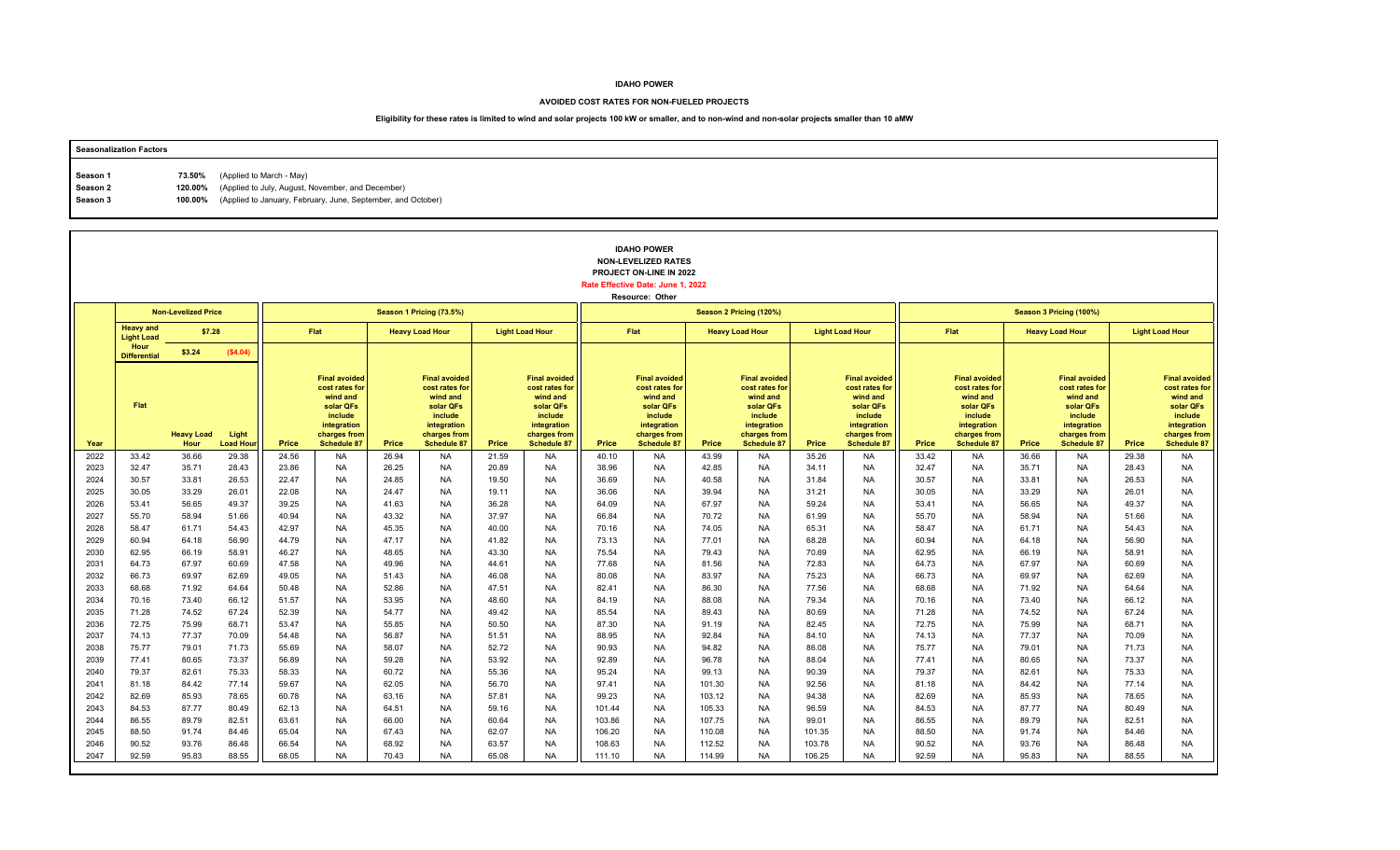#### **AVOIDED COST RATES FOR NON-FUELED PROJECTS**

| <b>Seasonalization Factors</b> |                                                                      |
|--------------------------------|----------------------------------------------------------------------|
|                                |                                                                      |
| Season 1                       | 73.50% (Applied to March - May)                                      |
| Season 2                       | 120.00% (Applied to July, August, November, and December)            |
| Season 3                       | 100.00% (Applied to January, February, June, September, and October) |
|                                |                                                                      |

|              |                                       |                            |                          |                |                                                                                                                                 |                |                                                                                                                                 |                |                                                                                                                                 |                  | <b>IDAHO POWER</b><br><b>NON-LEVELIZED RATES</b><br>PROJECT ON-LINE IN 2022<br>Rate Effective Date: June 1, 2022<br>Resource: Other |                  |                                                                                                                                 |                  |                                                                                                                                 |                |                                                                                                                          |                |                                                                                                                                 |                |                                                                                                                          |
|--------------|---------------------------------------|----------------------------|--------------------------|----------------|---------------------------------------------------------------------------------------------------------------------------------|----------------|---------------------------------------------------------------------------------------------------------------------------------|----------------|---------------------------------------------------------------------------------------------------------------------------------|------------------|-------------------------------------------------------------------------------------------------------------------------------------|------------------|---------------------------------------------------------------------------------------------------------------------------------|------------------|---------------------------------------------------------------------------------------------------------------------------------|----------------|--------------------------------------------------------------------------------------------------------------------------|----------------|---------------------------------------------------------------------------------------------------------------------------------|----------------|--------------------------------------------------------------------------------------------------------------------------|
|              |                                       | <b>Non-Levelized Price</b> |                          |                |                                                                                                                                 |                | Season 1 Pricing (73.5%)                                                                                                        |                |                                                                                                                                 |                  |                                                                                                                                     |                  | Season 2 Pricing (120%)                                                                                                         |                  |                                                                                                                                 |                |                                                                                                                          |                | Season 3 Pricing (100%)                                                                                                         |                |                                                                                                                          |
|              | <b>Heavy and</b><br><b>Light Load</b> | \$7.28                     |                          |                | Flat                                                                                                                            |                | <b>Heavy Load Hour</b>                                                                                                          |                | <b>Light Load Hour</b>                                                                                                          |                  | <b>Flat</b>                                                                                                                         |                  | <b>Heavy Load Hour</b>                                                                                                          |                  | <b>Light Load Hour</b>                                                                                                          |                | Flat                                                                                                                     |                | <b>Heavy Load Hour</b>                                                                                                          |                | <b>Light Load Hour</b>                                                                                                   |
|              | Hour<br><b>Differential</b>           | \$3.24                     | (\$4.04)                 |                |                                                                                                                                 |                |                                                                                                                                 |                |                                                                                                                                 |                  |                                                                                                                                     |                  |                                                                                                                                 |                  |                                                                                                                                 |                |                                                                                                                          |                |                                                                                                                                 |                |                                                                                                                          |
| Year         | Flat                                  | <b>Heavy Load</b><br>Hour  | Light<br><b>Load Hou</b> | Price          | <b>Final avoided</b><br>cost rates for<br>wind and<br>solar QFs<br>include<br>integration<br>charges from<br><b>Schedule 87</b> | Price          | <b>Final avoided</b><br>cost rates for<br>wind and<br>solar QFs<br>include<br>integration<br>charges from<br><b>Schedule 87</b> | Price          | <b>Final avoided</b><br>cost rates for<br>wind and<br>solar QFs<br>include<br>integration<br>charges from<br><b>Schedule 87</b> | Price            | <b>Final avoided</b><br>cost rates for<br>wind and<br>solar QFs<br>include<br>integration<br>charges from<br>Schedule 87            | Price            | <b>Final avoided</b><br>cost rates for<br>wind and<br>solar QFs<br>include<br>integration<br>charges from<br><b>Schedule 87</b> | Price            | <b>Final avoided</b><br>cost rates for<br>wind and<br>solar QFs<br>include<br>integration<br>charges from<br><b>Schedule 87</b> | Price          | <b>Final avoided</b><br>cost rates for<br>wind and<br>solar QFs<br>include<br>integration<br>charges from<br>Schedule 87 | Price          | <b>Final avoided</b><br>cost rates for<br>wind and<br>solar QFs<br>include<br>integration<br>charges from<br><b>Schedule 87</b> | Price          | <b>Final avoided</b><br>cost rates for<br>wind and<br>solar QFs<br>include<br>integration<br>charges from<br>Schedule 87 |
| 2022         | 33.42                                 | 36.66                      | 29.38                    | 24.56          | <b>NA</b>                                                                                                                       | 26.94          | <b>NA</b>                                                                                                                       | 21.59          | <b>NA</b>                                                                                                                       | 40.10            | <b>NA</b>                                                                                                                           | 43.99            | <b>NA</b>                                                                                                                       | 35.26            | <b>NA</b>                                                                                                                       | 33.42          | <b>NA</b>                                                                                                                | 36.66          | <b>NA</b>                                                                                                                       | 29.38          | <b>NA</b>                                                                                                                |
| 2023         | 32.47                                 | 35.71                      | 28.43                    | 23.86          | <b>NA</b>                                                                                                                       | 26.25          | <b>NA</b>                                                                                                                       | 20.89          | <b>NA</b>                                                                                                                       | 38.96            | <b>NA</b>                                                                                                                           | 42.85            | <b>NA</b>                                                                                                                       | 34.11            | <b>NA</b>                                                                                                                       | 32.47          | <b>NA</b>                                                                                                                | 35.71          | NA                                                                                                                              | 28.43          | <b>NA</b>                                                                                                                |
| 2024<br>2025 | 30.57<br>30.05                        | 33.81<br>33.29             | 26.53<br>26.01           | 22.47<br>22.08 | <b>NA</b><br><b>NA</b>                                                                                                          | 24.85<br>24.47 | <b>NA</b><br><b>NA</b>                                                                                                          | 19.50<br>19.11 | <b>NA</b><br><b>NA</b>                                                                                                          | 36.69<br>36.06   | <b>NA</b><br><b>NA</b>                                                                                                              | 40.58<br>39.94   | <b>NA</b><br><b>NA</b>                                                                                                          | 31.84<br>31.21   | <b>NA</b><br><b>NA</b>                                                                                                          | 30.57<br>30.05 | <b>NA</b><br><b>NA</b>                                                                                                   | 33.81<br>33.29 | <b>NA</b><br><b>NA</b>                                                                                                          | 26.53<br>26.01 | <b>NA</b><br><b>NA</b>                                                                                                   |
| 2026         | 53.41                                 | 56.65                      | 49.37                    | 39.25          | <b>NA</b>                                                                                                                       | 41.63          | <b>NA</b>                                                                                                                       | 36.28          | <b>NA</b>                                                                                                                       | 64.09            | <b>NA</b>                                                                                                                           | 67.97            | <b>NA</b>                                                                                                                       | 59.24            | <b>NA</b>                                                                                                                       | 53.41          | <b>NA</b>                                                                                                                | 56.65          | <b>NA</b>                                                                                                                       | 49.37          | <b>NA</b>                                                                                                                |
| 2027         | 55.70                                 | 58.94                      | 51.66                    | 40.94          | <b>NA</b>                                                                                                                       | 43.32          | <b>NA</b>                                                                                                                       | 37.97          | <b>NA</b>                                                                                                                       | 66.84            | <b>NA</b>                                                                                                                           | 70.72            | <b>NA</b>                                                                                                                       | 61.99            | <b>NA</b>                                                                                                                       | 55.70          | <b>NA</b>                                                                                                                | 58.94          | <b>NA</b>                                                                                                                       | 51.66          | <b>NA</b>                                                                                                                |
| 2028         | 58.47                                 | 61.71                      | 54.43                    | 42.97          | <b>NA</b>                                                                                                                       | 45.35          | <b>NA</b>                                                                                                                       | 40.00          | <b>NA</b>                                                                                                                       | 70.16            | <b>NA</b>                                                                                                                           | 74.05            | <b>NA</b>                                                                                                                       | 65.31            | <b>NA</b>                                                                                                                       | 58.47          | <b>NA</b>                                                                                                                | 61.71          | <b>NA</b>                                                                                                                       | 54.43          | <b>NA</b>                                                                                                                |
| 2029         | 60.94                                 | 64.18                      | 56.90                    | 44.79          | <b>NA</b>                                                                                                                       | 47.17          | <b>NA</b>                                                                                                                       | 41.82          | <b>NA</b>                                                                                                                       | 73.13            | <b>NA</b>                                                                                                                           | 77.01            | <b>NA</b>                                                                                                                       | 68.28            | <b>NA</b>                                                                                                                       | 60.94          | <b>NA</b>                                                                                                                | 64.18          | <b>NA</b>                                                                                                                       | 56.90          | <b>NA</b>                                                                                                                |
| 2030         | 62.95                                 | 66.19                      | 58.91                    | 46.27          | <b>NA</b>                                                                                                                       | 48.65          | <b>NA</b>                                                                                                                       | 43.30          | <b>NA</b>                                                                                                                       | 75.54            | <b>NA</b>                                                                                                                           | 79.43            | <b>NA</b>                                                                                                                       | 70.69            | <b>NA</b>                                                                                                                       | 62.95          | <b>NA</b>                                                                                                                | 66.19          | <b>NA</b>                                                                                                                       | 58.91          | <b>NA</b>                                                                                                                |
| 2031         | 64.73                                 | 67.97                      | 60.69                    | 47.58          | <b>NA</b>                                                                                                                       | 49.96          | <b>NA</b>                                                                                                                       | 44.61          | <b>NA</b>                                                                                                                       | 77.68            | <b>NA</b>                                                                                                                           | 81.56            | <b>NA</b>                                                                                                                       | 72.83            | <b>NA</b>                                                                                                                       | 64.73          | <b>NA</b>                                                                                                                | 67.97          | <b>NA</b>                                                                                                                       | 60.69          | <b>NA</b>                                                                                                                |
| 2032         | 66.73                                 | 69.97                      | 62.69                    | 49.05          | <b>NA</b>                                                                                                                       | 51.43          | <b>NA</b>                                                                                                                       | 46.08          | <b>NA</b>                                                                                                                       | 80.08            | <b>NA</b>                                                                                                                           | 83.97            | <b>NA</b>                                                                                                                       | 75.23            | <b>NA</b>                                                                                                                       | 66.73          | <b>NA</b>                                                                                                                | 69.97          | <b>NA</b>                                                                                                                       | 62.69          | <b>NA</b>                                                                                                                |
| 2033<br>2034 | 68.68<br>70.16                        | 71.92<br>73.40             | 64.64<br>66.12           | 50.48<br>51.57 | <b>NA</b><br><b>NA</b>                                                                                                          | 52.86<br>53.95 | <b>NA</b><br><b>NA</b>                                                                                                          | 47.51<br>48.60 | <b>NA</b><br><b>NA</b>                                                                                                          | 82.41<br>84.19   | <b>NA</b><br><b>NA</b>                                                                                                              | 86.30<br>88.08   | <b>NA</b><br><b>NA</b>                                                                                                          | 77.56<br>79.34   | <b>NA</b><br><b>NA</b>                                                                                                          | 68.68<br>70.16 | <b>NA</b><br><b>NA</b>                                                                                                   | 71.92<br>73.40 | <b>NA</b><br><b>NA</b>                                                                                                          | 64.64<br>66.12 | <b>NA</b><br><b>NA</b>                                                                                                   |
| 2035         | 71.28                                 | 74.52                      | 67.24                    | 52.39          | <b>NA</b>                                                                                                                       | 54.77          | <b>NA</b>                                                                                                                       | 49.42          | <b>NA</b>                                                                                                                       | 85.54            | <b>NA</b>                                                                                                                           | 89.43            | <b>NA</b>                                                                                                                       | 80.69            | <b>NA</b>                                                                                                                       | 71.28          | <b>NA</b>                                                                                                                | 74.52          | <b>NA</b>                                                                                                                       | 67.24          | <b>NA</b>                                                                                                                |
| 2036         | 72.75                                 | 75.99                      | 68.71                    | 53.47          | <b>NA</b>                                                                                                                       | 55.85          | <b>NA</b>                                                                                                                       | 50.50          | <b>NA</b>                                                                                                                       | 87.30            | <b>NA</b>                                                                                                                           | 91.19            | <b>NA</b>                                                                                                                       | 82.45            | <b>NA</b>                                                                                                                       | 72.75          | <b>NA</b>                                                                                                                | 75.99          | <b>NA</b>                                                                                                                       | 68.71          | <b>NA</b>                                                                                                                |
| 2037         | 74.13                                 | 77.37                      | 70.09                    | 54.48          | <b>NA</b>                                                                                                                       | 56.87          | <b>NA</b>                                                                                                                       | 51.51          | <b>NA</b>                                                                                                                       | 88.95            | <b>NA</b>                                                                                                                           | 92.84            | <b>NA</b>                                                                                                                       | 84.10            | <b>NA</b>                                                                                                                       | 74.13          | <b>NA</b>                                                                                                                | 77.37          | <b>NA</b>                                                                                                                       | 70.09          | <b>NA</b>                                                                                                                |
| 2038         | 75.77                                 | 79.01                      | 71.73                    | 55.69          | <b>NA</b>                                                                                                                       | 58.07          | <b>NA</b>                                                                                                                       | 52.72          | <b>NA</b>                                                                                                                       | 90.93            | <b>NA</b>                                                                                                                           | 94.82            | <b>NA</b>                                                                                                                       | 86.08            | <b>NA</b>                                                                                                                       | 75.77          | <b>NA</b>                                                                                                                | 79.01          | <b>NA</b>                                                                                                                       | 71.73          | <b>NA</b>                                                                                                                |
| 2039         | 77.41                                 | 80.65                      | 73.37                    | 56.89          | <b>NA</b>                                                                                                                       | 59.28          | <b>NA</b>                                                                                                                       | 53.92          | <b>NA</b>                                                                                                                       | 92.89            | <b>NA</b>                                                                                                                           | 96.78            | <b>NA</b>                                                                                                                       | 88.04            | <b>NA</b>                                                                                                                       | 77.41          | <b>NA</b>                                                                                                                | 80.65          | <b>NA</b>                                                                                                                       | 73.37          | <b>NA</b>                                                                                                                |
| 2040         | 79.37                                 | 82.61                      | 75.33                    | 58.33          | <b>NA</b>                                                                                                                       | 60.72          | <b>NA</b>                                                                                                                       | 55.36          | <b>NA</b>                                                                                                                       | 95.24            | <b>NA</b>                                                                                                                           | 99.13            | <b>NA</b>                                                                                                                       | 90.39            | <b>NA</b>                                                                                                                       | 79.37          | <b>NA</b>                                                                                                                | 82.61          | <b>NA</b>                                                                                                                       | 75.33          | <b>NA</b>                                                                                                                |
| 2041         | 81.18                                 | 84.42                      | 77.14                    | 59.67          | <b>NA</b>                                                                                                                       | 62.05          | <b>NA</b>                                                                                                                       | 56.70          | <b>NA</b>                                                                                                                       | 97.41            | <b>NA</b>                                                                                                                           | 101.30           | <b>NA</b>                                                                                                                       | 92.56            | <b>NA</b>                                                                                                                       | 81.18          | <b>NA</b>                                                                                                                | 84.42          | <b>NA</b>                                                                                                                       | 77.14          | <b>NA</b>                                                                                                                |
| 2042         | 82.69                                 | 85.93                      | 78.65                    | 60.78          | <b>NA</b>                                                                                                                       | 63.16          | <b>NA</b>                                                                                                                       | 57.81          | <b>NA</b>                                                                                                                       | 99.23            | <b>NA</b>                                                                                                                           | 103.12           | <b>NA</b>                                                                                                                       | 94.38            | <b>NA</b>                                                                                                                       | 82.69          | <b>NA</b>                                                                                                                | 85.93          | <b>NA</b>                                                                                                                       | 78.65          | <b>NA</b>                                                                                                                |
| 2043         | 84.53                                 | 87.77                      | 80.49                    | 62.13          | <b>NA</b>                                                                                                                       | 64.51          | <b>NA</b>                                                                                                                       | 59.16          | <b>NA</b>                                                                                                                       | 101.44           | <b>NA</b>                                                                                                                           | 105.33           | <b>NA</b>                                                                                                                       | 96.59            | <b>NA</b>                                                                                                                       | 84.53          | <b>NA</b>                                                                                                                | 87.77          | <b>NA</b>                                                                                                                       | 80.49          | <b>NA</b>                                                                                                                |
| 2044         | 86.55                                 | 89.79                      | 82.51                    | 63.61          | <b>NA</b>                                                                                                                       | 66.00          | <b>NA</b>                                                                                                                       | 60.64          | <b>NA</b>                                                                                                                       | 103.86           | <b>NA</b>                                                                                                                           | 107.75           | <b>NA</b>                                                                                                                       | 99.01            | <b>NA</b>                                                                                                                       | 86.55          | <b>NA</b>                                                                                                                | 89.79          | <b>NA</b>                                                                                                                       | 82.51          | <b>NA</b>                                                                                                                |
| 2045         | 88.50                                 | 91.74                      | 84.46                    | 65.04          | <b>NA</b>                                                                                                                       | 67.43          | <b>NA</b>                                                                                                                       | 62.07          | <b>NA</b>                                                                                                                       | 106.20           | <b>NA</b>                                                                                                                           | 110.08           | <b>NA</b>                                                                                                                       | 101.35           | <b>NA</b>                                                                                                                       | 88.50          | <b>NA</b>                                                                                                                | 91.74          | <b>NA</b>                                                                                                                       | 84.46          | <b>NA</b>                                                                                                                |
| 2046<br>2047 | 90.52<br>92.59                        | 93.76<br>95.83             | 86.48<br>88.55           | 66.54<br>68.05 | <b>NA</b><br><b>NA</b>                                                                                                          | 68.92<br>70.43 | <b>NA</b><br><b>NA</b>                                                                                                          | 63.57<br>65.08 | <b>NA</b><br><b>NA</b>                                                                                                          | 108.63<br>111.10 | <b>NA</b><br><b>NA</b>                                                                                                              | 112.52<br>114.99 | <b>NA</b><br><b>NA</b>                                                                                                          | 103.78<br>106.25 | <b>NA</b><br><b>NA</b>                                                                                                          | 90.52<br>92.59 | <b>NA</b><br><b>NA</b>                                                                                                   | 93.76<br>95.83 | <b>NA</b><br><b>NA</b>                                                                                                          | 86.48<br>88.55 | <b>NA</b><br><b>NA</b>                                                                                                   |
|              |                                       |                            |                          |                |                                                                                                                                 |                |                                                                                                                                 |                |                                                                                                                                 |                  |                                                                                                                                     |                  |                                                                                                                                 |                  |                                                                                                                                 |                |                                                                                                                          |                |                                                                                                                                 |                |                                                                                                                          |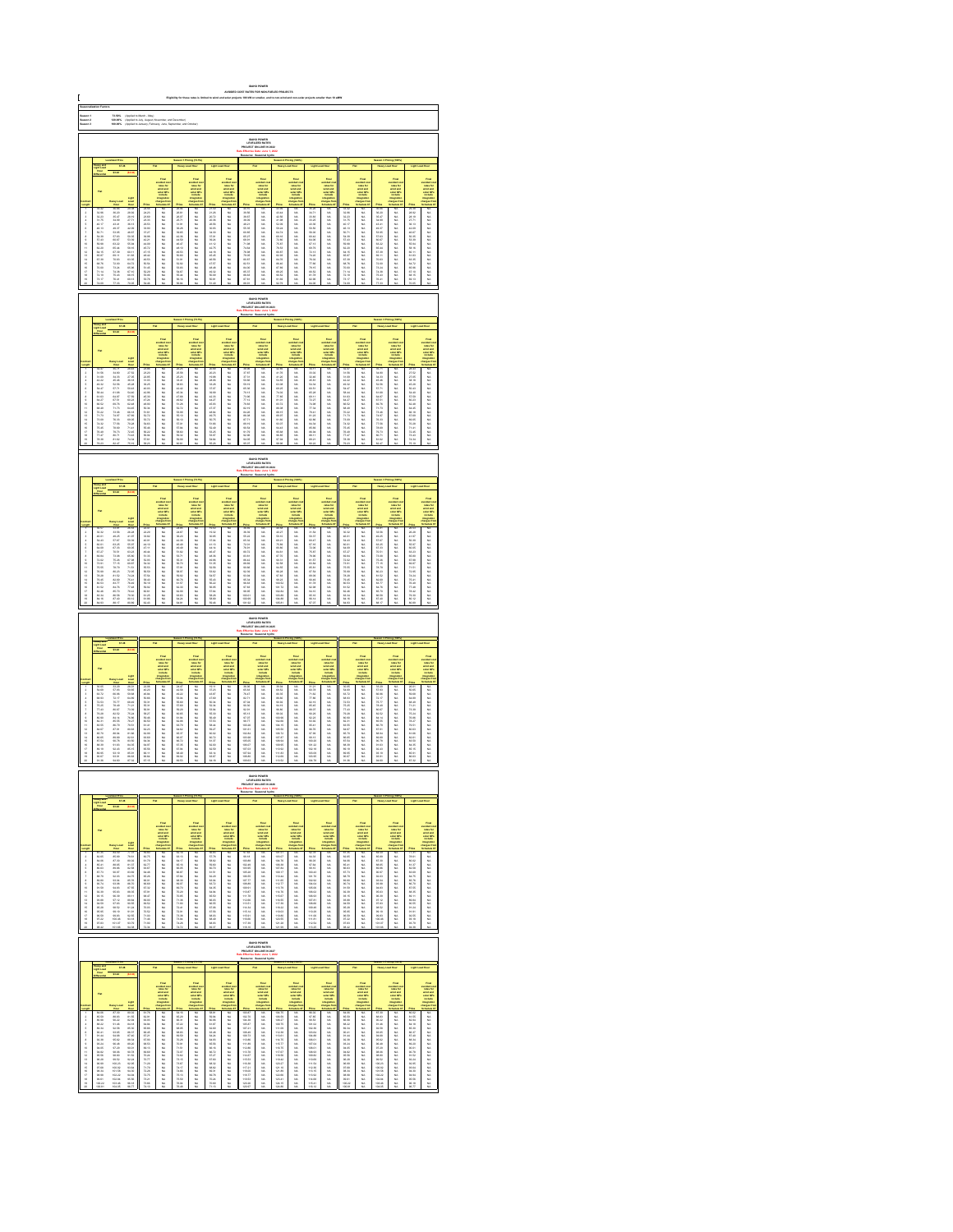|                                                                                                                                                                                                                                                                                                                                                                                                                                                                                                                                                                                                                                                                                                                                                                                                                                                                                                                               |                                                                                                      |                                                                                                                                                                                                                                | (Applied to March - M<br>(Applied to July, Augu<br>(Applied to Jimuary, F                                                                                                                                                            |                                                                                                                                                                                                                                |                                                                                   |                                                         |                                                                                                |                                                                                                                                                                                                                                |                                                                                                                          |                                                                                                                                                                                                                                  |                                                                                                               |                                                                                                                                                                                                                                |                                                                                               |                                                                                                                                                                                                                               |                                                                                                                                                                                                                               |                                                    |                                                                                                                                                                                                                                                                                                                                                                                                                                                                                                                                                                                       |                                                                                                                                                                                                                              |                                                                              |                                                                                                                |                                                                                                                                                                                                                                |
|-------------------------------------------------------------------------------------------------------------------------------------------------------------------------------------------------------------------------------------------------------------------------------------------------------------------------------------------------------------------------------------------------------------------------------------------------------------------------------------------------------------------------------------------------------------------------------------------------------------------------------------------------------------------------------------------------------------------------------------------------------------------------------------------------------------------------------------------------------------------------------------------------------------------------------|------------------------------------------------------------------------------------------------------|--------------------------------------------------------------------------------------------------------------------------------------------------------------------------------------------------------------------------------|--------------------------------------------------------------------------------------------------------------------------------------------------------------------------------------------------------------------------------------|--------------------------------------------------------------------------------------------------------------------------------------------------------------------------------------------------------------------------------|-----------------------------------------------------------------------------------|---------------------------------------------------------|------------------------------------------------------------------------------------------------|--------------------------------------------------------------------------------------------------------------------------------------------------------------------------------------------------------------------------------|--------------------------------------------------------------------------------------------------------------------------|----------------------------------------------------------------------------------------------------------------------------------------------------------------------------------------------------------------------------------|---------------------------------------------------------------------------------------------------------------|--------------------------------------------------------------------------------------------------------------------------------------------------------------------------------------------------------------------------------|-----------------------------------------------------------------------------------------------|-------------------------------------------------------------------------------------------------------------------------------------------------------------------------------------------------------------------------------|-------------------------------------------------------------------------------------------------------------------------------------------------------------------------------------------------------------------------------|----------------------------------------------------|---------------------------------------------------------------------------------------------------------------------------------------------------------------------------------------------------------------------------------------------------------------------------------------------------------------------------------------------------------------------------------------------------------------------------------------------------------------------------------------------------------------------------------------------------------------------------------------|------------------------------------------------------------------------------------------------------------------------------------------------------------------------------------------------------------------------------|------------------------------------------------------------------------------|----------------------------------------------------------------------------------------------------------------|--------------------------------------------------------------------------------------------------------------------------------------------------------------------------------------------------------------------------------|
| Saason 1<br>Saason 2<br>Saason 2                                                                                                                                                                                                                                                                                                                                                                                                                                                                                                                                                                                                                                                                                                                                                                                                                                                                                              |                                                                                                      |                                                                                                                                                                                                                                |                                                                                                                                                                                                                                      |                                                                                                                                                                                                                                |                                                                                   |                                                         |                                                                                                |                                                                                                                                                                                                                                |                                                                                                                          |                                                                                                                                                                                                                                  |                                                                                                               |                                                                                                                                                                                                                                |                                                                                               |                                                                                                                                                                                                                               |                                                                                                                                                                                                                               |                                                    |                                                                                                                                                                                                                                                                                                                                                                                                                                                                                                                                                                                       |                                                                                                                                                                                                                              |                                                                              |                                                                                                                |                                                                                                                                                                                                                                |
|                                                                                                                                                                                                                                                                                                                                                                                                                                                                                                                                                                                                                                                                                                                                                                                                                                                                                                                               |                                                                                                      |                                                                                                                                                                                                                                |                                                                                                                                                                                                                                      |                                                                                                                                                                                                                                |                                                                                   |                                                         |                                                                                                |                                                                                                                                                                                                                                |                                                                                                                          |                                                                                                                                                                                                                                  |                                                                                                               |                                                                                                                                                                                                                                |                                                                                               |                                                                                                                                                                                                                               |                                                                                                                                                                                                                               |                                                    |                                                                                                                                                                                                                                                                                                                                                                                                                                                                                                                                                                                       |                                                                                                                                                                                                                              |                                                                              |                                                                                                                |                                                                                                                                                                                                                                |
|                                                                                                                                                                                                                                                                                                                                                                                                                                                                                                                                                                                                                                                                                                                                                                                                                                                                                                                               |                                                                                                      |                                                                                                                                                                                                                                |                                                                                                                                                                                                                                      |                                                                                                                                                                                                                                |                                                                                   |                                                         |                                                                                                |                                                                                                                                                                                                                                |                                                                                                                          |                                                                                                                                                                                                                                  |                                                                                                               |                                                                                                                                                                                                                                | Food<br>collection<br>wind and<br>solar CPs<br>include                                        |                                                                                                                                                                                                                               |                                                                                                                                                                                                                               |                                                    |                                                                                                                                                                                                                                                                                                                                                                                                                                                                                                                                                                                       |                                                                                                                                                                                                                              | The Country<br>Selection<br>Selection<br>Selection                           |                                                                                                                |                                                                                                                                                                                                                                |
|                                                                                                                                                                                                                                                                                                                                                                                                                                                                                                                                                                                                                                                                                                                                                                                                                                                                                                                               |                                                                                                      |                                                                                                                                                                                                                                |                                                                                                                                                                                                                                      |                                                                                                                                                                                                                                |                                                                                   |                                                         | dilli-                                                                                         |                                                                                                                                                                                                                                | Final<br>colorado de<br>colorado de años de<br>colorado de polos<br>integrados<br>harges fo                              |                                                                                                                                                                                                                                  | Final<br>subsche<br>subsche<br>subsche<br>multer                                                              |                                                                                                                                                                                                                                |                                                                                               |                                                                                                                                                                                                                               |                                                                                                                                                                                                                               |                                                    | <b>CHILL</b>                                                                                                                                                                                                                                                                                                                                                                                                                                                                                                                                                                          |                                                                                                                                                                                                                              |                                                                              |                                                                                                                |                                                                                                                                                                                                                                |
|                                                                                                                                                                                                                                                                                                                                                                                                                                                                                                                                                                                                                                                                                                                                                                                                                                                                                                                               |                                                                                                      |                                                                                                                                                                                                                                |                                                                                                                                                                                                                                      |                                                                                                                                                                                                                                |                                                                                   |                                                         |                                                                                                |                                                                                                                                                                                                                                |                                                                                                                          |                                                                                                                                                                                                                                  |                                                                                                               |                                                                                                                                                                                                                                |                                                                                               |                                                                                                                                                                                                                               |                                                                                                                                                                                                                               |                                                    |                                                                                                                                                                                                                                                                                                                                                                                                                                                                                                                                                                                       |                                                                                                                                                                                                                              |                                                                              |                                                                                                                |                                                                                                                                                                                                                                |
|                                                                                                                                                                                                                                                                                                                                                                                                                                                                                                                                                                                                                                                                                                                                                                                                                                                                                                                               |                                                                                                      |                                                                                                                                                                                                                                |                                                                                                                                                                                                                                      |                                                                                                                                                                                                                                |                                                                                   |                                                         |                                                                                                |                                                                                                                                                                                                                                |                                                                                                                          |                                                                                                                                                                                                                                  |                                                                                                               |                                                                                                                                                                                                                                |                                                                                               |                                                                                                                                                                                                                               |                                                                                                                                                                                                                               |                                                    |                                                                                                                                                                                                                                                                                                                                                                                                                                                                                                                                                                                       |                                                                                                                                                                                                                              |                                                                              |                                                                                                                |                                                                                                                                                                                                                                |
|                                                                                                                                                                                                                                                                                                                                                                                                                                                                                                                                                                                                                                                                                                                                                                                                                                                                                                                               |                                                                                                      | Name 2012 24:00:00 25:00:00 25:00:00 25:00 25:00 25:00 25:00 25:00 25:00 25:00 25:00 25:00 25:00 25:00 25:00 25:00 25:00 25:00 25:00 25:00 25:00 25:00 25:00 25:00 25:00 25:00 25:00 25:00 25:00 25:00 25:00 25:00 25:00 25    | <b>LAN 2013 02:21 27 28 42:00 02:25 50:36 60:37 10:32 50:42 50:37 10:42 50:37 10:42 50:42 50:42 50:42 50:42 50:42 50:42 50:42 50:42 50:42 50:42 50:42 50:42 50:42 50:42 50:42 50:42 50:42 50:42 50:42 50:42 50:42 50:42 50:42 50</b> |                                                                                                                                                                                                                                | 3.以以以以以以以以以以以以以以以以以以以以                                                            | 医自动性 医红细胞 医假性脑膜炎 医前期性 医假性脑膜炎 医假性脑膜炎 医假性脑膜炎              |                                                                                                | 2120 20:20 20:30 20:30 20:30 20:30 20:30 20:30 20:30 20:30 20:30 20:30 20:30 20:30 20:30 20:30 20:30 20:30 20:30 20:30 20:30 20:30 20:30 20:30 20:30 20:30 20:30 20:30 20:30 20:30 20:30 20:30 20:30 20:30 20:30 20:30 20:30 2 | ,,,,,,,,,,,,,,,,,,,,,,,,,,,,,,,,,,,,                                                                                     |                                                                                                                                                                                                                                  |                                                                                                               | 经成本 计多级 计多级 计多项 计多项 计多项 医单位 医单位 医单位 医单位 医单位 医单位 医单位                                                                                                                                                                            |                                                                                               | 25,26 21,25 22,25 23,26 24,26 25,27 25,27 25,27 26,27 27,28 27,28 27,28 27,28 27,28 27,28 27,28 27,28 27,28 27,28 27,28 27,28 27,28 27,28 27,28 27,28 27,28 27,28 27,28 27,28 27,28 27,28 27,28 27,28 27,28 27,28 27,28 27,28 | Fast 1993年1月11日 1月12日 1月12日 1月23日 1月23日 1月23日 1月23日 1月23日 1月23日 1月23日 1月23日 1月23日 1月23日 1月23日 1月23日 1月23日 1月23日 1月23日 1月23日 1月23日 1月23日 1月23日 1月23日 1月23日 1月23日 1月23日 1月23日 1月23日 1月23日 1月23日 1月23日 1月23日 1月23日 1月23日 1月23日 1 | 计数据分类 医多发性脑炎 医心包的 医皮肤性 医皮肤性 医皮肤 医皮肤 医无线性 医心包的 医无线虫 |                                                                                                                                                                                                                                                                                                                                                                                                                                                                                                                                                                                       | 第26月前月初期的日期的 计数据数据 化二乙基苯基 医阿拉伯氏试验检尿道氏征                                                                                                                                                                                       |                                                                              | 2020年7月12日 12月23日 12月23日 12月23日 12月23日 12月23日 12月23日 12月23日 12月23日 12月23日 12月23日 12月23日 12月23日 12月23日 12月2     | Food and the content of the content of the content of the content of the content of the content of the content of the content of the content of the content of the content of the content of the content of the content of the |
|                                                                                                                                                                                                                                                                                                                                                                                                                                                                                                                                                                                                                                                                                                                                                                                                                                                                                                                               |                                                                                                      |                                                                                                                                                                                                                                |                                                                                                                                                                                                                                      |                                                                                                                                                                                                                                |                                                                                   |                                                         |                                                                                                |                                                                                                                                                                                                                                |                                                                                                                          |                                                                                                                                                                                                                                  |                                                                                                               |                                                                                                                                                                                                                                |                                                                                               |                                                                                                                                                                                                                               |                                                                                                                                                                                                                               |                                                    |                                                                                                                                                                                                                                                                                                                                                                                                                                                                                                                                                                                       |                                                                                                                                                                                                                              |                                                                              |                                                                                                                |                                                                                                                                                                                                                                |
|                                                                                                                                                                                                                                                                                                                                                                                                                                                                                                                                                                                                                                                                                                                                                                                                                                                                                                                               |                                                                                                      |                                                                                                                                                                                                                                |                                                                                                                                                                                                                                      |                                                                                                                                                                                                                                |                                                                                   |                                                         |                                                                                                |                                                                                                                                                                                                                                |                                                                                                                          |                                                                                                                                                                                                                                  | IDAHO POWER<br>LEVELIZED RATES<br>LIECT ON-LINE IN 2                                                          |                                                                                                                                                                                                                                |                                                                                               |                                                                                                                                                                                                                               |                                                                                                                                                                                                                               |                                                    |                                                                                                                                                                                                                                                                                                                                                                                                                                                                                                                                                                                       |                                                                                                                                                                                                                              |                                                                              |                                                                                                                |                                                                                                                                                                                                                                |
|                                                                                                                                                                                                                                                                                                                                                                                                                                                                                                                                                                                                                                                                                                                                                                                                                                                                                                                               |                                                                                                      |                                                                                                                                                                                                                                |                                                                                                                                                                                                                                      |                                                                                                                                                                                                                                |                                                                                   |                                                         |                                                                                                |                                                                                                                                                                                                                                |                                                                                                                          |                                                                                                                                                                                                                                  |                                                                                                               |                                                                                                                                                                                                                                |                                                                                               |                                                                                                                                                                                                                               |                                                                                                                                                                                                                               |                                                    |                                                                                                                                                                                                                                                                                                                                                                                                                                                                                                                                                                                       |                                                                                                                                                                                                                              |                                                                              |                                                                                                                |                                                                                                                                                                                                                                |
|                                                                                                                                                                                                                                                                                                                                                                                                                                                                                                                                                                                                                                                                                                                                                                                                                                                                                                                               |                                                                                                      |                                                                                                                                                                                                                                |                                                                                                                                                                                                                                      |                                                                                                                                                                                                                                | Final<br>united to<br>united and<br>united<br>transfer                            |                                                         | dilli                                                                                          |                                                                                                                                                                                                                                |                                                                                                                          |                                                                                                                                                                                                                                  | Final<br>unidad de<br>unidad del<br>unidad<br>unidade<br>industrial                                           |                                                                                                                                                                                                                                | Final<br>collect ca<br>collect by<br>wind and<br>trained<br>independent<br>collected          |                                                                                                                                                                                                                               | tiili                                                                                                                                                                                                                         |                                                    | $\begin{array}{l} \mbox{First,}\\ \mbox{infinite}\\ \mbox{of the left and}\\ \mbox{infinite}\\ \mbox{infinite}\\ \mbox{infinite}\\ \mbox{infinite}\\ \mbox{infinite}\\ \mbox{infinite}\\ \mbox{infinite}\\ \mbox{infinite}\\ \mbox{infinite}\\ \mbox{infinite}\\ \mbox{infinite}\\ \mbox{infinite}\\ \mbox{infinite}\\ \mbox{infinite}\\ \mbox{infinite}\\ \mbox{infinite}\\ \mbox{infinite}\\ \mbox{infinite}\\ \mbox{infinite}\\ \mbox{infinite}\\ \mbox{infinite}\\ \mbox{infinite}\\ \mbox{infinite}\\ \mbox{infinite}\\ \mbox{infinite}\\ \mbox{infinite}\\ \mbox{infinite}\\ \$ |                                                                                                                                                                                                                              | Final<br>colorador<br>colorador<br>solador<br>instalador<br>colorador        |                                                                                                                | 1995年19月15日,1月15日,1月15日,1月15日,1月15日,1月15日,1月15日,1月15日,1月15日,1月15日,1月15日,1月15日,1月15日,1月15日,1月15日,1月15 年,1月15日,1月15日,1月15日,1月15日,1月15日,1月15日,1月15日,1月15日,1月15日,1月15日,1月15日,1月15日,1月15日,1月15日,1月15日,1月15日,1月15日,1月15日,1月15日,1月15  |
|                                                                                                                                                                                                                                                                                                                                                                                                                                                                                                                                                                                                                                                                                                                                                                                                                                                                                                                               |                                                                                                      |                                                                                                                                                                                                                                |                                                                                                                                                                                                                                      |                                                                                                                                                                                                                                |                                                                                   |                                                         |                                                                                                |                                                                                                                                                                                                                                | ******************                                                                                                       |                                                                                                                                                                                                                                  |                                                                                                               |                                                                                                                                                                                                                                |                                                                                               |                                                                                                                                                                                                                               |                                                                                                                                                                                                                               |                                                    |                                                                                                                                                                                                                                                                                                                                                                                                                                                                                                                                                                                       |                                                                                                                                                                                                                              |                                                                              |                                                                                                                |                                                                                                                                                                                                                                |
|                                                                                                                                                                                                                                                                                                                                                                                                                                                                                                                                                                                                                                                                                                                                                                                                                                                                                                                               |                                                                                                      |                                                                                                                                                                                                                                |                                                                                                                                                                                                                                      |                                                                                                                                                                                                                                |                                                                                   |                                                         |                                                                                                |                                                                                                                                                                                                                                |                                                                                                                          |                                                                                                                                                                                                                                  |                                                                                                               |                                                                                                                                                                                                                                |                                                                                               |                                                                                                                                                                                                                               |                                                                                                                                                                                                                               |                                                    |                                                                                                                                                                                                                                                                                                                                                                                                                                                                                                                                                                                       |                                                                                                                                                                                                                              |                                                                              |                                                                                                                |                                                                                                                                                                                                                                |
|                                                                                                                                                                                                                                                                                                                                                                                                                                                                                                                                                                                                                                                                                                                                                                                                                                                                                                                               |                                                                                                      |                                                                                                                                                                                                                                |                                                                                                                                                                                                                                      |                                                                                                                                                                                                                                |                                                                                   |                                                         |                                                                                                |                                                                                                                                                                                                                                |                                                                                                                          |                                                                                                                                                                                                                                  |                                                                                                               |                                                                                                                                                                                                                                |                                                                                               |                                                                                                                                                                                                                               |                                                                                                                                                                                                                               |                                                    |                                                                                                                                                                                                                                                                                                                                                                                                                                                                                                                                                                                       |                                                                                                                                                                                                                              |                                                                              |                                                                                                                |                                                                                                                                                                                                                                |
| Light House 22:22:26 15:26 52:36 52:36 52:36 52:36 52:46 65:16 52:36 72:46 52:56 72:46 52:56 72:56 72:56 72:56 72:56 72:56 72:56 72:56 72:56 72:56 72:56 72:56 72:56 72:56 72:56 72:56 72:56 72:56 72:56 72:56 72:56 72:56 72:<br>机纸纸纸纸纸 化机械机 化机械机 化机械机 化机<br>以以以以以以以以以以以以以以以以以以。<br>*********************<br>加加加加加加加加加加加加加加加加加加加<br>1 是不清有关不幸的计论论组结论计组织;;<br>双式式经验试输机械输输及方式对方代理机构<br>2022年5月18日 42月18日 5月18日 5月18日 5月18日 5月18日 5月27日 5月28日 5月28日 5月28日 5月28日 5月28日 5月28日 5月28日<br>2023年2月22日前1月22日 1月22日 1月22日 1月22日 1月22日 1月22日 1月22日 1月22日 1月22日 1月22日 1月22日<br>《分分结体结为为外外检核核分析检核核核核核核核核核核核核核核核核核核核核核<br>2022年6月28日 6月22日 7月28日 12月28日 6月22日 6月22日 6月28日 5月28日 5月28日 5月28日 5月28日 5月28日 5月28日<br>《其外后空空行 载联新为新建 双加的为力检测<br> 光新 432 483 584 584 685 587 72 73 73 73 74 75 75 75 75 75 75 75 75 75 76 77 77 77 77 77 77 77 77 77 78 77 77 7<br>1名名別加拿大 电磁带 化自动压缩 医全部脉冲器<br>(《石头结 新光 万合后的 化硫酸 医白细胞 医三角状的 医阿尔伯氏试验检胆汁 医阿尔伯氏试验检胆汁 |                                                                                                      |                                                                                                                                                                                                                                |                                                                                                                                                                                                                                      |                                                                                                                                                                                                                                |                                                                                   |                                                         |                                                                                                |                                                                                                                                                                                                                                |                                                                                                                          |                                                                                                                                                                                                                                  |                                                                                                               |                                                                                                                                                                                                                                |                                                                                               |                                                                                                                                                                                                                               |                                                                                                                                                                                                                               |                                                    |                                                                                                                                                                                                                                                                                                                                                                                                                                                                                                                                                                                       |                                                                                                                                                                                                                              |                                                                              |                                                                                                                |                                                                                                                                                                                                                                |
|                                                                                                                                                                                                                                                                                                                                                                                                                                                                                                                                                                                                                                                                                                                                                                                                                                                                                                                               | IDAHO POWER<br>LEVELIZED RATES<br>LECT ON-LINE IN 21                                                 |                                                                                                                                                                                                                                |                                                                                                                                                                                                                                      |                                                                                                                                                                                                                                |                                                                                   |                                                         |                                                                                                |                                                                                                                                                                                                                                |                                                                                                                          |                                                                                                                                                                                                                                  |                                                                                                               |                                                                                                                                                                                                                                |                                                                                               |                                                                                                                                                                                                                               |                                                                                                                                                                                                                               |                                                    |                                                                                                                                                                                                                                                                                                                                                                                                                                                                                                                                                                                       |                                                                                                                                                                                                                              |                                                                              |                                                                                                                |                                                                                                                                                                                                                                |
|                                                                                                                                                                                                                                                                                                                                                                                                                                                                                                                                                                                                                                                                                                                                                                                                                                                                                                                               |                                                                                                      |                                                                                                                                                                                                                                |                                                                                                                                                                                                                                      |                                                                                                                                                                                                                                |                                                                                   |                                                         |                                                                                                |                                                                                                                                                                                                                                |                                                                                                                          |                                                                                                                                                                                                                                  |                                                                                                               |                                                                                                                                                                                                                                |                                                                                               |                                                                                                                                                                                                                               |                                                                                                                                                                                                                               |                                                    |                                                                                                                                                                                                                                                                                                                                                                                                                                                                                                                                                                                       |                                                                                                                                                                                                                              |                                                                              |                                                                                                                |                                                                                                                                                                                                                                |
|                                                                                                                                                                                                                                                                                                                                                                                                                                                                                                                                                                                                                                                                                                                                                                                                                                                                                                                               |                                                                                                      |                                                                                                                                                                                                                                |                                                                                                                                                                                                                                      |                                                                                                                                                                                                                                |                                                                                   |                                                         | Final<br>colded co<br>colors for<br>wind and<br>solar City<br>indicate                         |                                                                                                                                                                                                                                |                                                                                                                          |                                                                                                                                                                                                                                  | Final<br>substitution<br>wind and<br>substitution<br>mathematics                                              |                                                                                                                                                                                                                                |                                                                                               |                                                                                                                                                                                                                               |                                                                                                                                                                                                                               |                                                    | vented on<br>venta and<br>venta and<br>venta CP<br>include<br>integration<br>harges fro                                                                                                                                                                                                                                                                                                                                                                                                                                                                                               |                                                                                                                                                                                                                              |                                                                              |                                                                                                                | Food and the first of the context of the context of the context of the context of the context of the context of the context of the context of the context of the context of the context of the context of the context of the c |
|                                                                                                                                                                                                                                                                                                                                                                                                                                                                                                                                                                                                                                                                                                                                                                                                                                                                                                                               |                                                                                                      | 2012 计前行计算 计多路 计多路 计多路 计多路 计多路 医阿拉伯氏试验检胆汁 医阿拉伯氏试验检胆汁                                                                                                                                                                           |                                                                                                                                                                                                                                      |                                                                                                                                                                                                                                | 1.以以以以以以以以以以以以以以以以以以以                                                             | 医第二指数 医多叶 医多叶 医多叶 医多叶 医单位 医单位 医单位 医单位 医单位 医单位           |                                                                                                | かいばん ひとうしゅう こうしょう かいしょう かいしょう かいこうしょう かいこうしょう                                                                                                                                                                                  |                                                                                                                          | 36.38.32.32.05.32.32.05.32.32.05.05.32.05.05.32.05.05.32.05.05.33.05.05.05.05.05.05.05.05.05.05.05.0                                                                                                                             | 联联联联联联联联联联联联联联联联联联联联                                                                                          |                                                                                                                                                                                                                                |                                                                                               | 31.50.50亿元22%,加速率的20.600万元,加速率的20.600万元,加速率的20.600万元,加速率的20.600万元,加速率的30.600万元。                                                                                                                                               |                                                                                                                                                                                                                               | 法法庭保险 网络印刷写 计多地址 计多项数据 医红色性白细胞 医红色性白细胞             |                                                                                                                                                                                                                                                                                                                                                                                                                                                                                                                                                                                       |                                                                                                                                                                                                                              | 地址地址地址地址地址地址地址地址地址地址                                                         | 湖湖县2023年10月22日 1月22日 1月22日 1月23日 1月23日 1月24日 1月25日 1月25日 1月25日 1月25日 1月25日 1月25日 1月25日 1月25日 1月25日 1           |                                                                                                                                                                                                                                |
|                                                                                                                                                                                                                                                                                                                                                                                                                                                                                                                                                                                                                                                                                                                                                                                                                                                                                                                               |                                                                                                      |                                                                                                                                                                                                                                |                                                                                                                                                                                                                                      |                                                                                                                                                                                                                                |                                                                                   |                                                         |                                                                                                |                                                                                                                                                                                                                                |                                                                                                                          |                                                                                                                                                                                                                                  |                                                                                                               |                                                                                                                                                                                                                                |                                                                                               |                                                                                                                                                                                                                               |                                                                                                                                                                                                                               |                                                    |                                                                                                                                                                                                                                                                                                                                                                                                                                                                                                                                                                                       |                                                                                                                                                                                                                              |                                                                              |                                                                                                                |                                                                                                                                                                                                                                |
|                                                                                                                                                                                                                                                                                                                                                                                                                                                                                                                                                                                                                                                                                                                                                                                                                                                                                                                               | 2032年6月22日 10月22日 10月20日 10月20日 10月20日 10月20日 10月20日 10月20日 10月20日 10月20日 10月20日 10月20日 10月20日 10月20 |                                                                                                                                                                                                                                |                                                                                                                                                                                                                                      |                                                                                                                                                                                                                                |                                                                                   |                                                         |                                                                                                |                                                                                                                                                                                                                                |                                                                                                                          |                                                                                                                                                                                                                                  |                                                                                                               |                                                                                                                                                                                                                                |                                                                                               |                                                                                                                                                                                                                               |                                                                                                                                                                                                                               |                                                    |                                                                                                                                                                                                                                                                                                                                                                                                                                                                                                                                                                                       |                                                                                                                                                                                                                              |                                                                              |                                                                                                                |                                                                                                                                                                                                                                |
|                                                                                                                                                                                                                                                                                                                                                                                                                                                                                                                                                                                                                                                                                                                                                                                                                                                                                                                               |                                                                                                      |                                                                                                                                                                                                                                |                                                                                                                                                                                                                                      |                                                                                                                                                                                                                                |                                                                                   |                                                         |                                                                                                |                                                                                                                                                                                                                                |                                                                                                                          |                                                                                                                                                                                                                                  |                                                                                                               |                                                                                                                                                                                                                                |                                                                                               |                                                                                                                                                                                                                               |                                                                                                                                                                                                                               |                                                    |                                                                                                                                                                                                                                                                                                                                                                                                                                                                                                                                                                                       |                                                                                                                                                                                                                              |                                                                              |                                                                                                                |                                                                                                                                                                                                                                |
|                                                                                                                                                                                                                                                                                                                                                                                                                                                                                                                                                                                                                                                                                                                                                                                                                                                                                                                               |                                                                                                      |                                                                                                                                                                                                                                |                                                                                                                                                                                                                                      |                                                                                                                                                                                                                                |                                                                                   |                                                         |                                                                                                |                                                                                                                                                                                                                                |                                                                                                                          |                                                                                                                                                                                                                                  | <b>IDAHO POWER<br/>LEVELIZED RATES<br/>LIECT ON-LINE IN 2</b><br><sup>19</sup> <sup>16</sup> 19 Date: Jane 1, |                                                                                                                                                                                                                                |                                                                                               |                                                                                                                                                                                                                               |                                                                                                                                                                                                                               |                                                    |                                                                                                                                                                                                                                                                                                                                                                                                                                                                                                                                                                                       |                                                                                                                                                                                                                              |                                                                              |                                                                                                                |                                                                                                                                                                                                                                |
|                                                                                                                                                                                                                                                                                                                                                                                                                                                                                                                                                                                                                                                                                                                                                                                                                                                                                                                               |                                                                                                      |                                                                                                                                                                                                                                |                                                                                                                                                                                                                                      |                                                                                                                                                                                                                                | Frank<br>Militär Station<br>Militär Station<br>Militär Station<br>Militär Station |                                                         |                                                                                                |                                                                                                                                                                                                                                | Final<br>colding on<br>colding for<br>colding of the<br>looped for<br>colding of the<br>colding of the<br>colding of the |                                                                                                                                                                                                                                  | Final<br>suited on<br>suited and<br>suite Of<br>indicate<br>independent                                       |                                                                                                                                                                                                                                | Final<br>color for<br>color for<br>active City<br>trained<br>integration                      |                                                                                                                                                                                                                               | <b>THEFT</b>                                                                                                                                                                                                                  |                                                    | Final<br>control co<br>color for and<br>color CP<br>include<br>harges fro<br>corpor for<br>color for                                                                                                                                                                                                                                                                                                                                                                                                                                                                                  |                                                                                                                                                                                                                              | Final<br>colorados<br>colorados<br>solados<br>instalados<br>colorados        |                                                                                                                |                                                                                                                                                                                                                                |
|                                                                                                                                                                                                                                                                                                                                                                                                                                                                                                                                                                                                                                                                                                                                                                                                                                                                                                                               |                                                                                                      |                                                                                                                                                                                                                                |                                                                                                                                                                                                                                      |                                                                                                                                                                                                                                |                                                                                   |                                                         |                                                                                                |                                                                                                                                                                                                                                |                                                                                                                          |                                                                                                                                                                                                                                  |                                                                                                               |                                                                                                                                                                                                                                |                                                                                               |                                                                                                                                                                                                                               |                                                                                                                                                                                                                               |                                                    |                                                                                                                                                                                                                                                                                                                                                                                                                                                                                                                                                                                       |                                                                                                                                                                                                                              |                                                                              |                                                                                                                | The State of America State of America State of America State of America State of America State of America State of America State of America State of America State of America State of America State of America State of Amer  |
|                                                                                                                                                                                                                                                                                                                                                                                                                                                                                                                                                                                                                                                                                                                                                                                                                                                                                                                               |                                                                                                      |                                                                                                                                                                                                                                |                                                                                                                                                                                                                                      |                                                                                                                                                                                                                                |                                                                                   |                                                         |                                                                                                |                                                                                                                                                                                                                                |                                                                                                                          |                                                                                                                                                                                                                                  |                                                                                                               |                                                                                                                                                                                                                                |                                                                                               |                                                                                                                                                                                                                               |                                                                                                                                                                                                                               |                                                    |                                                                                                                                                                                                                                                                                                                                                                                                                                                                                                                                                                                       |                                                                                                                                                                                                                              |                                                                              |                                                                                                                |                                                                                                                                                                                                                                |
|                                                                                                                                                                                                                                                                                                                                                                                                                                                                                                                                                                                                                                                                                                                                                                                                                                                                                                                               |                                                                                                      |                                                                                                                                                                                                                                |                                                                                                                                                                                                                                      |                                                                                                                                                                                                                                |                                                                                   |                                                         |                                                                                                |                                                                                                                                                                                                                                |                                                                                                                          |                                                                                                                                                                                                                                  |                                                                                                               |                                                                                                                                                                                                                                |                                                                                               |                                                                                                                                                                                                                               |                                                                                                                                                                                                                               |                                                    |                                                                                                                                                                                                                                                                                                                                                                                                                                                                                                                                                                                       |                                                                                                                                                                                                                              |                                                                              |                                                                                                                |                                                                                                                                                                                                                                |
|                                                                                                                                                                                                                                                                                                                                                                                                                                                                                                                                                                                                                                                                                                                                                                                                                                                                                                                               |                                                                                                      | 2012年6月22日 2月22日 2月22日 2月22日 2月22日 2月22日 2月22日 2月22日 2月22日 2月22日 2月22日 2月22日 2月22日 2月22日 2月22日 2月22日 2月22日 2月22日 2月22日 2月22日 2月22日 2月22日 2月22日 2月22日 2月22日 2月22日 2月22日 2月22日 2月22日 2月22日 2月22日 2月22日 2月22日 2月22日 2月22日 2月22日 2 | LAN MARK SEASON 经总额收益 21.25 公司 2015年1月1日 2015年1月1日 2015年1月1日 2015年1月1日 2015年1月1日 2015年1月1日 2015年1月1日 2015年1月1日 2015年1月1日 2015年1月1日 2015年1月1日 2015年1月1日 2015年1月1日 2015年1月1日 2015年1月1日 2015年1月1日 2015年1月1日 2015年1月1日 2015年1月1日         |                                                                                                                                                                                                                                | 化脱机机脱机 化机能机 化机能机 化加热机 化                                                           | 2日当公诉公诉公诉公诉公诉诉诉诉状的公诉诉讼 计自动控制 网络阿拉伯 医阿拉伯氏试验检             |                                                                                                |                                                                                                                                                                                                                                | *********************                                                                                                    |                                                                                                                                                                                                                                  | 机模板 化机械机 化机械机 化机械机 化机械机 化机械                                                                                   |                                                                                                                                                                                                                                | 以以以以以以以以以以以以以以以以以以。                                                                           | 4位升22起新能验验验检新能力加快检验的精神的开发的精神情况的检验和精神功效                                                                                                                                                                                        |                                                                                                                                                                                                                               | 4.5. 临床万元分为的总数据新闻总数据新闻                             |                                                                                                                                                                                                                                                                                                                                                                                                                                                                                                                                                                                       | 20年前发光光的政府 医抗体 医阴道性 医阴道性 医阴道性 医单位 医单位 医单位 医单位 医单位                                                                                                                                                                            | 加加加加加加加加加加加加加加加加加加加                                                          |                                                                                                                |                                                                                                                                                                                                                                |
|                                                                                                                                                                                                                                                                                                                                                                                                                                                                                                                                                                                                                                                                                                                                                                                                                                                                                                                               |                                                                                                      |                                                                                                                                                                                                                                |                                                                                                                                                                                                                                      |                                                                                                                                                                                                                                |                                                                                   |                                                         |                                                                                                |                                                                                                                                                                                                                                |                                                                                                                          |                                                                                                                                                                                                                                  |                                                                                                               |                                                                                                                                                                                                                                |                                                                                               |                                                                                                                                                                                                                               |                                                                                                                                                                                                                               |                                                    |                                                                                                                                                                                                                                                                                                                                                                                                                                                                                                                                                                                       |                                                                                                                                                                                                                              |                                                                              |                                                                                                                |                                                                                                                                                                                                                                |
|                                                                                                                                                                                                                                                                                                                                                                                                                                                                                                                                                                                                                                                                                                                                                                                                                                                                                                                               |                                                                                                      |                                                                                                                                                                                                                                |                                                                                                                                                                                                                                      |                                                                                                                                                                                                                                |                                                                                   |                                                         |                                                                                                |                                                                                                                                                                                                                                |                                                                                                                          |                                                                                                                                                                                                                                  |                                                                                                               |                                                                                                                                                                                                                                |                                                                                               |                                                                                                                                                                                                                               |                                                                                                                                                                                                                               |                                                    |                                                                                                                                                                                                                                                                                                                                                                                                                                                                                                                                                                                       |                                                                                                                                                                                                                              |                                                                              |                                                                                                                |                                                                                                                                                                                                                                |
|                                                                                                                                                                                                                                                                                                                                                                                                                                                                                                                                                                                                                                                                                                                                                                                                                                                                                                                               |                                                                                                      |                                                                                                                                                                                                                                |                                                                                                                                                                                                                                      |                                                                                                                                                                                                                                |                                                                                   |                                                         |                                                                                                |                                                                                                                                                                                                                                |                                                                                                                          |                                                                                                                                                                                                                                  | Find<br>united to<br>united and<br>united to<br>include                                                       |                                                                                                                                                                                                                                | Final<br>voltat se<br>voltat sen<br>voltat senar<br>senar Cifra<br>linchada                   |                                                                                                                                                                                                                               |                                                                                                                                                                                                                               |                                                    |                                                                                                                                                                                                                                                                                                                                                                                                                                                                                                                                                                                       |                                                                                                                                                                                                                              |                                                                              |                                                                                                                |                                                                                                                                                                                                                                |
|                                                                                                                                                                                                                                                                                                                                                                                                                                                                                                                                                                                                                                                                                                                                                                                                                                                                                                                               |                                                                                                      |                                                                                                                                                                                                                                |                                                                                                                                                                                                                                      |                                                                                                                                                                                                                                |                                                                                   |                                                         | Pinal<br>selection<br>sales for<br>sales for the CPs<br>indicate<br>transportant<br>harges for |                                                                                                                                                                                                                                | <b>THE</b>                                                                                                               |                                                                                                                                                                                                                                  |                                                                                                               |                                                                                                                                                                                                                                |                                                                                               |                                                                                                                                                                                                                               | Final<br>votabul ca<br>ratina far<br>votabul and<br>satura CP<br>leature for<br>harges fro                                                                                                                                    |                                                    | THE                                                                                                                                                                                                                                                                                                                                                                                                                                                                                                                                                                                   |                                                                                                                                                                                                                              | voted or<br>refers for<br>sales (2)<br>sales in parties<br>harper for        |                                                                                                                |                                                                                                                                                                                                                                |
|                                                                                                                                                                                                                                                                                                                                                                                                                                                                                                                                                                                                                                                                                                                                                                                                                                                                                                                               |                                                                                                      |                                                                                                                                                                                                                                |                                                                                                                                                                                                                                      |                                                                                                                                                                                                                                |                                                                                   |                                                         |                                                                                                |                                                                                                                                                                                                                                |                                                                                                                          |                                                                                                                                                                                                                                  |                                                                                                               |                                                                                                                                                                                                                                |                                                                                               |                                                                                                                                                                                                                               |                                                                                                                                                                                                                               |                                                    |                                                                                                                                                                                                                                                                                                                                                                                                                                                                                                                                                                                       |                                                                                                                                                                                                                              |                                                                              |                                                                                                                |                                                                                                                                                                                                                                |
|                                                                                                                                                                                                                                                                                                                                                                                                                                                                                                                                                                                                                                                                                                                                                                                                                                                                                                                               |                                                                                                      |                                                                                                                                                                                                                                |                                                                                                                                                                                                                                      |                                                                                                                                                                                                                                |                                                                                   |                                                         |                                                                                                |                                                                                                                                                                                                                                |                                                                                                                          |                                                                                                                                                                                                                                  |                                                                                                               |                                                                                                                                                                                                                                |                                                                                               |                                                                                                                                                                                                                               |                                                                                                                                                                                                                               |                                                    |                                                                                                                                                                                                                                                                                                                                                                                                                                                                                                                                                                                       |                                                                                                                                                                                                                              |                                                                              |                                                                                                                |                                                                                                                                                                                                                                |
| - 17. 78 月有有不幸幸和计论经施施论论论论                                                                                                                                                                                                                                                                                                                                                                                                                                                                                                                                                                                                                                                                                                                                                                                                                                                                                                     | 计总标准 计磁力方程 医无色体 计自动存储器 化分子                                                                           |                                                                                                                                                                                                                                | 2022年7月12日 12月13日 12月15日 12月15日 12月15日 12月15日 12月15日 12月15日 12月15日 12月15日 12月15日 12月15日 12月15日 12月15日 12月15日 12月                                                                                                                     | 10.25万元 10.25万元 10.25万元 10.25万元 10.25万元 12.25万元 12.25万元 12.25万元 12.25万元 12.25万元 12.25万元 12.25万元 12.25万元 12.25万元 12.25万元 12.25万元 12.25万元 12.25万元 12.25万元 12.25万元 12.25万元 12.25万元 12.25万元 12.25万元 12.25万元 12.25万元 12.25万元 12.25万 | 3.以以以以以以以以以以以以以以以以以以以以                                                            | 经租赁 新城市 植物 植物的 为此 医外科 的复数人名英格兰人姓氏法英格兰人姓氏住所名称来源于古英语含义是英语 |                                                                                                | 新区2020年12月22日 12月22日 12月22日 12月22日 12月22日 12月22日 12月22日 12月22日 12月22日 12月22日                                                                                                                                                   |                                                                                                                          | 97.43<br>98.19 AM 20 AM 20 AM 20 AM 20 AM 20 AM 20 AM 20 AM 20 AM 20 AM 20 AM 20 AM 20 AM 20 AM 20 AM 20 AM 20 AM 20 AM 20 AM 20 AM 20 AM 20 AM 20 AM 20 AM 20 AM 20 AM 20 AM 20 AM 20 AM 20 AM 20 AM 20 AM 20 AM 20 AM 20 AM 20 |                                                                                                               |                                                                                                                                                                                                                                | 3、以以以以以以以以以以以以以以以以以以以以                                                                        |                                                                                                                                                                                                                               |                                                                                                                                                                                                                               | 的复数指示的复数形式 化自动制造器 化二乙基乙基乙基乙基乙基乙基乙基乙基乙基乙基乙基乙基       |                                                                                                                                                                                                                                                                                                                                                                                                                                                                                                                                                                                       | 2010年1月1日 1月22日 1月22日 1月22日 1月23日 1月24日 1月25日 1月25日 1月25日 1月25日 1月25日 1月25日 1月25日 1月25日 1月25日                                                                                                                                | 2.双腿肌肌肌肌肌肌肌肌肌肌肌肌肌肌肌肌肌肌肌                                                      | 77.78.80.03 计总线 机分子 计多元 计多元 计多元 计多元 计多元 医甲状腺 医甲状腺 计数字 计数字 计数字 医单位 计数字 医阿尔伯氏试验检尿 医阿尔伯氏试验检尿 医阿尔伯氏试验检尿 医阴道性       |                                                                                                                                                                                                                                |
|                                                                                                                                                                                                                                                                                                                                                                                                                                                                                                                                                                                                                                                                                                                                                                                                                                                                                                                               |                                                                                                      |                                                                                                                                                                                                                                |                                                                                                                                                                                                                                      |                                                                                                                                                                                                                                |                                                                                   |                                                         |                                                                                                |                                                                                                                                                                                                                                |                                                                                                                          |                                                                                                                                                                                                                                  |                                                                                                               |                                                                                                                                                                                                                                |                                                                                               |                                                                                                                                                                                                                               |                                                                                                                                                                                                                               |                                                    |                                                                                                                                                                                                                                                                                                                                                                                                                                                                                                                                                                                       |                                                                                                                                                                                                                              |                                                                              |                                                                                                                |                                                                                                                                                                                                                                |
|                                                                                                                                                                                                                                                                                                                                                                                                                                                                                                                                                                                                                                                                                                                                                                                                                                                                                                                               |                                                                                                      |                                                                                                                                                                                                                                |                                                                                                                                                                                                                                      |                                                                                                                                                                                                                                |                                                                                   |                                                         |                                                                                                |                                                                                                                                                                                                                                |                                                                                                                          |                                                                                                                                                                                                                                  | <b>IDAHO POWER<br/>LEVELIZED RATES<br/>LIECT ON-LINE IN 2</b><br>Fictive Date: Jane 1,<br>outer: Seasonal by  |                                                                                                                                                                                                                                |                                                                                               |                                                                                                                                                                                                                               |                                                                                                                                                                                                                               |                                                    |                                                                                                                                                                                                                                                                                                                                                                                                                                                                                                                                                                                       |                                                                                                                                                                                                                              |                                                                              |                                                                                                                |                                                                                                                                                                                                                                |
|                                                                                                                                                                                                                                                                                                                                                                                                                                                                                                                                                                                                                                                                                                                                                                                                                                                                                                                               |                                                                                                      |                                                                                                                                                                                                                                |                                                                                                                                                                                                                                      |                                                                                                                                                                                                                                |                                                                                   |                                                         |                                                                                                |                                                                                                                                                                                                                                |                                                                                                                          |                                                                                                                                                                                                                                  |                                                                                                               |                                                                                                                                                                                                                                |                                                                                               |                                                                                                                                                                                                                               |                                                                                                                                                                                                                               |                                                    |                                                                                                                                                                                                                                                                                                                                                                                                                                                                                                                                                                                       |                                                                                                                                                                                                                              |                                                                              |                                                                                                                |                                                                                                                                                                                                                                |
|                                                                                                                                                                                                                                                                                                                                                                                                                                                                                                                                                                                                                                                                                                                                                                                                                                                                                                                               |                                                                                                      |                                                                                                                                                                                                                                |                                                                                                                                                                                                                                      |                                                                                                                                                                                                                                |                                                                                   |                                                         | vented on<br>sales for<br>wind and<br>sales CPs<br>indigation<br>hispation                     |                                                                                                                                                                                                                                | rades for<br>adat and<br>solar City<br>bolystic<br>bolystic<br>harpet for<br>harpet for                                  |                                                                                                                                                                                                                                  | sales for<br>what and<br>sales (3)<br>impacts                                                                 |                                                                                                                                                                                                                                | restand on<br>restand and<br>notae CPs<br>notae<br>instagration<br>instagration<br>harasa fra |                                                                                                                                                                                                                               | venture of<br>animal and<br>send and<br>sengenture<br>hargers to                                                                                                                                                              |                                                    | vented on<br>select and<br>select and<br>selection<br>integration<br>harges fro                                                                                                                                                                                                                                                                                                                                                                                                                                                                                                       |                                                                                                                                                                                                                              | volume to<br>refers for<br>mind and<br>minds of<br>integration<br>harges for |                                                                                                                |                                                                                                                                                                                                                                |
|                                                                                                                                                                                                                                                                                                                                                                                                                                                                                                                                                                                                                                                                                                                                                                                                                                                                                                                               |                                                                                                      |                                                                                                                                                                                                                                |                                                                                                                                                                                                                                      |                                                                                                                                                                                                                                |                                                                                   |                                                         |                                                                                                |                                                                                                                                                                                                                                |                                                                                                                          |                                                                                                                                                                                                                                  |                                                                                                               |                                                                                                                                                                                                                                |                                                                                               |                                                                                                                                                                                                                               |                                                                                                                                                                                                                               |                                                    |                                                                                                                                                                                                                                                                                                                                                                                                                                                                                                                                                                                       |                                                                                                                                                                                                                              |                                                                              |                                                                                                                |                                                                                                                                                                                                                                |
|                                                                                                                                                                                                                                                                                                                                                                                                                                                                                                                                                                                                                                                                                                                                                                                                                                                                                                                               |                                                                                                      |                                                                                                                                                                                                                                |                                                                                                                                                                                                                                      |                                                                                                                                                                                                                                |                                                                                   |                                                         |                                                                                                |                                                                                                                                                                                                                                |                                                                                                                          |                                                                                                                                                                                                                                  |                                                                                                               |                                                                                                                                                                                                                                |                                                                                               |                                                                                                                                                                                                                               |                                                                                                                                                                                                                               |                                                    |                                                                                                                                                                                                                                                                                                                                                                                                                                                                                                                                                                                       |                                                                                                                                                                                                                              |                                                                              |                                                                                                                |                                                                                                                                                                                                                                |
|                                                                                                                                                                                                                                                                                                                                                                                                                                                                                                                                                                                                                                                                                                                                                                                                                                                                                                                               |                                                                                                      |                                                                                                                                                                                                                                |                                                                                                                                                                                                                                      |                                                                                                                                                                                                                                |                                                                                   |                                                         |                                                                                                |                                                                                                                                                                                                                                |                                                                                                                          |                                                                                                                                                                                                                                  |                                                                                                               |                                                                                                                                                                                                                                |                                                                                               |                                                                                                                                                                                                                               |                                                                                                                                                                                                                               |                                                    |                                                                                                                                                                                                                                                                                                                                                                                                                                                                                                                                                                                       |                                                                                                                                                                                                                              |                                                                              |                                                                                                                |                                                                                                                                                                                                                                |
| 不不失 在先不 医未排丝 经经帐帐经修饰 調                                                                                                                                                                                                                                                                                                                                                                                                                                                                                                                                                                                                                                                                                                                                                                                                                                                                                                        | 新鮮 精准 的复数人名英格兰人姓氏法英国的变体 医骨折 医骨折 医骨折 医骨折 医骨折 医骨折 医骨折 医骨折 医骨折的                                         |                                                                                                                                                                                                                                | <b>LAN 2010 01:55 06:15 05:37 40:56 05:37 40:56 05:37 40:56 05:37 40:56 05:37 40:56 05:37 40:37 40:56 05:37 40:47 40:47 40:47 40:47 40:47 40:47 40:47</b>                                                                            |                                                                                                                                                                                                                                | 化脱脂 化机能机 化加热机 化机能加热机能                                                             | 新鲜品牌 机自动加工 的复数形式 化二乙基苯基 医二乙基二乙基 医二乙基二乙基                 |                                                                                                | (新闻教育) 网络阿拉伯 医阿拉伯氏试验检胆管炎 医阴道性骨折 医心包 医心包 医心包 医心包 医心包的 医心包的 医心包的 医心包的                                                                                                                                                            | 化加热水 化加热水 化加热水 化加热水 化加热                                                                                                  | 2022 70:00:00 72:00 22:00 72:00 22:00 72:00 22:00 72:00 22:00 72:00 72:00 72:00 72:00 72:00 72:00 72:00 72:00 72:00 72:00 72:00 72:00 72:00 72:00 72:00 72:00 72:00 72:00 72:00 72:00 72:00 72:00 72:00 72:00 72:00 72:00 72:0   | 化脱脱机 化加根树脂 化机能加根树脂 化树脂树脂                                                                                      | 106.37 11:00 30 40 25 27 28 40 27 27 28 40 27 27 28 40 27 27 28 40 27 27 28 40 27 27 28 40 27 27 28 40 27 27 28 40 27 27 28 40 27 27 28 40 27 27 28 40 27 27 28 40 27 27 27 28 40 27 27 27 28 40 27 27 27 28 40 27 27 27 28 40 | 以以以以以以以以以以以以以以以以以以以                                                                           | 97.85<br>99.53<br>102.36 102.86 103.87<br>102.94 105.87 106.82 107.94 108.92<br>109.82 109.82 109.92 111.95 111.95<br>111.95 111.95 111.95 111.95 111.95                                                                      | 超级限级 化加热机 化加热加热 化加热加热加热                                                                                                                                                                                                       | 经营销 网络阿尔伯氏 医皮肤性 医神经性 医耳氏试验检尿 医阿尔伯氏试验检尿病            | *********************                                                                                                                                                                                                                                                                                                                                                                                                                                                                                                                                                                 | 新潟22 11:40 12:58 12:40 12:59 12:59 12:59 12:59 12:59 12:59 12:59 12:59 12:59 12:59 12:59 12:59 12:59 12:59 12:59 12:59 12:59 12:59 12:59 12:59 12:59 12:59 12:59 12:59 12:59 12:59 12:59 12:59 12:59 12:59 12:59 12:59 12:59 | 加加加加加加加加加加加加加加加加加加                                                           | 27.55 28.73 20 32 33 33 34 35 35 36 37 38 38 39 30 31 32 33 34 35 35 36 37 38 38 38 38 38 38 38 38 38 38 38 38 | 机机械机机机机机机机机机机机机机机机机机                                                                                                                                                                                                           |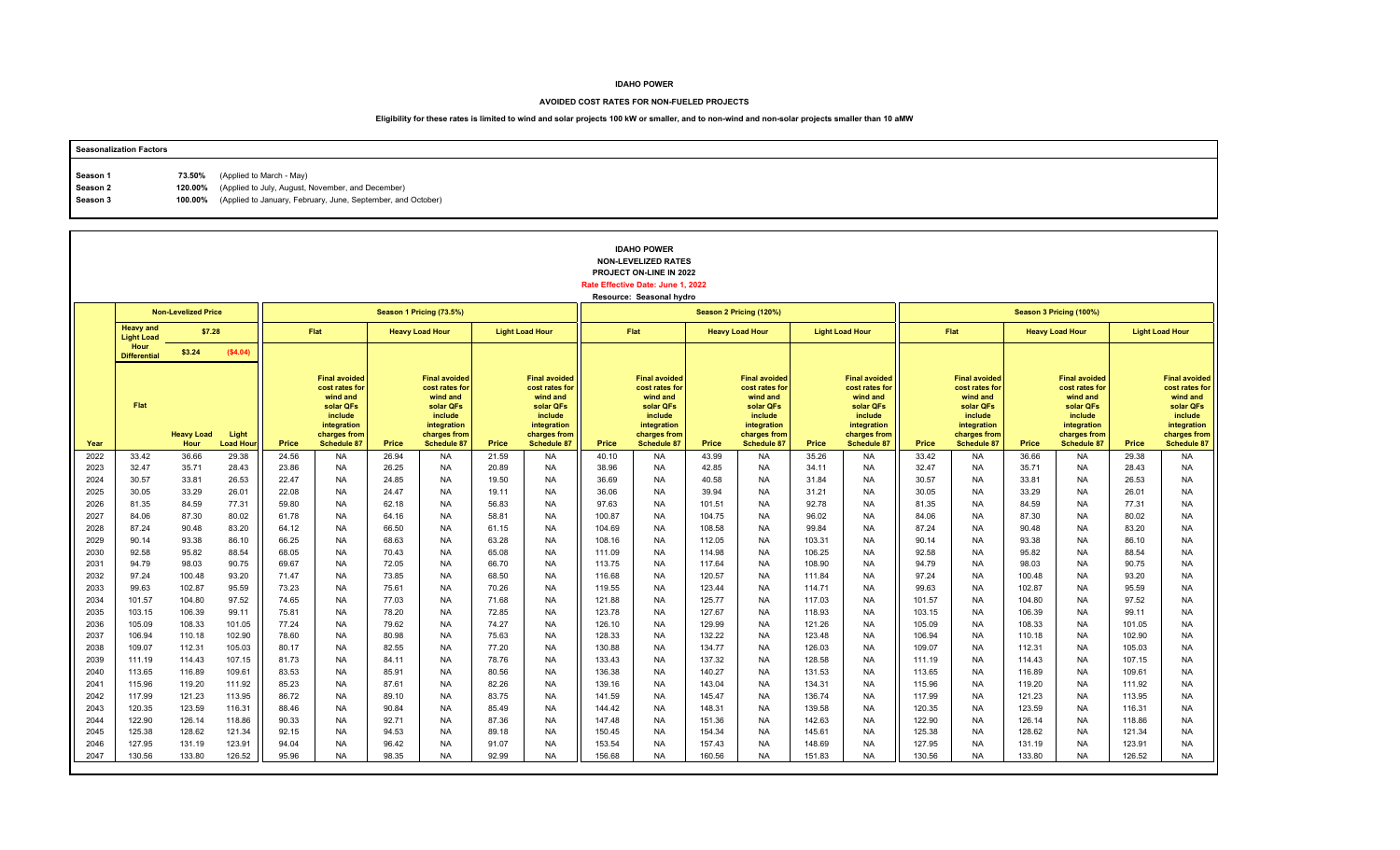#### **AVOIDED COST RATES FOR NON-FUELED PROJECTS**

| <b>Seasonalization Factors</b> |        |                                                                      |
|--------------------------------|--------|----------------------------------------------------------------------|
|                                |        |                                                                      |
| Season 1                       | 73.50% | (Applied to March - May)                                             |
| Season 2                       |        | 120.00% (Applied to July, August, November, and December)            |
| Season 3                       |        | 100.00% (Applied to January, February, June, September, and October) |
|                                |        |                                                                      |

|              |                                       |                            |                          |                |                                                                                                                                 |                |                                                                                                                                 |                |                                                                                                                                 |                  | <b>IDAHO POWER</b><br><b>NON-LEVELIZED RATES</b><br>PROJECT ON-LINE IN 2022<br>Rate Effective Date: June 1, 2022<br>Resource: Seasonal hydro |                  |                                                                                                                          |                  |                                                                                                                                 |                  |                                                                                                                                 |                  |                                                                                                                                 |                  |                                                                                                                                 |
|--------------|---------------------------------------|----------------------------|--------------------------|----------------|---------------------------------------------------------------------------------------------------------------------------------|----------------|---------------------------------------------------------------------------------------------------------------------------------|----------------|---------------------------------------------------------------------------------------------------------------------------------|------------------|----------------------------------------------------------------------------------------------------------------------------------------------|------------------|--------------------------------------------------------------------------------------------------------------------------|------------------|---------------------------------------------------------------------------------------------------------------------------------|------------------|---------------------------------------------------------------------------------------------------------------------------------|------------------|---------------------------------------------------------------------------------------------------------------------------------|------------------|---------------------------------------------------------------------------------------------------------------------------------|
|              |                                       | <b>Non-Levelized Price</b> |                          |                |                                                                                                                                 |                | Season 1 Pricing (73.5%)                                                                                                        |                |                                                                                                                                 |                  |                                                                                                                                              |                  | Season 2 Pricing (120%)                                                                                                  |                  |                                                                                                                                 |                  |                                                                                                                                 |                  | Season 3 Pricing (100%)                                                                                                         |                  |                                                                                                                                 |
|              | <b>Heavy and</b><br><b>Light Load</b> | \$7.28                     |                          |                | <b>Flat</b>                                                                                                                     |                | <b>Heavy Load Hour</b>                                                                                                          |                | <b>Light Load Hour</b>                                                                                                          |                  | Flat                                                                                                                                         |                  | <b>Heavy Load Hour</b>                                                                                                   |                  | <b>Light Load Hour</b>                                                                                                          |                  | Flat                                                                                                                            |                  | <b>Heavy Load Hour</b>                                                                                                          |                  | <b>Light Load Hour</b>                                                                                                          |
|              | Hour<br><b>Differential</b>           | \$3.24                     | (\$4.04)                 |                |                                                                                                                                 |                |                                                                                                                                 |                |                                                                                                                                 |                  |                                                                                                                                              |                  |                                                                                                                          |                  |                                                                                                                                 |                  |                                                                                                                                 |                  |                                                                                                                                 |                  |                                                                                                                                 |
| Year         | Flat                                  | <b>Heavy Load</b><br>Hour  | Light<br><b>Load Hou</b> | Price          | <b>Final avoided</b><br>cost rates for<br>wind and<br>solar QFs<br>include<br>integration<br>charges from<br><b>Schedule 87</b> | Price          | <b>Final avoided</b><br>cost rates for<br>wind and<br>solar QFs<br>include<br>integration<br>charges from<br><b>Schedule 87</b> | Price          | <b>Final avoided</b><br>cost rates for<br>wind and<br>solar QFs<br>include<br>integration<br>charges from<br><b>Schedule 87</b> | Price            | <b>Final avoided</b><br>cost rates for<br>wind and<br>solar QFs<br>include<br>integration<br>charges from<br><b>Schedule 87</b>              | Price            | <b>Final avoided</b><br>cost rates for<br>wind and<br>solar QFs<br>include<br>integration<br>charges from<br>Schedule 87 | Price            | <b>Final avoided</b><br>cost rates for<br>wind and<br>solar QFs<br>include<br>integration<br>charges from<br><b>Schedule 87</b> | Price            | <b>Final avoided</b><br>cost rates for<br>wind and<br>solar QFs<br>include<br>integration<br>charges from<br><b>Schedule 87</b> | Price            | <b>Final avoided</b><br>cost rates for<br>wind and<br>solar QFs<br>include<br>integration<br>charges from<br><b>Schedule 87</b> | Price            | <b>Final avoided</b><br>cost rates for<br>wind and<br>solar QFs<br>include<br>integration<br>charges from<br><b>Schedule 87</b> |
| 2022         | 33.42                                 | 36.66                      | 29.38                    | 24.56          | <b>NA</b>                                                                                                                       | 26.94          | <b>NA</b>                                                                                                                       | 21.59          | <b>NA</b>                                                                                                                       | 40.10            | <b>NA</b>                                                                                                                                    | 43.99            | <b>NA</b>                                                                                                                | 35.26            | <b>NA</b>                                                                                                                       | 33.42            | <b>NA</b>                                                                                                                       | 36.66            | <b>NA</b>                                                                                                                       | 29.38            | <b>NA</b>                                                                                                                       |
| 2023         | 32.47                                 | 35.71                      | 28.43                    | 23.86          | <b>NA</b>                                                                                                                       | 26.25          | <b>NA</b>                                                                                                                       | 20.89          | NA                                                                                                                              | 38.96            | NA                                                                                                                                           | 42.85            | <b>NA</b>                                                                                                                | 34.11            | NA                                                                                                                              | 32.47            | <b>NA</b>                                                                                                                       | 35.71            | <b>NA</b>                                                                                                                       | 28.43            | <b>NA</b>                                                                                                                       |
| 2024         | 30.57                                 | 33.81                      | 26.53                    | 22.47          | <b>NA</b>                                                                                                                       | 24.85          | <b>NA</b>                                                                                                                       | 19.50          | <b>NA</b>                                                                                                                       | 36.69            | <b>NA</b>                                                                                                                                    | 40.58            | <b>NA</b>                                                                                                                | 31.84            | <b>NA</b>                                                                                                                       | 30.57            | <b>NA</b>                                                                                                                       | 33.81            | <b>NA</b>                                                                                                                       | 26.53            | <b>NA</b>                                                                                                                       |
| 2025<br>2026 | 30.05<br>81.35                        | 33.29<br>84.59             | 26.01<br>77.31           | 22.08<br>59.80 | <b>NA</b><br><b>NA</b>                                                                                                          | 24.47<br>62.18 | <b>NA</b><br><b>NA</b>                                                                                                          | 19.11<br>56.83 | <b>NA</b><br><b>NA</b>                                                                                                          | 36.06<br>97.63   | <b>NA</b><br><b>NA</b>                                                                                                                       | 39.94<br>101.51  | <b>NA</b><br><b>NA</b>                                                                                                   | 31.21<br>92.78   | <b>NA</b><br><b>NA</b>                                                                                                          | 30.05<br>81.35   | <b>NA</b><br><b>NA</b>                                                                                                          | 33.29<br>84.59   | <b>NA</b><br><b>NA</b>                                                                                                          | 26.01<br>77.31   | <b>NA</b><br><b>NA</b>                                                                                                          |
| 2027         | 84.06                                 | 87.30                      | 80.02                    | 61.78          | <b>NA</b>                                                                                                                       | 64.16          | <b>NA</b>                                                                                                                       | 58.81          | <b>NA</b>                                                                                                                       | 100.87           | <b>NA</b>                                                                                                                                    | 104.75           | <b>NA</b>                                                                                                                | 96.02            | <b>NA</b>                                                                                                                       | 84.06            | <b>NA</b>                                                                                                                       | 87.30            | <b>NA</b>                                                                                                                       | 80.02            | <b>NA</b>                                                                                                                       |
| 2028         | 87.24                                 | 90.48                      | 83.20                    | 64.12          | <b>NA</b>                                                                                                                       | 66.50          | <b>NA</b>                                                                                                                       | 61.15          | <b>NA</b>                                                                                                                       | 104.69           | <b>NA</b>                                                                                                                                    | 108.58           | <b>NA</b>                                                                                                                | 99.84            | <b>NA</b>                                                                                                                       | 87.24            | <b>NA</b>                                                                                                                       | 90.48            | <b>NA</b>                                                                                                                       | 83.20            | <b>NA</b>                                                                                                                       |
| 2029         | 90.14                                 | 93.38                      | 86.10                    | 66.25          | <b>NA</b>                                                                                                                       | 68.63          | <b>NA</b>                                                                                                                       | 63.28          | <b>NA</b>                                                                                                                       | 108.16           | <b>NA</b>                                                                                                                                    | 112.05           | <b>NA</b>                                                                                                                | 103.31           | <b>NA</b>                                                                                                                       | 90.14            | <b>NA</b>                                                                                                                       | 93.38            | <b>NA</b>                                                                                                                       | 86.10            | <b>NA</b>                                                                                                                       |
| 2030         | 92.58                                 | 95.82                      | 88.54                    | 68.05          | <b>NA</b>                                                                                                                       | 70.43          | <b>NA</b>                                                                                                                       | 65.08          | <b>NA</b>                                                                                                                       | 111.09           | <b>NA</b>                                                                                                                                    | 114.98           | <b>NA</b>                                                                                                                | 106.25           | <b>NA</b>                                                                                                                       | 92.58            | <b>NA</b>                                                                                                                       | 95.82            | <b>NA</b>                                                                                                                       | 88.54            | <b>NA</b>                                                                                                                       |
| 2031         | 94.79                                 | 98.03                      | 90.75                    | 69.67          | <b>NA</b>                                                                                                                       | 72.05          | <b>NA</b>                                                                                                                       | 66.70          | <b>NA</b>                                                                                                                       | 113.75           | <b>NA</b>                                                                                                                                    | 117.64           | <b>NA</b>                                                                                                                | 108.90           | <b>NA</b>                                                                                                                       | 94.79            | <b>NA</b>                                                                                                                       | 98.03            | <b>NA</b>                                                                                                                       | 90.75            | <b>NA</b>                                                                                                                       |
| 2032         | 97.24                                 | 100.48                     | 93.20                    | 71.47          | <b>NA</b>                                                                                                                       | 73.85          | <b>NA</b>                                                                                                                       | 68.50          | <b>NA</b>                                                                                                                       | 116.68           | <b>NA</b>                                                                                                                                    | 120.57           | <b>NA</b>                                                                                                                | 111.84           | NA                                                                                                                              | 97.24            | <b>NA</b>                                                                                                                       | 100.48           | <b>NA</b>                                                                                                                       | 93.20            | <b>NA</b>                                                                                                                       |
| 2033         | 99.63                                 | 102.87                     | 95.59                    | 73.23          | <b>NA</b>                                                                                                                       | 75.61          | <b>NA</b>                                                                                                                       | 70.26          | <b>NA</b>                                                                                                                       | 119.55           | <b>NA</b>                                                                                                                                    | 123.44           | <b>NA</b>                                                                                                                | 114.71           | <b>NA</b>                                                                                                                       | 99.63            | <b>NA</b>                                                                                                                       | 102.87           | <b>NA</b>                                                                                                                       | 95.59            | <b>NA</b>                                                                                                                       |
| 2034         | 101.57                                | 104.80                     | 97.52                    | 74.65          | <b>NA</b>                                                                                                                       | 77.03          | <b>NA</b>                                                                                                                       | 71.68          | <b>NA</b>                                                                                                                       | 121.88           | <b>NA</b>                                                                                                                                    | 125.77           | <b>NA</b>                                                                                                                | 117.03           | <b>NA</b>                                                                                                                       | 101.57           | <b>NA</b>                                                                                                                       | 104.80           | <b>NA</b>                                                                                                                       | 97.52            | <b>NA</b>                                                                                                                       |
| 2035<br>2036 | 103.15                                | 106.39                     | 99.11                    | 75.81          | <b>NA</b><br><b>NA</b>                                                                                                          | 78.20          | <b>NA</b>                                                                                                                       | 72.85          | <b>NA</b>                                                                                                                       | 123.78           | <b>NA</b>                                                                                                                                    | 127.67           | <b>NA</b><br><b>NA</b>                                                                                                   | 118.93           | <b>NA</b>                                                                                                                       | 103.15           | <b>NA</b><br><b>NA</b>                                                                                                          | 106.39           | <b>NA</b>                                                                                                                       | 99.11            | <b>NA</b><br><b>NA</b>                                                                                                          |
| 2037         | 105.09<br>106.94                      | 108.33<br>110.18           | 101.05<br>102.90         | 77.24<br>78.60 | <b>NA</b>                                                                                                                       | 79.62<br>80.98 | <b>NA</b><br><b>NA</b>                                                                                                          | 74.27<br>75.63 | <b>NA</b><br><b>NA</b>                                                                                                          | 126.10<br>128.33 | <b>NA</b><br><b>NA</b>                                                                                                                       | 129.99<br>132.22 | <b>NA</b>                                                                                                                | 121.26<br>123.48 | NA<br><b>NA</b>                                                                                                                 | 105.09<br>106.94 | <b>NA</b>                                                                                                                       | 108.33<br>110.18 | <b>NA</b><br><b>NA</b>                                                                                                          | 101.05<br>102.90 | <b>NA</b>                                                                                                                       |
| 2038         | 109.07                                | 112.31                     | 105.03                   | 80.17          | <b>NA</b>                                                                                                                       | 82.55          | <b>NA</b>                                                                                                                       | 77.20          | <b>NA</b>                                                                                                                       | 130.88           | <b>NA</b>                                                                                                                                    | 134.77           | <b>NA</b>                                                                                                                | 126.03           | <b>NA</b>                                                                                                                       | 109.07           | <b>NA</b>                                                                                                                       | 112.31           | <b>NA</b>                                                                                                                       | 105.03           | <b>NA</b>                                                                                                                       |
| 2039         | 111.19                                | 114.43                     | 107.15                   | 81.73          | <b>NA</b>                                                                                                                       | 84.11          | <b>NA</b>                                                                                                                       | 78.76          | <b>NA</b>                                                                                                                       | 133.43           | <b>NA</b>                                                                                                                                    | 137.32           | <b>NA</b>                                                                                                                | 128.58           | <b>NA</b>                                                                                                                       | 111.19           | <b>NA</b>                                                                                                                       | 114.43           | <b>NA</b>                                                                                                                       | 107.15           | <b>NA</b>                                                                                                                       |
| 2040         | 113.65                                | 116.89                     | 109.61                   | 83.53          | <b>NA</b>                                                                                                                       | 85.91          | <b>NA</b>                                                                                                                       | 80.56          | <b>NA</b>                                                                                                                       | 136.38           | <b>NA</b>                                                                                                                                    | 140.27           | <b>NA</b>                                                                                                                | 131.53           | <b>NA</b>                                                                                                                       | 113.65           | <b>NA</b>                                                                                                                       | 116.89           | <b>NA</b>                                                                                                                       | 109.61           | <b>NA</b>                                                                                                                       |
| 2041         | 115.96                                | 119.20                     | 111.92                   | 85.23          | <b>NA</b>                                                                                                                       | 87.61          | <b>NA</b>                                                                                                                       | 82.26          | <b>NA</b>                                                                                                                       | 139.16           | <b>NA</b>                                                                                                                                    | 143.04           | <b>NA</b>                                                                                                                | 134.31           | <b>NA</b>                                                                                                                       | 115.96           | <b>NA</b>                                                                                                                       | 119.20           | <b>NA</b>                                                                                                                       | 111.92           | <b>NA</b>                                                                                                                       |
| 2042         | 117.99                                | 121.23                     | 113.95                   | 86.72          | <b>NA</b>                                                                                                                       | 89.10          | <b>NA</b>                                                                                                                       | 83.75          | <b>NA</b>                                                                                                                       | 141.59           | <b>NA</b>                                                                                                                                    | 145.47           | <b>NA</b>                                                                                                                | 136.74           | NA                                                                                                                              | 117.99           | <b>NA</b>                                                                                                                       | 121.23           | <b>NA</b>                                                                                                                       | 113.95           | <b>NA</b>                                                                                                                       |
| 2043         | 120.35                                | 123.59                     | 116.31                   | 88.46          | <b>NA</b>                                                                                                                       | 90.84          | <b>NA</b>                                                                                                                       | 85.49          | <b>NA</b>                                                                                                                       | 144.42           | <b>NA</b>                                                                                                                                    | 148.31           | <b>NA</b>                                                                                                                | 139.58           | <b>NA</b>                                                                                                                       | 120.35           | <b>NA</b>                                                                                                                       | 123.59           | <b>NA</b>                                                                                                                       | 116.31           | <b>NA</b>                                                                                                                       |
| 2044         | 122.90                                | 126.14                     | 118.86                   | 90.33          | <b>NA</b>                                                                                                                       | 92.71          | <b>NA</b>                                                                                                                       | 87.36          | <b>NA</b>                                                                                                                       | 147.48           | <b>NA</b>                                                                                                                                    | 151.36           | <b>NA</b>                                                                                                                | 142.63           | <b>NA</b>                                                                                                                       | 122.90           | <b>NA</b>                                                                                                                       | 126.14           | <b>NA</b>                                                                                                                       | 118.86           | <b>NA</b>                                                                                                                       |
| 2045         | 125.38                                | 128.62                     | 121.34                   | 92.15          | <b>NA</b>                                                                                                                       | 94.53          | <b>NA</b>                                                                                                                       | 89.18          | <b>NA</b>                                                                                                                       | 150.45           | <b>NA</b>                                                                                                                                    | 154.34           | <b>NA</b>                                                                                                                | 145.61           | <b>NA</b>                                                                                                                       | 125.38           | <b>NA</b>                                                                                                                       | 128.62           | <b>NA</b>                                                                                                                       | 121.34           | <b>NA</b>                                                                                                                       |
| 2046         | 127.95                                | 131.19                     | 123.91                   | 94.04          | <b>NA</b>                                                                                                                       | 96.42          | <b>NA</b>                                                                                                                       | 91.07          | <b>NA</b>                                                                                                                       | 153.54           | <b>NA</b>                                                                                                                                    | 157.43           | <b>NA</b>                                                                                                                | 148.69           | <b>NA</b>                                                                                                                       | 127.95           | <b>NA</b>                                                                                                                       | 131.19           | <b>NA</b>                                                                                                                       | 123.91           | <b>NA</b>                                                                                                                       |
| 2047         | 130.56                                | 133.80                     | 126.52                   | 95.96          | <b>NA</b>                                                                                                                       | 98.35          | <b>NA</b>                                                                                                                       | 92.99          | <b>NA</b>                                                                                                                       | 156.68           | <b>NA</b>                                                                                                                                    | 160.56           | <b>NA</b>                                                                                                                | 151.83           | <b>NA</b>                                                                                                                       | 130.56           | <b>NA</b>                                                                                                                       | 133.80           | <b>NA</b>                                                                                                                       | 126.52           | <b>NA</b>                                                                                                                       |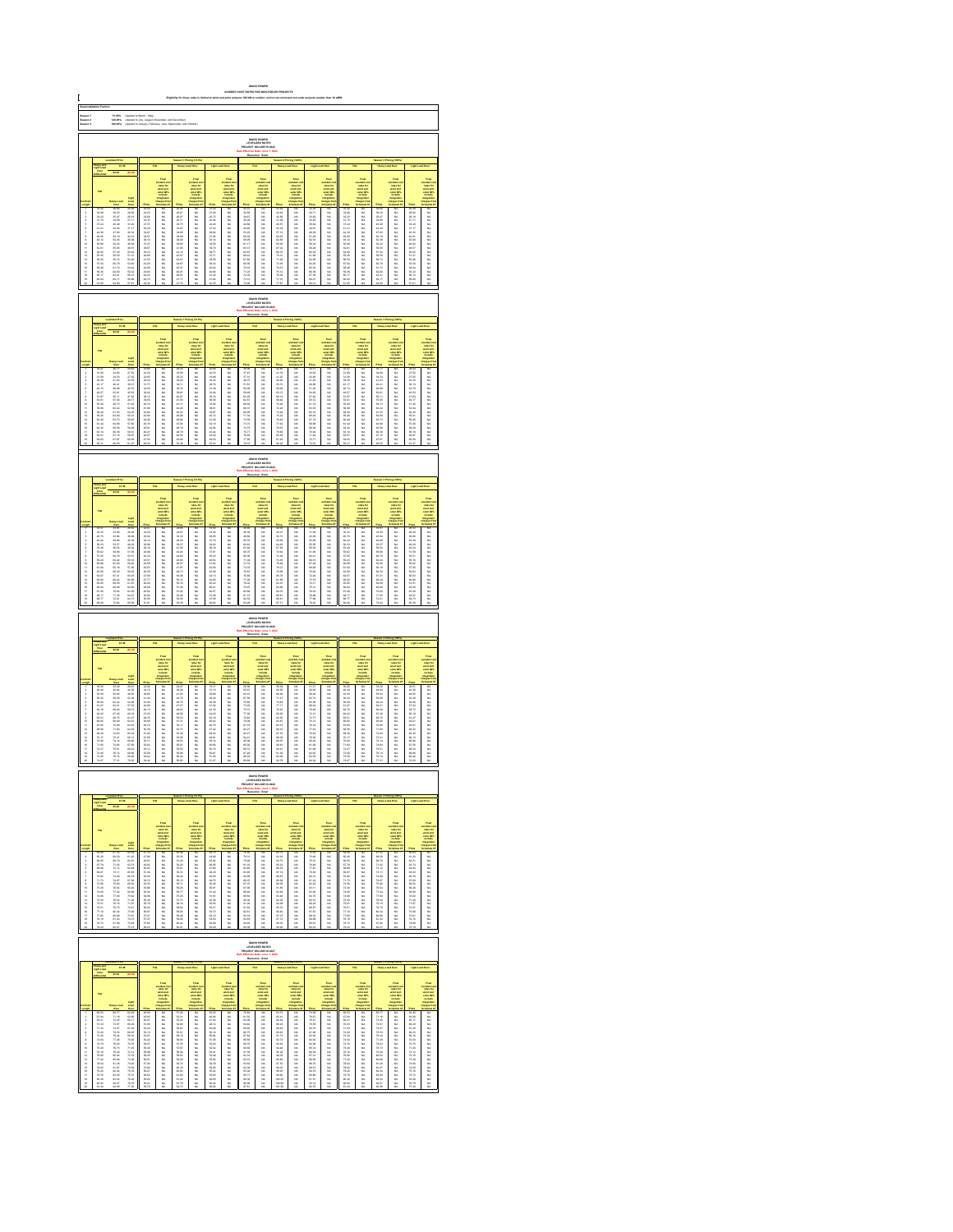|                                                                                                                                                                                                                                                                                                                                                                              | Saason 1<br>Saason 3<br>Saason 3<br>73.60%<br>120.00%<br>100.00%<br> <br> Applied to March - May)<br> Applied to Jaly, August, No<br> Applied to Jaly, August, No<br>IDAHO POWER<br>LEVELIZED RATE:<br>JECT ON-LINE IN: |                                                                                                                                                                                                                               |                                                                                                                                                                                                                                |                                                                                                            |                        |                                          |                                                                                              |                                                |                                                                                                                                                                                                                               |                                                                                                      |                                                                                      |                                                                                                                 |                                                                              |                                                                                                              |                                                                                                   |                                                  |                                                                                        |                                                        |                                                                                                         |                                                                                                      |                                                                                                                                                                                                                               |
|------------------------------------------------------------------------------------------------------------------------------------------------------------------------------------------------------------------------------------------------------------------------------------------------------------------------------------------------------------------------------|-------------------------------------------------------------------------------------------------------------------------------------------------------------------------------------------------------------------------|-------------------------------------------------------------------------------------------------------------------------------------------------------------------------------------------------------------------------------|--------------------------------------------------------------------------------------------------------------------------------------------------------------------------------------------------------------------------------|------------------------------------------------------------------------------------------------------------|------------------------|------------------------------------------|----------------------------------------------------------------------------------------------|------------------------------------------------|-------------------------------------------------------------------------------------------------------------------------------------------------------------------------------------------------------------------------------|------------------------------------------------------------------------------------------------------|--------------------------------------------------------------------------------------|-----------------------------------------------------------------------------------------------------------------|------------------------------------------------------------------------------|--------------------------------------------------------------------------------------------------------------|---------------------------------------------------------------------------------------------------|--------------------------------------------------|----------------------------------------------------------------------------------------|--------------------------------------------------------|---------------------------------------------------------------------------------------------------------|------------------------------------------------------------------------------------------------------|-------------------------------------------------------------------------------------------------------------------------------------------------------------------------------------------------------------------------------|
|                                                                                                                                                                                                                                                                                                                                                                              |                                                                                                                                                                                                                         |                                                                                                                                                                                                                               |                                                                                                                                                                                                                                |                                                                                                            |                        |                                          |                                                                                              |                                                |                                                                                                                                                                                                                               |                                                                                                      |                                                                                      |                                                                                                                 |                                                                              |                                                                                                              |                                                                                                   |                                                  |                                                                                        |                                                        |                                                                                                         |                                                                                                      |                                                                                                                                                                                                                               |
|                                                                                                                                                                                                                                                                                                                                                                              |                                                                                                                                                                                                                         |                                                                                                                                                                                                                               |                                                                                                                                                                                                                                |                                                                                                            |                        |                                          |                                                                                              |                                                |                                                                                                                                                                                                                               |                                                                                                      |                                                                                      |                                                                                                                 |                                                                              |                                                                                                              |                                                                                                   |                                                  |                                                                                        |                                                        |                                                                                                         |                                                                                                      |                                                                                                                                                                                                                               |
|                                                                                                                                                                                                                                                                                                                                                                              |                                                                                                                                                                                                                         | 87.38                                                                                                                                                                                                                         |                                                                                                                                                                                                                                |                                                                                                            |                        |                                          |                                                                                              |                                                |                                                                                                                                                                                                                               |                                                                                                      |                                                                                      |                                                                                                                 |                                                                              |                                                                                                              |                                                                                                   |                                                  |                                                                                        |                                                        |                                                                                                         |                                                                                                      |                                                                                                                                                                                                                               |
|                                                                                                                                                                                                                                                                                                                                                                              |                                                                                                                                                                                                                         |                                                                                                                                                                                                                               |                                                                                                                                                                                                                                |                                                                                                            |                        |                                          | Final<br>selfad dan<br>selfad danis selfad danis<br>selfad in languat ter<br>hangara ter     |                                                |                                                                                                                                                                                                                               |                                                                                                      | Find<br>under de<br>under der der<br>under Officielle<br>under der                   |                                                                                                                 |                                                                              |                                                                                                              |                                                                                                   |                                                  |                                                                                        |                                                        | Final<br>voluntario<br>voluntario<br>voluntario<br>voluntario<br>voluntario<br>voluntario<br>voluntario |                                                                                                      |                                                                                                                                                                                                                               |
|                                                                                                                                                                                                                                                                                                                                                                              |                                                                                                                                                                                                                         |                                                                                                                                                                                                                               |                                                                                                                                                                                                                                |                                                                                                            |                        |                                          |                                                                                              |                                                |                                                                                                                                                                                                                               |                                                                                                      |                                                                                      |                                                                                                                 |                                                                              |                                                                                                              |                                                                                                   |                                                  |                                                                                        |                                                        |                                                                                                         |                                                                                                      |                                                                                                                                                                                                                               |
|                                                                                                                                                                                                                                                                                                                                                                              |                                                                                                                                                                                                                         |                                                                                                                                                                                                                               |                                                                                                                                                                                                                                |                                                                                                            |                        |                                          |                                                                                              |                                                |                                                                                                                                                                                                                               |                                                                                                      |                                                                                      |                                                                                                                 |                                                                              |                                                                                                              |                                                                                                   |                                                  |                                                                                        |                                                        |                                                                                                         |                                                                                                      |                                                                                                                                                                                                                               |
|                                                                                                                                                                                                                                                                                                                                                                              |                                                                                                                                                                                                                         |                                                                                                                                                                                                                               |                                                                                                                                                                                                                                |                                                                                                            |                        |                                          |                                                                                              |                                                |                                                                                                                                                                                                                               |                                                                                                      |                                                                                      |                                                                                                                 |                                                                              |                                                                                                              |                                                                                                   |                                                  |                                                                                        |                                                        |                                                                                                         |                                                                                                      |                                                                                                                                                                                                                               |
| 显示失真原不显示协计经经转线继续排排                                                                                                                                                                                                                                                                                                                                                           | 22215  2315  2316  2316  2315  2315                                                                                                                                                                                     | 36.80 35.47 35.68 45.45 45.45 45.59 35.59 35.59 35.59 35.59 35.59 35.59 35.59 35.59 35.59 35.59 35.59 35.59 35.59 35.59 35.59 35.59 35.59 35.59 35.59 35.59 35.59 35.59 35.59 35.59 35.59 35.59 35.59 35.59 35.59 35.59 35.59 |                                                                                                                                                                                                                                |                                                                                                            | 3.以以以以以以以以以以以以以以以以以以以以 | 1.含含含含氢氢氢的合金 经总额的 化二氯化物 医三氯化物 计多数数据      |                                                                                              | "我们的人们的人们的人们们的人们的人们的人们的人们的人们的人们的人们的            | Former Section 2016年1月11日 10月20日 10月20日 10月20日 10月20日 10月20日 10月20日 10月20日 10月20日 10月20日 10月20日 10月20日 10月20日 10月20日 10月20日 10月20日 10月20日 10月20日 10月20日 10月20日 10月20日 10月20日 10月20日 10月20日 10月20日 10月20日 10月20日 10月20日 10月20日 |                                                                                                      |                                                                                      | 战战胜 机新式砂路 经成本 化自动控制 计分类 化二乙基苯基 医心包 医心包 医心包 医心包的                                                                 | 以以以以以以以以以以以以以以以以以以以                                                          |                                                                                                              |                                                                                                   | 医精神病 化硫酸铁 医精神性 医神经性 医神经性 医二氯化物 医阿尔比尔氏征           |                                                                                        | 一名名 化合金分配金属金属金属金属金属金属金属金属金属金属金属金属金属金属金属金属金属金属          |                                                                                                         | 2022年2月22日 12月22日 12月22日 12月22日 12月22日 12月22日 12月22日 12月22日 12月22日 12月22日 12月22日 12月22日 12月22日       | take the first off work of the first of the first off the first off the first off the first off the first off the first off the first off the first off the first off the first off the first off the first off the first off |
|                                                                                                                                                                                                                                                                                                                                                                              |                                                                                                                                                                                                                         |                                                                                                                                                                                                                               |                                                                                                                                                                                                                                |                                                                                                            |                        |                                          |                                                                                              |                                                |                                                                                                                                                                                                                               |                                                                                                      |                                                                                      |                                                                                                                 |                                                                              |                                                                                                              |                                                                                                   |                                                  |                                                                                        |                                                        |                                                                                                         |                                                                                                      |                                                                                                                                                                                                                               |
|                                                                                                                                                                                                                                                                                                                                                                              |                                                                                                                                                                                                                         |                                                                                                                                                                                                                               |                                                                                                                                                                                                                                |                                                                                                            |                        |                                          |                                                                                              |                                                |                                                                                                                                                                                                                               |                                                                                                      | <b>DAHO POWER</b><br>LEVELIZED RATES                                                 |                                                                                                                 |                                                                              |                                                                                                              |                                                                                                   |                                                  |                                                                                        |                                                        |                                                                                                         |                                                                                                      |                                                                                                                                                                                                                               |
|                                                                                                                                                                                                                                                                                                                                                                              |                                                                                                                                                                                                                         |                                                                                                                                                                                                                               |                                                                                                                                                                                                                                |                                                                                                            |                        |                                          |                                                                                              |                                                |                                                                                                                                                                                                                               |                                                                                                      |                                                                                      |                                                                                                                 |                                                                              |                                                                                                              |                                                                                                   |                                                  |                                                                                        |                                                        |                                                                                                         |                                                                                                      |                                                                                                                                                                                                                               |
|                                                                                                                                                                                                                                                                                                                                                                              |                                                                                                                                                                                                                         |                                                                                                                                                                                                                               |                                                                                                                                                                                                                                |                                                                                                            |                        |                                          |                                                                                              |                                                |                                                                                                                                                                                                                               |                                                                                                      |                                                                                      |                                                                                                                 |                                                                              |                                                                                                              |                                                                                                   |                                                  |                                                                                        |                                                        |                                                                                                         |                                                                                                      |                                                                                                                                                                                                                               |
|                                                                                                                                                                                                                                                                                                                                                                              |                                                                                                                                                                                                                         |                                                                                                                                                                                                                               |                                                                                                                                                                                                                                |                                                                                                            |                        |                                          | vented and<br>select and<br>select the select<br>industries                                  |                                                | Final<br>subject is<br>subject in<br>subject in<br>include                                                                                                                                                                    |                                                                                                      | vended a<br>select and<br>select and<br>matterial                                    |                                                                                                                 | voted on<br>raise for<br>sind and<br>solar CPs<br>include                    |                                                                                                              |                                                                                                   |                                                  | rains for<br>state and<br>state CP<br>instate                                          |                                                        |                                                                                                         |                                                                                                      | taka 2016年1月11日,1月12日,1月12日,1月12日,1月12日,1月12日,1月12日,1月12日,1月12日,1月12日,1月12日,1月12日,1月12日,1月12日,1月12日,                                                                                                                          |
|                                                                                                                                                                                                                                                                                                                                                                              |                                                                                                                                                                                                                         |                                                                                                                                                                                                                               |                                                                                                                                                                                                                                |                                                                                                            |                        |                                          |                                                                                              |                                                |                                                                                                                                                                                                                               |                                                                                                      |                                                                                      |                                                                                                                 |                                                                              |                                                                                                              | 2. 风烟 机加热机 化加热加热加热加热 化加热加热                                                                        |                                                  |                                                                                        |                                                        | 加加加加加加加加加加加加加加加加加加                                                                                      |                                                                                                      |                                                                                                                                                                                                                               |
|                                                                                                                                                                                                                                                                                                                                                                              |                                                                                                                                                                                                                         |                                                                                                                                                                                                                               |                                                                                                                                                                                                                                |                                                                                                            |                        |                                          |                                                                                              |                                                |                                                                                                                                                                                                                               |                                                                                                      |                                                                                      |                                                                                                                 |                                                                              |                                                                                                              |                                                                                                   |                                                  |                                                                                        |                                                        |                                                                                                         |                                                                                                      |                                                                                                                                                                                                                               |
|                                                                                                                                                                                                                                                                                                                                                                              |                                                                                                                                                                                                                         |                                                                                                                                                                                                                               |                                                                                                                                                                                                                                |                                                                                                            |                        |                                          |                                                                                              |                                                |                                                                                                                                                                                                                               |                                                                                                      |                                                                                      |                                                                                                                 |                                                                              |                                                                                                              |                                                                                                   | 医抗抗菌素 医自动性脑膜炎 医阿拉伯氏试验检尿道氏征 医白色性白色 医白色性白色         |                                                                                        | 为某人 化多重分子 医多重性 计多级 医多型性皮炎                              |                                                                                                         |                                                                                                      |                                                                                                                                                                                                                               |
| 1. 化甲状腺杆菌素 医皮肤皮肤皮肤皮肤皮肤皮肤皮肤<br>2005年起发展 经总额的比率 经总额的 化硫酸盐 计数据数据 医单位性骨折 医血管切除术 医血管切除术<br>化脱机机机机 机机机机机机机机机机机机机<br>以以以以以以以以以以以以以以以以以以以<br>22.54.20.30.30.77 46.57 47.82.93.45 48.58 58.58 58.58 58.58 58.58 58.58 58.58 58.58 58.58 58.58 58.5<br>酒活活活派派 机机动机成机械 机砂板机 机机<br>おかかん かんしゅん かいしゅうしゅん あいはん かんこう こうかんかい かいしゅう かいしゅう<br>在几日路远远在这就建地发光光光光光光的山路光源的地区,<br>卫生并有先天主席所行经经经经经经经经 |                                                                                                                                                                                                                         |                                                                                                                                                                                                                               |                                                                                                                                                                                                                                |                                                                                                            |                        |                                          |                                                                                              |                                                |                                                                                                                                                                                                                               |                                                                                                      |                                                                                      |                                                                                                                 |                                                                              |                                                                                                              |                                                                                                   |                                                  |                                                                                        |                                                        |                                                                                                         |                                                                                                      |                                                                                                                                                                                                                               |
|                                                                                                                                                                                                                                                                                                                                                                              | IDAHO POWER<br>LEVELIZED RATES<br>LECT ON-LINE IN 202                                                                                                                                                                   |                                                                                                                                                                                                                               |                                                                                                                                                                                                                                |                                                                                                            |                        |                                          |                                                                                              |                                                |                                                                                                                                                                                                                               |                                                                                                      |                                                                                      |                                                                                                                 |                                                                              |                                                                                                              |                                                                                                   |                                                  |                                                                                        |                                                        |                                                                                                         |                                                                                                      |                                                                                                                                                                                                                               |
|                                                                                                                                                                                                                                                                                                                                                                              | 87.3                                                                                                                                                                                                                    |                                                                                                                                                                                                                               |                                                                                                                                                                                                                                |                                                                                                            |                        |                                          |                                                                                              |                                                |                                                                                                                                                                                                                               |                                                                                                      |                                                                                      |                                                                                                                 |                                                                              |                                                                                                              |                                                                                                   |                                                  |                                                                                        |                                                        |                                                                                                         |                                                                                                      |                                                                                                                                                                                                                               |
| navy am<br>ghl Loa                                                                                                                                                                                                                                                                                                                                                           |                                                                                                                                                                                                                         |                                                                                                                                                                                                                               |                                                                                                                                                                                                                                |                                                                                                            |                        |                                          |                                                                                              |                                                |                                                                                                                                                                                                                               |                                                                                                      |                                                                                      |                                                                                                                 |                                                                              |                                                                                                              |                                                                                                   |                                                  |                                                                                        |                                                        |                                                                                                         |                                                                                                      |                                                                                                                                                                                                                               |
|                                                                                                                                                                                                                                                                                                                                                                              |                                                                                                                                                                                                                         |                                                                                                                                                                                                                               |                                                                                                                                                                                                                                |                                                                                                            |                        |                                          | weathed and<br>colorador formulaes<br>colorador formulaes<br>integration<br>hargest for      |                                                | value of<br>raise for<br>sing and<br>sales QP<br>include                                                                                                                                                                      |                                                                                                      | wided on<br>subset for<br>wind and<br>suiter Cify<br>include                         |                                                                                                                 | volad<br>sales for<br>sales des<br>sales CPs<br>include                      |                                                                                                              | volded on<br>ratios for<br>militar del ante<br>solaritar del proposito<br>hangaritar<br>hangarita |                                                  |                                                                                        |                                                        | ontine) a<br>radom Re<br>wired any<br>walter Cit                                                        |                                                                                                      | state and additional Property of Microsoft Property and Additional Property of Microsoft Property and Additional Property of Microsoft Property and Additional Property Property Property Property Property Property Property |
|                                                                                                                                                                                                                                                                                                                                                                              |                                                                                                                                                                                                                         |                                                                                                                                                                                                                               | New 24.53 24.55 24.55 24.55 24.55 24.55 24.55 24.55 24.55 24.55 24.55 25.56 25.57 25.57 25.57 25.57 25.57 25.57 25.57 25.57 25.57 25.57 25.57 25.57 25.57 25.57 25.57 25.57 25.57 25.57 25.57 25.57 25.57 25.57 25.57 25.57 25 |                                                                                                            | 化脱机机脱机脱机机脱机脱机脱机脱机脱机    |                                          |                                                                                              |                                                |                                                                                                                                                                                                                               |                                                                                                      |                                                                                      |                                                                                                                 |                                                                              |                                                                                                              | ***********************                                                                           |                                                  | ,,,,,,,,,,,,,,,,,,,,,,,,,,,,                                                           |                                                        |                                                                                                         |                                                                                                      |                                                                                                                                                                                                                               |
| - 17 日月有月早早日给计时归归帐帐饮饮饮                                                                                                                                                                                                                                                                                                                                                       | 2020年6月 2021年5月 2021年5月 2021年5月 2021年5月 2021年5月 2021年5月 2021年5月 2021年5月 2021年5月 2021年5月 2021年5月 20                                                                                                                      |                                                                                                                                                                                                                               |                                                                                                                                                                                                                                |                                                                                                            |                        | 【武装派派长教练编校的对称结果》 计数据数据 化二乙基苯基 医单位性骨折 计数据 |                                                                                              | 一种的复数形式 医白细胞 医红细胞 医红细胞 医红细胞 医红细胞 医红细胞          |                                                                                                                                                                                                                               |                                                                                                      |                                                                                      | 4027 台頭 44 名为新闻 22 名前 32 名前 32 名前 32 名前 32 名前 32 名前 32 名前 32 名前 32 名前 32 名前 32 名前 32 名前 32 名前 32 名前 32 名前 32 名前 | 以以及以以以以以以以以以以以以以以以以                                                          |                                                                                                              |                                                                                                   |                                                  |                                                                                        | 一致自由公众法的收益的法 医新洲肠腺 的过去分词                               | 加加加加加加加加加加加加加加加加加加                                                                                      |                                                                                                      |                                                                                                                                                                                                                               |
|                                                                                                                                                                                                                                                                                                                                                                              |                                                                                                                                                                                                                         |                                                                                                                                                                                                                               |                                                                                                                                                                                                                                |                                                                                                            |                        |                                          |                                                                                              |                                                |                                                                                                                                                                                                                               |                                                                                                      |                                                                                      |                                                                                                                 |                                                                              |                                                                                                              |                                                                                                   |                                                  |                                                                                        |                                                        |                                                                                                         |                                                                                                      |                                                                                                                                                                                                                               |
|                                                                                                                                                                                                                                                                                                                                                                              |                                                                                                                                                                                                                         |                                                                                                                                                                                                                               |                                                                                                                                                                                                                                |                                                                                                            |                        |                                          |                                                                                              |                                                |                                                                                                                                                                                                                               |                                                                                                      |                                                                                      |                                                                                                                 |                                                                              |                                                                                                              |                                                                                                   |                                                  |                                                                                        |                                                        |                                                                                                         |                                                                                                      |                                                                                                                                                                                                                               |
|                                                                                                                                                                                                                                                                                                                                                                              |                                                                                                                                                                                                                         |                                                                                                                                                                                                                               |                                                                                                                                                                                                                                |                                                                                                            |                        |                                          |                                                                                              |                                                |                                                                                                                                                                                                                               |                                                                                                      |                                                                                      |                                                                                                                 |                                                                              |                                                                                                              |                                                                                                   |                                                  |                                                                                        |                                                        |                                                                                                         |                                                                                                      |                                                                                                                                                                                                                               |
|                                                                                                                                                                                                                                                                                                                                                                              |                                                                                                                                                                                                                         |                                                                                                                                                                                                                               |                                                                                                                                                                                                                                |                                                                                                            |                        |                                          |                                                                                              |                                                |                                                                                                                                                                                                                               |                                                                                                      |                                                                                      |                                                                                                                 |                                                                              |                                                                                                              |                                                                                                   |                                                  |                                                                                        |                                                        |                                                                                                         |                                                                                                      |                                                                                                                                                                                                                               |
|                                                                                                                                                                                                                                                                                                                                                                              |                                                                                                                                                                                                                         | 87.31                                                                                                                                                                                                                         |                                                                                                                                                                                                                                |                                                                                                            |                        |                                          |                                                                                              |                                                |                                                                                                                                                                                                                               |                                                                                                      | <b>IDAHO POWER</b><br>LEVELIZED RATES<br>LIECT ON-LINE IN 2<br>Fictive Date: Jane 1, |                                                                                                                 |                                                                              |                                                                                                              |                                                                                                   |                                                  |                                                                                        |                                                        |                                                                                                         |                                                                                                      |                                                                                                                                                                                                                               |
|                                                                                                                                                                                                                                                                                                                                                                              |                                                                                                                                                                                                                         |                                                                                                                                                                                                                               |                                                                                                                                                                                                                                |                                                                                                            |                        |                                          |                                                                                              |                                                |                                                                                                                                                                                                                               |                                                                                                      |                                                                                      |                                                                                                                 |                                                                              |                                                                                                              |                                                                                                   |                                                  |                                                                                        |                                                        |                                                                                                         |                                                                                                      |                                                                                                                                                                                                                               |
|                                                                                                                                                                                                                                                                                                                                                                              |                                                                                                                                                                                                                         |                                                                                                                                                                                                                               |                                                                                                                                                                                                                                |                                                                                                            |                        |                                          | Final<br>voltat ca<br>voltat for<br>voltat and<br>sales CPs<br>indicate<br>harpetics         |                                                | Final<br>coldinal of<br>coldinal and<br>solar GP<br>includes<br>colorgiation<br>colorgiation                                                                                                                                  |                                                                                                      | vended to<br>sales for<br>what are<br>salar CP<br>includes                           |                                                                                                                 | Final<br>colora for<br>colora for<br>wider City<br>toolse for<br>integration |                                                                                                              | ander<br>Allen<br>Anders<br>Angel<br>Anne                                                         |                                                  | Final<br>selection<br>selection<br>selection<br>selection<br>computers<br>transfer     |                                                        | volet &<br>sind at<br>sida G<br>technik<br>sinovit                                                      |                                                                                                      |                                                                                                                                                                                                                               |
|                                                                                                                                                                                                                                                                                                                                                                              |                                                                                                                                                                                                                         |                                                                                                                                                                                                                               |                                                                                                                                                                                                                                |                                                                                                            |                        |                                          |                                                                                              |                                                |                                                                                                                                                                                                                               |                                                                                                      |                                                                                      |                                                                                                                 |                                                                              |                                                                                                              |                                                                                                   |                                                  |                                                                                        |                                                        |                                                                                                         |                                                                                                      |                                                                                                                                                                                                                               |
|                                                                                                                                                                                                                                                                                                                                                                              |                                                                                                                                                                                                                         |                                                                                                                                                                                                                               |                                                                                                                                                                                                                                |                                                                                                            |                        |                                          |                                                                                              |                                                |                                                                                                                                                                                                                               |                                                                                                      |                                                                                      |                                                                                                                 |                                                                              |                                                                                                              |                                                                                                   |                                                  |                                                                                        |                                                        |                                                                                                         |                                                                                                      |                                                                                                                                                                                                                               |
|                                                                                                                                                                                                                                                                                                                                                                              |                                                                                                                                                                                                                         |                                                                                                                                                                                                                               |                                                                                                                                                                                                                                |                                                                                                            |                        |                                          |                                                                                              |                                                |                                                                                                                                                                                                                               |                                                                                                      |                                                                                      |                                                                                                                 |                                                                              |                                                                                                              |                                                                                                   |                                                  |                                                                                        |                                                        |                                                                                                         |                                                                                                      |                                                                                                                                                                                                                               |
|                                                                                                                                                                                                                                                                                                                                                                              | 2016年12月18日 1月18日 1月18日 1月18日 1月18日 1月18日 1月18日 1月18日 1月18日 1月18日 1月18日 1月18日 1月18日 1月18日 1月18日 1月18日 1月18日 1月18日                                                                                                       | 2012年6月18日 1月18日 1月28日 1月28日 1月28日 1月28日 1月28日 1月28日 1月28日 1月28日 1月28日 1月28日 1月28日 1月28日 1月28日 1月28日 1月28日 1月28日                                                                                                              |                                                                                                                                                                                                                                | 22.58.70.46.20.30.80.70.20.70.80.80.70.20.70.80.90.70.20.70.80.70.20.70.80.70.20.70.80.70.70.80.70.70      | 化脱机机放射机 机机机机机机机机机机机机   | 医第四指示 化自动分子 医阿尔伯氏试验检胆囊炎                  |                                                                                              | 2月28日的日本经济的 化分析 化二乙基乙烯基 化三乙基苯基 化二乙基乙烯基 化三乙基乙烯基 |                                                                                                                                                                                                                               |                                                                                                      | 2. 机机 机机机机机机机机机机机机机机机机                                                               |                                                                                                                 | 以以以以以以以以以以以以以以以以以以以                                                          | 3月28日 42月16日 4月28日 4月28日 4月28日 4月28日 4月28日 4月28日 4月28日 4月28日 4月28日 4月28日 4月28日 4月28日 4月28日 4月28日 4月2         | 加加加加加加加加加加加加加加加加加加加                                                                               | 高标记编码机记载纸标记编码 发光光光光光照相 医前缀的 医无线虫科 医后庭的           |                                                                                        | 双胞核酸 计分类 医多种性脑炎 计数字 医阿尔伯氏试验检梅毒 医阿尔伯氏试验检梅毒杆菌 医阿尔伯氏试验检胆汁 | 加加加加加加加加加加加加加加加加加加加                                                                                     | 2023年5月1日 12月22日 12月22日 12月22日 12月22日 12月22日 12月22日 12月22日 12月22日 12月22日 12月22日 12月22日               |                                                                                                                                                                                                                               |
|                                                                                                                                                                                                                                                                                                                                                                              |                                                                                                                                                                                                                         |                                                                                                                                                                                                                               |                                                                                                                                                                                                                                |                                                                                                            |                        |                                          |                                                                                              |                                                |                                                                                                                                                                                                                               |                                                                                                      | DAHO POWER<br>LEVELIZED RATES<br>LIECT ON-LINE IN 21                                 |                                                                                                                 |                                                                              |                                                                                                              |                                                                                                   |                                                  |                                                                                        |                                                        |                                                                                                         |                                                                                                      |                                                                                                                                                                                                                               |
|                                                                                                                                                                                                                                                                                                                                                                              |                                                                                                                                                                                                                         |                                                                                                                                                                                                                               |                                                                                                                                                                                                                                |                                                                                                            |                        |                                          |                                                                                              |                                                |                                                                                                                                                                                                                               |                                                                                                      |                                                                                      |                                                                                                                 |                                                                              |                                                                                                              |                                                                                                   |                                                  |                                                                                        |                                                        |                                                                                                         |                                                                                                      |                                                                                                                                                                                                                               |
|                                                                                                                                                                                                                                                                                                                                                                              |                                                                                                                                                                                                                         |                                                                                                                                                                                                                               |                                                                                                                                                                                                                                |                                                                                                            |                        |                                          |                                                                                              |                                                |                                                                                                                                                                                                                               |                                                                                                      |                                                                                      |                                                                                                                 |                                                                              |                                                                                                              |                                                                                                   |                                                  |                                                                                        |                                                        |                                                                                                         |                                                                                                      |                                                                                                                                                                                                                               |
|                                                                                                                                                                                                                                                                                                                                                                              |                                                                                                                                                                                                                         |                                                                                                                                                                                                                               |                                                                                                                                                                                                                                |                                                                                                            |                        |                                          | Final<br>seated ca<br>cales for<br>selected and<br>selected industry<br>industry<br>transfer |                                                |                                                                                                                                                                                                                               |                                                                                                      |                                                                                      |                                                                                                                 | vented and<br>selected and<br>selected and<br>helpedian<br>helpedian         |                                                                                                              |                                                                                                   |                                                  | readed co<br>relate for<br>which and<br>sales CP<br>holes<br>respective<br>corporation |                                                        |                                                                                                         |                                                                                                      |                                                                                                                                                                                                                               |
|                                                                                                                                                                                                                                                                                                                                                                              |                                                                                                                                                                                                                         |                                                                                                                                                                                                                               |                                                                                                                                                                                                                                |                                                                                                            |                        |                                          |                                                                                              |                                                | <b>THE</b>                                                                                                                                                                                                                    |                                                                                                      |                                                                                      |                                                                                                                 |                                                                              |                                                                                                              |                                                                                                   |                                                  |                                                                                        |                                                        |                                                                                                         |                                                                                                      |                                                                                                                                                                                                                               |
|                                                                                                                                                                                                                                                                                                                                                                              |                                                                                                                                                                                                                         |                                                                                                                                                                                                                               |                                                                                                                                                                                                                                |                                                                                                            |                        |                                          |                                                                                              |                                                |                                                                                                                                                                                                                               |                                                                                                      |                                                                                      |                                                                                                                 |                                                                              |                                                                                                              |                                                                                                   |                                                  |                                                                                        |                                                        |                                                                                                         |                                                                                                      |                                                                                                                                                                                                                               |
|                                                                                                                                                                                                                                                                                                                                                                              |                                                                                                                                                                                                                         |                                                                                                                                                                                                                               |                                                                                                                                                                                                                                |                                                                                                            |                        |                                          |                                                                                              |                                                |                                                                                                                                                                                                                               |                                                                                                      |                                                                                      |                                                                                                                 |                                                                              |                                                                                                              |                                                                                                   |                                                  |                                                                                        |                                                        |                                                                                                         |                                                                                                      |                                                                                                                                                                                                                               |
|                                                                                                                                                                                                                                                                                                                                                                              | 低低的 经租赁利用 医单位 医单位 医单位 医单位 医单位 医单位 医单位 医单位                                                                                                                                                                               | 47.32.60万元 72.72.77.78.86 74.74.86 74.74.86 74.74 74.86 74.74 74.86 74.74 74.86 74.74 74.86 74.74 74.                                                                                                                         | 2005年12月14日 10月20日 10月20日 10月20日 10月20日 10月20日 10月20日 10月20日 10月20日 10月20日 10月20日 10月20日 10月20日 10月20日 10月20日                                                                                                                  | --好林林和新经纪的新加利亚的新加利亚的新加利亚的新加利亚的新加利亚的新加利亚的新加利亚的                                                              | 1.以以以以以以以以以以以以以以以以以以以  | 金路路 金路站 法法律的 计分类 医单体 医单体 医单位 医单位 医单位 医单位 |                                                                                              |                                                |                                                                                                                                                                                                                               | 7月28日 12月15日 12月28日 12月28日 12月28日 12月28日 12月28日 12月28日 12月28日 12月28日 12月28日 12月28日 12月28日 12月28日 12月 |                                                                                      | 经政策 新政部 网络阿拉拉城属 网络阿拉拉拉加拉拉 医阿拉伯氏试验检胆囊杆菌 医单位                                                                      |                                                                              |                                                                                                              |                                                                                                   | 【新新校研究》九万万民民苏苏外分为我的一种的人 医心包的 医多种性脑炎 医阿尔伯氏试验检尿病   |                                                                                        | (机师加拿大开始) 计总标准 化反转性发光器                                 |                                                                                                         | 45.22.51 44.64.83 44.84 44.95 44.95 44.95 44.95 44.95 44.95 44.95 44.95 44.95 44.95 44.95 44.95 44.9 | 2.双腿肌肌肌肌肌肌肌肌肌肌肌肌肌肌肌肌肌肌                                                                                                                                                                                                        |
|                                                                                                                                                                                                                                                                                                                                                                              |                                                                                                                                                                                                                         |                                                                                                                                                                                                                               |                                                                                                                                                                                                                                |                                                                                                            |                        |                                          |                                                                                              |                                                |                                                                                                                                                                                                                               |                                                                                                      |                                                                                      |                                                                                                                 |                                                                              |                                                                                                              |                                                                                                   |                                                  |                                                                                        |                                                        |                                                                                                         |                                                                                                      |                                                                                                                                                                                                                               |
|                                                                                                                                                                                                                                                                                                                                                                              |                                                                                                                                                                                                                         |                                                                                                                                                                                                                               |                                                                                                                                                                                                                                |                                                                                                            |                        |                                          |                                                                                              |                                                |                                                                                                                                                                                                                               |                                                                                                      | IDAHO POWER<br>LEVELIZED RATES<br>LIECT ON-LINE IN 1                                 |                                                                                                                 |                                                                              |                                                                                                              |                                                                                                   |                                                  |                                                                                        |                                                        |                                                                                                         |                                                                                                      |                                                                                                                                                                                                                               |
|                                                                                                                                                                                                                                                                                                                                                                              |                                                                                                                                                                                                                         |                                                                                                                                                                                                                               |                                                                                                                                                                                                                                |                                                                                                            |                        |                                          |                                                                                              |                                                |                                                                                                                                                                                                                               |                                                                                                      |                                                                                      |                                                                                                                 |                                                                              |                                                                                                              |                                                                                                   |                                                  |                                                                                        |                                                        |                                                                                                         |                                                                                                      |                                                                                                                                                                                                                               |
|                                                                                                                                                                                                                                                                                                                                                                              |                                                                                                                                                                                                                         |                                                                                                                                                                                                                               |                                                                                                                                                                                                                                |                                                                                                            |                        |                                          | Final<br>selford on<br>selford and<br>selford below<br>indicate<br>harges fro                |                                                |                                                                                                                                                                                                                               |                                                                                                      |                                                                                      |                                                                                                                 | raiss for<br>wind and<br>solar CP<br>include                                 |                                                                                                              |                                                                                                   |                                                  |                                                                                        |                                                        |                                                                                                         |                                                                                                      |                                                                                                                                                                                                                               |
|                                                                                                                                                                                                                                                                                                                                                                              |                                                                                                                                                                                                                         |                                                                                                                                                                                                                               |                                                                                                                                                                                                                                |                                                                                                            |                        |                                          |                                                                                              |                                                |                                                                                                                                                                                                                               |                                                                                                      |                                                                                      |                                                                                                                 |                                                                              |                                                                                                              | thill                                                                                             |                                                  | the                                                                                    |                                                        |                                                                                                         |                                                                                                      |                                                                                                                                                                                                                               |
|                                                                                                                                                                                                                                                                                                                                                                              |                                                                                                                                                                                                                         |                                                                                                                                                                                                                               |                                                                                                                                                                                                                                |                                                                                                            |                        |                                          |                                                                                              |                                                |                                                                                                                                                                                                                               |                                                                                                      |                                                                                      |                                                                                                                 |                                                                              |                                                                                                              |                                                                                                   |                                                  |                                                                                        |                                                        |                                                                                                         |                                                                                                      |                                                                                                                                                                                                                               |
|                                                                                                                                                                                                                                                                                                                                                                              |                                                                                                                                                                                                                         |                                                                                                                                                                                                                               |                                                                                                                                                                                                                                |                                                                                                            |                        |                                          |                                                                                              |                                                |                                                                                                                                                                                                                               |                                                                                                      |                                                                                      |                                                                                                                 |                                                                              |                                                                                                              |                                                                                                   |                                                  |                                                                                        |                                                        |                                                                                                         |                                                                                                      |                                                                                                                                                                                                                               |
| 牙牙皮身身足目 医排针球性神经神经神经                                                                                                                                                                                                                                                                                                                                                          | 朝鮮朝鮮 万分的 医阿拉伯 地名美国阿拉伯 医阿拉伯氏试验检胆汁 医阿拉伯氏试验检胆汁 医阿拉伯氏试验检胆汁                                                                                                                                                                  |                                                                                                                                                                                                                               |                                                                                                                                                                                                                                | 林林的 10月22日 10月22日 10月23日 10月23日 10月23日 10月23日 10月23日 10月23日 10月23日 10月23日 10月23日 10月23日 10月23日 10月23日 10月2 | 化脱脂 化脱脂酸医脱脂酸 化脱脂酸 化脱脂酸 | (经额额利润) 地名美国格兰 计多处理 医阿尔伯氏试验检尿道氏征         |                                                                                              |                                                |                                                                                                                                                                                                                               | 开放总体 核核分裂 网络阿拉伯 化乙基苯基苯基苯基苯基苯基苯基苯基苯基苯基苯基                                                              |                                                                                      | 反抗核 机均匀分 经公司债务 地名美国阿拉伯 计数据文件 化二乙基乙基乙基乙基乙基乙基乙基乙基                                                                 |                                                                              | 2018年2月18日 11月18日 12月18日 12月18日 12月18日 12月18日 12月18日 12月18日 12月18日 12月18日 12月18日 12月18日 12月18日 12月18日 12月18日 |                                                                                                   | 机砂糖光 气力力光 化光光光 光光光光 地名美国科利亚 医血管炎 医心包的 医心包的 医无线虫属 | ,,,,,,,,,,,,,,,,,,,,,,,,,,,,,,,,                                                       | 3.几位为阿斯特拉德斯的哈特利亚联合会 化二乙基苯胺 医阿斯特氏试验检尿糖尿病                | 化加加加加加加加加加加加加加加加加加加                                                                                     | 网络新闻 化硫酸钠 医耳状切开 医阴道性 医阴道性神经炎 医心包 医心包 医心包的 医心包的 医心包的                                                  |                                                                                                                                                                                                                               |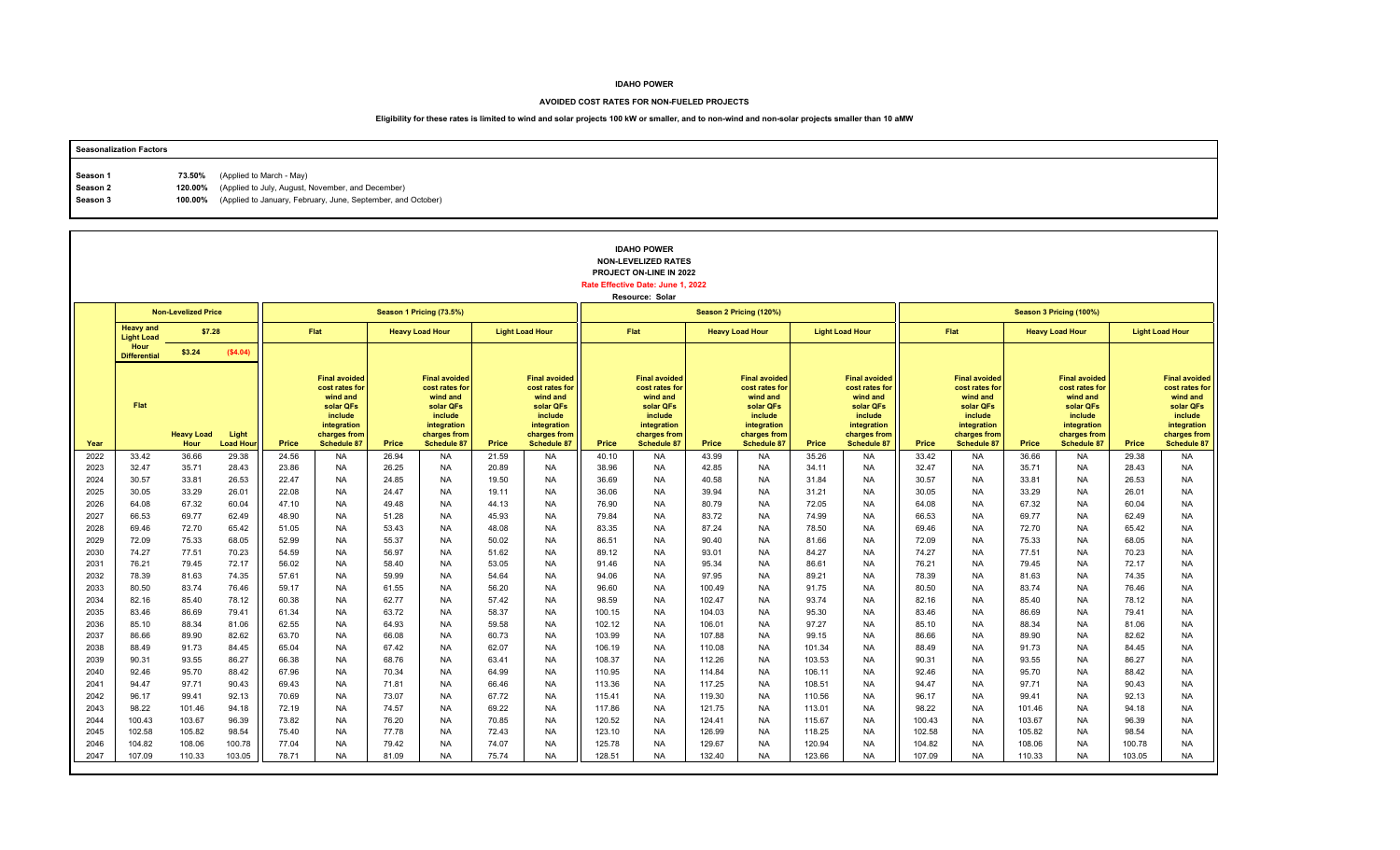#### **AVOIDED COST RATES FOR NON-FUELED PROJECTS**

| <b>Seasonalization Factors</b> |        |                                                                      |
|--------------------------------|--------|----------------------------------------------------------------------|
|                                |        | (Applied to March - May)                                             |
| Season 1                       | 73.50% |                                                                      |
| Season 2                       |        | 120.00% (Applied to July, August, November, and December)            |
| Season 3                       |        | 100.00% (Applied to January, February, June, September, and October) |
|                                |        |                                                                      |

|              |                                       |                            |                          |                |                                                                                                                                 |                |                                                                                                                                 |                |                                                                                                                                 |                  | <b>IDAHO POWER</b><br><b>NON-LEVELIZED RATES</b><br>PROJECT ON-LINE IN 2022<br>Rate Effective Date: June 1, 2022<br>Resource: Solar |                  |                                                                                                                          |                |                                                                                                                                 |                |                                                                                                                                 |                |                                                                                                                                 |                |                                                                                                                                 |
|--------------|---------------------------------------|----------------------------|--------------------------|----------------|---------------------------------------------------------------------------------------------------------------------------------|----------------|---------------------------------------------------------------------------------------------------------------------------------|----------------|---------------------------------------------------------------------------------------------------------------------------------|------------------|-------------------------------------------------------------------------------------------------------------------------------------|------------------|--------------------------------------------------------------------------------------------------------------------------|----------------|---------------------------------------------------------------------------------------------------------------------------------|----------------|---------------------------------------------------------------------------------------------------------------------------------|----------------|---------------------------------------------------------------------------------------------------------------------------------|----------------|---------------------------------------------------------------------------------------------------------------------------------|
|              |                                       | <b>Non-Levelized Price</b> |                          |                |                                                                                                                                 |                | Season 1 Pricing (73.5%)                                                                                                        |                |                                                                                                                                 |                  |                                                                                                                                     |                  | Season 2 Pricing (120%)                                                                                                  |                |                                                                                                                                 |                |                                                                                                                                 |                | Season 3 Pricing (100%)                                                                                                         |                |                                                                                                                                 |
|              | <b>Heavy and</b><br><b>Light Load</b> | \$7.28                     |                          |                | <b>Flat</b>                                                                                                                     |                | <b>Heavy Load Hour</b>                                                                                                          |                | <b>Light Load Hour</b>                                                                                                          |                  | Flat                                                                                                                                |                  | <b>Heavy Load Hour</b>                                                                                                   |                | <b>Light Load Hour</b>                                                                                                          |                | Flat                                                                                                                            |                | <b>Heavy Load Hour</b>                                                                                                          |                | <b>Light Load Hour</b>                                                                                                          |
|              | Hour<br><b>Differential</b>           | \$3.24                     | (\$4.04)                 |                |                                                                                                                                 |                |                                                                                                                                 |                |                                                                                                                                 |                  |                                                                                                                                     |                  |                                                                                                                          |                |                                                                                                                                 |                |                                                                                                                                 |                |                                                                                                                                 |                |                                                                                                                                 |
| Year         | Flat                                  | <b>Heavy Load</b><br>Hour  | Light<br><b>Load Hou</b> | Price          | <b>Final avoided</b><br>cost rates for<br>wind and<br>solar QFs<br>include<br>integration<br>charges from<br><b>Schedule 87</b> | Price          | <b>Final avoided</b><br>cost rates for<br>wind and<br>solar QFs<br>include<br>integration<br>charges from<br><b>Schedule 87</b> | Price          | <b>Final avoided</b><br>cost rates for<br>wind and<br>solar QFs<br>include<br>integration<br>charges from<br><b>Schedule 87</b> | Price            | <b>Final avoided</b><br>cost rates for<br>wind and<br>solar QFs<br>include<br>integration<br>charges from<br><b>Schedule 87</b>     | Price            | <b>Final avoided</b><br>cost rates for<br>wind and<br>solar QFs<br>include<br>integration<br>charges from<br>Schedule 87 | Price          | <b>Final avoided</b><br>cost rates for<br>wind and<br>solar QFs<br>include<br>integration<br>charges from<br><b>Schedule 87</b> | Price          | <b>Final avoided</b><br>cost rates for<br>wind and<br>solar QFs<br>include<br>integration<br>charges from<br><b>Schedule 87</b> | Price          | <b>Final avoided</b><br>cost rates for<br>wind and<br>solar QFs<br>include<br>integration<br>charges from<br><b>Schedule 87</b> | Price          | <b>Final avoided</b><br>cost rates for<br>wind and<br>solar QFs<br>include<br>integration<br>charges from<br><b>Schedule 87</b> |
| 2022         | 33.42                                 | 36.66                      | 29.38                    | 24.56          | <b>NA</b>                                                                                                                       | 26.94          | <b>NA</b>                                                                                                                       | 21.59          | <b>NA</b>                                                                                                                       | 40.10            | <b>NA</b>                                                                                                                           | 43.99            | <b>NA</b>                                                                                                                | 35.26          | <b>NA</b>                                                                                                                       | 33.42          | <b>NA</b>                                                                                                                       | 36.66          | <b>NA</b>                                                                                                                       | 29.38          | <b>NA</b>                                                                                                                       |
| 2023         | 32.47                                 | 35.71                      | 28.43                    | 23.86          | <b>NA</b>                                                                                                                       | 26.25          | <b>NA</b>                                                                                                                       | 20.89          | <b>NA</b>                                                                                                                       | 38.96            | NA                                                                                                                                  | 42.85            | <b>NA</b>                                                                                                                | 34.11          | NA                                                                                                                              | 32.47          | <b>NA</b>                                                                                                                       | 35.71          | <b>NA</b>                                                                                                                       | 28.43          | <b>NA</b>                                                                                                                       |
| 2024         | 30.57                                 | 33.81                      | 26.53                    | 22.47          | <b>NA</b>                                                                                                                       | 24.85          | <b>NA</b>                                                                                                                       | 19.50          | <b>NA</b>                                                                                                                       | 36.69            | <b>NA</b>                                                                                                                           | 40.58            | <b>NA</b>                                                                                                                | 31.84          | <b>NA</b>                                                                                                                       | 30.57          | <b>NA</b>                                                                                                                       | 33.81          | <b>NA</b>                                                                                                                       | 26.53          | <b>NA</b>                                                                                                                       |
| 2025<br>2026 | 30.05<br>64.08                        | 33.29<br>67.32             | 26.01<br>60.04           | 22.08<br>47.10 | <b>NA</b><br><b>NA</b>                                                                                                          | 24.47<br>49.48 | <b>NA</b><br><b>NA</b>                                                                                                          | 19.11<br>44.13 | <b>NA</b><br><b>NA</b>                                                                                                          | 36.06<br>76.90   | <b>NA</b><br><b>NA</b>                                                                                                              | 39.94<br>80.79   | <b>NA</b><br><b>NA</b>                                                                                                   | 31.21<br>72.05 | <b>NA</b><br><b>NA</b>                                                                                                          | 30.05<br>64.08 | <b>NA</b><br><b>NA</b>                                                                                                          | 33.29<br>67.32 | <b>NA</b><br><b>NA</b>                                                                                                          | 26.01<br>60.04 | <b>NA</b><br><b>NA</b>                                                                                                          |
| 2027         | 66.53                                 | 69.77                      | 62.49                    | 48.90          | <b>NA</b>                                                                                                                       | 51.28          | <b>NA</b>                                                                                                                       | 45.93          | <b>NA</b>                                                                                                                       | 79.84            | <b>NA</b>                                                                                                                           | 83.72            | <b>NA</b>                                                                                                                | 74.99          | <b>NA</b>                                                                                                                       | 66.53          | <b>NA</b>                                                                                                                       | 69.77          | <b>NA</b>                                                                                                                       | 62.49          | <b>NA</b>                                                                                                                       |
| 2028         | 69.46                                 | 72.70                      | 65.42                    | 51.05          | <b>NA</b>                                                                                                                       | 53.43          | <b>NA</b>                                                                                                                       | 48.08          | <b>NA</b>                                                                                                                       | 83.35            | <b>NA</b>                                                                                                                           | 87.24            | <b>NA</b>                                                                                                                | 78.50          | <b>NA</b>                                                                                                                       | 69.46          | <b>NA</b>                                                                                                                       | 72.70          | <b>NA</b>                                                                                                                       | 65.42          | <b>NA</b>                                                                                                                       |
| 2029         | 72.09                                 | 75.33                      | 68.05                    | 52.99          | <b>NA</b>                                                                                                                       | 55.37          | <b>NA</b>                                                                                                                       | 50.02          | <b>NA</b>                                                                                                                       | 86.51            | <b>NA</b>                                                                                                                           | 90.40            | <b>NA</b>                                                                                                                | 81.66          | <b>NA</b>                                                                                                                       | 72.09          | <b>NA</b>                                                                                                                       | 75.33          | <b>NA</b>                                                                                                                       | 68.05          | <b>NA</b>                                                                                                                       |
| 2030         | 74.27                                 | 77.51                      | 70.23                    | 54.59          | <b>NA</b>                                                                                                                       | 56.97          | <b>NA</b>                                                                                                                       | 51.62          | <b>NA</b>                                                                                                                       | 89.12            | <b>NA</b>                                                                                                                           | 93.01            | <b>NA</b>                                                                                                                | 84.27          | <b>NA</b>                                                                                                                       | 74.27          | <b>NA</b>                                                                                                                       | 77.51          | <b>NA</b>                                                                                                                       | 70.23          | <b>NA</b>                                                                                                                       |
| 2031         | 76.21                                 | 79.45                      | 72.17                    | 56.02          | <b>NA</b>                                                                                                                       | 58.40          | <b>NA</b>                                                                                                                       | 53.05          | <b>NA</b>                                                                                                                       | 91.46            | <b>NA</b>                                                                                                                           | 95.34            | <b>NA</b>                                                                                                                | 86.61          | <b>NA</b>                                                                                                                       | 76.21          | <b>NA</b>                                                                                                                       | 79.45          | <b>NA</b>                                                                                                                       | 72.17          | <b>NA</b>                                                                                                                       |
| 2032         | 78.39                                 | 81.63                      | 74.35                    | 57.61          | <b>NA</b>                                                                                                                       | 59.99          | <b>NA</b>                                                                                                                       | 54.64          | <b>NA</b>                                                                                                                       | 94.06            | <b>NA</b>                                                                                                                           | 97.95            | <b>NA</b>                                                                                                                | 89.21          | NA                                                                                                                              | 78.39          | <b>NA</b>                                                                                                                       | 81.63          | <b>NA</b>                                                                                                                       | 74.35          | <b>NA</b>                                                                                                                       |
| 2033         | 80.50                                 | 83.74                      | 76.46                    | 59.17          | <b>NA</b>                                                                                                                       | 61.55          | <b>NA</b>                                                                                                                       | 56.20          | <b>NA</b>                                                                                                                       | 96.60            | <b>NA</b>                                                                                                                           | 100.49           | <b>NA</b>                                                                                                                | 91.75          | <b>NA</b>                                                                                                                       | 80.50          | <b>NA</b>                                                                                                                       | 83.74          | <b>NA</b>                                                                                                                       | 76.46          | <b>NA</b>                                                                                                                       |
| 2034<br>2035 | 82.16<br>83.46                        | 85.40                      | 78.12<br>79.41           | 60.38          | <b>NA</b><br><b>NA</b>                                                                                                          | 62.77<br>63.72 | <b>NA</b><br><b>NA</b>                                                                                                          | 57.42<br>58.37 | <b>NA</b><br><b>NA</b>                                                                                                          | 98.59            | <b>NA</b><br><b>NA</b>                                                                                                              | 102.47<br>104.03 | <b>NA</b><br><b>NA</b>                                                                                                   | 93.74<br>95.30 | <b>NA</b><br><b>NA</b>                                                                                                          | 82.16<br>83.46 | <b>NA</b><br><b>NA</b>                                                                                                          | 85.40<br>86.69 | <b>NA</b><br><b>NA</b>                                                                                                          | 78.12          | <b>NA</b><br><b>NA</b>                                                                                                          |
| 2036         | 85.10                                 | 86.69<br>88.34             | 81.06                    | 61.34<br>62.55 | <b>NA</b>                                                                                                                       | 64.93          | <b>NA</b>                                                                                                                       | 59.58          | <b>NA</b>                                                                                                                       | 100.15<br>102.12 | <b>NA</b>                                                                                                                           | 106.01           | <b>NA</b>                                                                                                                | 97.27          | <b>NA</b>                                                                                                                       | 85.10          | <b>NA</b>                                                                                                                       | 88.34          | <b>NA</b>                                                                                                                       | 79.41<br>81.06 | <b>NA</b>                                                                                                                       |
| 2037         | 86.66                                 | 89.90                      | 82.62                    | 63.70          | <b>NA</b>                                                                                                                       | 66.08          | <b>NA</b>                                                                                                                       | 60.73          | <b>NA</b>                                                                                                                       | 103.99           | <b>NA</b>                                                                                                                           | 107.88           | <b>NA</b>                                                                                                                | 99.15          | <b>NA</b>                                                                                                                       | 86.66          | <b>NA</b>                                                                                                                       | 89.90          | <b>NA</b>                                                                                                                       | 82.62          | <b>NA</b>                                                                                                                       |
| 2038         | 88.49                                 | 91.73                      | 84.45                    | 65.04          | <b>NA</b>                                                                                                                       | 67.42          | <b>NA</b>                                                                                                                       | 62.07          | <b>NA</b>                                                                                                                       | 106.19           | <b>NA</b>                                                                                                                           | 110.08           | <b>NA</b>                                                                                                                | 101.34         | NA                                                                                                                              | 88.49          | <b>NA</b>                                                                                                                       | 91.73          | <b>NA</b>                                                                                                                       | 84.45          | <b>NA</b>                                                                                                                       |
| 2039         | 90.31                                 | 93.55                      | 86.27                    | 66.38          | <b>NA</b>                                                                                                                       | 68.76          | <b>NA</b>                                                                                                                       | 63.41          | <b>NA</b>                                                                                                                       | 108.37           | <b>NA</b>                                                                                                                           | 112.26           | <b>NA</b>                                                                                                                | 103.53         | <b>NA</b>                                                                                                                       | 90.31          | <b>NA</b>                                                                                                                       | 93.55          | <b>NA</b>                                                                                                                       | 86.27          | <b>NA</b>                                                                                                                       |
| 2040         | 92.46                                 | 95.70                      | 88.42                    | 67.96          | <b>NA</b>                                                                                                                       | 70.34          | <b>NA</b>                                                                                                                       | 64.99          | <b>NA</b>                                                                                                                       | 110.95           | <b>NA</b>                                                                                                                           | 114.84           | <b>NA</b>                                                                                                                | 106.11         | <b>NA</b>                                                                                                                       | 92.46          | <b>NA</b>                                                                                                                       | 95.70          | <b>NA</b>                                                                                                                       | 88.42          | <b>NA</b>                                                                                                                       |
| 2041         | 94.47                                 | 97.71                      | 90.43                    | 69.43          | <b>NA</b>                                                                                                                       | 71.81          | <b>NA</b>                                                                                                                       | 66.46          | <b>NA</b>                                                                                                                       | 113.36           | <b>NA</b>                                                                                                                           | 117.25           | <b>NA</b>                                                                                                                | 108.51         | <b>NA</b>                                                                                                                       | 94.47          | <b>NA</b>                                                                                                                       | 97.71          | <b>NA</b>                                                                                                                       | 90.43          | <b>NA</b>                                                                                                                       |
| 2042         | 96.17                                 | 99.41                      | 92.13                    | 70.69          | <b>NA</b>                                                                                                                       | 73.07          | <b>NA</b>                                                                                                                       | 67.72          | <b>NA</b>                                                                                                                       | 115.41           | <b>NA</b>                                                                                                                           | 119.30           | <b>NA</b>                                                                                                                | 110.56         | NA                                                                                                                              | 96.17          | <b>NA</b>                                                                                                                       | 99.41          | <b>NA</b>                                                                                                                       | 92.13          | <b>NA</b>                                                                                                                       |
| 2043         | 98.22                                 | 101.46                     | 94.18                    | 72.19          | <b>NA</b>                                                                                                                       | 74.57          | <b>NA</b>                                                                                                                       | 69.22          | <b>NA</b>                                                                                                                       | 117.86           | <b>NA</b>                                                                                                                           | 121.75           | <b>NA</b>                                                                                                                | 113.01         | <b>NA</b>                                                                                                                       | 98.22          | <b>NA</b>                                                                                                                       | 101.46         | <b>NA</b>                                                                                                                       | 94.18          | <b>NA</b>                                                                                                                       |
| 2044         | 100.43                                | 103.67                     | 96.39                    | 73.82          | <b>NA</b>                                                                                                                       | 76.20          | <b>NA</b>                                                                                                                       | 70.85          | <b>NA</b>                                                                                                                       | 120.52           | <b>NA</b>                                                                                                                           | 124.41           | <b>NA</b>                                                                                                                | 115.67         | <b>NA</b>                                                                                                                       | 100.43         | <b>NA</b>                                                                                                                       | 103.67         | <b>NA</b>                                                                                                                       | 96.39          | <b>NA</b>                                                                                                                       |
| 2045         | 102.58                                | 105.82                     | 98.54                    | 75.40          | <b>NA</b>                                                                                                                       | 77.78          | <b>NA</b>                                                                                                                       | 72.43          | <b>NA</b>                                                                                                                       | 123.10           | <b>NA</b>                                                                                                                           | 126.99           | <b>NA</b>                                                                                                                | 118.25         | <b>NA</b>                                                                                                                       | 102.58         | <b>NA</b>                                                                                                                       | 105.82         | <b>NA</b>                                                                                                                       | 98.54          | <b>NA</b>                                                                                                                       |
| 2046         | 104.82                                | 108.06                     | 100.78                   | 77.04          | <b>NA</b>                                                                                                                       | 79.42          | <b>NA</b>                                                                                                                       | 74.07          | <b>NA</b>                                                                                                                       | 125.78           | <b>NA</b>                                                                                                                           | 129.67           | <b>NA</b>                                                                                                                | 120.94         | <b>NA</b>                                                                                                                       | 104.82         | <b>NA</b>                                                                                                                       | 108.06         | <b>NA</b>                                                                                                                       | 100.78         | <b>NA</b>                                                                                                                       |
| 2047         | 107.09                                | 110.33                     | 103.05                   | 78.71          | <b>NA</b>                                                                                                                       | 81.09          | <b>NA</b>                                                                                                                       | 75.74          | <b>NA</b>                                                                                                                       | 128.51           | <b>NA</b>                                                                                                                           | 132.40           | <b>NA</b>                                                                                                                | 123.66         | <b>NA</b>                                                                                                                       | 107.09         | <b>NA</b>                                                                                                                       | 110.33         | <b>NA</b>                                                                                                                       | 103.05         | <b>NA</b>                                                                                                                       |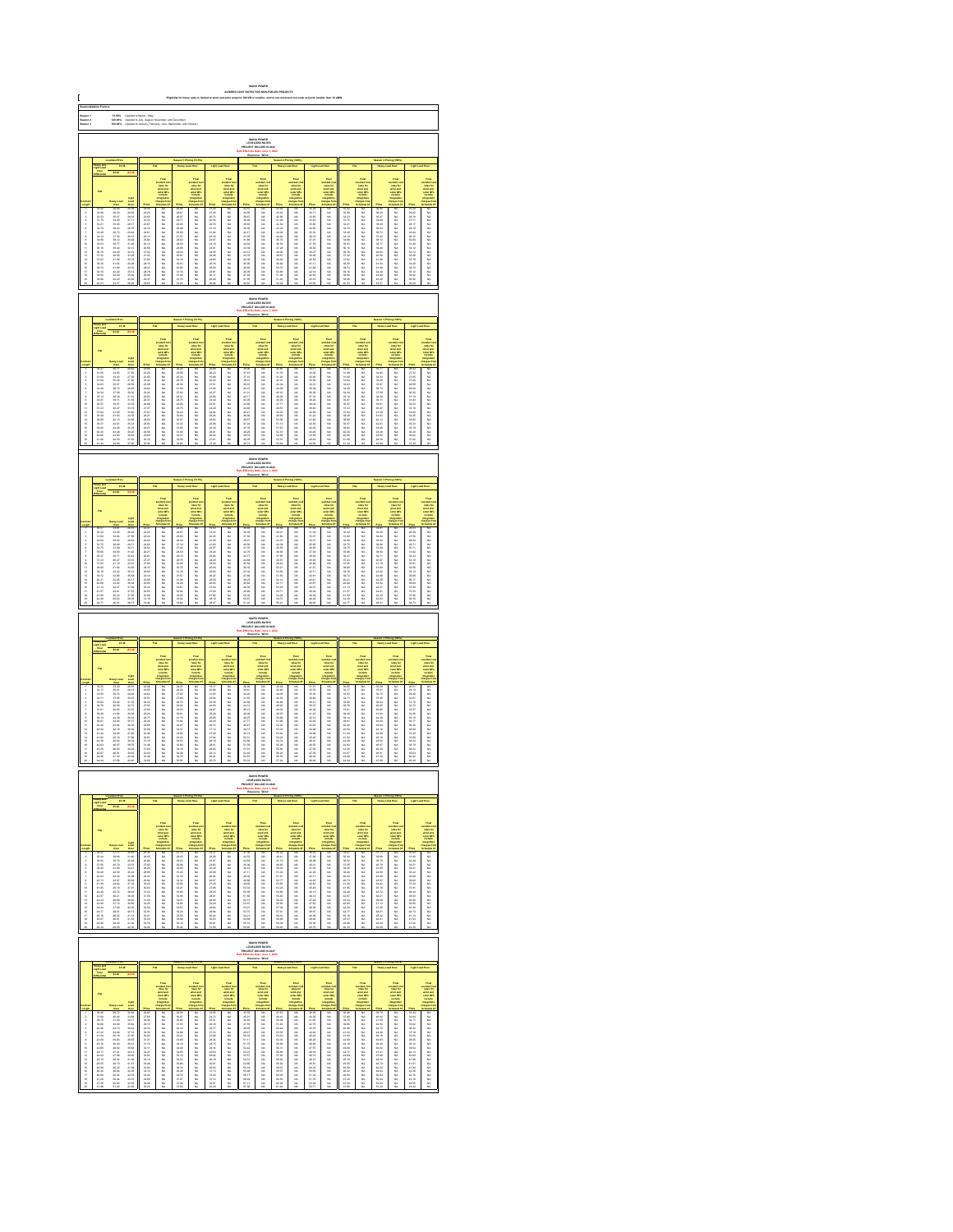| Saason 1<br>Saason 3<br>Saason 3<br>73.60%<br>120.00%<br>100.00%<br> <br> Applied to March - May)<br> Applied to Jaly, August, No<br> Applied to Jaly, August, No |                                                                                                                                                                                                                                 |                                                                                                                                                                                                                                      |                                                                                                                                                                                                                                      |                                                                                                                                                                                                                                |                        |                                                   |                                                                                                 |                                                                                                                                                                                                                                 |                                                                                                                                                                                                                              |                                                                                 |                                                                                        |                                                  |                                                                              |                                                   |                                                                                                   |                                               |                                                                                    |                                               |                                                                                                         |                                                                                                            |                                                                                                                                                                                                                               |
|-------------------------------------------------------------------------------------------------------------------------------------------------------------------|---------------------------------------------------------------------------------------------------------------------------------------------------------------------------------------------------------------------------------|--------------------------------------------------------------------------------------------------------------------------------------------------------------------------------------------------------------------------------------|--------------------------------------------------------------------------------------------------------------------------------------------------------------------------------------------------------------------------------------|--------------------------------------------------------------------------------------------------------------------------------------------------------------------------------------------------------------------------------|------------------------|---------------------------------------------------|-------------------------------------------------------------------------------------------------|---------------------------------------------------------------------------------------------------------------------------------------------------------------------------------------------------------------------------------|------------------------------------------------------------------------------------------------------------------------------------------------------------------------------------------------------------------------------|---------------------------------------------------------------------------------|----------------------------------------------------------------------------------------|--------------------------------------------------|------------------------------------------------------------------------------|---------------------------------------------------|---------------------------------------------------------------------------------------------------|-----------------------------------------------|------------------------------------------------------------------------------------|-----------------------------------------------|---------------------------------------------------------------------------------------------------------|------------------------------------------------------------------------------------------------------------|-------------------------------------------------------------------------------------------------------------------------------------------------------------------------------------------------------------------------------|
|                                                                                                                                                                   | IDAHO POWER<br>LEVELIZED RATE:<br>JECT ON-LINE IN:                                                                                                                                                                              |                                                                                                                                                                                                                                      |                                                                                                                                                                                                                                      |                                                                                                                                                                                                                                |                        |                                                   |                                                                                                 |                                                                                                                                                                                                                                 |                                                                                                                                                                                                                              |                                                                                 |                                                                                        |                                                  |                                                                              |                                                   |                                                                                                   |                                               |                                                                                    |                                               |                                                                                                         |                                                                                                            |                                                                                                                                                                                                                               |
|                                                                                                                                                                   | 87.38                                                                                                                                                                                                                           |                                                                                                                                                                                                                                      |                                                                                                                                                                                                                                      |                                                                                                                                                                                                                                |                        |                                                   |                                                                                                 |                                                                                                                                                                                                                                 |                                                                                                                                                                                                                              |                                                                                 |                                                                                        |                                                  |                                                                              |                                                   |                                                                                                   |                                               |                                                                                    |                                               |                                                                                                         |                                                                                                            |                                                                                                                                                                                                                               |
|                                                                                                                                                                   |                                                                                                                                                                                                                                 |                                                                                                                                                                                                                                      |                                                                                                                                                                                                                                      |                                                                                                                                                                                                                                |                        |                                                   |                                                                                                 |                                                                                                                                                                                                                                 |                                                                                                                                                                                                                              |                                                                                 |                                                                                        |                                                  |                                                                              |                                                   |                                                                                                   |                                               |                                                                                    |                                               |                                                                                                         |                                                                                                            |                                                                                                                                                                                                                               |
|                                                                                                                                                                   |                                                                                                                                                                                                                                 |                                                                                                                                                                                                                                      |                                                                                                                                                                                                                                      |                                                                                                                                                                                                                                |                        |                                                   | <b>THEFT</b>                                                                                    |                                                                                                                                                                                                                                 |                                                                                                                                                                                                                              |                                                                                 | Find<br>under de<br>under der der<br>under Officielle<br>under der                     |                                                  |                                                                              |                                                   |                                                                                                   |                                               |                                                                                    |                                               | Final<br>voluntario<br>voluntario<br>voluntario<br>voluntario<br>voluntario<br>voluntario<br>voluntario |                                                                                                            |                                                                                                                                                                                                                               |
|                                                                                                                                                                   |                                                                                                                                                                                                                                 |                                                                                                                                                                                                                                      |                                                                                                                                                                                                                                      |                                                                                                                                                                                                                                |                        |                                                   |                                                                                                 |                                                                                                                                                                                                                                 |                                                                                                                                                                                                                              |                                                                                 |                                                                                        |                                                  |                                                                              |                                                   |                                                                                                   |                                               |                                                                                    |                                               |                                                                                                         |                                                                                                            |                                                                                                                                                                                                                               |
|                                                                                                                                                                   |                                                                                                                                                                                                                                 |                                                                                                                                                                                                                                      |                                                                                                                                                                                                                                      |                                                                                                                                                                                                                                |                        |                                                   |                                                                                                 |                                                                                                                                                                                                                                 |                                                                                                                                                                                                                              |                                                                                 |                                                                                        |                                                  |                                                                              |                                                   |                                                                                                   |                                               |                                                                                    |                                               |                                                                                                         |                                                                                                            |                                                                                                                                                                                                                               |
|                                                                                                                                                                   |                                                                                                                                                                                                                                 |                                                                                                                                                                                                                                      |                                                                                                                                                                                                                                      |                                                                                                                                                                                                                                |                        |                                                   |                                                                                                 |                                                                                                                                                                                                                                 |                                                                                                                                                                                                                              |                                                                                 |                                                                                        |                                                  |                                                                              |                                                   |                                                                                                   |                                               |                                                                                    |                                               |                                                                                                         |                                                                                                            |                                                                                                                                                                                                                               |
| 显示失真原不显示协计经经转线继续排排                                                                                                                                                |                                                                                                                                                                                                                                 |                                                                                                                                                                                                                                      | Mar 2018 82 23 23 24 25 26 36 37 28 29 29 20 21 22 22 23 23 24 25 26 27 28 29 29 20 21 22 23 23 24 25 27 28 29 20 21 22 23 24 25 27 28 29 20 21 22 23 24 25 26 27 28 29 20 21 22 23 23 24 25 26 27 28 29 20 21 22 23 23 24           |                                                                                                                                                                                                                                | 3.以以以以以以以以以以以以以以以以以以以以 | 化加热 化硫酸铁 医阿拉伯氏试验检肌炎 化二乙基乙二乙基乙基乙二乙基乙基乙基乙基乙基乙基乙基乙基乙 |                                                                                                 |                                                                                                                                                                                                                                 | Foodback and the first second the first second the first second the first second the first second the first second the first second the first second the first second the first second the first second the first second the | 路路路路路站长栏栏站长栏栏柱线栏杆                                                               |                                                                                        | 经总计总经营 化高压分解 医阴道性的 医白细胞 医白细胞 医白细胞 医白细胞 医白细胞 医白细胞 | 以以以以以以以以以以以以以以以以以以                                                           |                                                   |                                                                                                   | 医第三指数 医阿尔比尔氏试验检尿道检查检尿道检查检尿道检尿病 医第三次试验检尿道试验检尿道 |                                                                                    | 一名名 经法定公司 计数字符号 医心包状的 医心包性 医皮肤性 医前缀的 医白色性     |                                                                                                         |                                                                                                            | take the first second the control of the first second the control of the control of the control of the control of the control of the control of the control of the control of the control of the control of the control of th |
|                                                                                                                                                                   |                                                                                                                                                                                                                                 |                                                                                                                                                                                                                                      |                                                                                                                                                                                                                                      |                                                                                                                                                                                                                                |                        |                                                   |                                                                                                 |                                                                                                                                                                                                                                 |                                                                                                                                                                                                                              |                                                                                 |                                                                                        |                                                  |                                                                              |                                                   |                                                                                                   |                                               |                                                                                    |                                               |                                                                                                         |                                                                                                            |                                                                                                                                                                                                                               |
|                                                                                                                                                                   |                                                                                                                                                                                                                                 |                                                                                                                                                                                                                                      |                                                                                                                                                                                                                                      |                                                                                                                                                                                                                                |                        |                                                   |                                                                                                 |                                                                                                                                                                                                                                 |                                                                                                                                                                                                                              |                                                                                 | <b>DAHO POWER</b><br>LEVELIZED RATES                                                   |                                                  |                                                                              |                                                   |                                                                                                   |                                               |                                                                                    |                                               |                                                                                                         |                                                                                                            |                                                                                                                                                                                                                               |
|                                                                                                                                                                   |                                                                                                                                                                                                                                 |                                                                                                                                                                                                                                      |                                                                                                                                                                                                                                      |                                                                                                                                                                                                                                |                        |                                                   |                                                                                                 |                                                                                                                                                                                                                                 |                                                                                                                                                                                                                              |                                                                                 |                                                                                        |                                                  |                                                                              |                                                   |                                                                                                   |                                               |                                                                                    |                                               |                                                                                                         |                                                                                                            |                                                                                                                                                                                                                               |
|                                                                                                                                                                   |                                                                                                                                                                                                                                 |                                                                                                                                                                                                                                      |                                                                                                                                                                                                                                      |                                                                                                                                                                                                                                |                        |                                                   |                                                                                                 |                                                                                                                                                                                                                                 |                                                                                                                                                                                                                              |                                                                                 |                                                                                        |                                                  |                                                                              |                                                   |                                                                                                   |                                               |                                                                                    |                                               |                                                                                                         |                                                                                                            |                                                                                                                                                                                                                               |
|                                                                                                                                                                   |                                                                                                                                                                                                                                 |                                                                                                                                                                                                                                      |                                                                                                                                                                                                                                      |                                                                                                                                                                                                                                |                        |                                                   | vented and<br>select and<br>select the control<br>industries                                    |                                                                                                                                                                                                                                 | Final<br>subject is<br>subject in<br>subject in<br>include                                                                                                                                                                   |                                                                                 | vended a<br>select and<br>select and<br>matterial                                      |                                                  | voted on<br>raise for<br>sind and<br>solar CPs<br>include                    |                                                   |                                                                                                   |                                               | rains for<br>state and<br>state CP<br>instate                                      |                                               |                                                                                                         |                                                                                                            | taka 2016年1月11日,1月12日,1月12日,1月12日,1月12日,1月12日,1月12日,1月12日,1月12日,1月12日,1月12日,1月12日,1月12日,1月12日,1月12日,                                                                                                                          |
|                                                                                                                                                                   |                                                                                                                                                                                                                                 |                                                                                                                                                                                                                                      |                                                                                                                                                                                                                                      | 2020年2月23日 2月22日 2月22日 2月22日 2月23日 2月23日 2月23日 2月23日 2月23日 2月23日 2月23日 2月23日 2月23日 2月23日 2月23日 2月23日 2月24日 2月25日 2月25日 2月25日 2月25日 2月25日 2月25日 2月25日 2月25日 2月25日 2月25日 2月25日 2月25日 2月25日 2月25日 2月25日 2月25日 2月25日 2月25日 2月25日 2 | 化脱机机机机 机机机机机机机机机机机机机   |                                                   |                                                                                                 |                                                                                                                                                                                                                                 |                                                                                                                                                                                                                              |                                                                                 | 1. 化甲状腺杆菌素 医皮肤皮肤皮肤皮肤皮肤皮肤皮肤                                                             |                                                  | 以以以以以以以以以以以以以以以以以以以                                                          |                                                   | 2. 风烟 机加热机 化加热加热加热加热 化加热加热                                                                        |                                               |                                                                                    |                                               | 加加加加加加加加加加加加加加加加加加                                                                                      |                                                                                                            |                                                                                                                                                                                                                               |
|                                                                                                                                                                   |                                                                                                                                                                                                                                 |                                                                                                                                                                                                                                      |                                                                                                                                                                                                                                      |                                                                                                                                                                                                                                |                        |                                                   |                                                                                                 |                                                                                                                                                                                                                                 |                                                                                                                                                                                                                              |                                                                                 |                                                                                        |                                                  |                                                                              |                                                   |                                                                                                   |                                               |                                                                                    |                                               |                                                                                                         |                                                                                                            |                                                                                                                                                                                                                               |
|                                                                                                                                                                   |                                                                                                                                                                                                                                 |                                                                                                                                                                                                                                      |                                                                                                                                                                                                                                      |                                                                                                                                                                                                                                |                        |                                                   |                                                                                                 |                                                                                                                                                                                                                                 |                                                                                                                                                                                                                              |                                                                                 |                                                                                        |                                                  |                                                                              |                                                   |                                                                                                   |                                               |                                                                                    |                                               |                                                                                                         |                                                                                                            |                                                                                                                                                                                                                               |
| 运当年车先卫年全地计说话到话说 纤维细                                                                                                                                               | 22.54 23.84 23.94 24.95 24.95 25.95 25.95 25.95 26.95 27.95 28.95 27.95 28.95 29.95 27.95 28.95 29.95 27.95 27.95 27.95 27.95 27.95 27.95 27.95 27.95 27.95 27.95 27.95 27.95 27.95 27.95 27.95 27.95 27.95 27.95 27.95 27.95 2 |                                                                                                                                                                                                                                      |                                                                                                                                                                                                                                      |                                                                                                                                                                                                                                |                        | 医新式式试验检试验检梅毒 医前缀 化二乙基二乙基                          |                                                                                                 | 2023年12月13日 2月24日 2月23日 2月23日 2月23日 2月23日 2月23日 2月23日 2月23日 2月23日 2月23日 2月23日 2月23日 2月23日 2月23日 2月23日 2月23日 2月23日 2月23日 2月23日 2月23日 2月23日 2月23日 2月23日 2月23日 2月23日 2月23日 2月23日 2月23日 2月23日 2月23日 2月23日 2月23日 2月23日 2月23日 2月23日 2 |                                                                                                                                                                                                                              | 准分分法准备 计自动自动标准 化分子 计自动调整 化二乙基苯基 医二乙酸二乙酸 医阿尔伯氏试验检尿道                              |                                                                                        | 在几日总结林场场新时间的新闻的时间,我们在我们的一个人的人们的一个人的人们的           |                                                                              |                                                   |                                                                                                   | 人名俄罗斯加尔 化分化 法法法律的权利 医腹膜炎                      |                                                                                    | 化硫酸铁 化硫酸铁 计数字分类 计数据数据 化二乙基乙基                  |                                                                                                         | 2012年12月23日 12月23日 12月23日 12月23日 12月23日 12月23日 12月23日 12月23日 12月23日 12月23日 12月23日 12月23日 12月23日 12月2       |                                                                                                                                                                                                                               |
|                                                                                                                                                                   |                                                                                                                                                                                                                                 |                                                                                                                                                                                                                                      |                                                                                                                                                                                                                                      |                                                                                                                                                                                                                                |                        |                                                   |                                                                                                 |                                                                                                                                                                                                                                 |                                                                                                                                                                                                                              |                                                                                 |                                                                                        |                                                  |                                                                              |                                                   |                                                                                                   |                                               |                                                                                    |                                               |                                                                                                         |                                                                                                            |                                                                                                                                                                                                                               |
|                                                                                                                                                                   |                                                                                                                                                                                                                                 |                                                                                                                                                                                                                                      |                                                                                                                                                                                                                                      |                                                                                                                                                                                                                                |                        |                                                   |                                                                                                 |                                                                                                                                                                                                                                 |                                                                                                                                                                                                                              |                                                                                 | IDAHO POWER<br>LEVELIZED RATES<br>LECT ON-LINE IN 202                                  |                                                  |                                                                              |                                                   |                                                                                                   |                                               |                                                                                    |                                               |                                                                                                         |                                                                                                            |                                                                                                                                                                                                                               |
|                                                                                                                                                                   | navy am<br>ghl Loa                                                                                                                                                                                                              | 87.3                                                                                                                                                                                                                                 |                                                                                                                                                                                                                                      |                                                                                                                                                                                                                                |                        |                                                   |                                                                                                 |                                                                                                                                                                                                                                 |                                                                                                                                                                                                                              |                                                                                 |                                                                                        |                                                  |                                                                              |                                                   |                                                                                                   |                                               |                                                                                    |                                               |                                                                                                         |                                                                                                            |                                                                                                                                                                                                                               |
|                                                                                                                                                                   |                                                                                                                                                                                                                                 |                                                                                                                                                                                                                                      |                                                                                                                                                                                                                                      |                                                                                                                                                                                                                                |                        |                                                   | weekel on<br>sales for<br>sales for<br>sales City<br>independent                                |                                                                                                                                                                                                                                 | value of<br>raise for<br>sing and<br>sales QP<br>include                                                                                                                                                                     |                                                                                 | wided on<br>subset for<br>wind and<br>suiter Cify<br>include                           |                                                  | volad<br>volas for<br>volad and<br>solar CP<br>include                       |                                                   | volded on<br>ratios for<br>militar de militar<br>solaritar de militar<br>harganitar<br>harganitar |                                               | weathed and<br>material design<br>states (2014)<br>includes<br>integration         |                                               | ontine) a<br>radom Re<br>wired any<br>walter Cit                                                        |                                                                                                            |                                                                                                                                                                                                                               |
|                                                                                                                                                                   |                                                                                                                                                                                                                                 |                                                                                                                                                                                                                                      |                                                                                                                                                                                                                                      |                                                                                                                                                                                                                                |                        |                                                   |                                                                                                 |                                                                                                                                                                                                                                 |                                                                                                                                                                                                                              |                                                                                 |                                                                                        |                                                  |                                                                              |                                                   |                                                                                                   |                                               |                                                                                    |                                               |                                                                                                         |                                                                                                            | state and additional Property of Microsoft Property and Additional Property of Microsoft Property and Additional Property of Microsoft Property and Additional Property Property Property Property Property Property Property |
|                                                                                                                                                                   |                                                                                                                                                                                                                                 |                                                                                                                                                                                                                                      |                                                                                                                                                                                                                                      |                                                                                                                                                                                                                                |                        |                                                   |                                                                                                 |                                                                                                                                                                                                                                 |                                                                                                                                                                                                                              |                                                                                 |                                                                                        |                                                  |                                                                              |                                                   |                                                                                                   |                                               |                                                                                    |                                               |                                                                                                         |                                                                                                            |                                                                                                                                                                                                                               |
|                                                                                                                                                                   |                                                                                                                                                                                                                                 |                                                                                                                                                                                                                                      |                                                                                                                                                                                                                                      |                                                                                                                                                                                                                                |                        |                                                   |                                                                                                 |                                                                                                                                                                                                                                 |                                                                                                                                                                                                                              |                                                                                 |                                                                                        |                                                  |                                                                              |                                                   |                                                                                                   |                                               |                                                                                    |                                               |                                                                                                         |                                                                                                            |                                                                                                                                                                                                                               |
| - 中央失去者早年申担计论组组络组织组织                                                                                                                                              |                                                                                                                                                                                                                                 | 882 23.56 24.56 25.56 25.56 25.56 25.56 25.56 25.56 25.56 25.56 25.56 25.56 25.56 25.56 25.56 25.56 25.56 25.56 25.56 25.56 25.56 25.56 25.56 25.56 25.56 25.56 25.56 25.56 25.56 25.56 25.56 25.56 25.56 25.56 25.56 25.56 25       | New 2013   22:56 02:71 20:47 17:42 43:14 10:56 12:56 12:57 12:58 12:59 12:59 12:59 12:59 12:59 12:59 12:59 12:59 12:59 12:59 12:59 12:59 12:59 12:59 12:59 12:59 12:59 12:59 12:59 12:59 12:59 12:59                                 |                                                                                                                                                                                                                                | 化脱机机脱机脱机机脱机脱机脱机脱机脱机    | 一名名名 化分离 医多发性性 化反应 医无线性的                          |                                                                                                 |                                                                                                                                                                                                                                 | ************************                                                                                                                                                                                                     |                                                                                 | 1. 机机械机械机械机械机械机械机械机械机械                                                                 | - 机叶线 林威林群岛 经自动的总额 经开发 医耳聋性脑炎 医尿道性咽峡炎 医阿尔伯氏试验检胆汁 | 以以及以以以以以以以以以以以以以以以以                                                          |                                                   |                                                                                                   | 一名名名 化活性化 化分解机 化分解性化分析                        | ,,,,,,,,,,,,,,,,,,,,,,,,,,,,                                                       | 2.北京新发生派的 计计算设备结构 化后流形物 医抗原性                  | 加加加加加加加加加加加加加加加加加加                                                                                      |                                                                                                            |                                                                                                                                                                                                                               |
|                                                                                                                                                                   |                                                                                                                                                                                                                                 |                                                                                                                                                                                                                                      |                                                                                                                                                                                                                                      |                                                                                                                                                                                                                                |                        |                                                   |                                                                                                 |                                                                                                                                                                                                                                 |                                                                                                                                                                                                                              |                                                                                 |                                                                                        |                                                  |                                                                              |                                                   |                                                                                                   |                                               |                                                                                    |                                               |                                                                                                         |                                                                                                            |                                                                                                                                                                                                                               |
|                                                                                                                                                                   |                                                                                                                                                                                                                                 |                                                                                                                                                                                                                                      |                                                                                                                                                                                                                                      |                                                                                                                                                                                                                                |                        |                                                   |                                                                                                 |                                                                                                                                                                                                                                 |                                                                                                                                                                                                                              |                                                                                 | <b>IDAHO POWER<br/>LEVELIZED RATES<br/>JJECT ON-LINE IN 2</b><br>Rictive Date: Jane 1, |                                                  |                                                                              |                                                   |                                                                                                   |                                               |                                                                                    |                                               |                                                                                                         |                                                                                                            |                                                                                                                                                                                                                               |
|                                                                                                                                                                   |                                                                                                                                                                                                                                 | 87.31                                                                                                                                                                                                                                |                                                                                                                                                                                                                                      |                                                                                                                                                                                                                                |                        |                                                   |                                                                                                 |                                                                                                                                                                                                                                 |                                                                                                                                                                                                                              |                                                                                 |                                                                                        |                                                  |                                                                              |                                                   |                                                                                                   |                                               |                                                                                    |                                               |                                                                                                         |                                                                                                            |                                                                                                                                                                                                                               |
|                                                                                                                                                                   |                                                                                                                                                                                                                                 |                                                                                                                                                                                                                                      |                                                                                                                                                                                                                                      |                                                                                                                                                                                                                                |                        |                                                   |                                                                                                 |                                                                                                                                                                                                                                 |                                                                                                                                                                                                                              |                                                                                 |                                                                                        |                                                  |                                                                              |                                                   |                                                                                                   |                                               |                                                                                    |                                               |                                                                                                         |                                                                                                            |                                                                                                                                                                                                                               |
|                                                                                                                                                                   |                                                                                                                                                                                                                                 |                                                                                                                                                                                                                                      |                                                                                                                                                                                                                                      |                                                                                                                                                                                                                                |                        |                                                   |                                                                                                 |                                                                                                                                                                                                                                 |                                                                                                                                                                                                                              |                                                                                 |                                                                                        |                                                  |                                                                              |                                                   |                                                                                                   |                                               |                                                                                    |                                               |                                                                                                         |                                                                                                            |                                                                                                                                                                                                                               |
|                                                                                                                                                                   |                                                                                                                                                                                                                                 |                                                                                                                                                                                                                                      |                                                                                                                                                                                                                                      |                                                                                                                                                                                                                                |                        |                                                   | Final<br>voltat ca<br>voltat for<br>voltat and<br>sales CPs<br>indicate<br>harpetics            |                                                                                                                                                                                                                                 | Final<br>colorados de<br>colorados de alcal<br>colorados<br>integrados                                                                                                                                                       |                                                                                 | vended to<br>sales for<br>what are<br>salar CP<br>includes                             |                                                  | Final<br>colora for<br>colora for<br>wider City<br>toolse for<br>integration |                                                   | sandad<br>Alista and an<br>Alista and an<br>Alista and an<br>Alistan S                            |                                               | Final<br>voltat ca<br>voltat and<br>voltat and<br>solar CP<br>include<br>harged by |                                               | volet &<br>sind at<br>sida G<br>technik<br>sinovit                                                      |                                                                                                            |                                                                                                                                                                                                                               |
|                                                                                                                                                                   |                                                                                                                                                                                                                                 |                                                                                                                                                                                                                                      |                                                                                                                                                                                                                                      |                                                                                                                                                                                                                                |                        |                                                   |                                                                                                 |                                                                                                                                                                                                                                 |                                                                                                                                                                                                                              |                                                                                 |                                                                                        |                                                  |                                                                              |                                                   |                                                                                                   |                                               |                                                                                    |                                               |                                                                                                         |                                                                                                            |                                                                                                                                                                                                                               |
|                                                                                                                                                                   |                                                                                                                                                                                                                                 |                                                                                                                                                                                                                                      |                                                                                                                                                                                                                                      |                                                                                                                                                                                                                                |                        |                                                   |                                                                                                 |                                                                                                                                                                                                                                 |                                                                                                                                                                                                                              |                                                                                 |                                                                                        |                                                  |                                                                              |                                                   |                                                                                                   |                                               |                                                                                    |                                               |                                                                                                         |                                                                                                            |                                                                                                                                                                                                                               |
|                                                                                                                                                                   |                                                                                                                                                                                                                                 |                                                                                                                                                                                                                                      |                                                                                                                                                                                                                                      |                                                                                                                                                                                                                                |                        |                                                   |                                                                                                 |                                                                                                                                                                                                                                 |                                                                                                                                                                                                                              |                                                                                 |                                                                                        |                                                  |                                                                              |                                                   |                                                                                                   |                                               |                                                                                    |                                               |                                                                                                         |                                                                                                            |                                                                                                                                                                                                                               |
|                                                                                                                                                                   |                                                                                                                                                                                                                                 |                                                                                                                                                                                                                                      |                                                                                                                                                                                                                                      |                                                                                                                                                                                                                                |                        |                                                   |                                                                                                 |                                                                                                                                                                                                                                 |                                                                                                                                                                                                                              |                                                                                 |                                                                                        |                                                  |                                                                              |                                                   |                                                                                                   |                                               |                                                                                    |                                               |                                                                                                         |                                                                                                            |                                                                                                                                                                                                                               |
|                                                                                                                                                                   |                                                                                                                                                                                                                                 |                                                                                                                                                                                                                                      | 2008年 10月12日 10月21日 10月20日 10月20日 10月20日 10月20日 10月20日 10月20日 10月20日 10月20日 10月20日 10月20日 10月20日 10月                                                                                                                                 |                                                                                                                                                                                                                                | 化脱机机放射机 机机机机机机机机机机机机   | 医第二次 医二氯化物 医三氯化物 医三氯化物 医三氯化物 医三氯化物 医三氯化物 医三氯化物    |                                                                                                 | 15.20 21:30 22:30 23:30 23:20 23:20 23:30 23:20 23:20 23:20 23:20 23:20 23:20 23:20 23:20 23:20 23:20 23:20 23:20 23:20 23:20 23:20 23:20 23:20 23:20 23:20 23:20 23:20 23:20 23:20 23:20 23:20 23:20 23:20 23:20 23:20 23:20   |                                                                                                                                                                                                                              | 准准数 化硅硅硅硅硅钇硅硅硅钛锰钛钛钛锰钛铌钛                                                         | 2. 机机 机机机机机机机机机机机机机机机机                                                                 | 2.经营销售价值的公司 经经济利用 医阴道性脑膜炎                        | 以以以以以以以以以以以以以以以以以以以                                                          |                                                   | 2.以前是以后的人的人的人的人的人的人的人的人                                                                           | 医耳氏试验检尿道检尿病 医白细胞 医白细胞                         |                                                                                    | 医抗原性试验检梅毒素 医心包性脑炎 医心包性骨折 医心包的 医心包性 医心包性脑炎     | 加加加加加加加加加加加加加加加加加加加                                                                                     | 2013年1月22日 12月22日 12月22日 12月22日 12月22日 12月22日 12月22日 12月22日 12月22日 12月22日 12月22日 12月22日 12月22日 12月22日 12月2 |                                                                                                                                                                                                                               |
|                                                                                                                                                                   |                                                                                                                                                                                                                                 |                                                                                                                                                                                                                                      |                                                                                                                                                                                                                                      |                                                                                                                                                                                                                                |                        |                                                   |                                                                                                 |                                                                                                                                                                                                                                 |                                                                                                                                                                                                                              |                                                                                 | IDAHO POWER<br>LEVELIZED RATES<br>LECT ON-LINE IN 21                                   |                                                  |                                                                              |                                                   |                                                                                                   |                                               |                                                                                    |                                               |                                                                                                         |                                                                                                            |                                                                                                                                                                                                                               |
|                                                                                                                                                                   |                                                                                                                                                                                                                                 |                                                                                                                                                                                                                                      |                                                                                                                                                                                                                                      |                                                                                                                                                                                                                                |                        |                                                   |                                                                                                 |                                                                                                                                                                                                                                 |                                                                                                                                                                                                                              |                                                                                 |                                                                                        |                                                  |                                                                              |                                                   |                                                                                                   |                                               |                                                                                    |                                               |                                                                                                         |                                                                                                            |                                                                                                                                                                                                                               |
|                                                                                                                                                                   |                                                                                                                                                                                                                                 |                                                                                                                                                                                                                                      |                                                                                                                                                                                                                                      |                                                                                                                                                                                                                                |                        |                                                   |                                                                                                 |                                                                                                                                                                                                                                 |                                                                                                                                                                                                                              |                                                                                 |                                                                                        |                                                  |                                                                              |                                                   |                                                                                                   |                                               |                                                                                    |                                               |                                                                                                         |                                                                                                            |                                                                                                                                                                                                                               |
|                                                                                                                                                                   |                                                                                                                                                                                                                                 |                                                                                                                                                                                                                                      |                                                                                                                                                                                                                                      |                                                                                                                                                                                                                                |                        |                                                   | Final<br>seated ca<br>cales for<br>selected and<br>selected industry<br>industry<br>temperature |                                                                                                                                                                                                                                 | volded on<br>raise for<br>sales for<br>sales GP<br>include<br>raispation<br>harges for                                                                                                                                       |                                                                                 |                                                                                        |                                                  | vented and<br>selected and<br>selected and<br>helpedian<br>helpedian         |                                                   |                                                                                                   |                                               | ented on<br>relative<br>selection<br>selection<br>respective                       |                                               |                                                                                                         |                                                                                                            |                                                                                                                                                                                                                               |
|                                                                                                                                                                   |                                                                                                                                                                                                                                 |                                                                                                                                                                                                                                      |                                                                                                                                                                                                                                      |                                                                                                                                                                                                                                |                        |                                                   |                                                                                                 |                                                                                                                                                                                                                                 |                                                                                                                                                                                                                              |                                                                                 |                                                                                        |                                                  |                                                                              |                                                   |                                                                                                   |                                               |                                                                                    |                                               |                                                                                                         |                                                                                                            |                                                                                                                                                                                                                               |
|                                                                                                                                                                   |                                                                                                                                                                                                                                 |                                                                                                                                                                                                                                      |                                                                                                                                                                                                                                      |                                                                                                                                                                                                                                |                        |                                                   |                                                                                                 |                                                                                                                                                                                                                                 |                                                                                                                                                                                                                              |                                                                                 |                                                                                        |                                                  |                                                                              |                                                   |                                                                                                   |                                               |                                                                                    |                                               |                                                                                                         |                                                                                                            |                                                                                                                                                                                                                               |
|                                                                                                                                                                   |                                                                                                                                                                                                                                 |                                                                                                                                                                                                                                      |                                                                                                                                                                                                                                      |                                                                                                                                                                                                                                |                        |                                                   |                                                                                                 |                                                                                                                                                                                                                                 |                                                                                                                                                                                                                              |                                                                                 |                                                                                        |                                                  |                                                                              |                                                   |                                                                                                   |                                               |                                                                                    |                                               |                                                                                                         |                                                                                                            |                                                                                                                                                                                                                               |
|                                                                                                                                                                   | 活動記 けんきゅうしょう かいしょう かいこうしょう かいかん かいかん かいしょう かいしょう かいしょう かいかん かいしょう あいかん かんしゃ あいかん かんしゃ あいかん                                                                                                                                      |                                                                                                                                                                                                                                      |                                                                                                                                                                                                                                      |                                                                                                                                                                                                                                | 1.以以以以以以以以以以以以以以以以以以以  | 机式机械机构 医抗性脑炎 化硫酸铁                                 |                                                                                                 | 13日的 化活性分析 化二氯化物 化二氯化物 化三氯化物 化三氯化物 计分布机 计分布机 计分布机 计分布                                                                                                                                                                           |                                                                                                                                                                                                                              | 【经济报告】 经市场利用 医阴道 医阴道性 医阴道性 医阴道性 医阴道性 医阴道性 医阴道性骨折 医阴道性                           |                                                                                        | 核武器的计划 经经济利润的 医二氯化物                              |                                                                              | 再加糖的 计启动计算机存储 计分类程序 经利用的                          | 2. 地址地址地址地址地址地址地址地址地址地址                                                                           | 化硫酸钠 计最后存储 医假性脑膜炎 医皮肤性 医双角性                   |                                                                                    |                                               | 22. 加热地 化加热加热加热加热 化加热加热加热                                                                               |                                                                                                            | 2.双腿肌肌肌肌肌肌肌肌肌肌肌肌肌肌肌肌肌肌                                                                                                                                                                                                        |
|                                                                                                                                                                   |                                                                                                                                                                                                                                 |                                                                                                                                                                                                                                      |                                                                                                                                                                                                                                      |                                                                                                                                                                                                                                |                        |                                                   |                                                                                                 |                                                                                                                                                                                                                                 |                                                                                                                                                                                                                              |                                                                                 |                                                                                        |                                                  |                                                                              |                                                   |                                                                                                   |                                               |                                                                                    |                                               |                                                                                                         |                                                                                                            |                                                                                                                                                                                                                               |
|                                                                                                                                                                   |                                                                                                                                                                                                                                 |                                                                                                                                                                                                                                      |                                                                                                                                                                                                                                      |                                                                                                                                                                                                                                |                        |                                                   |                                                                                                 |                                                                                                                                                                                                                                 |                                                                                                                                                                                                                              |                                                                                 | IDAHO POWER<br>LEVELIZED RATES<br>LIECT ON-LINE IN 1                                   |                                                  |                                                                              |                                                   |                                                                                                   |                                               |                                                                                    |                                               |                                                                                                         |                                                                                                            |                                                                                                                                                                                                                               |
|                                                                                                                                                                   |                                                                                                                                                                                                                                 |                                                                                                                                                                                                                                      |                                                                                                                                                                                                                                      |                                                                                                                                                                                                                                |                        |                                                   |                                                                                                 |                                                                                                                                                                                                                                 |                                                                                                                                                                                                                              |                                                                                 |                                                                                        |                                                  |                                                                              |                                                   |                                                                                                   |                                               |                                                                                    |                                               |                                                                                                         |                                                                                                            |                                                                                                                                                                                                                               |
|                                                                                                                                                                   |                                                                                                                                                                                                                                 |                                                                                                                                                                                                                                      |                                                                                                                                                                                                                                      |                                                                                                                                                                                                                                |                        |                                                   |                                                                                                 |                                                                                                                                                                                                                                 |                                                                                                                                                                                                                              |                                                                                 |                                                                                        |                                                  | raiss for<br>wind and<br>solar CP<br>include                                 |                                                   |                                                                                                   |                                               |                                                                                    |                                               |                                                                                                         |                                                                                                            |                                                                                                                                                                                                                               |
|                                                                                                                                                                   |                                                                                                                                                                                                                                 |                                                                                                                                                                                                                                      |                                                                                                                                                                                                                                      |                                                                                                                                                                                                                                |                        |                                                   | Final<br>selford on<br>selford and<br>selford below<br>indicate<br>harges fro                   |                                                                                                                                                                                                                                 |                                                                                                                                                                                                                              |                                                                                 |                                                                                        |                                                  |                                                                              |                                                   | the                                                                                               |                                               | tun                                                                                |                                               |                                                                                                         |                                                                                                            |                                                                                                                                                                                                                               |
|                                                                                                                                                                   |                                                                                                                                                                                                                                 |                                                                                                                                                                                                                                      |                                                                                                                                                                                                                                      |                                                                                                                                                                                                                                |                        |                                                   |                                                                                                 |                                                                                                                                                                                                                                 |                                                                                                                                                                                                                              |                                                                                 |                                                                                        |                                                  |                                                                              |                                                   |                                                                                                   |                                               |                                                                                    |                                               |                                                                                                         |                                                                                                            |                                                                                                                                                                                                                               |
|                                                                                                                                                                   |                                                                                                                                                                                                                                 |                                                                                                                                                                                                                                      |                                                                                                                                                                                                                                      |                                                                                                                                                                                                                                |                        |                                                   |                                                                                                 |                                                                                                                                                                                                                                 |                                                                                                                                                                                                                              |                                                                                 |                                                                                        |                                                  |                                                                              |                                                   |                                                                                                   |                                               |                                                                                    |                                               |                                                                                                         |                                                                                                            |                                                                                                                                                                                                                               |
| 牙牙皮身身足目 医排针球性神经神经神经                                                                                                                                               | 派战 分解 的复数人名英格兰人姓氏格尔德住所名称来源于古英语含义是 计自动存储器 计自动控制 计数据 计数据 计数据                                                                                                                                                                      | <b>Name 2012 12:00:00 12:00:00 12:00:00 12:00:00 12:00:00 12:00:00 12:00:00 12:00:00 12:00:00 12:00:00 12:00:00 12:00:00 12:00:00 12:00:00 12:00:00 12:00:00 12:00:00 12:00:00 12:00:00 12:00:00 12:00:00 12:00:00 12:00:00 12:0</b> | <b>Light Mark 22:46 All 22:46 All 22:46 All 22:46 All 22:46 All 22:46 All 22:56 All 22:56 All 22:56 All 22:56 All 22:56 All 22:56 All 22:56 All 22:56 All 22:56 All 22:56 All 22:56 All 22:56 All 22:56 All 22:56 All 22:56 All </b> | 2020年1月22日 12月22日 12月22日 12月22日 12月22日 12月22日 12月22日 12月22日 12月22日 12月22日 12月22日 12月22日 12月22日 12月22日 12月2                                                                                                                     | 化脱脂 化脱脂酸医脱脂酸 化脱脂酸医脱脂酸  | (5) 经经过公司 计数据数据 计结构计算机                            |                                                                                                 | 医抗抗原 化乙烯基乙烯基 计分类 医心包 医心包 医心包 医心包 医心包 医心包的 医心包的                                                                                                                                                                                  |                                                                                                                                                                                                                              | 43.名标准 48.名标准 58.名称 58.名称 58.名称 58.名称 58.名称 58.名称 58.名称 58.名称 58.名称 58.名称 58.名称 |                                                                                        | 一种国际 化过程 医精神病 医血管 计多项 医心包的 医二氏试验检尿道检尿病 医阿尔比尔氏征   |                                                                              | 准的准备 化石油 计数字 计数据 计数据 计数据数据 医心包性 计数据数据 计数字 计数字 计数字 |                                                                                                   | 海分油油 机式式自动自动机成成成 医横动动脉                        |                                                                                    | 发展的 医二氯化物 医二氯化物 医三氯化物 医三氯化物 医三氯化物 医三氯化物 医三氯化物 | 化加加加加加加加加加加加加加加加加加加                                                                                     | 2016年2月22日 1月22日 1月22日 1月23日 1月23日 1月23日 1月23日 1月23日 1月23日 1月23日 1月23日 1月23日 1月23日                         |                                                                                                                                                                                                                               |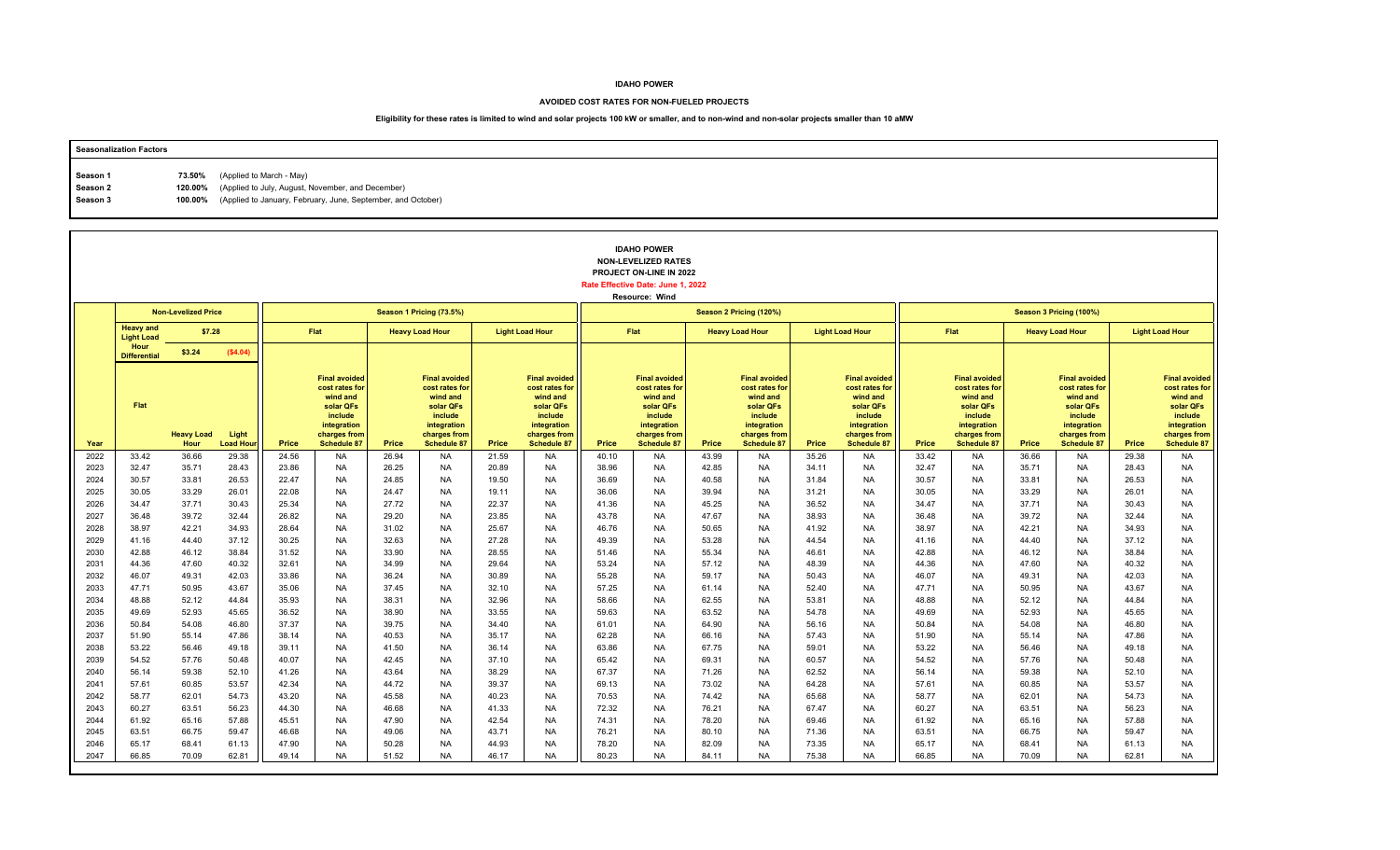#### **AVOIDED COST RATES FOR NON-FUELED PROJECTS**

| <b>Seasonalization Factors</b> |                                                                      |
|--------------------------------|----------------------------------------------------------------------|
|                                |                                                                      |
| Season 1                       | 73.50% (Applied to March - May)                                      |
| Season 2                       | 120.00% (Applied to July, August, November, and December)            |
| Season 3                       | 100.00% (Applied to January, February, June, September, and October) |
|                                |                                                                      |

|              |                                       |                            |                          |                |                                                                                                                                 |                |                                                                                                                                 |                |                                                                                                                                 |                | <b>IDAHO POWER</b><br><b>NON-LEVELIZED RATES</b><br>PROJECT ON-LINE IN 2022<br>Rate Effective Date: June 1, 2022<br>Resource: Wind |                |                                                                                                                                 |                        |                                                                                                                                 |                         |                                                                                                                          |                        |                                                                                                                                 |                        |                                                                                                                          |  |
|--------------|---------------------------------------|----------------------------|--------------------------|----------------|---------------------------------------------------------------------------------------------------------------------------------|----------------|---------------------------------------------------------------------------------------------------------------------------------|----------------|---------------------------------------------------------------------------------------------------------------------------------|----------------|------------------------------------------------------------------------------------------------------------------------------------|----------------|---------------------------------------------------------------------------------------------------------------------------------|------------------------|---------------------------------------------------------------------------------------------------------------------------------|-------------------------|--------------------------------------------------------------------------------------------------------------------------|------------------------|---------------------------------------------------------------------------------------------------------------------------------|------------------------|--------------------------------------------------------------------------------------------------------------------------|--|
|              |                                       | <b>Non-Levelized Price</b> |                          |                |                                                                                                                                 |                | Season 1 Pricing (73.5%)                                                                                                        |                |                                                                                                                                 |                |                                                                                                                                    |                | Season 2 Pricing (120%)                                                                                                         |                        |                                                                                                                                 | Season 3 Pricing (100%) |                                                                                                                          |                        |                                                                                                                                 |                        |                                                                                                                          |  |
|              | <b>Heavy and</b><br><b>Light Load</b> | \$7.28                     |                          |                | Flat<br><b>Heavy Load Hour</b>                                                                                                  |                | <b>Light Load Hour</b>                                                                                                          |                | Flat                                                                                                                            |                | <b>Heavy Load Hour</b>                                                                                                             |                |                                                                                                                                 | <b>Light Load Hour</b> |                                                                                                                                 | Flat                    |                                                                                                                          | <b>Heavy Load Hour</b> |                                                                                                                                 | <b>Light Load Hour</b> |                                                                                                                          |  |
|              | Hour<br><b>Differential</b>           | \$3.24                     | (\$4.04)                 |                |                                                                                                                                 |                |                                                                                                                                 |                |                                                                                                                                 |                |                                                                                                                                    |                |                                                                                                                                 |                        |                                                                                                                                 |                         |                                                                                                                          |                        |                                                                                                                                 |                        |                                                                                                                          |  |
| Year         | Flat                                  | <b>Heavy Load</b><br>Hour  | Light<br><b>Load Hou</b> | Price          | <b>Final avoided</b><br>cost rates for<br>wind and<br>solar QFs<br>include<br>integration<br>charges from<br><b>Schedule 87</b> | Price          | <b>Final avoided</b><br>cost rates for<br>wind and<br>solar QFs<br>include<br>integration<br>charges from<br><b>Schedule 87</b> | Price          | <b>Final avoided</b><br>cost rates for<br>wind and<br>solar QFs<br>include<br>integration<br>charges from<br><b>Schedule 87</b> | Price          | <b>Final avoided</b><br>cost rates for<br>wind and<br>solar QFs<br>include<br>integration<br>charges from<br>Schedule 87           | Price          | <b>Final avoided</b><br>cost rates for<br>wind and<br>solar QFs<br>include<br>integration<br>charges from<br><b>Schedule 87</b> | Price                  | <b>Final avoided</b><br>cost rates for<br>wind and<br>solar QFs<br>include<br>integration<br>charges from<br><b>Schedule 87</b> | Price                   | <b>Final avoided</b><br>cost rates for<br>wind and<br>solar QFs<br>include<br>integration<br>charges from<br>Schedule 87 | Price                  | <b>Final avoided</b><br>cost rates for<br>wind and<br>solar QFs<br>include<br>integration<br>charges from<br><b>Schedule 87</b> | Price                  | <b>Final avoided</b><br>cost rates for<br>wind and<br>solar QFs<br>include<br>integration<br>charges from<br>Schedule 87 |  |
| 2022         | 33.42                                 | 36.66                      | 29.38                    | 24.56          | <b>NA</b>                                                                                                                       | 26.94          | <b>NA</b>                                                                                                                       | 21.59          | <b>NA</b>                                                                                                                       | 40.10          | <b>NA</b>                                                                                                                          | 43.99          | <b>NA</b>                                                                                                                       | 35.26                  | <b>NA</b>                                                                                                                       | 33.42                   | <b>NA</b>                                                                                                                | 36.66                  | <b>NA</b>                                                                                                                       | 29.38                  | <b>NA</b>                                                                                                                |  |
| 2023         | 32.47                                 | 35.71                      | 28.43                    | 23.86          | <b>NA</b>                                                                                                                       | 26.25          | <b>NA</b>                                                                                                                       | 20.89          | <b>NA</b>                                                                                                                       | 38.96          | <b>NA</b>                                                                                                                          | 42.85          | <b>NA</b>                                                                                                                       | 34.11                  | <b>NA</b>                                                                                                                       | 32.47                   | <b>NA</b>                                                                                                                | 35.71                  | NA                                                                                                                              | 28.43                  | <b>NA</b>                                                                                                                |  |
| 2024<br>2025 | 30.57<br>30.05                        | 33.81<br>33.29             | 26.53<br>26.01           | 22.47<br>22.08 | <b>NA</b><br><b>NA</b>                                                                                                          | 24.85<br>24.47 | <b>NA</b><br><b>NA</b>                                                                                                          | 19.50<br>19.11 | <b>NA</b><br><b>NA</b>                                                                                                          | 36.69<br>36.06 | <b>NA</b><br><b>NA</b>                                                                                                             | 40.58<br>39.94 | <b>NA</b><br><b>NA</b>                                                                                                          | 31.84<br>31.21         | <b>NA</b><br><b>NA</b>                                                                                                          | 30.57<br>30.05          | <b>NA</b><br><b>NA</b>                                                                                                   | 33.81<br>33.29         | <b>NA</b><br><b>NA</b>                                                                                                          | 26.53<br>26.01         | <b>NA</b><br><b>NA</b>                                                                                                   |  |
| 2026         | 34.47                                 | 37.71                      | 30.43                    | 25.34          | <b>NA</b>                                                                                                                       | 27.72          | <b>NA</b>                                                                                                                       | 22.37          | <b>NA</b>                                                                                                                       | 41.36          | <b>NA</b>                                                                                                                          | 45.25          | <b>NA</b>                                                                                                                       | 36.52                  | <b>NA</b>                                                                                                                       | 34.47                   | <b>NA</b>                                                                                                                | 37.71                  | <b>NA</b>                                                                                                                       | 30.43                  | <b>NA</b>                                                                                                                |  |
| 2027         | 36.48                                 | 39.72                      | 32.44                    | 26.82          | <b>NA</b>                                                                                                                       | 29.20          | <b>NA</b>                                                                                                                       | 23.85          | <b>NA</b>                                                                                                                       | 43.78          | <b>NA</b>                                                                                                                          | 47.67          | <b>NA</b>                                                                                                                       | 38.93                  | <b>NA</b>                                                                                                                       | 36.48                   | <b>NA</b>                                                                                                                | 39.72                  | <b>NA</b>                                                                                                                       | 32.44                  | <b>NA</b>                                                                                                                |  |
| 2028         | 38.97                                 | 42.21                      | 34.93                    | 28.64          | <b>NA</b>                                                                                                                       | 31.02          | <b>NA</b>                                                                                                                       | 25.67          | <b>NA</b>                                                                                                                       | 46.76          | <b>NA</b>                                                                                                                          | 50.65          | <b>NA</b>                                                                                                                       | 41.92                  | <b>NA</b>                                                                                                                       | 38.97                   | <b>NA</b>                                                                                                                | 42.21                  | <b>NA</b>                                                                                                                       | 34.93                  | <b>NA</b>                                                                                                                |  |
| 2029         | 41.16                                 | 44.40                      | 37.12                    | 30.25          | <b>NA</b>                                                                                                                       | 32.63          | <b>NA</b>                                                                                                                       | 27.28          | <b>NA</b>                                                                                                                       | 49.39          | <b>NA</b>                                                                                                                          | 53.28          | <b>NA</b>                                                                                                                       | 44.54                  | <b>NA</b>                                                                                                                       | 41.16                   | <b>NA</b>                                                                                                                | 44.40                  | <b>NA</b>                                                                                                                       | 37.12                  | <b>NA</b>                                                                                                                |  |
| 2030         | 42.88                                 | 46.12                      | 38.84                    | 31.52          | <b>NA</b>                                                                                                                       | 33.90          | <b>NA</b>                                                                                                                       | 28.55          | <b>NA</b>                                                                                                                       | 51.46          | <b>NA</b>                                                                                                                          | 55.34          | <b>NA</b>                                                                                                                       | 46.61                  | <b>NA</b>                                                                                                                       | 42.88                   | <b>NA</b>                                                                                                                | 46.12                  | <b>NA</b>                                                                                                                       | 38.84                  | <b>NA</b>                                                                                                                |  |
| 2031<br>2032 | 44.36<br>46.07                        | 47.60                      | 40.32                    | 32.61<br>33.86 | <b>NA</b><br><b>NA</b>                                                                                                          | 34.99          | <b>NA</b><br><b>NA</b>                                                                                                          | 29.64<br>30.89 | <b>NA</b><br><b>NA</b>                                                                                                          | 53.24<br>55.28 | <b>NA</b><br><b>NA</b>                                                                                                             | 57.12<br>59.17 | <b>NA</b><br><b>NA</b>                                                                                                          | 48.39                  | <b>NA</b><br><b>NA</b>                                                                                                          | 44.36<br>46.07          | <b>NA</b><br><b>NA</b>                                                                                                   | 47.60<br>49.31         | <b>NA</b><br><b>NA</b>                                                                                                          | 40.32<br>42.03         | <b>NA</b><br><b>NA</b>                                                                                                   |  |
| 2033         | 47.71                                 | 49.31<br>50.95             | 42.03<br>43.67           | 35.06          | <b>NA</b>                                                                                                                       | 36.24<br>37.45 | <b>NA</b>                                                                                                                       | 32.10          | <b>NA</b>                                                                                                                       | 57.25          | <b>NA</b>                                                                                                                          | 61.14          | <b>NA</b>                                                                                                                       | 50.43<br>52.40         | <b>NA</b>                                                                                                                       | 47.71                   | <b>NA</b>                                                                                                                | 50.95                  | <b>NA</b>                                                                                                                       | 43.67                  | <b>NA</b>                                                                                                                |  |
| 2034         | 48.88                                 | 52.12                      | 44.84                    | 35.93          | <b>NA</b>                                                                                                                       | 38.31          | <b>NA</b>                                                                                                                       | 32.96          | <b>NA</b>                                                                                                                       | 58.66          | <b>NA</b>                                                                                                                          | 62.55          | <b>NA</b>                                                                                                                       | 53.81                  | <b>NA</b>                                                                                                                       | 48.88                   | <b>NA</b>                                                                                                                | 52.12                  | <b>NA</b>                                                                                                                       | 44.84                  | <b>NA</b>                                                                                                                |  |
| 2035         | 49.69                                 | 52.93                      | 45.65                    | 36.52          | <b>NA</b>                                                                                                                       | 38.90          | <b>NA</b>                                                                                                                       | 33.55          | <b>NA</b>                                                                                                                       | 59.63          | <b>NA</b>                                                                                                                          | 63.52          | <b>NA</b>                                                                                                                       | 54.78                  | <b>NA</b>                                                                                                                       | 49.69                   | <b>NA</b>                                                                                                                | 52.93                  | <b>NA</b>                                                                                                                       | 45.65                  | <b>NA</b>                                                                                                                |  |
| 2036         | 50.84                                 | 54.08                      | 46.80                    | 37.37          | <b>NA</b>                                                                                                                       | 39.75          | <b>NA</b>                                                                                                                       | 34.40          | <b>NA</b>                                                                                                                       | 61.01          | <b>NA</b>                                                                                                                          | 64.90          | <b>NA</b>                                                                                                                       | 56.16                  | <b>NA</b>                                                                                                                       | 50.84                   | <b>NA</b>                                                                                                                | 54.08                  | <b>NA</b>                                                                                                                       | 46.80                  | <b>NA</b>                                                                                                                |  |
| 2037         | 51.90                                 | 55.14                      | 47.86                    | 38.14          | <b>NA</b>                                                                                                                       | 40.53          | <b>NA</b>                                                                                                                       | 35.17          | <b>NA</b>                                                                                                                       | 62.28          | <b>NA</b>                                                                                                                          | 66.16          | <b>NA</b>                                                                                                                       | 57.43                  | <b>NA</b>                                                                                                                       | 51.90                   | <b>NA</b>                                                                                                                | 55.14                  | <b>NA</b>                                                                                                                       | 47.86                  | <b>NA</b>                                                                                                                |  |
| 2038         | 53.22                                 | 56.46                      | 49.18                    | 39.11          | <b>NA</b>                                                                                                                       | 41.50          | <b>NA</b>                                                                                                                       | 36.14          | <b>NA</b>                                                                                                                       | 63.86          | <b>NA</b>                                                                                                                          | 67.75          | <b>NA</b>                                                                                                                       | 59.01                  | <b>NA</b>                                                                                                                       | 53.22                   | <b>NA</b>                                                                                                                | 56.46                  | <b>NA</b>                                                                                                                       | 49.18                  | <b>NA</b>                                                                                                                |  |
| 2039         | 54.52                                 | 57.76                      | 50.48                    | 40.07          | <b>NA</b>                                                                                                                       | 42.45          | <b>NA</b>                                                                                                                       | 37.10          | <b>NA</b>                                                                                                                       | 65.42          | <b>NA</b>                                                                                                                          | 69.31          | <b>NA</b>                                                                                                                       | 60.57                  | <b>NA</b>                                                                                                                       | 54.52                   | <b>NA</b>                                                                                                                | 57.76                  | <b>NA</b>                                                                                                                       | 50.48                  | <b>NA</b>                                                                                                                |  |
| 2040         | 56.14                                 | 59.38                      | 52.10                    | 41.26          | <b>NA</b>                                                                                                                       | 43.64          | <b>NA</b>                                                                                                                       | 38.29          | <b>NA</b>                                                                                                                       | 67.37          | <b>NA</b>                                                                                                                          | 71.26          | <b>NA</b>                                                                                                                       | 62.52                  | <b>NA</b>                                                                                                                       | 56.14                   | <b>NA</b>                                                                                                                | 59.38                  | <b>NA</b>                                                                                                                       | 52.10                  | <b>NA</b>                                                                                                                |  |
| 2041<br>2042 | 57.61<br>58.77                        | 60.85<br>62.01             | 53.57<br>54.73           | 42.34<br>43.20 | <b>NA</b><br><b>NA</b>                                                                                                          | 44.72<br>45.58 | <b>NA</b><br><b>NA</b>                                                                                                          | 39.37<br>40.23 | <b>NA</b><br><b>NA</b>                                                                                                          | 69.13<br>70.53 | <b>NA</b><br><b>NA</b>                                                                                                             | 73.02<br>74.42 | <b>NA</b><br><b>NA</b>                                                                                                          | 64.28<br>65.68         | <b>NA</b><br><b>NA</b>                                                                                                          | 57.61<br>58.77          | <b>NA</b><br><b>NA</b>                                                                                                   | 60.85<br>62.01         | <b>NA</b><br><b>NA</b>                                                                                                          | 53.57<br>54.73         | <b>NA</b><br><b>NA</b>                                                                                                   |  |
| 2043         | 60.27                                 | 63.51                      | 56.23                    | 44.30          | <b>NA</b>                                                                                                                       | 46.68          | <b>NA</b>                                                                                                                       | 41.33          | <b>NA</b>                                                                                                                       | 72.32          | <b>NA</b>                                                                                                                          | 76.21          | <b>NA</b>                                                                                                                       | 67.47                  | <b>NA</b>                                                                                                                       | 60.27                   | <b>NA</b>                                                                                                                | 63.51                  | <b>NA</b>                                                                                                                       | 56.23                  | <b>NA</b>                                                                                                                |  |
| 2044         | 61.92                                 | 65.16                      | 57.88                    | 45.51          | <b>NA</b>                                                                                                                       | 47.90          | <b>NA</b>                                                                                                                       | 42.54          | <b>NA</b>                                                                                                                       | 74.31          | <b>NA</b>                                                                                                                          | 78.20          | <b>NA</b>                                                                                                                       | 69.46                  | <b>NA</b>                                                                                                                       | 61.92                   | <b>NA</b>                                                                                                                | 65.16                  | <b>NA</b>                                                                                                                       | 57.88                  | <b>NA</b>                                                                                                                |  |
| 2045         | 63.51                                 | 66.75                      | 59.47                    | 46.68          | <b>NA</b>                                                                                                                       | 49.06          | <b>NA</b>                                                                                                                       | 43.71          | <b>NA</b>                                                                                                                       | 76.21          | <b>NA</b>                                                                                                                          | 80.10          | <b>NA</b>                                                                                                                       | 71.36                  | <b>NA</b>                                                                                                                       | 63.51                   | <b>NA</b>                                                                                                                | 66.75                  | <b>NA</b>                                                                                                                       | 59.47                  | <b>NA</b>                                                                                                                |  |
| 2046         | 65.17                                 | 68.41                      | 61.13                    | 47.90          | <b>NA</b>                                                                                                                       | 50.28          | <b>NA</b>                                                                                                                       | 44.93          | <b>NA</b>                                                                                                                       | 78.20          | <b>NA</b>                                                                                                                          | 82.09          | <b>NA</b>                                                                                                                       | 73.35                  | <b>NA</b>                                                                                                                       | 65.17                   | <b>NA</b>                                                                                                                | 68.41                  | <b>NA</b>                                                                                                                       | 61.13                  | <b>NA</b>                                                                                                                |  |
| 2047         | 66.85                                 | 70.09                      | 62.81                    | 49.14          | <b>NA</b>                                                                                                                       | 51.52          | <b>NA</b>                                                                                                                       | 46.17          | <b>NA</b>                                                                                                                       | 80.23          | <b>NA</b>                                                                                                                          | 84.11          | <b>NA</b>                                                                                                                       | 75.38                  | <b>NA</b>                                                                                                                       | 66.85                   | <b>NA</b>                                                                                                                | 70.09                  | <b>NA</b>                                                                                                                       | 62.81                  | <b>NA</b>                                                                                                                |  |
|              |                                       |                            |                          |                |                                                                                                                                 |                |                                                                                                                                 |                |                                                                                                                                 |                |                                                                                                                                    |                |                                                                                                                                 |                        |                                                                                                                                 |                         |                                                                                                                          |                        |                                                                                                                                 |                        |                                                                                                                          |  |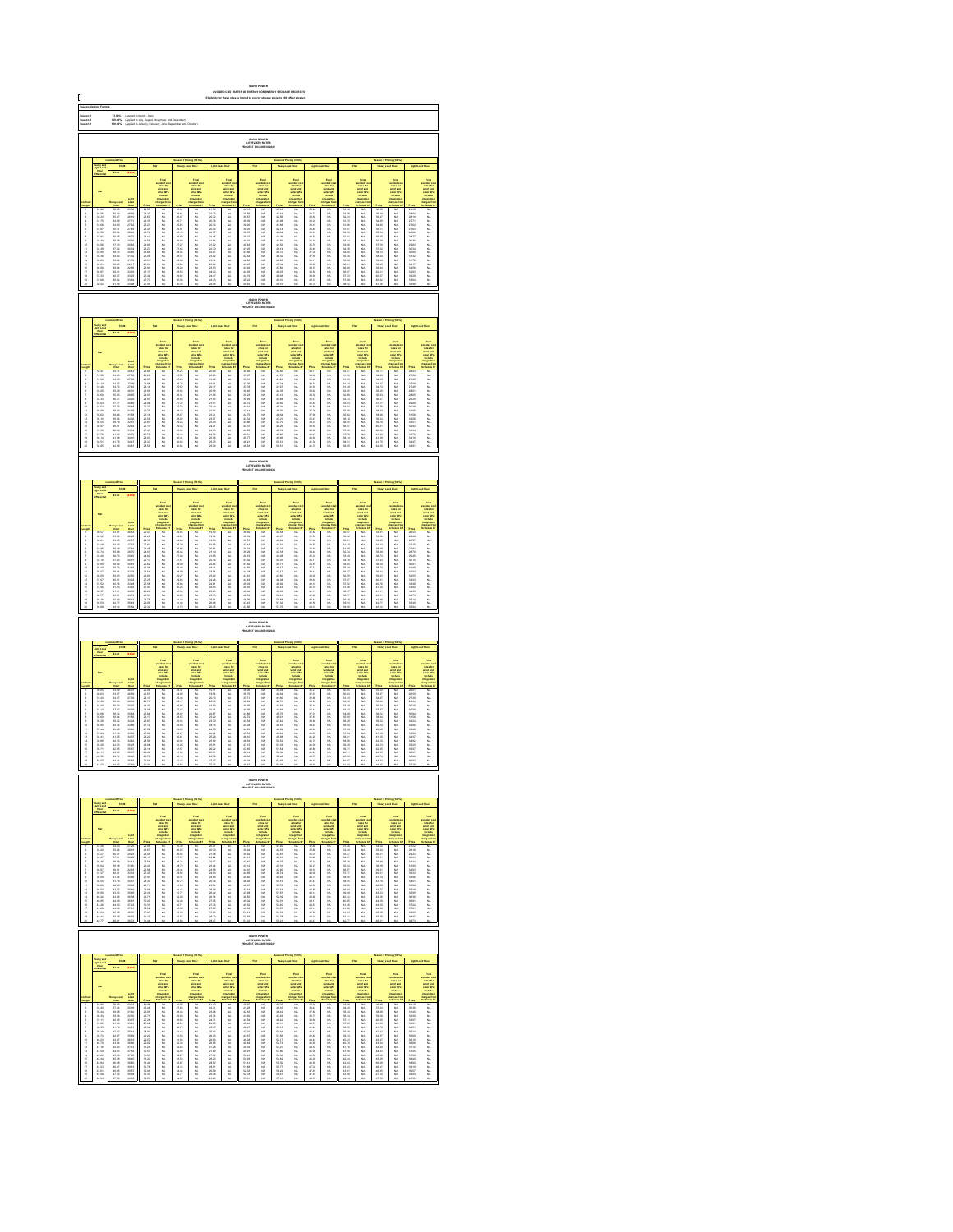| C                                   |                                                                                                                                                                                                                               |                                                                                                                                                                                                                                      |                                                                                                                                                                                                                               |                                                                                                                                                                                                                               |                                                                                                                                                                                                                                |                                                   |                                                                                                      |                                                                                                                                        |                                                                                               |                                          |                                                                                                                                                                                                                                  |                                                   |                                                                                                                 |                                                |                                                                                                                                                                                                                               |                                        |                                                                                                                                                                                                                                                  |                                                                                               |                                                                                                                                                                                                                         |                                                |                                                                                                                                                                                                                                     |
|-------------------------------------|-------------------------------------------------------------------------------------------------------------------------------------------------------------------------------------------------------------------------------|--------------------------------------------------------------------------------------------------------------------------------------------------------------------------------------------------------------------------------------|-------------------------------------------------------------------------------------------------------------------------------------------------------------------------------------------------------------------------------|-------------------------------------------------------------------------------------------------------------------------------------------------------------------------------------------------------------------------------|--------------------------------------------------------------------------------------------------------------------------------------------------------------------------------------------------------------------------------|---------------------------------------------------|------------------------------------------------------------------------------------------------------|----------------------------------------------------------------------------------------------------------------------------------------|-----------------------------------------------------------------------------------------------|------------------------------------------|----------------------------------------------------------------------------------------------------------------------------------------------------------------------------------------------------------------------------------|---------------------------------------------------|-----------------------------------------------------------------------------------------------------------------|------------------------------------------------|-------------------------------------------------------------------------------------------------------------------------------------------------------------------------------------------------------------------------------|----------------------------------------|--------------------------------------------------------------------------------------------------------------------------------------------------------------------------------------------------------------------------------------------------|-----------------------------------------------------------------------------------------------|-------------------------------------------------------------------------------------------------------------------------------------------------------------------------------------------------------------------------|------------------------------------------------|-------------------------------------------------------------------------------------------------------------------------------------------------------------------------------------------------------------------------------------|
|                                     |                                                                                                                                                                                                                               |                                                                                                                                                                                                                                      | (Applied)<br>(Applied)<br>(Applied)                                                                                                                                                                                           |                                                                                                                                                                                                                               |                                                                                                                                                                                                                                |                                                   |                                                                                                      |                                                                                                                                        |                                                                                               |                                          |                                                                                                                                                                                                                                  |                                                   |                                                                                                                 |                                                |                                                                                                                                                                                                                               |                                        |                                                                                                                                                                                                                                                  |                                                                                               |                                                                                                                                                                                                                         |                                                |                                                                                                                                                                                                                                     |
|                                     |                                                                                                                                                                                                                               |                                                                                                                                                                                                                                      |                                                                                                                                                                                                                               |                                                                                                                                                                                                                               |                                                                                                                                                                                                                                |                                                   |                                                                                                      |                                                                                                                                        |                                                                                               |                                          |                                                                                                                                                                                                                                  |                                                   |                                                                                                                 |                                                |                                                                                                                                                                                                                               |                                        |                                                                                                                                                                                                                                                  |                                                                                               |                                                                                                                                                                                                                         |                                                |                                                                                                                                                                                                                                     |
|                                     |                                                                                                                                                                                                                               | 87.3                                                                                                                                                                                                                                 |                                                                                                                                                                                                                               |                                                                                                                                                                                                                               |                                                                                                                                                                                                                                |                                                   |                                                                                                      |                                                                                                                                        |                                                                                               |                                          |                                                                                                                                                                                                                                  |                                                   |                                                                                                                 |                                                |                                                                                                                                                                                                                               |                                        |                                                                                                                                                                                                                                                  |                                                                                               |                                                                                                                                                                                                                         |                                                |                                                                                                                                                                                                                                     |
|                                     |                                                                                                                                                                                                                               |                                                                                                                                                                                                                                      |                                                                                                                                                                                                                               |                                                                                                                                                                                                                               |                                                                                                                                                                                                                                |                                                   |                                                                                                      |                                                                                                                                        |                                                                                               |                                          |                                                                                                                                                                                                                                  |                                                   |                                                                                                                 |                                                |                                                                                                                                                                                                                               |                                        |                                                                                                                                                                                                                                                  |                                                                                               |                                                                                                                                                                                                                         |                                                |                                                                                                                                                                                                                                     |
|                                     |                                                                                                                                                                                                                               |                                                                                                                                                                                                                                      |                                                                                                                                                                                                                               |                                                                                                                                                                                                                               |                                                                                                                                                                                                                                |                                                   | <b>THEF</b>                                                                                          |                                                                                                                                        |                                                                                               |                                          | wided a<br>sales for<br>sales of the Columbia<br>sales for the Columbia                                                                                                                                                          |                                                   | <b>THE</b>                                                                                                      |                                                | and and a<br>self-and and<br>self-and and a<br>self-and and and and a<br>harger fi                                                                                                                                            |                                        |                                                                                                                                                                                                                                                  |                                                                                               |                                                                                                                                                                                                                         |                                                |                                                                                                                                                                                                                                     |
|                                     |                                                                                                                                                                                                                               |                                                                                                                                                                                                                                      |                                                                                                                                                                                                                               |                                                                                                                                                                                                                               |                                                                                                                                                                                                                                |                                                   |                                                                                                      |                                                                                                                                        |                                                                                               |                                          |                                                                                                                                                                                                                                  |                                                   |                                                                                                                 |                                                |                                                                                                                                                                                                                               |                                        |                                                                                                                                                                                                                                                  |                                                                                               |                                                                                                                                                                                                                         |                                                |                                                                                                                                                                                                                                     |
|                                     |                                                                                                                                                                                                                               |                                                                                                                                                                                                                                      |                                                                                                                                                                                                                               |                                                                                                                                                                                                                               |                                                                                                                                                                                                                                |                                                   |                                                                                                      |                                                                                                                                        |                                                                                               |                                          |                                                                                                                                                                                                                                  |                                                   |                                                                                                                 |                                                |                                                                                                                                                                                                                               |                                        |                                                                                                                                                                                                                                                  |                                                                                               |                                                                                                                                                                                                                         |                                                |                                                                                                                                                                                                                                     |
| 医马耳皮皮牙耳束细计 经经帐饭经经帐饭                 | 化加热式 医抗原性 医抗原 医阿尔伯氏试验检尿道检查 医阿尔伯氏试验检尿道检查检尿道检查检尿道检尿道                                                                                                                                                                            | Now 2016 00:30 20:47 20:58 00:30 20:59 20:59 20:59 20:59 20:59 20:59 20:59 20:59 20:59 20:59 20:59 20:59 20:59 20:59 20:59 20:59 20:59 20:59 20:59 20:59 20:59 20:59 20:59 20:59 20:59 20:59 20:59 20:59 20:59 20:59 20:59 20:       | 2010年 12月23日 12月23日 12月23日 12月23日 12月23日 12月23日 12月23日 12月23日 12月23日 12月23日 12月23日 12月23日 12月23日 12月                                                                                                                          |                                                                                                                                                                                                                               | 2012年 机加热机 机机机机机机机机机机机机机机                                                                                                                                                                                                      | 机自动代码化计算机接收 地名加拿大美国加拿大美国加拿大美国加拿大美国                | ,,,,,,,,,,,,,,,,,,,,,,,,,,,,,,,,,,,                                                                  | 21.59<br>21.26.72<br>20.36.20.36<br>20.36.77 55.54<br>21.57 55.87<br>22.35 57 57.55<br>22.35 57.57<br>22.35 57.57<br>23.35 23.35 57.57 |                                                                                               |                                          |                                                                                                                                                                                                                                  | 化自动装置 计自动控制 医阿拉伯氏试验检尿糖尿病 医阿拉伯氏试验检胆汁               |                                                                                                                 |                                                |                                                                                                                                                                                                                               | 计多数计算机 化加氢医加氢医加氢医脱氢 计分类数据 医阿斯特斯斯氏试验检胆汁 |                                                                                                                                                                                                                                                  | 机化学 医二氯二乙酸 计自动参加程序 医抗原性 医抗原性 医前列腺 医前列腺 医前期性脑炎                                                 | Pad Colorado    200    200    200    200    200    200    200    200    200    200    200    200    200    200    200    200    200    200    200    200    200    200    200    200    200    200    200    200    200 |                                                | <b>Franchise School of Law Andrews School of Law Andrews School of Law Andrews School of Law Andrews School of Law Andrews School of Law Andrews School of Law Andrews School of Law Andrews School of Law Andrews School of La</b> |
|                                     |                                                                                                                                                                                                                               |                                                                                                                                                                                                                                      |                                                                                                                                                                                                                               |                                                                                                                                                                                                                               |                                                                                                                                                                                                                                |                                                   |                                                                                                      |                                                                                                                                        |                                                                                               |                                          |                                                                                                                                                                                                                                  |                                                   |                                                                                                                 |                                                |                                                                                                                                                                                                                               |                                        |                                                                                                                                                                                                                                                  |                                                                                               |                                                                                                                                                                                                                         |                                                |                                                                                                                                                                                                                                     |
|                                     |                                                                                                                                                                                                                               |                                                                                                                                                                                                                                      |                                                                                                                                                                                                                               |                                                                                                                                                                                                                               |                                                                                                                                                                                                                                |                                                   |                                                                                                      |                                                                                                                                        |                                                                                               |                                          | <b>IDAHO POWER<br/>LEVELIZED RATES<br/>LECT ON-LINE IN 2</b>                                                                                                                                                                     |                                                   |                                                                                                                 |                                                |                                                                                                                                                                                                                               |                                        |                                                                                                                                                                                                                                                  |                                                                                               |                                                                                                                                                                                                                         |                                                |                                                                                                                                                                                                                                     |
|                                     |                                                                                                                                                                                                                               |                                                                                                                                                                                                                                      |                                                                                                                                                                                                                               |                                                                                                                                                                                                                               |                                                                                                                                                                                                                                |                                                   |                                                                                                      |                                                                                                                                        |                                                                                               |                                          |                                                                                                                                                                                                                                  |                                                   |                                                                                                                 |                                                |                                                                                                                                                                                                                               |                                        |                                                                                                                                                                                                                                                  |                                                                                               |                                                                                                                                                                                                                         |                                                |                                                                                                                                                                                                                                     |
|                                     |                                                                                                                                                                                                                               |                                                                                                                                                                                                                                      |                                                                                                                                                                                                                               |                                                                                                                                                                                                                               |                                                                                                                                                                                                                                |                                                   |                                                                                                      |                                                                                                                                        |                                                                                               |                                          |                                                                                                                                                                                                                                  |                                                   |                                                                                                                 |                                                |                                                                                                                                                                                                                               |                                        |                                                                                                                                                                                                                                                  |                                                                                               |                                                                                                                                                                                                                         |                                                |                                                                                                                                                                                                                                     |
|                                     |                                                                                                                                                                                                                               |                                                                                                                                                                                                                                      |                                                                                                                                                                                                                               |                                                                                                                                                                                                                               |                                                                                                                                                                                                                                |                                                   | Final<br>selfati ca<br>selfati and<br>selfati and<br>selfati indicate<br>trages for                  |                                                                                                                                        |                                                                                               |                                          | taiwa da 19 maja 19 maja 19 maja 19 maja 19 maja 19 maja 19 maja 19 maja 19 maja 19 maja 19 maja 19 maja 19 ma<br>19 maja 19 maja 19 maja 19 maja 19 maja 19 maja 19 maja 19 maja 19 maja 19 maja 19 maja 19 maja 19 maja 19 maj |                                                   | Final<br>volunt on<br>volunt and<br>solar CP<br>include                                                         |                                                |                                                                                                                                                                                                                               |                                        |                                                                                                                                                                                                                                                  |                                                                                               |                                                                                                                                                                                                                         |                                                | take the second the second term of the second term of the second term of the second term of the second term of the second term of the second term of the second term of the second term of the second term of the second term       |
|                                     |                                                                                                                                                                                                                               |                                                                                                                                                                                                                                      |                                                                                                                                                                                                                               |                                                                                                                                                                                                                               | 2. 机机械机械机械机械机械机械机械机械机械                                                                                                                                                                                                         |                                                   |                                                                                                      |                                                                                                                                        |                                                                                               |                                          |                                                                                                                                                                                                                                  |                                                   |                                                                                                                 |                                                |                                                                                                                                                                                                                               |                                        |                                                                                                                                                                                                                                                  |                                                                                               |                                                                                                                                                                                                                         |                                                |                                                                                                                                                                                                                                     |
|                                     |                                                                                                                                                                                                                               | 12月10日出版社 12月13日 12月13日 12月13日 12月13日                                                                                                                                                                                                |                                                                                                                                                                                                                               | 22.23 22.23 23.34 24 25 26 26 27 27 27 27 28 29 20 21 22 23 24 25 26 27 27 27 28 29 20 21 22 23 24 25 26 27 27 27 28 29                                                                                                       |                                                                                                                                                                                                                                | 医胃炎 医舌状肌 医心包的 医心包的 医心包的 医心包的 医心包的 医心包的 医心包的       |                                                                                                      | 2020年11月22日 2月22日 2月22日 2月23日 2月23日 2月23日 2月23日 2月23日 2月23日 2月23日 2月23日 2月23日 2月23日 2月23日 2月23日 2月23日 2月23日                            |                                                                                               | 3分分加以加强的 化红酸铅 经股份经济价格                    |                                                                                                                                                                                                                                  | 一代法 化对称法对称 机副对称 医阿尔特氏试验检尿糖 医皮肤病 医皮肤病 医皮肤病         | 铁铁铁铁铁铁铁铁铁铁铁铁铁铁铁铁铁铁铁铁                                                                                            |                                                |                                                                                                                                                                                                                               | 1. 化加热器 医精神性脑膜炎 化氧化物                   | 以以以以以以以以以以以以以以以以以以以                                                                                                                                                                                                                              | 一种的复数形式 化氯化物 医抗原性 医阿尔比氏试验检胆汁                                                                  |                                                                                                                                                                                                                         |                                                |                                                                                                                                                                                                                                     |
|                                     |                                                                                                                                                                                                                               |                                                                                                                                                                                                                                      |                                                                                                                                                                                                                               |                                                                                                                                                                                                                               |                                                                                                                                                                                                                                |                                                   |                                                                                                      |                                                                                                                                        |                                                                                               |                                          |                                                                                                                                                                                                                                  |                                                   |                                                                                                                 |                                                |                                                                                                                                                                                                                               |                                        |                                                                                                                                                                                                                                                  |                                                                                               |                                                                                                                                                                                                                         |                                                |                                                                                                                                                                                                                                     |
|                                     | 计数组 化硫酸二乙烯酸二乙烯酸 计数据 医阴道性 医皮肤 医皮肤 医皮肤 医皮肤 医皮肤 医皮肤性 医皮肤性                                                                                                                                                                        |                                                                                                                                                                                                                                      |                                                                                                                                                                                                                               |                                                                                                                                                                                                                               |                                                                                                                                                                                                                                |                                                   |                                                                                                      |                                                                                                                                        |                                                                                               |                                          |                                                                                                                                                                                                                                  |                                                   |                                                                                                                 |                                                |                                                                                                                                                                                                                               |                                        |                                                                                                                                                                                                                                                  |                                                                                               |                                                                                                                                                                                                                         |                                                |                                                                                                                                                                                                                                     |
|                                     |                                                                                                                                                                                                                               |                                                                                                                                                                                                                                      |                                                                                                                                                                                                                               |                                                                                                                                                                                                                               |                                                                                                                                                                                                                                |                                                   |                                                                                                      |                                                                                                                                        |                                                                                               |                                          | <b>IDAHO POWER</b><br>LEVELIZED RATES                                                                                                                                                                                            |                                                   |                                                                                                                 |                                                |                                                                                                                                                                                                                               |                                        |                                                                                                                                                                                                                                                  |                                                                                               |                                                                                                                                                                                                                         |                                                |                                                                                                                                                                                                                                     |
|                                     |                                                                                                                                                                                                                               |                                                                                                                                                                                                                                      |                                                                                                                                                                                                                               |                                                                                                                                                                                                                               |                                                                                                                                                                                                                                |                                                   |                                                                                                      |                                                                                                                                        |                                                                                               |                                          |                                                                                                                                                                                                                                  |                                                   |                                                                                                                 |                                                |                                                                                                                                                                                                                               |                                        |                                                                                                                                                                                                                                                  |                                                                                               |                                                                                                                                                                                                                         |                                                |                                                                                                                                                                                                                                     |
|                                     |                                                                                                                                                                                                                               |                                                                                                                                                                                                                                      |                                                                                                                                                                                                                               |                                                                                                                                                                                                                               |                                                                                                                                                                                                                                |                                                   |                                                                                                      |                                                                                                                                        |                                                                                               |                                          |                                                                                                                                                                                                                                  |                                                   |                                                                                                                 |                                                |                                                                                                                                                                                                                               |                                        |                                                                                                                                                                                                                                                  |                                                                                               |                                                                                                                                                                                                                         |                                                |                                                                                                                                                                                                                                     |
|                                     |                                                                                                                                                                                                                               |                                                                                                                                                                                                                                      |                                                                                                                                                                                                                               |                                                                                                                                                                                                                               |                                                                                                                                                                                                                                |                                                   | Final<br>seated co<br>selector<br>selector<br>sequel to<br>harges for                                |                                                                                                                                        | tilli                                                                                         |                                          | <b>ERIT</b>                                                                                                                                                                                                                      |                                                   | W                                                                                                               |                                                |                                                                                                                                                                                                                               |                                        | $\begin{array}{l} \begin{array}{c} \text{const}\\ \text{const}\\ \text{right}\\ \text{right}\\ \begin{array}{c} \text{right}\\ \text{right}\\ \text{right}\\ \begin{array}{c} \text{right}\\ \text{right}\\ \end{array} \end{array} \end{array}$ |                                                                                               |                                                                                                                                                                                                                         |                                                | the contract of the contract of the contract of the contract of the contract of the contract of the contract of the contract of the contract of the contract of the contract of the contract of the contract of the contract        |
|                                     |                                                                                                                                                                                                                               |                                                                                                                                                                                                                                      |                                                                                                                                                                                                                               |                                                                                                                                                                                                                               |                                                                                                                                                                                                                                |                                                   |                                                                                                      |                                                                                                                                        |                                                                                               |                                          | 联邦规格规格规格规格规格规格规格规格规格                                                                                                                                                                                                             |                                                   |                                                                                                                 |                                                |                                                                                                                                                                                                                               |                                        |                                                                                                                                                                                                                                                  |                                                                                               |                                                                                                                                                                                                                         |                                                |                                                                                                                                                                                                                                     |
| 1 运马并有关不幸 医神经经经经经经经经                | 2022年11月24日 2023年12月24日 2023年12月24日 2023年 2023年 2023年 2023年 2023年 2023年 2023年 2023年 2023年 2023年 2023年 2023年 2023年 2023年 2023年 2023年 2023年 2023年 2023年 2023年 2023年 2023年 2023年 2023年 2023年 2023年 2023年 2023年 2023年 2023年 2023年 |                                                                                                                                                                                                                                      |                                                                                                                                                                                                                               |                                                                                                                                                                                                                               | 机烟烟烟烟烟烟烟烟烟烟烟烟烟烟烟烟烟烟                                                                                                                                                                                                            | 1.其实是我们的人们的人们的人们的人们的人们的人们的人们的人们的人们的人们的人们的人们的人     |                                                                                                      |                                                                                                                                        | 铁铁铁铁铁铁铁铁铁铁铁铁铁铁铁铁铁铁铁                                                                           | 法法分法法法法律 化胶体 经总额的 化硫酸铅 计数据数据 计数据数据 计数据数据 |                                                                                                                                                                                                                                  |                                                   | *********************                                                                                           | 11.台前前一个名称 化二氯化物 化二氯化物 化二氯化物 化二氯化物 化三氯化物 医三氯化物 |                                                                                                                                                                                                                               | 医精神性 医精神性神经 化分子油 计分子设计                 | 以以以以以以以以以以以以以以以以以以。                                                                                                                                                                                                                              | 一名地名美国加拿大美国 化硫酸钠 医心包的 医红色性白血清 医皮肤性 医皮肤性 医皮肤性                                                  | 加加加加加加加加加加加加加加加加加加                                                                                                                                                                                                      | (地名北京北非共和国北部城市 化二乙基苯甲基 医异体性 医心包 医心包的 医心包的 医心包的 |                                                                                                                                                                                                                                     |
|                                     |                                                                                                                                                                                                                               |                                                                                                                                                                                                                                      |                                                                                                                                                                                                                               |                                                                                                                                                                                                                               |                                                                                                                                                                                                                                |                                                   |                                                                                                      |                                                                                                                                        |                                                                                               |                                          |                                                                                                                                                                                                                                  |                                                   |                                                                                                                 |                                                |                                                                                                                                                                                                                               |                                        |                                                                                                                                                                                                                                                  |                                                                                               |                                                                                                                                                                                                                         |                                                |                                                                                                                                                                                                                                     |
|                                     |                                                                                                                                                                                                                               |                                                                                                                                                                                                                                      |                                                                                                                                                                                                                               |                                                                                                                                                                                                                               |                                                                                                                                                                                                                                |                                                   |                                                                                                      |                                                                                                                                        |                                                                                               |                                          |                                                                                                                                                                                                                                  |                                                   |                                                                                                                 |                                                |                                                                                                                                                                                                                               |                                        |                                                                                                                                                                                                                                                  |                                                                                               |                                                                                                                                                                                                                         |                                                |                                                                                                                                                                                                                                     |
|                                     |                                                                                                                                                                                                                               |                                                                                                                                                                                                                                      |                                                                                                                                                                                                                               |                                                                                                                                                                                                                               |                                                                                                                                                                                                                                |                                                   |                                                                                                      |                                                                                                                                        |                                                                                               |                                          | <b>IDAHO POWER</b><br>LEWELIZED RATES<br>LIECT ON-LINE IN 1                                                                                                                                                                      |                                                   |                                                                                                                 |                                                |                                                                                                                                                                                                                               |                                        |                                                                                                                                                                                                                                                  |                                                                                               |                                                                                                                                                                                                                         |                                                |                                                                                                                                                                                                                                     |
|                                     |                                                                                                                                                                                                                               | 83                                                                                                                                                                                                                                   |                                                                                                                                                                                                                               |                                                                                                                                                                                                                               |                                                                                                                                                                                                                                |                                                   |                                                                                                      |                                                                                                                                        |                                                                                               |                                          |                                                                                                                                                                                                                                  |                                                   |                                                                                                                 | <b>Light Least H</b>                           |                                                                                                                                                                                                                               |                                        |                                                                                                                                                                                                                                                  |                                                                                               |                                                                                                                                                                                                                         |                                                |                                                                                                                                                                                                                                     |
|                                     |                                                                                                                                                                                                                               |                                                                                                                                                                                                                                      |                                                                                                                                                                                                                               |                                                                                                                                                                                                                               |                                                                                                                                                                                                                                |                                                   | Final<br>volted on<br>volted and<br>volte GPs<br>indiade<br>indigation<br>harges for                 |                                                                                                                                        | Post<br>model of<br>model of<br>model of the<br>model of the<br>model of the post<br>harges ! |                                          | <b>WILLE</b>                                                                                                                                                                                                                     |                                                   |                                                                                                                 |                                                |                                                                                                                                                                                                                               |                                        |                                                                                                                                                                                                                                                  |                                                                                               | THILE                                                                                                                                                                                                                   |                                                |                                                                                                                                                                                                                                     |
|                                     |                                                                                                                                                                                                                               |                                                                                                                                                                                                                                      |                                                                                                                                                                                                                               |                                                                                                                                                                                                                               | For a state of the contribution of the contribution of the contribution of the contribution of the contribution of the contribution of the contribution of the contribution of the contribution of the contribution of the con |                                                   |                                                                                                      |                                                                                                                                        |                                                                                               |                                          |                                                                                                                                                                                                                                  |                                                   |                                                                                                                 |                                                | the control of the control of the control of the control of the control of the control of the control of the control of the control of the control of the control of the control of the control of the control of the control |                                        |                                                                                                                                                                                                                                                  |                                                                                               |                                                                                                                                                                                                                         |                                                | radio Sanda (1966) (1975) (1975) (1975) (1975) (1975) (1975) (1975) (1975) (1975) (1975) (1975) (1975) (1975) (1975) (1975) (1975) (1975) (1975) (1975) (1975) (1975) (1975) (1975) (1975) (1975) (1975) (1975) (1975) (1975)       |
| 1 年31 月 51 月 31 月 31 修修修修修修修修修修修修修修 |                                                                                                                                                                                                                               | <b>National Second Control Control Control Control Control Control Control Control Control Control Control Control Control Control Control Control Control Control Control Control Control Control Control Control Control Contr</b> |                                                                                                                                                                                                                               | 22.00 22.75 23.00 23.00 23.00 23.00 23.00 23.00 23.00 23.00 23.00 23.00 23.00 23.00 23.00 23.00 23.00 23.00 23.00 23.00 23.00 23.00 23.00 23.00 23.00 23.00 23.00 23.00 23.00 23.00 23.00 23.00 23.00 23.00 23.00 23.00 23.00 |                                                                                                                                                                                                                                | 医复合性 医皮肤性 医皮肤性 医皮肤性 医皮肤性 医皮肤 医皮肤性 医皮肤性 医阿尔伯氏试验检尿糖 |                                                                                                      |                                                                                                                                        | 2013年球球球球球球球球球球球球球球球球球球球                                                                      |                                          |                                                                                                                                                                                                                                  |                                                   |                                                                                                                 |                                                |                                                                                                                                                                                                                               |                                        |                                                                                                                                                                                                                                                  | 计分类 医分裂性的 化合物分裂 医多种性 医心包性 医心包性 医心包的 医心包的 医心包的                                                 | 2.从此从此从此从此从此从此以此以此以此以此                                                                                                                                                                                                  |                                                |                                                                                                                                                                                                                                     |
|                                     |                                                                                                                                                                                                                               |                                                                                                                                                                                                                                      |                                                                                                                                                                                                                               |                                                                                                                                                                                                                               |                                                                                                                                                                                                                                |                                                   |                                                                                                      |                                                                                                                                        |                                                                                               |                                          |                                                                                                                                                                                                                                  |                                                   |                                                                                                                 |                                                |                                                                                                                                                                                                                               |                                        |                                                                                                                                                                                                                                                  |                                                                                               |                                                                                                                                                                                                                         |                                                |                                                                                                                                                                                                                                     |
|                                     |                                                                                                                                                                                                                               |                                                                                                                                                                                                                                      |                                                                                                                                                                                                                               |                                                                                                                                                                                                                               |                                                                                                                                                                                                                                |                                                   |                                                                                                      |                                                                                                                                        |                                                                                               |                                          |                                                                                                                                                                                                                                  |                                                   |                                                                                                                 |                                                |                                                                                                                                                                                                                               |                                        |                                                                                                                                                                                                                                                  |                                                                                               |                                                                                                                                                                                                                         |                                                |                                                                                                                                                                                                                                     |
|                                     |                                                                                                                                                                                                                               |                                                                                                                                                                                                                                      |                                                                                                                                                                                                                               |                                                                                                                                                                                                                               |                                                                                                                                                                                                                                |                                                   |                                                                                                      |                                                                                                                                        |                                                                                               |                                          |                                                                                                                                                                                                                                  |                                                   |                                                                                                                 |                                                |                                                                                                                                                                                                                               |                                        |                                                                                                                                                                                                                                                  |                                                                                               |                                                                                                                                                                                                                         |                                                |                                                                                                                                                                                                                                     |
|                                     |                                                                                                                                                                                                                               |                                                                                                                                                                                                                                      |                                                                                                                                                                                                                               |                                                                                                                                                                                                                               |                                                                                                                                                                                                                                |                                                   |                                                                                                      |                                                                                                                                        |                                                                                               |                                          |                                                                                                                                                                                                                                  |                                                   |                                                                                                                 |                                                |                                                                                                                                                                                                                               |                                        |                                                                                                                                                                                                                                                  |                                                                                               |                                                                                                                                                                                                                         |                                                |                                                                                                                                                                                                                                     |
|                                     |                                                                                                                                                                                                                               |                                                                                                                                                                                                                                      |                                                                                                                                                                                                                               |                                                                                                                                                                                                                               |                                                                                                                                                                                                                                |                                                   |                                                                                                      |                                                                                                                                        |                                                                                               |                                          |                                                                                                                                                                                                                                  |                                                   |                                                                                                                 |                                                |                                                                                                                                                                                                                               |                                        |                                                                                                                                                                                                                                                  |                                                                                               |                                                                                                                                                                                                                         |                                                |                                                                                                                                                                                                                                     |
|                                     |                                                                                                                                                                                                                               |                                                                                                                                                                                                                                      |                                                                                                                                                                                                                               |                                                                                                                                                                                                                               |                                                                                                                                                                                                                                |                                                   |                                                                                                      |                                                                                                                                        | volded a<br>raise for<br>mind am<br>noted GM<br>include<br>harpes fo<br>harpes for            |                                          | raise f<br>wind as<br>salar C<br>include<br>hargest<br>hargest                                                                                                                                                                   |                                                   | voided on<br>roles for<br>roles for<br>solar CPs<br>include<br>hoppidium<br>hoppidium<br>hoppidium<br>hoppidium |                                                |                                                                                                                                                                                                                               |                                        |                                                                                                                                                                                                                                                  |                                                                                               | <b>REEL</b>                                                                                                                                                                                                             |                                                |                                                                                                                                                                                                                                     |
|                                     |                                                                                                                                                                                                                               |                                                                                                                                                                                                                                      |                                                                                                                                                                                                                               |                                                                                                                                                                                                                               |                                                                                                                                                                                                                                |                                                   |                                                                                                      |                                                                                                                                        |                                                                                               |                                          |                                                                                                                                                                                                                                  |                                                   |                                                                                                                 |                                                |                                                                                                                                                                                                                               |                                        |                                                                                                                                                                                                                                                  |                                                                                               |                                                                                                                                                                                                                         |                                                |                                                                                                                                                                                                                                     |
|                                     |                                                                                                                                                                                                                               |                                                                                                                                                                                                                                      |                                                                                                                                                                                                                               |                                                                                                                                                                                                                               |                                                                                                                                                                                                                                |                                                   |                                                                                                      |                                                                                                                                        |                                                                                               |                                          |                                                                                                                                                                                                                                  |                                                   |                                                                                                                 |                                                |                                                                                                                                                                                                                               |                                        |                                                                                                                                                                                                                                                  |                                                                                               |                                                                                                                                                                                                                         |                                                |                                                                                                                                                                                                                                     |
|                                     |                                                                                                                                                                                                                               |                                                                                                                                                                                                                                      |                                                                                                                                                                                                                               |                                                                                                                                                                                                                               |                                                                                                                                                                                                                                |                                                   |                                                                                                      |                                                                                                                                        |                                                                                               |                                          |                                                                                                                                                                                                                                  |                                                   |                                                                                                                 |                                                |                                                                                                                                                                                                                               |                                        |                                                                                                                                                                                                                                                  |                                                                                               |                                                                                                                                                                                                                         |                                                |                                                                                                                                                                                                                                     |
|                                     |                                                                                                                                                                                                                               | 35.00 25.00 27.00 28.00 29.00 29.00 29.00 29.00 29.00 29.00 29.00 29.00 29.00 29.00 29.00 29.00 29.00 29.00 29.00 29.00 29.00 29.00 29.00 29.00 29.00 29.00 29.00 29.00 29.00 29.00 29.00 29.00 29.00 29.00 29.00 29.00 29.00 2      |                                                                                                                                                                                                                               | 22.88 23.88 23.88 27.82 28.33 29.33 29.33 29.33 29.33 29.33 29.33 29.33 29.33 29.33 29.33 29.33 29.33 29.33 29.33 29.33 29.33 29.33 29.33 29.33 29.33 29.33 29.33 29.33 29.33 29.33 29.33 29.33 29.33 29.33 29.33 29.33 29.33 | 机树脂树脂树脂树脂树脂树脂树脂树脂树脂                                                                                                                                                                                                            | 网络陆续公开 机砂片切削机刀 的复数医加拿大 化抗体                        | 1992年12月12日,12月12日,12月12日,12月12日,12月12日,12月12日,12月12日,12月12日,12月12日,12月12日,12月12日,12月12日,12月12日,12月1 | 12022年12月13日 12月23日 12月23日 12月23日 12月23日 12月23日 12月23日 12月23日 12月23日 12月23日 12月23日 12月23日 12月23日 12月                                   | 地球球球球球球球球球球球球球球球球球球球                                                                          |                                          | 机树脂树脂树脂树脂树脂树脂树脂树脂树脂                                                                                                                                                                                                              | 4.经股利情报对比 经市场 医加拿大 医阴道下的 医阴道性 医阴道性 医阴道性 医阴道性 医阴道性 | 3.以以以以以以以以以以以以以以以以以以以以                                                                                          |                                                |                                                                                                                                                                                                                               | 医特拉氏线 医精神性 化混合 医内皮性脑炎 医阿尔比尔氏征          | 3.以以以以以以以以以以以以以以以以以以以以                                                                                                                                                                                                                           | 2015年1月2日,1月28日,1月28日,1月28日,1月28日,1月28日,1月28日,1月28日,1月28日,1月28日,1月28日,1月28日,1月28日,1月28日,1月28日 | 加加加加加加加加加加加加加加加加加加加                                                                                                                                                                                                     |                                                | tail and tail and tail and tail and tail and tail and tail and tail and tail and tail and tail and tail and tail and tail and tail and tail and tail and tail and tail and tail and tail and tail and tail and tail and tail        |
|                                     |                                                                                                                                                                                                                               |                                                                                                                                                                                                                                      |                                                                                                                                                                                                                               |                                                                                                                                                                                                                               |                                                                                                                                                                                                                                |                                                   |                                                                                                      |                                                                                                                                        |                                                                                               |                                          |                                                                                                                                                                                                                                  |                                                   |                                                                                                                 |                                                |                                                                                                                                                                                                                               |                                        |                                                                                                                                                                                                                                                  |                                                                                               |                                                                                                                                                                                                                         |                                                |                                                                                                                                                                                                                                     |
|                                     |                                                                                                                                                                                                                               |                                                                                                                                                                                                                                      |                                                                                                                                                                                                                               |                                                                                                                                                                                                                               |                                                                                                                                                                                                                                |                                                   |                                                                                                      |                                                                                                                                        |                                                                                               |                                          | IDAHO POWER<br>LEVELIZED RATES<br>LIECT ON-LINE IN 2                                                                                                                                                                             |                                                   |                                                                                                                 |                                                |                                                                                                                                                                                                                               |                                        |                                                                                                                                                                                                                                                  |                                                                                               |                                                                                                                                                                                                                         |                                                |                                                                                                                                                                                                                                     |
|                                     |                                                                                                                                                                                                                               |                                                                                                                                                                                                                                      |                                                                                                                                                                                                                               |                                                                                                                                                                                                                               |                                                                                                                                                                                                                                |                                                   |                                                                                                      |                                                                                                                                        |                                                                                               |                                          |                                                                                                                                                                                                                                  |                                                   |                                                                                                                 |                                                |                                                                                                                                                                                                                               |                                        |                                                                                                                                                                                                                                                  |                                                                                               |                                                                                                                                                                                                                         |                                                |                                                                                                                                                                                                                                     |
|                                     | n.                                                                                                                                                                                                                            |                                                                                                                                                                                                                                      |                                                                                                                                                                                                                               |                                                                                                                                                                                                                               |                                                                                                                                                                                                                                |                                                   | Final<br>seated car<br>select and<br>selection Circular<br>indicated<br>indicated<br>harves from     |                                                                                                                                        | santa de<br>Antonio<br>Antonio<br>Antonio<br>Antonio                                          |                                          | rates for<br>what and<br>sales CP<br>includes<br>integration                                                                                                                                                                     |                                                   | rates for<br>wind and<br>solar CP<br>include                                                                    |                                                |                                                                                                                                                                                                                               |                                        |                                                                                                                                                                                                                                                  |                                                                                               | volded on<br>refers for<br>wind and<br>wider City<br>inspiration<br>wing refers                                                                                                                                         |                                                | The Second Control of Control of Control of Control of Control of Control of Control of Control of Control of Control of Control of Control of Control of Control of Control of Control of Control of Control of Control of C       |
|                                     |                                                                                                                                                                                                                               |                                                                                                                                                                                                                                      |                                                                                                                                                                                                                               |                                                                                                                                                                                                                               |                                                                                                                                                                                                                                |                                                   |                                                                                                      |                                                                                                                                        |                                                                                               |                                          |                                                                                                                                                                                                                                  |                                                   |                                                                                                                 |                                                |                                                                                                                                                                                                                               |                                        |                                                                                                                                                                                                                                                  |                                                                                               |                                                                                                                                                                                                                         |                                                |                                                                                                                                                                                                                                     |
|                                     |                                                                                                                                                                                                                               |                                                                                                                                                                                                                                      |                                                                                                                                                                                                                               |                                                                                                                                                                                                                               |                                                                                                                                                                                                                                |                                                   |                                                                                                      |                                                                                                                                        |                                                                                               |                                          |                                                                                                                                                                                                                                  |                                                   |                                                                                                                 |                                                |                                                                                                                                                                                                                               |                                        |                                                                                                                                                                                                                                                  |                                                                                               |                                                                                                                                                                                                                         |                                                |                                                                                                                                                                                                                                     |
| 工运工业车 医尸目医论 计说话 经经经 经决              | 22.54.54.58.77.77.85.55.11.77.77.15.55.12.77.15.55.12.77.15.55.12.77.15.55.12.77.15.55.12.77.15.15.1                                                                                                                          | 34月28日 2020年12月22日 2月22日 2月22日 2月22日 2月23日 2月23日 2月23日 2月23日 2月23日 2月23日 2月23日 2月23日 2月23日 2月23日 2月2                                                                                                                                 | 2 Marx 2013年 2013年 2013年 2013年 2013年 2013年 2013年 2013年 2013年 2013年 2013年 2013年 2013年 2013年 2013年 2013年 2013年 2013年 2013年 2013年 2013年 2013年 2013年 2013年 2013年 2013年 2013年 2013年 2013年 2013年 2013年 2013年 2013年 2013年 2013年 2013 |                                                                                                                                                                                                                               | 化烟烟烟烟烟烟烟烟烟烟烟烟烟烟烟烟烟烟烟                                                                                                                                                                                                           |                                                   |                                                                                                      |                                                                                                                                        | 铁铁铁铁铁铁铁铁铁铁铁铁铁铁铁铁铁铁铁铁                                                                          |                                          | 化烟烟烟烟烟烟烟烟烟烟烟烟烟烟烟烟烟烟烟                                                                                                                                                                                                             | 战战战战战战兢兢的 经经济公司 网络新闻的名词复数 医血管切除术                  | 铁铁铁铁铁铁铁铁铁铁铁铁铁铁铁铁铁铁铁铁                                                                                            |                                                | 加加加加加加加加加加加加加加加加加加加                                                                                                                                                                                                           | 红果然是红果花的 医白色白色白色白色                     | 铁铁铁铁铁铁铁铁铁铁铁铁铁铁铁铁铁铁铁铁                                                                                                                                                                                                                             | 地名美国博尔特 医多角膜 医多角膜 医多角膜 医多角膜 医多角膜 计自动自动 计分类 计多路 医多角膜                                           | 加加加加加加加加加加加加加加加加加加                                                                                                                                                                                                      |                                                |                                                                                                                                                                                                                                     |
|                                     |                                                                                                                                                                                                                               |                                                                                                                                                                                                                                      |                                                                                                                                                                                                                               |                                                                                                                                                                                                                               |                                                                                                                                                                                                                                |                                                   |                                                                                                      |                                                                                                                                        |                                                                                               |                                          |                                                                                                                                                                                                                                  |                                                   |                                                                                                                 |                                                |                                                                                                                                                                                                                               |                                        |                                                                                                                                                                                                                                                  |                                                                                               |                                                                                                                                                                                                                         |                                                |                                                                                                                                                                                                                                     |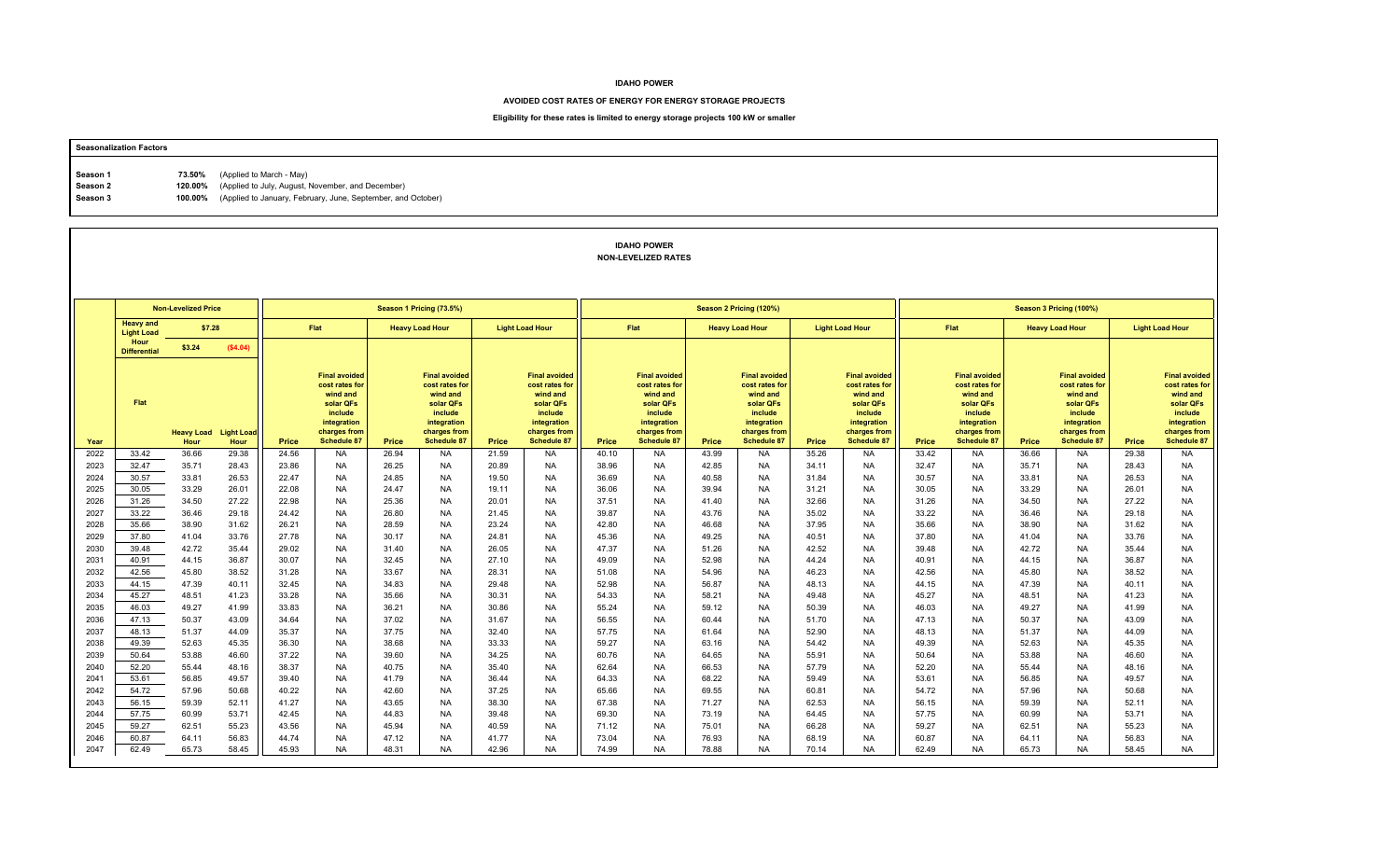#### **AVOIDED COST RATES OF ENERGY FOR ENERGY STORAGE PROJECTS**

## **Eligibility for these rates is limited to energy storage projects 100 kW or smaller**

# **Seasonalization Factors Season 1** 73.50% (Applied to March - May) **Season 2 120.00%** (Applied to July, August, November, and December) **Season 3 100.00%** (Applied to January, February, June, September, and October)

### **IDAHO POWERNON-LEVELIZED RATES**

|              |                                       | <b>Non-Levelized Price</b> |                           |                |                                                                                                                                 |                | Season 1 Pricing (73.5%)                                                                                                        |                |                                                                                                                                 | Season 2 Pricing (120%) |                                                                                                                                 |                |                                                                                                                          |                |                                                                                                                                 | Season 3 Pricing (100%) |                                                                                                                                 |                        |                                                                                                                                 |                        |                                                                                                                                 |  |
|--------------|---------------------------------------|----------------------------|---------------------------|----------------|---------------------------------------------------------------------------------------------------------------------------------|----------------|---------------------------------------------------------------------------------------------------------------------------------|----------------|---------------------------------------------------------------------------------------------------------------------------------|-------------------------|---------------------------------------------------------------------------------------------------------------------------------|----------------|--------------------------------------------------------------------------------------------------------------------------|----------------|---------------------------------------------------------------------------------------------------------------------------------|-------------------------|---------------------------------------------------------------------------------------------------------------------------------|------------------------|---------------------------------------------------------------------------------------------------------------------------------|------------------------|---------------------------------------------------------------------------------------------------------------------------------|--|
|              | <b>Heavy and</b><br><b>Light Load</b> | \$7.28                     |                           |                | Flat                                                                                                                            |                | <b>Heavy Load Hour</b>                                                                                                          |                | <b>Light Load Hour</b>                                                                                                          |                         | Flat                                                                                                                            |                | <b>Heavy Load Hour</b>                                                                                                   |                | <b>Light Load Hour</b>                                                                                                          | Flat                    |                                                                                                                                 | <b>Heavy Load Hour</b> |                                                                                                                                 | <b>Light Load Hour</b> |                                                                                                                                 |  |
|              | Hour<br><b>Differential</b>           | \$3.24                     | (\$4.04)                  |                |                                                                                                                                 |                |                                                                                                                                 |                |                                                                                                                                 |                         |                                                                                                                                 |                |                                                                                                                          |                |                                                                                                                                 |                         |                                                                                                                                 |                        |                                                                                                                                 |                        |                                                                                                                                 |  |
| Year         | Flat                                  | <b>Heavy Load</b><br>Hour  | <b>Light Load</b><br>Hour | Price          | <b>Final avoided</b><br>cost rates for<br>wind and<br>solar QFs<br>include<br>integration<br>charges from<br><b>Schedule 87</b> | Price          | <b>Final avoided</b><br>cost rates for<br>wind and<br>solar QFs<br>include<br>integration<br>charges from<br><b>Schedule 87</b> | Price          | <b>Final avoided</b><br>cost rates for<br>wind and<br>solar QFs<br>include<br>integration<br>charges from<br><b>Schedule 87</b> | Price                   | <b>Final avoided</b><br>cost rates for<br>wind and<br>solar QFs<br>include<br>integration<br>charges from<br><b>Schedule 87</b> | Price          | <b>Final avoided</b><br>cost rates for<br>wind and<br>solar QFs<br>include<br>integration<br>charges from<br>Schedule 87 | Price          | <b>Final avoided</b><br>cost rates for<br>wind and<br>solar QFs<br>include<br>integration<br>charges from<br><b>Schedule 87</b> | Price                   | <b>Final avoided</b><br>cost rates for<br>wind and<br>solar QFs<br>include<br>integration<br>charges from<br><b>Schedule 87</b> | Price                  | <b>Final avoided</b><br>cost rates for<br>wind and<br>solar QFs<br>include<br>integration<br>charges from<br><b>Schedule 87</b> | Price                  | <b>Final avoided</b><br>cost rates for<br>wind and<br>solar QFs<br>include<br>integration<br>charges from<br><b>Schedule 87</b> |  |
| 2022         | 33.42                                 | 36.66                      | 29.38                     | 24.56          | NA.                                                                                                                             | 26.94          | <b>NA</b>                                                                                                                       | 21.59          | NA.                                                                                                                             | 40.10                   | <b>NA</b>                                                                                                                       | 43.99          | <b>NA</b>                                                                                                                | 35.26          | <b>NA</b>                                                                                                                       | 33.42                   | <b>NA</b>                                                                                                                       | 36.66                  | <b>NA</b>                                                                                                                       | 29.38                  | <b>NA</b>                                                                                                                       |  |
| 2023         | 32.47                                 | 35.71                      | 28.43                     | 23.86          | <b>NA</b>                                                                                                                       | 26.25          | <b>NA</b>                                                                                                                       | 20.89          | <b>NA</b>                                                                                                                       | 38.96                   | <b>NA</b>                                                                                                                       | 42.85          | <b>NA</b>                                                                                                                | 34.11          | <b>NA</b>                                                                                                                       | 32.47                   | <b>NA</b>                                                                                                                       | 35.71                  | <b>NA</b>                                                                                                                       | 28.43                  | <b>NA</b>                                                                                                                       |  |
| 2024         | 30.57                                 | 33.81                      | 26.53                     | 22.47          | NA                                                                                                                              | 24.85          | <b>NA</b>                                                                                                                       | 19.50          | <b>NA</b>                                                                                                                       | 36.69                   | NA                                                                                                                              | 40.58          | <b>NA</b>                                                                                                                | 31.84          | <b>NA</b>                                                                                                                       | 30.57                   | <b>NA</b>                                                                                                                       | 33.81                  | <b>NA</b>                                                                                                                       | 26.53                  | <b>NA</b>                                                                                                                       |  |
| 2025         | 30.05                                 | 33.29                      | 26.01                     | 22.08          | <b>NA</b>                                                                                                                       | 24.47          | <b>NA</b>                                                                                                                       | 19.11          | <b>NA</b>                                                                                                                       | 36.06                   | <b>NA</b>                                                                                                                       | 39.94          | <b>NA</b>                                                                                                                | 31.21          | <b>NA</b>                                                                                                                       | 30.05                   | <b>NA</b>                                                                                                                       | 33.29                  | <b>NA</b>                                                                                                                       | 26.01                  | <b>NA</b>                                                                                                                       |  |
| 2026<br>2027 | 31.26<br>33.22                        | 34.50<br>36.46             | 27.22<br>29.18            | 22.98<br>24.42 | <b>NA</b><br><b>NA</b>                                                                                                          | 25.36<br>26.80 | <b>NA</b><br><b>NA</b>                                                                                                          | 20.01<br>21.45 | <b>NA</b><br><b>NA</b>                                                                                                          | 37.51<br>39.87          | <b>NA</b><br><b>NA</b>                                                                                                          | 41.40<br>43.76 | <b>NA</b><br><b>NA</b>                                                                                                   | 32.66<br>35.02 | <b>NA</b><br><b>NA</b>                                                                                                          | 31.26<br>33.22          | <b>NA</b><br><b>NA</b>                                                                                                          | 34.50<br>36.46         | <b>NA</b><br><b>NA</b>                                                                                                          | 27.22<br>29.18         | <b>NA</b><br><b>NA</b>                                                                                                          |  |
| 2028         | 35.66                                 | 38.90                      | 31.62                     | 26.21          | <b>NA</b>                                                                                                                       | 28.59          | <b>NA</b>                                                                                                                       | 23.24          | <b>NA</b>                                                                                                                       | 42.80                   | <b>NA</b>                                                                                                                       | 46.68          | <b>NA</b>                                                                                                                | 37.95          | <b>NA</b>                                                                                                                       | 35.66                   | <b>NA</b>                                                                                                                       | 38.90                  | <b>NA</b>                                                                                                                       | 31.62                  | <b>NA</b>                                                                                                                       |  |
| 2029         | 37.80                                 | 41.04                      | 33.76                     | 27.78          | <b>NA</b>                                                                                                                       | 30.17          | <b>NA</b>                                                                                                                       | 24.81          | <b>NA</b>                                                                                                                       | 45.36                   | <b>NA</b>                                                                                                                       | 49.25          | <b>NA</b>                                                                                                                | 40.51          | <b>NA</b>                                                                                                                       | 37.80                   | <b>NA</b>                                                                                                                       | 41.04                  | <b>NA</b>                                                                                                                       | 33.76                  | <b>NA</b>                                                                                                                       |  |
| 2030         | 39.48                                 | 42.72                      | 35.44                     | 29.02          | <b>NA</b>                                                                                                                       | 31.40          | <b>NA</b>                                                                                                                       | 26.05          | <b>NA</b>                                                                                                                       | 47.37                   | <b>NA</b>                                                                                                                       | 51.26          | <b>NA</b>                                                                                                                | 42.52          | <b>NA</b>                                                                                                                       | 39.48                   | <b>NA</b>                                                                                                                       | 42.72                  | <b>NA</b>                                                                                                                       | 35.44                  | <b>NA</b>                                                                                                                       |  |
| 2031         | 40.91                                 | 44.15                      | 36.87                     | 30.07          | <b>NA</b>                                                                                                                       | 32.45          | <b>NA</b>                                                                                                                       | 27.10          | <b>NA</b>                                                                                                                       | 49.09                   | <b>NA</b>                                                                                                                       | 52.98          | <b>NA</b>                                                                                                                | 44.24          | <b>NA</b>                                                                                                                       | 40.91                   | <b>NA</b>                                                                                                                       | 44.15                  | <b>NA</b>                                                                                                                       | 36.87                  | <b>NA</b>                                                                                                                       |  |
| 2032         | 42.56                                 | 45.80                      | 38.52                     | 31.28          | NA.                                                                                                                             | 33.67          | <b>NA</b>                                                                                                                       | 28.31          | <b>NA</b>                                                                                                                       | 51.08                   | <b>NA</b>                                                                                                                       | 54.96          | <b>NA</b>                                                                                                                | 46.23          | <b>NA</b>                                                                                                                       | 42.56                   | <b>NA</b>                                                                                                                       | 45.80                  | <b>NA</b>                                                                                                                       | 38.52                  | <b>NA</b>                                                                                                                       |  |
| 2033         | 44.15                                 | 47.39                      | 40.11                     | 32.45          | <b>NA</b>                                                                                                                       | 34.83          | <b>NA</b>                                                                                                                       | 29.48          | <b>NA</b>                                                                                                                       | 52.98                   | <b>NA</b>                                                                                                                       | 56.87          | <b>NA</b>                                                                                                                | 48.13          | <b>NA</b>                                                                                                                       | 44.15                   | <b>NA</b>                                                                                                                       | 47.39                  | <b>NA</b>                                                                                                                       | 40.11                  | <b>NA</b>                                                                                                                       |  |
| 2034         | 45.27                                 | 48.51                      | 41.23                     | 33.28          | <b>NA</b>                                                                                                                       | 35.66          | <b>NA</b>                                                                                                                       | 30.31          | <b>NA</b>                                                                                                                       | 54.33                   | <b>NA</b>                                                                                                                       | 58.21          | <b>NA</b>                                                                                                                | 49.48          | <b>NA</b>                                                                                                                       | 45.27                   | <b>NA</b>                                                                                                                       | 48.51                  | <b>NA</b>                                                                                                                       | 41.23                  | <b>NA</b>                                                                                                                       |  |
| 2035         | 46.03                                 | 49.27                      | 41.99                     | 33.83          | <b>NA</b>                                                                                                                       | 36.21          | <b>NA</b>                                                                                                                       | 30.86          | <b>NA</b>                                                                                                                       | 55.24                   | <b>NA</b>                                                                                                                       | 59.12          | <b>NA</b>                                                                                                                | 50.39          | <b>NA</b>                                                                                                                       | 46.03                   | <b>NA</b>                                                                                                                       | 49.27                  | <b>NA</b>                                                                                                                       | 41.99                  | <b>NA</b>                                                                                                                       |  |
| 2036         | 47.13                                 | 50.37                      | 43.09                     | 34.64          | <b>NA</b>                                                                                                                       | 37.02          | <b>NA</b>                                                                                                                       | 31.67          | <b>NA</b>                                                                                                                       | 56.55                   | <b>NA</b>                                                                                                                       | 60.44          | <b>NA</b>                                                                                                                | 51.70          | <b>NA</b>                                                                                                                       | 47.13                   | <b>NA</b>                                                                                                                       | 50.37                  | <b>NA</b>                                                                                                                       | 43.09                  | <b>NA</b>                                                                                                                       |  |
| 2037         | 48.13                                 | 51.37                      | 44.09                     | 35.37          | <b>NA</b>                                                                                                                       | 37.75          | <b>NA</b>                                                                                                                       | 32.40          | <b>NA</b>                                                                                                                       | 57.75                   | <b>NA</b>                                                                                                                       | 61.64          | <b>NA</b>                                                                                                                | 52.90          | <b>NA</b>                                                                                                                       | 48.13                   | <b>NA</b>                                                                                                                       | 51.37                  | <b>NA</b>                                                                                                                       | 44.09                  | <b>NA</b>                                                                                                                       |  |
| 2038         | 49.39                                 | 52.63                      | 45.35                     | 36.30          | <b>NA</b>                                                                                                                       | 38.68          | <b>NA</b>                                                                                                                       | 33.33          | <b>NA</b>                                                                                                                       | 59.27                   | <b>NA</b>                                                                                                                       | 63.16          | <b>NA</b>                                                                                                                | 54.42          | <b>NA</b>                                                                                                                       | 49.39                   | <b>NA</b>                                                                                                                       | 52.63                  | <b>NA</b>                                                                                                                       | 45.35                  | <b>NA</b>                                                                                                                       |  |
| 2039         | 50.64                                 | 53.88                      | 46.60                     | 37.22          | <b>NA</b>                                                                                                                       | 39.60          | <b>NA</b>                                                                                                                       | 34.25          | <b>NA</b>                                                                                                                       | 60.76                   | <b>NA</b>                                                                                                                       | 64.65          | <b>NA</b>                                                                                                                | 55.91          | <b>NA</b>                                                                                                                       | 50.64                   | <b>NA</b>                                                                                                                       | 53.88                  | <b>NA</b>                                                                                                                       | 46.60                  | <b>NA</b>                                                                                                                       |  |
| 2040         | 52.20                                 | 55.44                      | 48.16                     | 38.37          | <b>NA</b>                                                                                                                       | 40.75          | <b>NA</b>                                                                                                                       | 35.40          | <b>NA</b>                                                                                                                       | 62.64                   | <b>NA</b>                                                                                                                       | 66.53          | <b>NA</b>                                                                                                                | 57.79          | <b>NA</b>                                                                                                                       | 52.20                   | <b>NA</b>                                                                                                                       | 55.44                  | <b>NA</b>                                                                                                                       | 48.16                  | <b>NA</b>                                                                                                                       |  |
| 2041         | 53.61                                 | 56.85                      | 49.57                     | 39.40          | <b>NA</b>                                                                                                                       | 41.79          | <b>NA</b>                                                                                                                       | 36.44          | <b>NA</b>                                                                                                                       | 64.33                   | <b>NA</b>                                                                                                                       | 68.22          | <b>NA</b>                                                                                                                | 59.49          | <b>NA</b>                                                                                                                       | 53.61                   | <b>NA</b>                                                                                                                       | 56.85                  | <b>NA</b>                                                                                                                       | 49.57                  | <b>NA</b>                                                                                                                       |  |
| 2042         | 54.72                                 | 57.96                      | 50.68                     | 40.22          | <b>NA</b>                                                                                                                       | 42.60          | <b>NA</b>                                                                                                                       | 37.25          | <b>NA</b>                                                                                                                       | 65.66                   | <b>NA</b>                                                                                                                       | 69.55          | <b>NA</b>                                                                                                                | 60.81          | <b>NA</b>                                                                                                                       | 54.72                   | <b>NA</b>                                                                                                                       | 57.96                  | <b>NA</b>                                                                                                                       | 50.68                  | <b>NA</b>                                                                                                                       |  |
| 2043         | 56.15                                 | 59.39                      | 52.11                     | 41.27          | <b>NA</b>                                                                                                                       | 43.65          | <b>NA</b>                                                                                                                       | 38.30          | <b>NA</b>                                                                                                                       | 67.38                   | <b>NA</b>                                                                                                                       | 71.27          | <b>NA</b>                                                                                                                | 62.53          | <b>NA</b>                                                                                                                       | 56.15                   | <b>NA</b>                                                                                                                       | 59.39                  | <b>NA</b>                                                                                                                       | 52.11                  | <b>NA</b>                                                                                                                       |  |
| 2044         | 57.75                                 | 60.99                      | 53.71                     | 42.45          | <b>NA</b>                                                                                                                       | 44.83          | <b>NA</b>                                                                                                                       | 39.48          | <b>NA</b>                                                                                                                       | 69.30                   | <b>NA</b>                                                                                                                       | 73.19          | <b>NA</b>                                                                                                                | 64.45          | <b>NA</b>                                                                                                                       | 57.75                   | <b>NA</b>                                                                                                                       | 60.99                  | <b>NA</b>                                                                                                                       | 53.71                  | <b>NA</b>                                                                                                                       |  |
| 2045         | 59.27                                 | 62.51                      | 55.23                     | 43.56          | <b>NA</b>                                                                                                                       | 45.94          | <b>NA</b>                                                                                                                       | 40.59          | <b>NA</b>                                                                                                                       | 71.12                   | <b>NA</b>                                                                                                                       | 75.01          | <b>NA</b>                                                                                                                | 66.28          | <b>NA</b>                                                                                                                       | 59.27                   | NA                                                                                                                              | 62.51                  | <b>NA</b>                                                                                                                       | 55.23                  | <b>NA</b>                                                                                                                       |  |
| 2046         | 60.87                                 | 64.11                      | 56.83                     | 44.74          | <b>NA</b>                                                                                                                       | 47.12          | <b>NA</b>                                                                                                                       | 41.77          | <b>NA</b>                                                                                                                       | 73.04                   | <b>NA</b>                                                                                                                       | 76.93          | <b>NA</b>                                                                                                                | 68.19          | <b>NA</b>                                                                                                                       | 60.87                   | <b>NA</b>                                                                                                                       | 64.11                  | <b>NA</b>                                                                                                                       | 56.83                  | <b>NA</b>                                                                                                                       |  |
| 2047         | 62.49                                 | 65.73                      | 58.45                     | 45.93          | <b>NA</b>                                                                                                                       | 48.31          | <b>NA</b>                                                                                                                       | 42.96          | <b>NA</b>                                                                                                                       | 74.99                   | <b>NA</b>                                                                                                                       | 78.88          | <b>NA</b>                                                                                                                | 70.14          | <b>NA</b>                                                                                                                       | 62.49                   | <b>NA</b>                                                                                                                       | 65.73                  | <b>NA</b>                                                                                                                       | 58.45                  | <b>NA</b>                                                                                                                       |  |